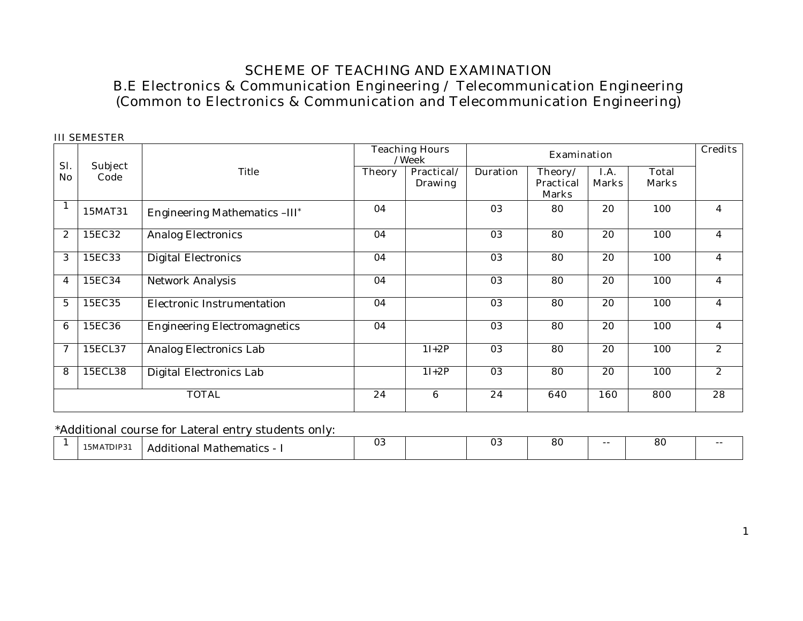# **SCHEME OF TEACHING AND EXAMINATION B.E Electronics & Communication Engineering / Telecommunication Engineering (Common to Electronics & Communication and Telecommunication Engineering)**

|                |                 |                                     |               | <b>Teaching Hours</b><br>/Week |                 | <b>Examination</b>                          |                      |                              | <b>Credits</b> |
|----------------|-----------------|-------------------------------------|---------------|--------------------------------|-----------------|---------------------------------------------|----------------------|------------------------------|----------------|
| Sl.<br>No.     | Subject<br>Code | Title                               | <b>Theory</b> | Practical/<br><b>Drawing</b>   | <b>Duration</b> | Theory/<br><b>Practical</b><br><b>Marks</b> | I.A.<br><b>Marks</b> | <b>Total</b><br><b>Marks</b> |                |
|                | 15MAT31         | Engineering Mathematics -III*       | 04            |                                | 03              | 80                                          | 20                   | 100                          | 4              |
| 2              | 15EC32          | <b>Analog Electronics</b>           | 04            |                                | 03              | 80                                          | 20                   | 100                          | 4              |
| 3              | 15EC33          | Digital Electronics                 | 04            |                                | 03              | 80                                          | 20                   | 100                          | 4              |
| 4              | 15EC34          | Network Analysis                    | 04            |                                | 03              | 80                                          | $\overline{20}$      | 100                          | 4              |
| $\overline{5}$ | 15EC35          | Electronic Instrumentation          | 04            |                                | 03              | 80                                          | 20                   | 100                          | 4              |
| 6              | 15EC36          | <b>Engineering Electromagnetics</b> | 04            |                                | 03              | 80                                          | 20                   | 100                          | 4              |
| $\mathcal I$   | 15ECL37         | Analog Electronics Lab              |               | $1I+2P$                        | 03              | 80                                          | 20                   | 100                          | $\mathbf{2}$   |
| 8              | 15ECL38         | Digital Electronics Lab             |               | $1I+2P$                        | 03              | 80                                          | 20                   | 100                          | $\overline{2}$ |
|                |                 | <b>TOTAL</b>                        | 24            | 6                              | 24              | 640                                         | 160                  | 800                          | 28             |

 **III SEMESTER** 

\*Additional course for Lateral entry students only:

| 15MATDIP31<br>Mathematics<br>Additional | ◡◡ |  | $\mathbf{v}$ | o,<br>oι | $- -$ | o c |  |
|-----------------------------------------|----|--|--------------|----------|-------|-----|--|
|-----------------------------------------|----|--|--------------|----------|-------|-----|--|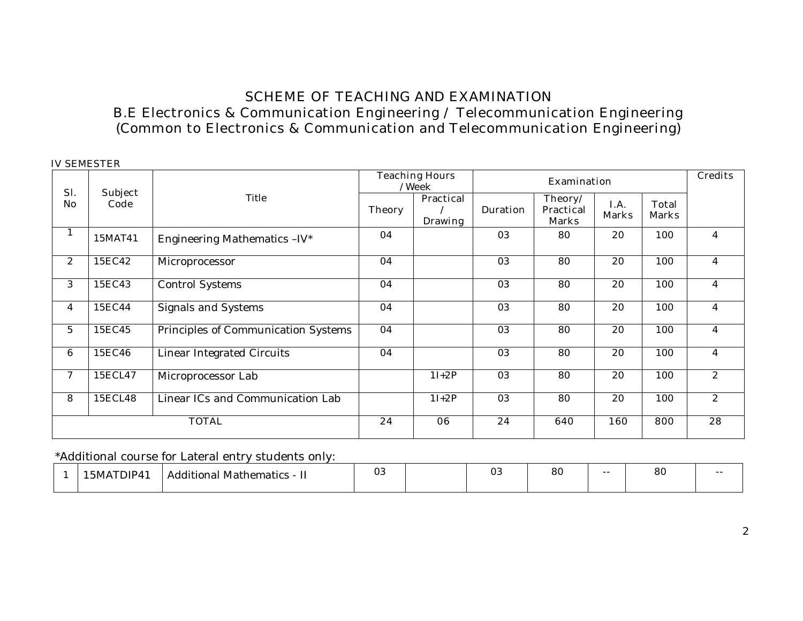# **SCHEME OF TEACHING AND EXAMINATION B.E Electronics & Communication Engineering / Telecommunication Engineering (Common to Electronics & Communication and Telecommunication Engineering)**

|                | <b>IV SEMESTER</b>     | Title                               |               | <b>Teaching Hours</b><br>/Week     |                 | <b>Credits</b>                              |                      |                              |                |
|----------------|------------------------|-------------------------------------|---------------|------------------------------------|-----------------|---------------------------------------------|----------------------|------------------------------|----------------|
| Sl.<br>No      | <b>Subject</b><br>Code |                                     | <b>Theory</b> | <b>Practical</b><br><b>Drawing</b> | <b>Duration</b> | Theory/<br><b>Practical</b><br><b>Marks</b> | I.A.<br><b>Marks</b> | <b>Total</b><br><b>Marks</b> |                |
| $\perp$        | 15MAT41                | Engineering Mathematics -IV*        | 04            |                                    | 03              | 80                                          | 20                   | 100                          | $\overline{4}$ |
| 2              | 15EC42                 | Microprocessor                      | 04            |                                    | 03              | 80                                          | 20                   | 100                          | $\overline{4}$ |
| 3              | 15EC43                 | <b>Control Systems</b>              | 04            |                                    | 03              | 80                                          | 20                   | 100                          | $\overline{4}$ |
| $\overline{4}$ | 15EC44                 | <b>Signals and Systems</b>          | 04            |                                    | 03              | 80                                          | 20                   | 100                          | $\overline{4}$ |
| $\overline{5}$ | 15EC45                 | Principles of Communication Systems | 04            |                                    | 03              | 80                                          | 20                   | 100                          | $\overline{4}$ |
| 6              | 15EC46                 | <b>Linear Integrated Circuits</b>   | 04            |                                    | $\overline{03}$ | 80                                          | $\overline{20}$      | 100                          | $\overline{4}$ |
| $\tau$         | 15ECL47                | Microprocessor Lab                  |               | $1I+2P$                            | $\overline{03}$ | 80                                          | $\overline{20}$      | 100                          | $\overline{2}$ |
| 8              | 15ECL48                | Linear ICs and Communication Lab    |               | $1I+2P$                            | 03              | 80                                          | 20                   | 100                          | 2              |
|                |                        | <b>TOTAL</b>                        | 24            | 06                                 | 24              | 640                                         | 160                  | 800                          | 28             |

\*Additional course for Lateral entry students only:

|  | $\overline{\phantom{a}}$<br>1)IP4<br>5MA | . .<br>.<br>- Additional Mathematics<br> | $\cap$<br>υJ |  | ∩c<br>υJ | 80 | $- -$ | $\Omega$<br>ου | $- -$ |
|--|------------------------------------------|------------------------------------------|--------------|--|----------|----|-------|----------------|-------|
|--|------------------------------------------|------------------------------------------|--------------|--|----------|----|-------|----------------|-------|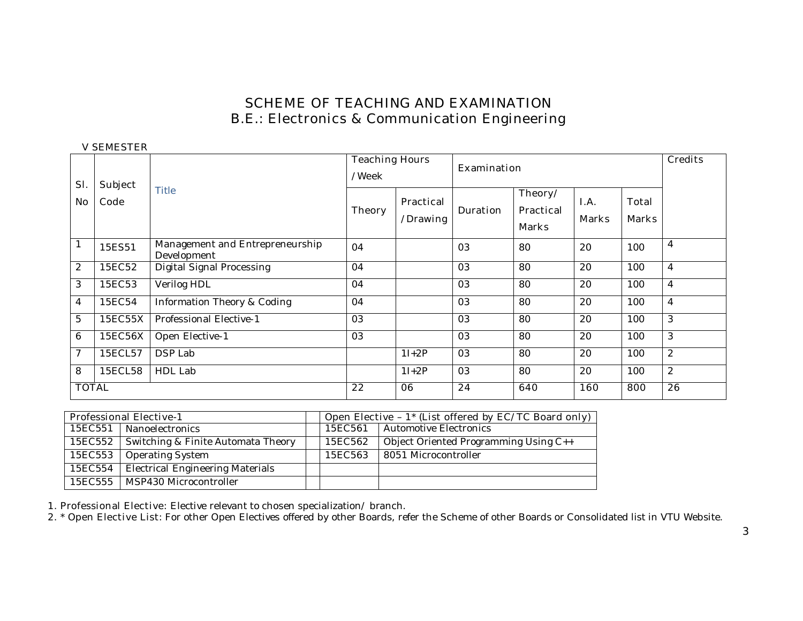# **SCHEME OF TEACHING AND EXAMINATION B.E.: Electronics & Communication Engineering**

 **V SEMESTER** 

| Sl.            | <b>Subject</b> |                                                | <b>Teaching Hours</b><br>/Week |                              | <b>Examination</b> |                                             | <b>Credits</b>       |                              |                  |
|----------------|----------------|------------------------------------------------|--------------------------------|------------------------------|--------------------|---------------------------------------------|----------------------|------------------------------|------------------|
| No             | Code           | <b>Title</b>                                   | <b>Theory</b>                  | <b>Practical</b><br>/Drawing | <b>Duration</b>    | Theory/<br><b>Practical</b><br><b>Marks</b> | I.A.<br><b>Marks</b> | <b>Total</b><br><b>Marks</b> |                  |
| $\mathbf{1}$   | 15ES51         | Management and Entrepreneurship<br>Development | 04                             |                              | 03                 | 80                                          | 20                   | 100                          | $\overline{4}$   |
| $\mathbf{2}$   | 15EC52         | Digital Signal Processing                      | 04                             |                              | 03                 | 80                                          | 20                   | 100                          | $\overline{4}$   |
| 3              | 15EC53         | Verilog HDL                                    | 04                             |                              | 03                 | 80                                          | 20                   | 100                          | $\overline{4}$   |
| $\overline{4}$ | 15EC54         | Information Theory & Coding                    | 04                             |                              | 03                 | 80                                          | 20                   | 100                          | $\overline{4}$   |
| $\overline{5}$ | 15EC55X        | Professional Elective-1                        | 03                             |                              | 03                 | 80                                          | 20                   | 100                          | 3                |
| 6              | 15EC56X        | Open Elective-1                                | 03                             |                              | 03                 | 80                                          | 20                   | 100                          | 3                |
| 7              | 15ECL57        | DSP Lab                                        |                                | $1I+2P$                      | 03                 | 80                                          | 20                   | 100                          | $\mathbf{2}$     |
| 8              | 15ECL58        | HDL Lab                                        |                                | $1I+2P$                      | 03                 | 80                                          | 20                   | 100                          | $\boldsymbol{2}$ |
| <b>TOTAL</b>   |                |                                                | 22                             | 06                           | 24                 | 640                                         | 160                  | 800                          | 26               |

|         | <b>Professional Elective-1</b>          |  |         | Open Elective - $1^*$ (List offered by EC/TC Board only) |
|---------|-----------------------------------------|--|---------|----------------------------------------------------------|
|         | 15EC551 Nanoelectronics                 |  | 15EC561 | Automotive Electronics                                   |
| 15EC552 | Switching & Finite Automata Theory      |  | 15EC562 | Object Oriented Programming Using C++                    |
| 15EC553 | <b>Operating System</b>                 |  | 15EC563 | 8051 Microcontroller                                     |
| 15EC554 | <b>Electrical Engineering Materials</b> |  |         |                                                          |
|         | 15EC555   MSP430 Microcontroller        |  |         |                                                          |

**1. Professional Elective:** Elective relevant to chosen specialization/ branch.

**2. \* Open Elective List**: For other Open Electives offered by other Boards, refer the Scheme of other Boards or Consolidated list in VTU Website.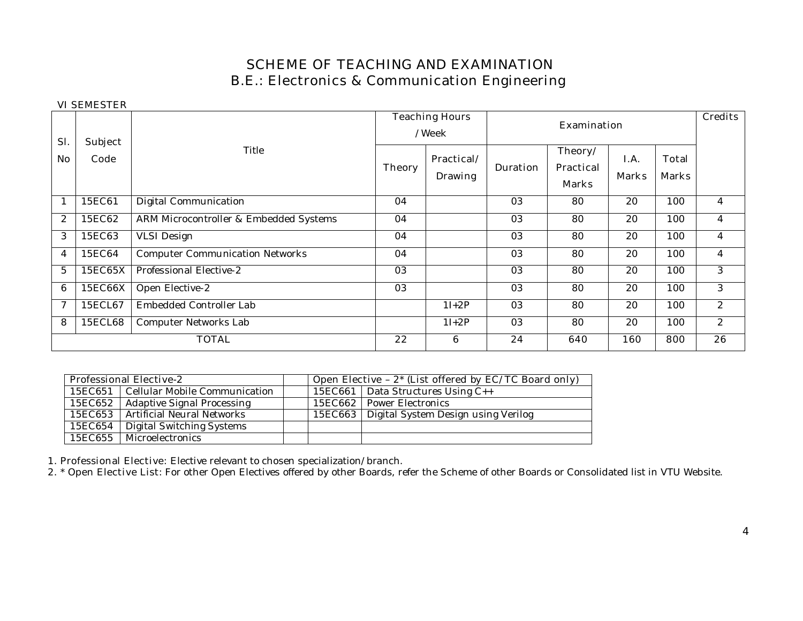# **SCHEME OF TEACHING AND EXAMINATION B.E.: Electronics & Communication Engineering**

#### **VI SEMESTER**

| Sl.          | <b>Subject</b> |                                        |               | <b>Teaching Hours</b><br>/Week |                 | <b>Credits</b>                              |                             |                              |                |
|--------------|----------------|----------------------------------------|---------------|--------------------------------|-----------------|---------------------------------------------|-----------------------------|------------------------------|----------------|
| No           | Code           | Title                                  | <b>Theory</b> | Practical/<br><b>Drawing</b>   | <b>Duration</b> | Theory/<br><b>Practical</b><br><b>Marks</b> | <b>I.A.</b><br><b>Marks</b> | <b>Total</b><br><b>Marks</b> |                |
| 1            | 15EC61         | Digital Communication                  | 04            |                                | 03              | 80                                          | 20                          | 100                          | $\overline{4}$ |
| $\mathbf{2}$ | 15EC62         | ARM Microcontroller & Embedded Systems | 04            |                                | 03              | 80                                          | 20                          | 100                          | 4              |
| 3            | 15EC63         | <b>VLSI</b> Design                     | 04            |                                | 03              | 80                                          | 20                          | 100                          | 4              |
| 4            | 15EC64         | <b>Computer Communication Networks</b> | 04            |                                | 03              | 80                                          | 20                          | 100                          | 4              |
| 5            | 15EC65X        | Professional Elective-2                | 03            |                                | 03              | 80                                          | 20                          | 100                          | 3              |
| 6            | 15EC66X        | Open Elective-2                        | 03            |                                | 03              | 80                                          | 20                          | 100                          | 3              |
| $\mathcal I$ | 15ECL67        | Embedded Controller Lab                |               | $1I+2P$                        | 03              | 80                                          | 20                          | 100                          | $\mathbf{2}$   |
| 8            | 15ECL68        | Computer Networks Lab                  |               | $1I+2P$                        | 03              | 80                                          | 20                          | 100                          | $\mathbf{2}$   |
|              |                | <b>TOTAL</b>                           | 22            | 6                              | 24              | 640                                         | 160                         | 800                          | 26             |

|         | <b>Professional Elective-2</b>          | Open Elective $-2^*$ (List offered by EC/TC Board only) |                                               |  |  |  |  |
|---------|-----------------------------------------|---------------------------------------------------------|-----------------------------------------------|--|--|--|--|
|         | 15EC651   Cellular Mobile Communication |                                                         | 15EC661   Data Structures Using $C_{++}$      |  |  |  |  |
| 15EC652 | Adaptive Signal Processing              |                                                         | 15EC662 Power Electronics                     |  |  |  |  |
|         | 15EC653   Artificial Neural Networks    |                                                         | 15EC663   Digital System Design using Verilog |  |  |  |  |
| 15EC654 | Digital Switching Systems               |                                                         |                                               |  |  |  |  |
|         | 15EC655   Microelectronics              |                                                         |                                               |  |  |  |  |

**1. Professional Elective:** Elective relevant to chosen specialization/branch.

**2. \* Open Elective List**: For other Open Electives offered by other Boards, refer the Scheme of other Boards or Consolidated list in VTU Website.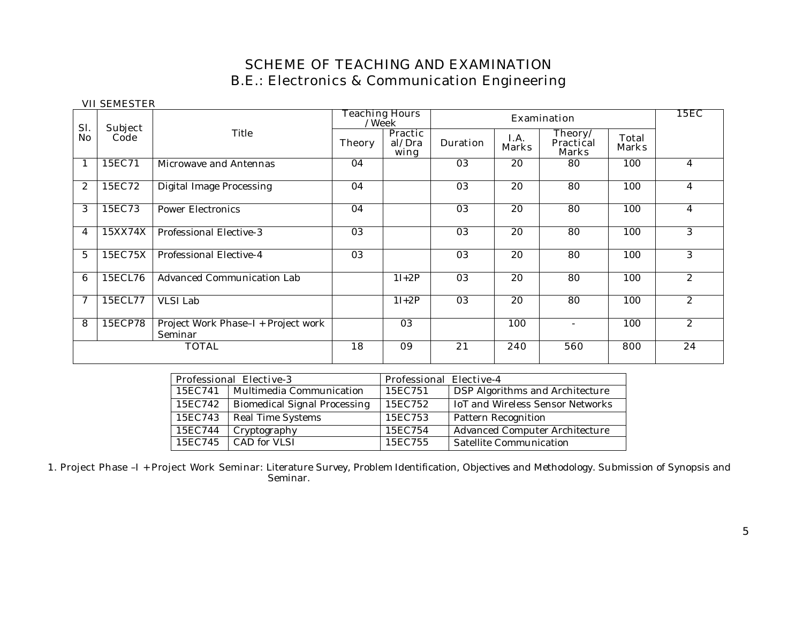# **SCHEME OF TEACHING AND EXAMINATION B.E.: Electronics & Communication Engineering**

|                  | VII QERIEQ LEIV        |                                                | <b>Teaching Hours</b><br>/Week |                                  |                 |                      | <b>Examination</b>                          |                              | <b>15EC</b>           |
|------------------|------------------------|------------------------------------------------|--------------------------------|----------------------------------|-----------------|----------------------|---------------------------------------------|------------------------------|-----------------------|
| Sl.<br>No        | <b>Subject</b><br>Code | Title                                          | <b>Theory</b>                  | <b>Practic</b><br>al/Dra<br>wing | <b>Duration</b> | I.A.<br><b>Marks</b> | Theory/<br><b>Practical</b><br><b>Marks</b> | <b>Total</b><br><b>Marks</b> |                       |
|                  | 15EC71                 | Microwave and Antennas                         | 04                             |                                  | 03              | 20                   | 80                                          | 100                          | 4                     |
| $\boldsymbol{2}$ | 15EC72                 | <b>Digital Image Processing</b>                | 04                             |                                  | 03              | 20                   | 80                                          | 100                          | 4                     |
| 3                | 15EC73                 | <b>Power Electronics</b>                       | 04                             |                                  | 03              | 20                   | 80                                          | 100                          | 4                     |
| 4                | 15XX74X                | Professional Elective-3                        | 03                             |                                  | 03              | 20                   | 80                                          | 100                          | 3                     |
| 5                | 15EC75X                | Professional Elective-4                        | 03                             |                                  | 03              | 20                   | 80                                          | 100                          | 3                     |
| 6                | 15ECL76                | <b>Advanced Communication Lab</b>              |                                | $1I+2P$                          | 03              | 20                   | 80                                          | 100                          | $\overline{2}$        |
| 7                | 15ECL77                | VLSI Lab                                       |                                | $1I+2P$                          | $\overline{03}$ | 20                   | 80                                          | 100                          | $\overline{2}$        |
| 8                | 15ECP78                | Project Work Phase-I + Project work<br>Seminar |                                | 03                               |                 | 100                  | $\overline{\phantom{0}}$                    | 100                          | $\mathbf{2}^{\prime}$ |
|                  |                        | <b>TOTAL</b>                                   | 18                             | 09                               | 21              | 240                  | 560                                         | 800                          | 24                    |

**VII SEMESTER** 

|         | <b>Professional Elective-3</b>      | <b>Professional Elective-4</b> |                                  |
|---------|-------------------------------------|--------------------------------|----------------------------------|
| 15EC741 | Multimedia Communication            | 15EC751                        | DSP Algorithms and Architecture  |
| 15EC742 | <b>Biomedical Signal Processing</b> | 15EC752                        | IoT and Wireless Sensor Networks |
| 15EC743 | Real Time Systems                   | 15EC753                        | Pattern Recognition              |
| 15EC744 | Cryptography                        | 15EC754                        | Advanced Computer Architecture   |
| 15EC745 | CAD for VLSI                        | 15EC755                        | Satellite Communication          |

**1. Project Phase –I + Project Work Seminar:** Literature Survey, Problem Identification, Objectives and Methodology. Submission of Synopsis and Seminar.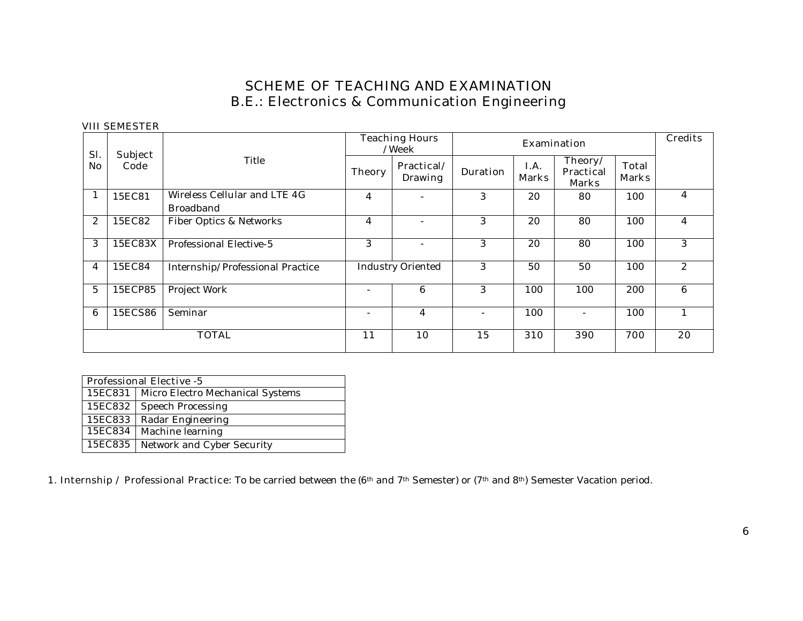# **SCHEME OF TEACHING AND EXAMINATION B.E.: Electronics & Communication Engineering**

#### **VIII SEMESTER**

|              |                        |                                                  |               | <b>Teaching Hours</b><br>/Week |                 |                      | Examination                                 |                              | <b>Credits</b> |
|--------------|------------------------|--------------------------------------------------|---------------|--------------------------------|-----------------|----------------------|---------------------------------------------|------------------------------|----------------|
| Sl.<br>No    | <b>Subject</b><br>Code | Title                                            | <b>Theory</b> | Practical/<br><b>Drawing</b>   | <b>Duration</b> | I.A.<br><b>Marks</b> | Theory/<br><b>Practical</b><br><b>Marks</b> | <b>Total</b><br><b>Marks</b> |                |
|              | 15EC81                 | Wireless Cellular and LTE 4G<br><b>Broadband</b> | 4             | $\overline{\phantom{m}}$       | 3               | 20                   | 80                                          | 100                          | 4              |
| $\mathbf{2}$ | 15EC82                 | Fiber Optics & Networks                          | 4             | $\overline{\phantom{0}}$       | 3               | 20                   | 80                                          | 100                          | 4              |
| 3            | 15EC83X                | Professional Elective-5                          | 3             | $\overline{\phantom{m}}$       | 3               | 20                   | 80                                          | 100                          | 3              |
| 4            | 15EC84                 | Internship/Professional Practice                 |               | <b>Industry Oriented</b>       | 3               | 50                   | 50                                          | 100                          | 2              |
| 5            | 15ECP85                | Project Work                                     |               | 6                              | 3               | 100                  | 100                                         | 200                          | 6              |
| 6            | 15ECS86                | Seminar                                          |               | 4                              |                 | 100                  |                                             | 100                          |                |
|              |                        | <b>TOTAL</b>                                     | 11            | 10                             | 15              | 310                  | 390                                         | 700                          | 20             |

|                                             | <b>Professional Elective -5</b> |  |  |  |  |  |  |
|---------------------------------------------|---------------------------------|--|--|--|--|--|--|
| 15EC831<br>Micro Electro Mechanical Systems |                                 |  |  |  |  |  |  |
| 15EC832                                     | Speech Processing               |  |  |  |  |  |  |
| 15EC833                                     | Radar Engineering               |  |  |  |  |  |  |
| 15EC834                                     | Machine learning                |  |  |  |  |  |  |
| 15EC835                                     | Network and Cyber Security      |  |  |  |  |  |  |

**1. Internship / Professional Practice:** To be carried between the (6<sup>th</sup> and 7<sup>th</sup> Semester) or (7<sup>th</sup> and 8<sup>th</sup>) Semester Vacation period.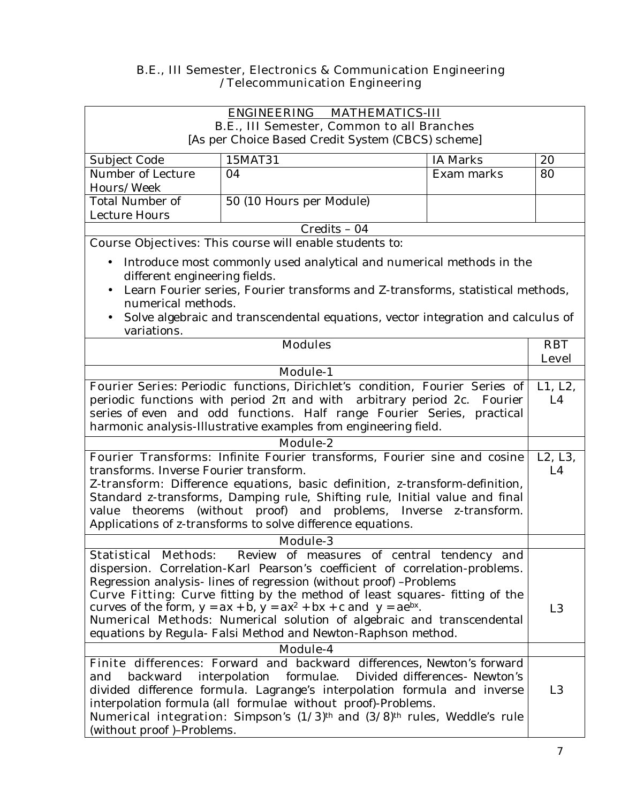### **B.E., III Semester, Electronics & Communication Engineering /Telecommunication Engineering**

| <b>ENGINEERING</b><br><b>MATHEMATICS-III</b>                                                                                                                                                                                                                                                                                 |                                                                                                                                                                                                                                                                                                                                                                                                                                                                                                                                        |                            |                |
|------------------------------------------------------------------------------------------------------------------------------------------------------------------------------------------------------------------------------------------------------------------------------------------------------------------------------|----------------------------------------------------------------------------------------------------------------------------------------------------------------------------------------------------------------------------------------------------------------------------------------------------------------------------------------------------------------------------------------------------------------------------------------------------------------------------------------------------------------------------------------|----------------------------|----------------|
| B.E., III Semester, Common to all Branches                                                                                                                                                                                                                                                                                   |                                                                                                                                                                                                                                                                                                                                                                                                                                                                                                                                        |                            |                |
|                                                                                                                                                                                                                                                                                                                              | [As per Choice Based Credit System (CBCS) scheme]                                                                                                                                                                                                                                                                                                                                                                                                                                                                                      |                            |                |
| Subject Code                                                                                                                                                                                                                                                                                                                 | 15MAT31                                                                                                                                                                                                                                                                                                                                                                                                                                                                                                                                | <b>IA Marks</b>            | 20             |
| Number of Lecture                                                                                                                                                                                                                                                                                                            | 04                                                                                                                                                                                                                                                                                                                                                                                                                                                                                                                                     | Exam marks                 | 80             |
| Hours/Week                                                                                                                                                                                                                                                                                                                   |                                                                                                                                                                                                                                                                                                                                                                                                                                                                                                                                        |                            |                |
| <b>Total Number of</b>                                                                                                                                                                                                                                                                                                       | 50 (10 Hours per Module)                                                                                                                                                                                                                                                                                                                                                                                                                                                                                                               |                            |                |
| <b>Lecture Hours</b>                                                                                                                                                                                                                                                                                                         |                                                                                                                                                                                                                                                                                                                                                                                                                                                                                                                                        |                            |                |
|                                                                                                                                                                                                                                                                                                                              | Credits - 04                                                                                                                                                                                                                                                                                                                                                                                                                                                                                                                           |                            |                |
|                                                                                                                                                                                                                                                                                                                              | <b>Course Objectives:</b> This course will enable students to:                                                                                                                                                                                                                                                                                                                                                                                                                                                                         |                            |                |
| Introduce most commonly used analytical and numerical methods in the<br>$\bullet$<br>different engineering fields.<br>Learn Fourier series, Fourier transforms and Z-transforms, statistical methods,<br>$\bullet$<br>numerical methods.<br>Solve algebraic and transcendental equations, vector integration and calculus of |                                                                                                                                                                                                                                                                                                                                                                                                                                                                                                                                        |                            |                |
| variations.                                                                                                                                                                                                                                                                                                                  |                                                                                                                                                                                                                                                                                                                                                                                                                                                                                                                                        |                            |                |
| <b>Modules</b>                                                                                                                                                                                                                                                                                                               |                                                                                                                                                                                                                                                                                                                                                                                                                                                                                                                                        | <b>RBT</b><br><b>Level</b> |                |
|                                                                                                                                                                                                                                                                                                                              | <b>Module-1</b>                                                                                                                                                                                                                                                                                                                                                                                                                                                                                                                        |                            |                |
|                                                                                                                                                                                                                                                                                                                              | Fourier Series: Periodic functions, Dirichlet's condition, Fourier Series of                                                                                                                                                                                                                                                                                                                                                                                                                                                           |                            | L1, L2,        |
|                                                                                                                                                                                                                                                                                                                              | periodic functions with period $2$ and with arbitrary period $2c$ . Fourier                                                                                                                                                                                                                                                                                                                                                                                                                                                            |                            | L4             |
| series of even and odd functions. Half range Fourier Series, practical                                                                                                                                                                                                                                                       |                                                                                                                                                                                                                                                                                                                                                                                                                                                                                                                                        |                            |                |
| harmonic analysis-Illustrative examples from engineering field.                                                                                                                                                                                                                                                              |                                                                                                                                                                                                                                                                                                                                                                                                                                                                                                                                        |                            |                |
| <b>Module-2</b>                                                                                                                                                                                                                                                                                                              |                                                                                                                                                                                                                                                                                                                                                                                                                                                                                                                                        |                            |                |
|                                                                                                                                                                                                                                                                                                                              | Fourier Transforms: Infinite Fourier transforms, Fourier sine and cosine                                                                                                                                                                                                                                                                                                                                                                                                                                                               |                            | L2, L3,        |
| transforms. Inverse Fourier transform.                                                                                                                                                                                                                                                                                       |                                                                                                                                                                                                                                                                                                                                                                                                                                                                                                                                        |                            | L4             |
|                                                                                                                                                                                                                                                                                                                              | Z-transform: Difference equations, basic definition, z-transform-definition,                                                                                                                                                                                                                                                                                                                                                                                                                                                           |                            |                |
| Standard z-transforms, Damping rule, Shifting rule, Initial value and final                                                                                                                                                                                                                                                  |                                                                                                                                                                                                                                                                                                                                                                                                                                                                                                                                        |                            |                |
| (without proof) and problems, Inverse z-transform.<br>value theorems                                                                                                                                                                                                                                                         |                                                                                                                                                                                                                                                                                                                                                                                                                                                                                                                                        |                            |                |
| Applications of z-transforms to solve difference equations.                                                                                                                                                                                                                                                                  |                                                                                                                                                                                                                                                                                                                                                                                                                                                                                                                                        |                            |                |
|                                                                                                                                                                                                                                                                                                                              | Module-3                                                                                                                                                                                                                                                                                                                                                                                                                                                                                                                               |                            |                |
|                                                                                                                                                                                                                                                                                                                              | Statistical Methods: Review of measures of central tendency and<br>dispersion. Correlation-Karl Pearson's coefficient of correlation-problems.<br>Regression analysis-lines of regression (without proof) -Problems<br><b>Curve Fitting:</b> Curve fitting by the method of least squares-fitting of the<br>curves of the form, $y = ax + b$ , $y = ax^2 + bx + c$ and $y = ae^{bx}$ .<br><b>Numerical Methods:</b> Numerical solution of algebraic and transcendental<br>equations by Regula- Falsi Method and Newton-Raphson method. |                            | L <sub>3</sub> |
|                                                                                                                                                                                                                                                                                                                              | <b>Module-4</b>                                                                                                                                                                                                                                                                                                                                                                                                                                                                                                                        |                            |                |
| backward<br>and<br>(without proof)-Problems.                                                                                                                                                                                                                                                                                 | Finite differences: Forward and backward differences, Newton's forward<br>interpolation formulae. Divided differences- Newton's<br>divided difference formula. Lagrange's interpolation formula and inverse<br>interpolation formula (all formulae without proof)-Problems.<br>Numerical integration: Simpson's (1/3) <sup>th</sup> and (3/8) <sup>th</sup> rules, Weddle's rule                                                                                                                                                       |                            | L <sub>3</sub> |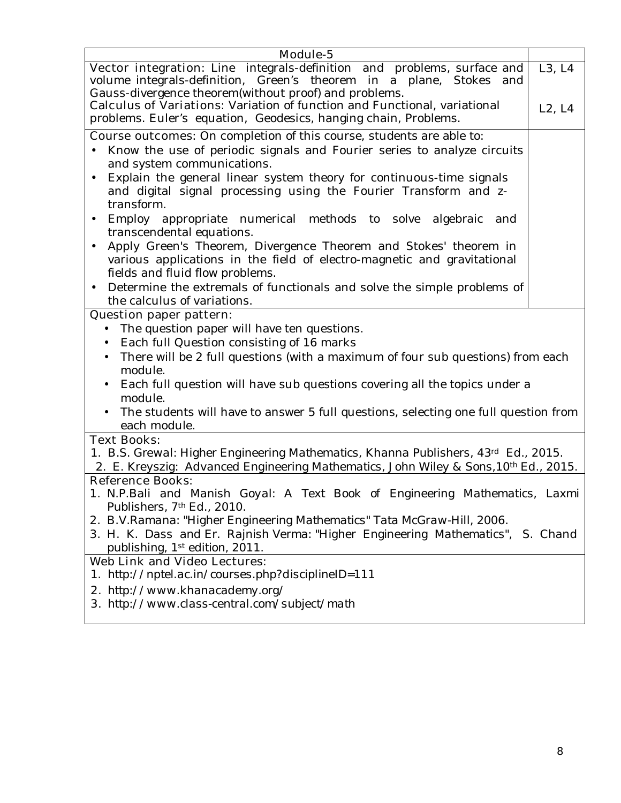| Vector integration: Line integrals-definition and problems, surface and<br>volume integrals-definition, Green's theorem in a plane, Stokes and<br>Gauss-divergence theorem(without proof) and problems.<br><b>Calculus of Variations:</b> Variation of function and Functional, variational<br>problems. Euler's equation, Geodesics, hanging chain, Problems.<br><b>Course outcomes:</b> On completion of this course, students are able to:<br>Know the use of periodic signals and Fourier series to analyze circuits<br>and system communications.<br>Explain the general linear system theory for continuous-time signals<br>$\bullet$<br>and digital signal processing using the Fourier Transform and z-<br>transform.<br>Employ appropriate numerical methods to solve<br>algebraic and<br>$\bullet$<br>transcendental equations.<br>Apply Green's Theorem, Divergence Theorem and Stokes' theorem in<br>$\bullet$<br>various applications in the field of electro-magnetic and gravitational<br>fields and fluid flow problems. | $\overline{L}3, L4$<br>L2, L4 |
|------------------------------------------------------------------------------------------------------------------------------------------------------------------------------------------------------------------------------------------------------------------------------------------------------------------------------------------------------------------------------------------------------------------------------------------------------------------------------------------------------------------------------------------------------------------------------------------------------------------------------------------------------------------------------------------------------------------------------------------------------------------------------------------------------------------------------------------------------------------------------------------------------------------------------------------------------------------------------------------------------------------------------------------|-------------------------------|
|                                                                                                                                                                                                                                                                                                                                                                                                                                                                                                                                                                                                                                                                                                                                                                                                                                                                                                                                                                                                                                          |                               |
|                                                                                                                                                                                                                                                                                                                                                                                                                                                                                                                                                                                                                                                                                                                                                                                                                                                                                                                                                                                                                                          |                               |
|                                                                                                                                                                                                                                                                                                                                                                                                                                                                                                                                                                                                                                                                                                                                                                                                                                                                                                                                                                                                                                          |                               |
|                                                                                                                                                                                                                                                                                                                                                                                                                                                                                                                                                                                                                                                                                                                                                                                                                                                                                                                                                                                                                                          |                               |
| Determine the extremals of functionals and solve the simple problems of<br>$\bullet$                                                                                                                                                                                                                                                                                                                                                                                                                                                                                                                                                                                                                                                                                                                                                                                                                                                                                                                                                     |                               |
| the calculus of variations.                                                                                                                                                                                                                                                                                                                                                                                                                                                                                                                                                                                                                                                                                                                                                                                                                                                                                                                                                                                                              |                               |
| <b>Question paper pattern:</b><br>The question paper will have ten questions.<br>$\bullet$<br>Each full Question consisting of 16 marks<br>There will be 2 full questions (with a maximum of four sub questions) from each<br>module.<br>Each full question will have sub questions covering all the topics under a<br>$\bullet$<br>module.<br>The students will have to answer 5 full questions, selecting one full question from<br>each module.                                                                                                                                                                                                                                                                                                                                                                                                                                                                                                                                                                                       |                               |
| <b>Text Books:</b><br>1. B.S. Grewal: Higher Engineering Mathematics, Khanna Publishers, 43 <sup>d</sup> Ed., 2015.<br>2. E. Kreyszig: Advanced Engineering Mathematics, John Wiley & Sons, 10 <sup>th</sup> Ed., 2015.                                                                                                                                                                                                                                                                                                                                                                                                                                                                                                                                                                                                                                                                                                                                                                                                                  |                               |
| <b>Reference Books:</b><br>1. N.P.Bali and Manish Goyal: A Text Book of Engineering Mathematics, Laxmi<br>Publishers, 7th Ed., 2010.<br>2. B.V.Ramana: "Higher Engineering Mathematics" Tata McGraw-Hill, 2006.<br>3. H. K. Dass and Er. Rajnish Verma: "Higher Engineering Mathematics", S. Chand<br>publishing, 1st edition, 2011.                                                                                                                                                                                                                                                                                                                                                                                                                                                                                                                                                                                                                                                                                                     |                               |
| <b>Web Link and Video Lectures:</b>                                                                                                                                                                                                                                                                                                                                                                                                                                                                                                                                                                                                                                                                                                                                                                                                                                                                                                                                                                                                      |                               |
| 1. http://nptel.ac.in/courses.php?disciplineID=111                                                                                                                                                                                                                                                                                                                                                                                                                                                                                                                                                                                                                                                                                                                                                                                                                                                                                                                                                                                       |                               |
| <b>2.</b> http://www.khanacademy.org/<br>3. http://www.class-central.com/subject/math                                                                                                                                                                                                                                                                                                                                                                                                                                                                                                                                                                                                                                                                                                                                                                                                                                                                                                                                                    |                               |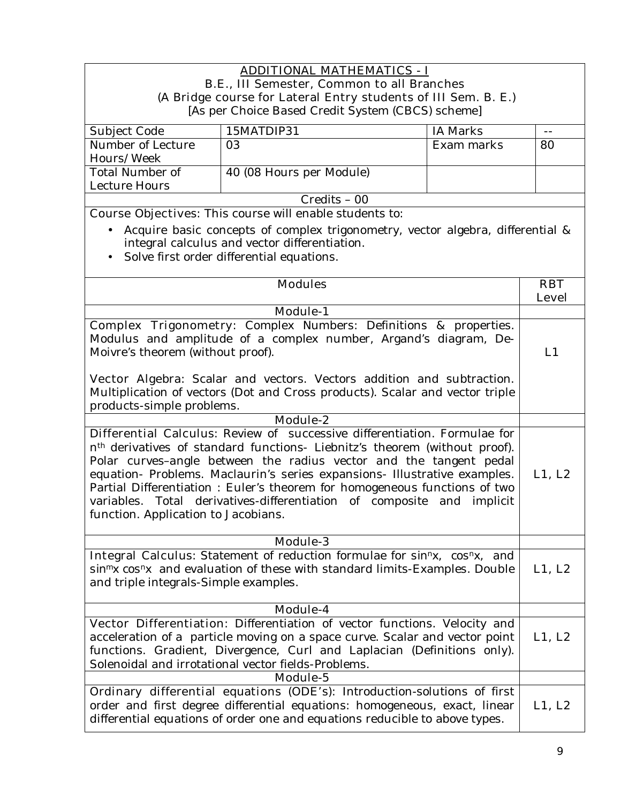#### **ADDITIONAL MATHEMATICS - I B.E., III Semester, Common to all Branches (A Bridge course for Lateral Entry students of III Sem. B. E.)**  [As per Choice Based Credit System (CBCS) scheme]

| Subject Code      | 15MATDIP31               | IA Marks   |    |
|-------------------|--------------------------|------------|----|
| Number of Lecture | 03                       | Exam marks | 80 |
| Hours/Week        |                          |            |    |
| Total Number of   | 40 (08 Hours per Module) |            |    |
| Lecture Hours     |                          |            |    |
|                   | $Credits - 00$           |            |    |

**Course Objectives:** This course will enable students to:

- Acquire basic concepts of complex trigonometry, vector algebra, differential & integral calculus and vector differentiation.
- Solve first order differential equations.

| <b>Modules</b>                                                                                                                                                                                                                                                                                                                                                                                                                                                                                                        | <b>RBT</b>   |
|-----------------------------------------------------------------------------------------------------------------------------------------------------------------------------------------------------------------------------------------------------------------------------------------------------------------------------------------------------------------------------------------------------------------------------------------------------------------------------------------------------------------------|--------------|
|                                                                                                                                                                                                                                                                                                                                                                                                                                                                                                                       | <b>Level</b> |
| <b>Module-1</b>                                                                                                                                                                                                                                                                                                                                                                                                                                                                                                       |              |
| <b>Complex Trigonometry:</b> Complex Numbers: Definitions & properties.<br>Modulus and amplitude of a complex number, Argand's diagram, De-<br>Moivre's theorem (without proof).<br>Vector Algebra: Scalar and vectors. Vectors addition and subtraction.<br>Multiplication of vectors (Dot and Cross products). Scalar and vector triple<br>products-simple problems.                                                                                                                                                |              |
| <b>Module-2</b>                                                                                                                                                                                                                                                                                                                                                                                                                                                                                                       |              |
| Differential Calculus: Review of successive differentiation. Formulae for<br>n <sup>th</sup> derivatives of standard functions- Liebnitz's theorem (without proof).<br>Polar curves-angle between the radius vector and the tangent pedal<br>equation- Problems. Maclaurin's series expansions- Illustrative examples.<br>Partial Differentiation : Euler's theorem for homogeneous functions of two<br>variables. Total derivatives-differentiation of composite and implicit<br>function. Application to Jacobians. | L1, L2       |
| Module-3                                                                                                                                                                                                                                                                                                                                                                                                                                                                                                              |              |
| <b>Integral Calculus:</b> Statement of reduction formulae for sin <sup>n</sup> x, cos <sup>n</sup> x, and<br>sin <sup>m</sup> x cos <sup>n</sup> x and evaluation of these with standard limits-Examples. Double<br>and triple integrals-Simple examples.                                                                                                                                                                                                                                                             | L1, L2       |
| Module-4                                                                                                                                                                                                                                                                                                                                                                                                                                                                                                              |              |
| Vector Differentiation: Differentiation of vector functions. Velocity and<br>acceleration of a particle moving on a space curve. Scalar and vector point<br>functions. Gradient, Divergence, Curl and Laplacian (Definitions only).<br>Solenoidal and irrotational vector fields-Problems.                                                                                                                                                                                                                            | L1, L2       |
| Module-5                                                                                                                                                                                                                                                                                                                                                                                                                                                                                                              |              |
| Ordinary differential equations (ODE's): Introduction-solutions of first<br>order and first degree differential equations: homogeneous, exact, linear<br>differential equations of order one and equations reducible to above types.                                                                                                                                                                                                                                                                                  | L1, L2       |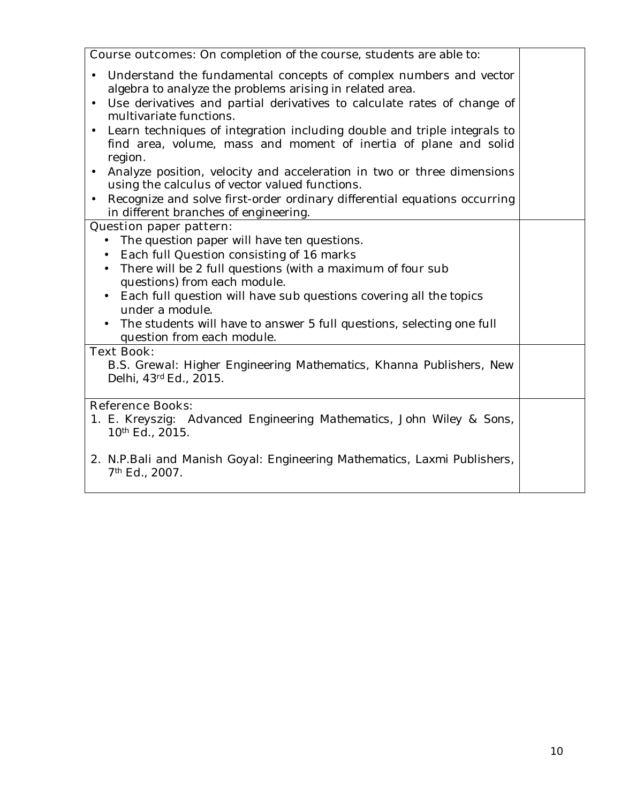| <b>Course outcomes:</b> On completion of the course, students are able to:                                                                                                                                                                                                                                                                                                                                                                                                                                                                                                                                                                                                   |  |
|------------------------------------------------------------------------------------------------------------------------------------------------------------------------------------------------------------------------------------------------------------------------------------------------------------------------------------------------------------------------------------------------------------------------------------------------------------------------------------------------------------------------------------------------------------------------------------------------------------------------------------------------------------------------------|--|
| Understand the fundamental concepts of complex numbers and vector<br>$\bullet$<br>algebra to analyze the problems arising in related area.<br>Use derivatives and partial derivatives to calculate rates of change of<br>multivariate functions.<br>• Learn techniques of integration including double and triple integrals to<br>find area, volume, mass and moment of inertia of plane and solid<br>region.<br>Analyze position, velocity and acceleration in two or three dimensions<br>$\bullet$<br>using the calculus of vector valued functions.<br>Recognize and solve first-order ordinary differential equations occurring<br>in different branches of engineering. |  |
| <b>Question paper pattern:</b>                                                                                                                                                                                                                                                                                                                                                                                                                                                                                                                                                                                                                                               |  |
| The question paper will have ten questions.<br>$\bullet$<br>Each full Question consisting of 16 marks<br>$\bullet$<br>There will be 2 full questions (with a maximum of four sub<br>$\bullet$<br>questions) from each module.<br>Each full question will have sub questions covering all the topics<br>$\bullet$<br>under a module.<br>The students will have to answer 5 full questions, selecting one full<br>question from each module.                                                                                                                                                                                                                                   |  |
| <b>Text Book:</b><br>B.S. Grewal: Higher Engineering Mathematics, Khanna Publishers, New<br>Delhi, 43d Ed., 2015.                                                                                                                                                                                                                                                                                                                                                                                                                                                                                                                                                            |  |
| <b>Reference Books:</b><br>1. E. Kreyszig: Advanced Engineering Mathematics, John Wiley & Sons,<br>10 <sup>th</sup> Ed., 2015.                                                                                                                                                                                                                                                                                                                                                                                                                                                                                                                                               |  |
| 2. N.P.Bali and Manish Goyal: Engineering Mathematics, Laxmi Publishers,<br>7 <sup>th</sup> Ed., 2007.                                                                                                                                                                                                                                                                                                                                                                                                                                                                                                                                                                       |  |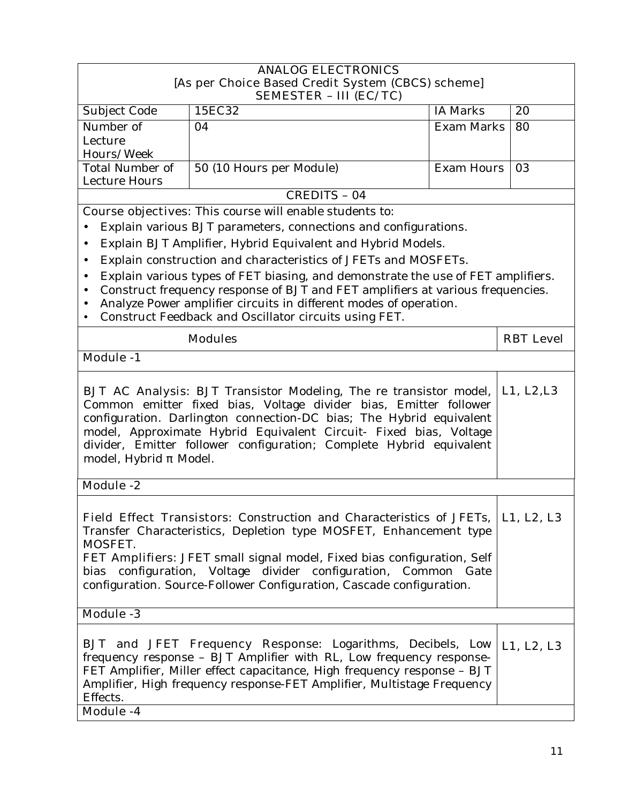|                                                                                                                                                                                                                                                                                                                                                                                                            | <b>ANALOG ELECTRONICS</b><br>[As per Choice Based Credit System (CBCS) scheme]<br><b>SEMESTER - III (EC/TC)</b>                                                                                                                                                                                                                                                       |                   |                  |
|------------------------------------------------------------------------------------------------------------------------------------------------------------------------------------------------------------------------------------------------------------------------------------------------------------------------------------------------------------------------------------------------------------|-----------------------------------------------------------------------------------------------------------------------------------------------------------------------------------------------------------------------------------------------------------------------------------------------------------------------------------------------------------------------|-------------------|------------------|
| Subject Code                                                                                                                                                                                                                                                                                                                                                                                               | 15EC32                                                                                                                                                                                                                                                                                                                                                                | IA Marks          | 20               |
| Number of                                                                                                                                                                                                                                                                                                                                                                                                  | 04                                                                                                                                                                                                                                                                                                                                                                    | <b>Exam Marks</b> | 80               |
| Lecture                                                                                                                                                                                                                                                                                                                                                                                                    |                                                                                                                                                                                                                                                                                                                                                                       |                   |                  |
| Hours/Week<br>Total Number of                                                                                                                                                                                                                                                                                                                                                                              | 50 (10 Hours per Module)                                                                                                                                                                                                                                                                                                                                              | <b>Exam Hours</b> | 03               |
| Lecture Hours                                                                                                                                                                                                                                                                                                                                                                                              |                                                                                                                                                                                                                                                                                                                                                                       |                   |                  |
|                                                                                                                                                                                                                                                                                                                                                                                                            | <b>CREDITS - 04</b>                                                                                                                                                                                                                                                                                                                                                   |                   |                  |
|                                                                                                                                                                                                                                                                                                                                                                                                            | <b>Course objectives:</b> This course will enable students to:                                                                                                                                                                                                                                                                                                        |                   |                  |
|                                                                                                                                                                                                                                                                                                                                                                                                            | Explain various BJT parameters, connections and configurations.                                                                                                                                                                                                                                                                                                       |                   |                  |
| $\bullet$                                                                                                                                                                                                                                                                                                                                                                                                  | Explain BJT Amplifier, Hybrid Equivalent and Hybrid Models.                                                                                                                                                                                                                                                                                                           |                   |                  |
| $\bullet$                                                                                                                                                                                                                                                                                                                                                                                                  | Explain construction and characteristics of JFETs and MOSFETs.                                                                                                                                                                                                                                                                                                        |                   |                  |
| $\bullet$                                                                                                                                                                                                                                                                                                                                                                                                  | Explain various types of FET biasing, and demonstrate the use of FET amplifiers.                                                                                                                                                                                                                                                                                      |                   |                  |
| $\bullet$                                                                                                                                                                                                                                                                                                                                                                                                  | Construct frequency response of BJT and FET amplifiers at various frequencies.                                                                                                                                                                                                                                                                                        |                   |                  |
| $\bullet$                                                                                                                                                                                                                                                                                                                                                                                                  | Analyze Power amplifier circuits in different modes of operation.<br>Construct Feedback and Oscillator circuits using FET.                                                                                                                                                                                                                                            |                   |                  |
|                                                                                                                                                                                                                                                                                                                                                                                                            |                                                                                                                                                                                                                                                                                                                                                                       |                   |                  |
|                                                                                                                                                                                                                                                                                                                                                                                                            | <b>Modules</b>                                                                                                                                                                                                                                                                                                                                                        |                   | <b>RBT</b> Level |
| <b>Module -1</b>                                                                                                                                                                                                                                                                                                                                                                                           |                                                                                                                                                                                                                                                                                                                                                                       |                   |                  |
| <b>BJT AC Analysis:</b> BJT Transistor Modeling, The re transistor model,<br>L1, L2, L3<br>Common emitter fixed bias, Voltage divider bias, Emitter follower<br>configuration. Darlington connection-DC bias; The Hybrid equivalent<br>model, Approximate Hybrid Equivalent Circuit- Fixed bias, Voltage<br>divider, Emitter follower configuration; Complete Hybrid equivalent<br>model, Hybrid<br>Model. |                                                                                                                                                                                                                                                                                                                                                                       |                   |                  |
| <b>Module -2</b>                                                                                                                                                                                                                                                                                                                                                                                           |                                                                                                                                                                                                                                                                                                                                                                       |                   |                  |
| MOSFET.                                                                                                                                                                                                                                                                                                                                                                                                    | <b>Field Effect Transistors:</b> Construction and Characteristics of JFETs,<br>Transfer Characteristics, Depletion type MOSFET, Enhancement type<br>FET Amplifiers: JFET small signal model, Fixed bias configuration, Self<br>bias configuration, Voltage divider configuration, Common Gate<br>configuration. Source-Follower Configuration, Cascade configuration. |                   | L1, L2, L3       |
| <b>Module -3</b>                                                                                                                                                                                                                                                                                                                                                                                           |                                                                                                                                                                                                                                                                                                                                                                       |                   |                  |
| Effects.<br>Module -4                                                                                                                                                                                                                                                                                                                                                                                      | <b>BJT</b> and JFET Frequency Response: Logarithms, Decibels, Low<br>frequency response - BJT Amplifier with RL, Low frequency response-<br>FET Amplifier, Miller effect capacitance, High frequency response - BJT<br>Amplifier, High frequency response-FET Amplifier, Multistage Frequency                                                                         |                   | L1, L2, L3       |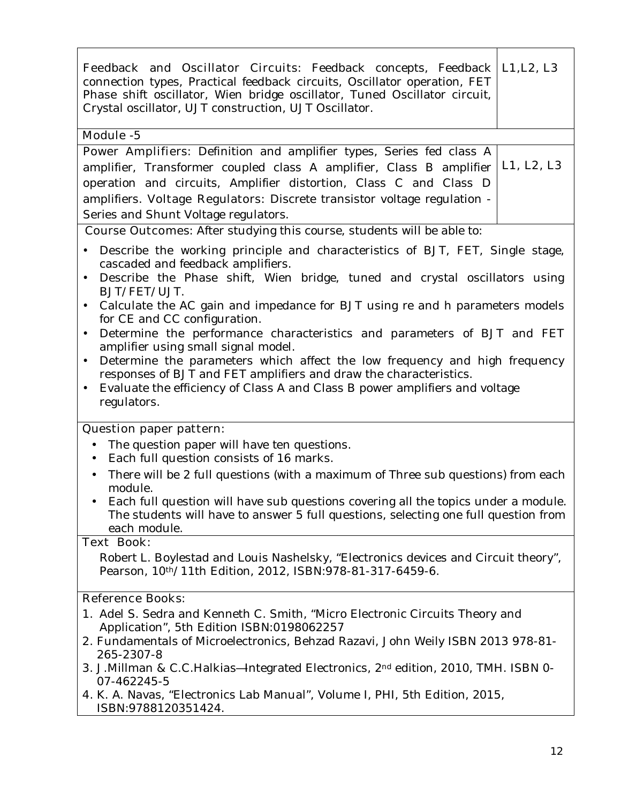| <b>Feedback and Oscillator Circuits:</b> Feedback concepts, Feedback <b>L1, L2, L3</b><br>connection types, Practical feedback circuits, Oscillator operation, FET<br>Phase shift oscillator, Wien bridge oscillator, Tuned Oscillator circuit,<br>Crystal oscillator, UJT construction, UJT Oscillator. |            |
|----------------------------------------------------------------------------------------------------------------------------------------------------------------------------------------------------------------------------------------------------------------------------------------------------------|------------|
| Module -5                                                                                                                                                                                                                                                                                                |            |
| Power Amplifiers: Definition and amplifier types, Series fed class A                                                                                                                                                                                                                                     |            |
| amplifier, Transformer coupled class A amplifier, Class B amplifier                                                                                                                                                                                                                                      | L1, L2, L3 |
| operation and circuits, Amplifier distortion, Class C and Class D                                                                                                                                                                                                                                        |            |
| amplifiers. Voltage Regulators: Discrete transistor voltage regulation -                                                                                                                                                                                                                                 |            |
| Series and Shunt Voltage regulators.                                                                                                                                                                                                                                                                     |            |

**Course Outcomes:** After studying this course, students will be able to:

- Describe the working principle and characteristics of BJT, FET, Single stage, cascaded and feedback amplifiers.
- Describe the Phase shift, Wien bridge, tuned and crystal oscillators using BJT/FET/UJT.
- Calculate the AC gain and impedance for BJT using re and h parameters models for CE and CC configuration.
- Determine the performance characteristics and parameters of BJT and FET amplifier using small signal model.
- Determine the parameters which affect the low frequency and high frequency responses of BJT and FET amplifiers and draw the characteristics.
- Evaluate the efficiency of Class A and Class B power amplifiers and voltage regulators.

#### **Question paper pattern:**

- The question paper will have ten questions.
- Each full question consists of 16 marks.
- There will be 2 full questions (with a maximum of Three sub questions) from each module.
- Each full question will have sub questions covering all the topics under a module. The students will have to answer 5 full questions, selecting one full question from each module.

### **Text Book:**

Robert L. Boylestad and Louis Nashelsky, "Electronics devices and Circuit theory", Pearson, 10th/11th Edition, 2012, ISBN:978-81-317-6459-6.

#### **Reference Books:**

- 1. Adel S. Sedra and Kenneth C. Smith, "Micro Electronic Circuits Theory and Application", 5th Edition ISBN:0198062257
- 2. Fundamentals of Microelectronics, Behzad Razavi, John Weily ISBN 2013 978-81- 265-2307-8
- 3. J.Millman & C.C.Halkias Integrated Electronics, 2<sup>nd</sup> edition, 2010, TMH. ISBN 0-07-462245-5
- **4.** K. A. Navas, "Electronics Lab Manual", Volume I, PHI, 5th Edition, 2015, ISBN:9788120351424.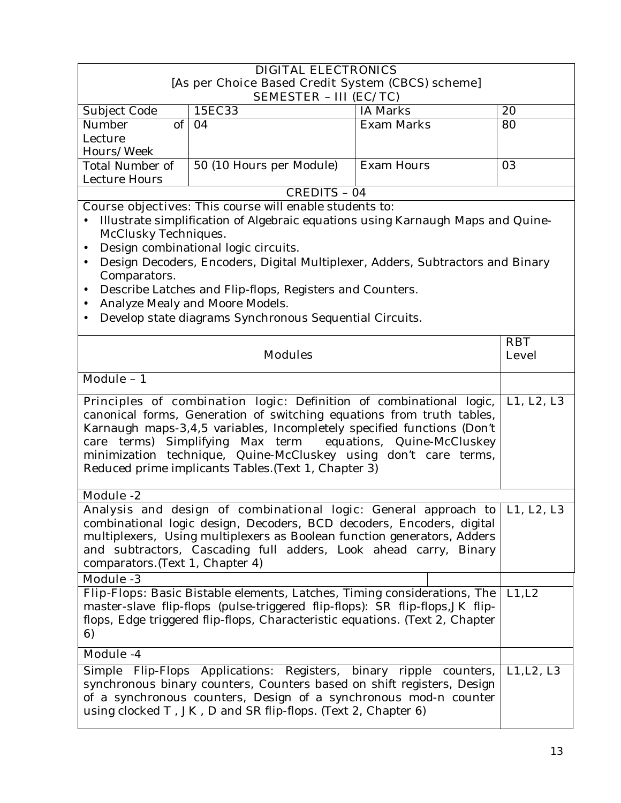|                                                                                                                                                                                                                                                                                                                                                                                                                  | <b>DIGITAL ELECTRONICS</b>                                                                                                                                                                                                                                                                           |                   |              |
|------------------------------------------------------------------------------------------------------------------------------------------------------------------------------------------------------------------------------------------------------------------------------------------------------------------------------------------------------------------------------------------------------------------|------------------------------------------------------------------------------------------------------------------------------------------------------------------------------------------------------------------------------------------------------------------------------------------------------|-------------------|--------------|
|                                                                                                                                                                                                                                                                                                                                                                                                                  | [As per Choice Based Credit System (CBCS) scheme]                                                                                                                                                                                                                                                    |                   |              |
|                                                                                                                                                                                                                                                                                                                                                                                                                  | <b>SEMESTER - III (EC/TC)</b>                                                                                                                                                                                                                                                                        |                   |              |
| Subject Code                                                                                                                                                                                                                                                                                                                                                                                                     | 15EC33                                                                                                                                                                                                                                                                                               | <b>IA Marks</b>   | 20           |
| of<br>Number                                                                                                                                                                                                                                                                                                                                                                                                     | 04                                                                                                                                                                                                                                                                                                   | <b>Exam Marks</b> | 80           |
| Lecture<br>Hours/Week                                                                                                                                                                                                                                                                                                                                                                                            |                                                                                                                                                                                                                                                                                                      |                   |              |
| <b>Total Number of</b>                                                                                                                                                                                                                                                                                                                                                                                           | 50 (10 Hours per Module)                                                                                                                                                                                                                                                                             | <b>Exam Hours</b> | 03           |
| Lecture Hours                                                                                                                                                                                                                                                                                                                                                                                                    |                                                                                                                                                                                                                                                                                                      |                   |              |
|                                                                                                                                                                                                                                                                                                                                                                                                                  | CREDITS - 04                                                                                                                                                                                                                                                                                         |                   |              |
|                                                                                                                                                                                                                                                                                                                                                                                                                  | Course objectives: This course will enable students to:                                                                                                                                                                                                                                              |                   |              |
|                                                                                                                                                                                                                                                                                                                                                                                                                  | Illustrate simplification of Algebraic equations using Karnaugh Maps and Quine-                                                                                                                                                                                                                      |                   |              |
| McClusky Techniques.                                                                                                                                                                                                                                                                                                                                                                                             |                                                                                                                                                                                                                                                                                                      |                   |              |
| $\bullet$                                                                                                                                                                                                                                                                                                                                                                                                        | Design combinational logic circuits.                                                                                                                                                                                                                                                                 |                   |              |
| $\bullet$                                                                                                                                                                                                                                                                                                                                                                                                        | Design Decoders, Encoders, Digital Multiplexer, Adders, Subtractors and Binary                                                                                                                                                                                                                       |                   |              |
| Comparators.                                                                                                                                                                                                                                                                                                                                                                                                     |                                                                                                                                                                                                                                                                                                      |                   |              |
| $\bullet$                                                                                                                                                                                                                                                                                                                                                                                                        | Describe Latches and Flip-flops, Registers and Counters.                                                                                                                                                                                                                                             |                   |              |
|                                                                                                                                                                                                                                                                                                                                                                                                                  | Analyze Mealy and Moore Models.                                                                                                                                                                                                                                                                      |                   |              |
|                                                                                                                                                                                                                                                                                                                                                                                                                  | Develop state diagrams Synchronous Sequential Circuits.                                                                                                                                                                                                                                              |                   |              |
|                                                                                                                                                                                                                                                                                                                                                                                                                  |                                                                                                                                                                                                                                                                                                      |                   | <b>RBT</b>   |
|                                                                                                                                                                                                                                                                                                                                                                                                                  | <b>Modules</b>                                                                                                                                                                                                                                                                                       |                   | <b>Level</b> |
| Module - 1                                                                                                                                                                                                                                                                                                                                                                                                       |                                                                                                                                                                                                                                                                                                      |                   |              |
| Principles of combination logic: Definition of combinational logic,<br>canonical forms, Generation of switching equations from truth tables,<br>Karnaugh maps-3,4,5 variables, Incompletely specified functions (Don't<br>care terms) Simplifying Max term equations, Quine-McCluskey<br>minimization technique, Quine-McCluskey using don't care terms,<br>Reduced prime implicants Tables. (Text 1, Chapter 3) |                                                                                                                                                                                                                                                                                                      |                   | L1, L2, L3   |
| <b>Module -2</b>                                                                                                                                                                                                                                                                                                                                                                                                 |                                                                                                                                                                                                                                                                                                      |                   |              |
| comparators. (Text 1, Chapter 4)                                                                                                                                                                                                                                                                                                                                                                                 | Analysis and design of combinational logic: General approach to   L1, L2, L3<br>combinational logic design, Decoders, BCD decoders, Encoders, digital<br>multiplexers, Using multiplexers as Boolean function generators, Adders<br>and subtractors, Cascading full adders, Look ahead carry, Binary |                   |              |
| <b>Module -3</b>                                                                                                                                                                                                                                                                                                                                                                                                 |                                                                                                                                                                                                                                                                                                      |                   |              |
| 6)                                                                                                                                                                                                                                                                                                                                                                                                               | Flip-Flops: Basic Bistable elements, Latches, Timing considerations, The<br>master-slave flip-flops (pulse-triggered flip-flops): SR flip-flops, JK flip-<br>flops, Edge triggered flip-flops, Characteristic equations. (Text 2, Chapter                                                            |                   | L1, L2       |
| Module -4                                                                                                                                                                                                                                                                                                                                                                                                        |                                                                                                                                                                                                                                                                                                      |                   |              |
| Simple                                                                                                                                                                                                                                                                                                                                                                                                           | Flip-Flops Applications: Registers, binary ripple counters,<br>synchronous binary counters, Counters based on shift registers, Design<br>of a synchronous counters, Design of a synchronous mod-n counter<br>using clocked T, JK, D and SR flip-flops. (Text 2, Chapter 6)                           |                   | L1, L2, L3   |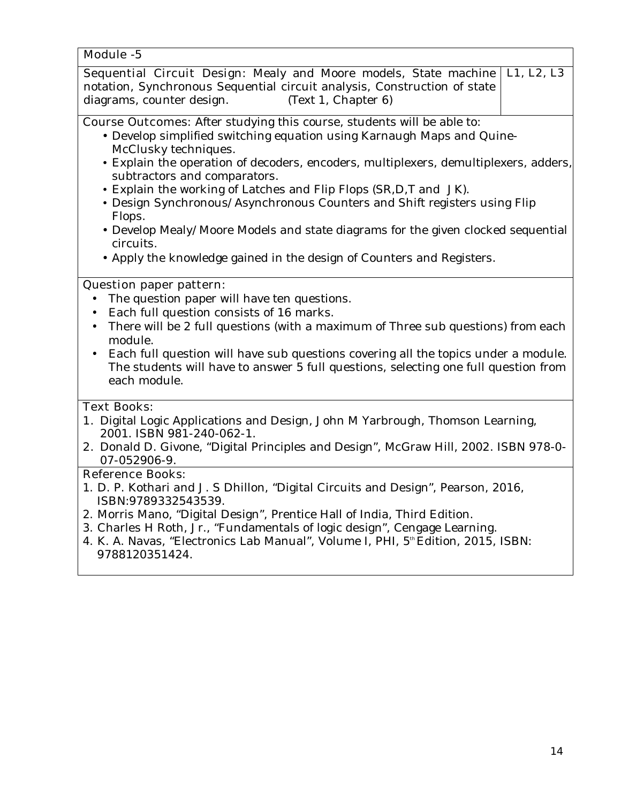#### **Module -5**

| <b>Sequential Circuit Design:</b> Mealy and Moore models, State machine   L1, L2, L3 |  |
|--------------------------------------------------------------------------------------|--|
| notation, Synchronous Sequential circuit analysis, Construction of state             |  |
| (Text 1, Chapter 6)<br>diagrams, counter design.                                     |  |

**Course Outcomes:** After studying this course, students will be able to:

- Develop simplified switching equation using Karnaugh Maps and Quine-McClusky techniques.
- Explain the operation of decoders, encoders, multiplexers, demultiplexers, adders, subtractors and comparators.
- Explain the working of Latches and Flip Flops (SR,D,T and JK).
- Design Synchronous/Asynchronous Counters and Shift registers using Flip Flops.
- Develop Mealy/Moore Models and state diagrams for the given clocked sequential circuits.
- Apply the knowledge gained in the design of Counters and Registers.

#### **Question paper pattern:**

- The question paper will have ten questions.
- Each full question consists of 16 marks.
- There will be 2 full questions (with a maximum of Three sub questions) from each module.
- Each full question will have sub questions covering all the topics under a module. The students will have to answer 5 full questions, selecting one full question from each module.

## **Text Books:**

- **1.** Digital Logic Applications and Design, John M Yarbrough, Thomson Learning, 2001. ISBN 981-240-062-1.
- **2.** Donald D. Givone, "Digital Principles and Design", McGraw Hill, 2002. ISBN 978-0- 07-052906-9.

#### **Reference Books:**

- 1. D. P. Kothari and J. S Dhillon, "Digital Circuits and Design", Pearson, 2016, ISBN:9789332543539.
- 2. Morris Mano, "Digital Design", Prentice Hall of India, Third Edition.
- 3. Charles H Roth, Jr., "Fundamentals of logic design", Cengage Learning.
- 4. K. A. Navas, "Electronics Lab Manual", Volume I, PHI, 5th Edition, 2015, ISBN: 9788120351424.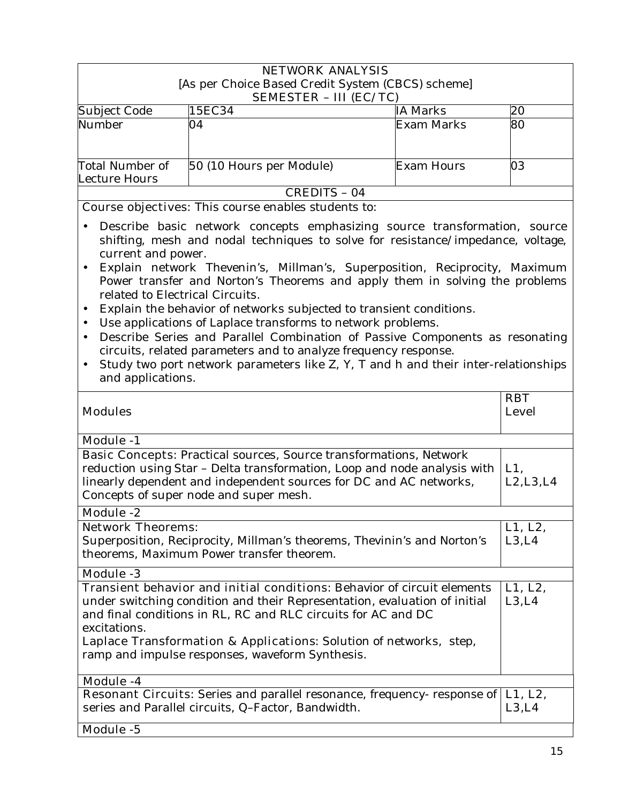|                                         | <b>NETWORK ANALYSIS</b><br>[As per Choice Based Credit System (CBCS) scheme]<br><b>SEMESTER - III (EC/TC)</b> |                 |    |
|-----------------------------------------|---------------------------------------------------------------------------------------------------------------|-----------------|----|
| Subject Code                            | 15EC34                                                                                                        | <b>IA Marks</b> | 20 |
| Number                                  | 04                                                                                                            | Exam Marks      | 80 |
| <b>Total Number of</b><br>Lecture Hours | 50 (10 Hours per Module)                                                                                      | Exam Hours      | 03 |
|                                         | CREDITS - 04                                                                                                  |                 |    |

**Course objectives:** This course enables students to:

- Describe basic network concepts emphasizing source transformation, source shifting, mesh and nodal techniques to solve for resistance/impedance, voltage, current and power.
- Explain network Thevenin's, Millman's, Superposition, Reciprocity, Maximum Power transfer and Norton's Theorems and apply them in solving the problems related to Electrical Circuits.
- Explain the behavior of networks subjected to transient conditions.
- Use applications of Laplace transforms to network problems.
- Describe Series and Parallel Combination of Passive Components as resonating circuits, related parameters and to analyze frequency response.
- Study two port network parameters like Z, Y, T and h and their inter-relationships and applications.

|                                                                                                                                                                                                                                                                                                                    | <b>RBT</b>        |
|--------------------------------------------------------------------------------------------------------------------------------------------------------------------------------------------------------------------------------------------------------------------------------------------------------------------|-------------------|
| <b>Modules</b>                                                                                                                                                                                                                                                                                                     | <b>Level</b>      |
| <b>Module -1</b>                                                                                                                                                                                                                                                                                                   |                   |
| <b>Basic Concepts:</b> Practical sources, Source transformations, Network<br>reduction using Star - Delta transformation, Loop and node analysis with<br>linearly dependent and independent sources for DC and AC networks,<br>Concepts of super node and super mesh.                                              | L1,<br>L2, L3, L4 |
| <b>Module -2</b>                                                                                                                                                                                                                                                                                                   |                   |
| <b>Network Theorems:</b><br>Superposition, Reciprocity, Millman's theorems, Thevinin's and Norton's<br>theorems, Maximum Power transfer theorem.                                                                                                                                                                   | L1, L2,<br>L3, L4 |
| <b>Module -3</b>                                                                                                                                                                                                                                                                                                   |                   |
| <b>Transient behavior and initial conditions:</b> Behavior of circuit elements<br>under switching condition and their Representation, evaluation of initial<br>and final conditions in RL, RC and RLC circuits for AC and DC<br>excitations.<br>Laplace Transformation & Applications: Solution of networks, step, | L1, L2,<br>L3, L4 |
| ramp and impulse responses, waveform Synthesis.                                                                                                                                                                                                                                                                    |                   |
| <b>Module -4</b>                                                                                                                                                                                                                                                                                                   |                   |
| <b>Resonant Circuits:</b> Series and parallel resonance, frequency- response of <b>L1, L2,</b><br>series and Parallel circuits, Q-Factor, Bandwidth.                                                                                                                                                               | L3,L4             |
| Module -5                                                                                                                                                                                                                                                                                                          |                   |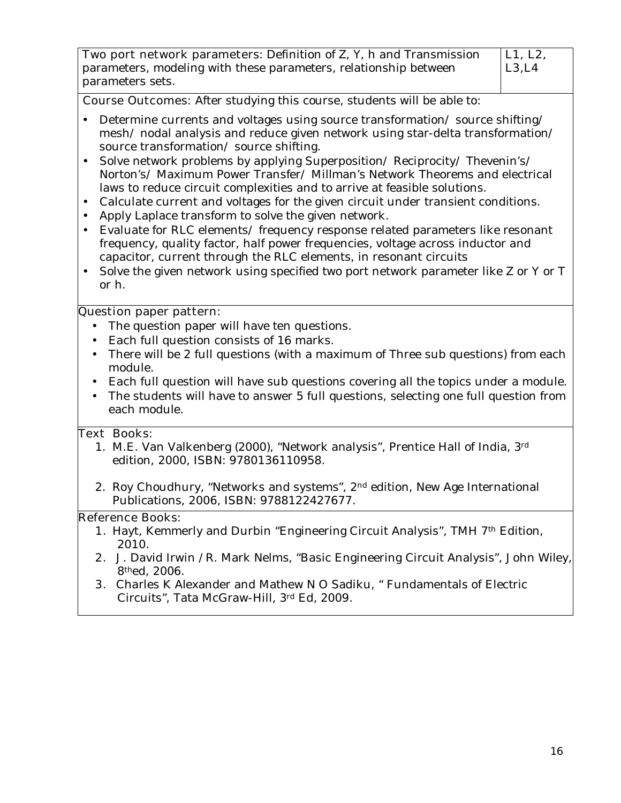| <b>Two port network parameters:</b> Definition of Z, Y, h and Transmission |
|----------------------------------------------------------------------------|
| parameters, modeling with these parameters, relationship between           |
| parameters sets.                                                           |

**Course Outcomes:** After studying this course, students will be able to:

- Determine currents and voltages using source transformation/source shifting/ mesh/ nodal analysis and reduce given network using star-delta transformation/ source transformation/ source shifting.
- Solve network problems by applying Superposition/Reciprocity/Thevenin's/ Norton's/ Maximum Power Transfer/ Millman's Network Theorems and electrical laws to reduce circuit complexities and to arrive at feasible solutions.
- Calculate current and voltages for the given circuit under transient conditions.
- Apply Laplace transform to solve the given network.
- Evaluate for RLC elements/ frequency response related parameters like resonant frequency, quality factor, half power frequencies, voltage across inductor and capacitor, current through the RLC elements, in resonant circuits
- Solve the given network using specified two port network parameter like Z or Y or T or h.

#### **Question paper pattern:**

- The question paper will have ten questions.
- Each full question consists of 16 marks.
- There will be 2 full questions (with a maximum of Three sub questions) from each module.
- Each full question will have sub questions covering all the topics under a module.
- The students will have to answer 5 full questions, selecting one full question from each module.

#### **Text Books:**

- 1. M.E. Van Valkenberg (2000), "Network analysis", Prentice Hall of India, 3rd edition, 2000, ISBN: 9780136110958.
- 2. Roy Choudhury, "Networks and systems", 2<sup>nd</sup> edition, New Age International Publications, 2006, ISBN: 9788122427677.

#### **Reference Books:**

- **1.** Hayt, Kemmerly and Durbin "Engineering Circuit Analysis", TMH 7th Edition, 2010.
- **2.** J. David Irwin /R. Mark Nelms, "Basic Engineering Circuit Analysis", John Wiley, 8thed, 2006.
- **3.** Charles K Alexander and Mathew N O Sadiku, " Fundamentals of Electric Circuits", Tata McGraw-Hill, 3rd Ed, 2009.

**L1, L2, L3,L4**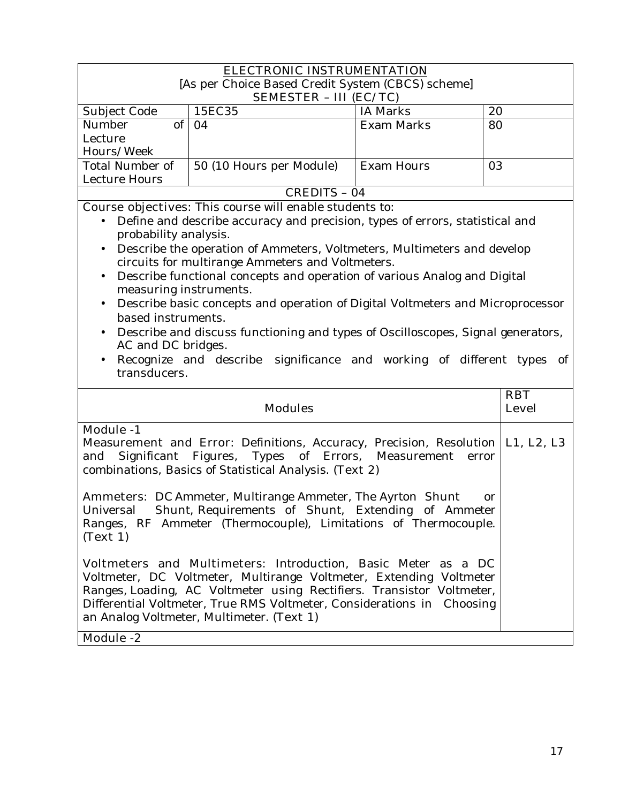| <b>ELECTRONIC INSTRUMENTATION</b>                                                                                                                                                                                                                                                                                                                       |                                                                                                                             |                   |    |
|---------------------------------------------------------------------------------------------------------------------------------------------------------------------------------------------------------------------------------------------------------------------------------------------------------------------------------------------------------|-----------------------------------------------------------------------------------------------------------------------------|-------------------|----|
| [As per Choice Based Credit System (CBCS) scheme]                                                                                                                                                                                                                                                                                                       |                                                                                                                             |                   |    |
| <b>SEMESTER - III (EC/TC)</b>                                                                                                                                                                                                                                                                                                                           |                                                                                                                             |                   |    |
| Subject Code                                                                                                                                                                                                                                                                                                                                            | 15EC35                                                                                                                      | <b>IA Marks</b>   | 20 |
| $\overline{\text{of}}$<br>Number                                                                                                                                                                                                                                                                                                                        | 04                                                                                                                          | <b>Exam Marks</b> | 80 |
| Lecture                                                                                                                                                                                                                                                                                                                                                 |                                                                                                                             |                   |    |
| Hours/Week                                                                                                                                                                                                                                                                                                                                              |                                                                                                                             |                   |    |
| Total Number of                                                                                                                                                                                                                                                                                                                                         | 50 (10 Hours per Module)                                                                                                    | <b>Exam Hours</b> | 03 |
| <b>Lecture Hours</b>                                                                                                                                                                                                                                                                                                                                    |                                                                                                                             |                   |    |
|                                                                                                                                                                                                                                                                                                                                                         | <b>CREDITS - 04</b>                                                                                                         |                   |    |
|                                                                                                                                                                                                                                                                                                                                                         | <b>Course objectives:</b> This course will enable students to:                                                              |                   |    |
| probability analysis.                                                                                                                                                                                                                                                                                                                                   | Define and describe accuracy and precision, types of errors, statistical and                                                |                   |    |
| $\bullet$                                                                                                                                                                                                                                                                                                                                               | Describe the operation of Ammeters, Voltmeters, Multimeters and develop<br>circuits for multirange Ammeters and Voltmeters. |                   |    |
| $\bullet$                                                                                                                                                                                                                                                                                                                                               | Describe functional concepts and operation of various Analog and Digital                                                    |                   |    |
| measuring instruments.                                                                                                                                                                                                                                                                                                                                  |                                                                                                                             |                   |    |
| $\bullet$                                                                                                                                                                                                                                                                                                                                               | Describe basic concepts and operation of Digital Voltmeters and Microprocessor                                              |                   |    |
| based instruments.                                                                                                                                                                                                                                                                                                                                      |                                                                                                                             |                   |    |
|                                                                                                                                                                                                                                                                                                                                                         | Describe and discuss functioning and types of Oscilloscopes, Signal generators,                                             |                   |    |
| AC and DC bridges.                                                                                                                                                                                                                                                                                                                                      |                                                                                                                             |                   |    |
| $\bullet$<br>transducers.                                                                                                                                                                                                                                                                                                                               | Recognize and describe significance and working of different types of                                                       |                   |    |
| <b>RBT</b><br><b>Modules</b><br><b>Level</b>                                                                                                                                                                                                                                                                                                            |                                                                                                                             |                   |    |
| <b>Module -1</b>                                                                                                                                                                                                                                                                                                                                        |                                                                                                                             |                   |    |
| <b>Measurement and Error:</b> Definitions, Accuracy, Precision, Resolution   L1, L2, L3<br>Significant Figures, Types of Errors, Measurement<br>and<br>error<br>combinations, Basics of Statistical Analysis. (Text 2)                                                                                                                                  |                                                                                                                             |                   |    |
| <b>Ammeters:</b> DC Ammeter, Multirange Ammeter, The Ayrton Shunt<br>or<br>Shunt, Requirements of Shunt, Extending of Ammeter<br>Universal<br>Ranges, RF Ammeter (Thermocouple), Limitations of Thermocouple.<br>(Text 1)                                                                                                                               |                                                                                                                             |                   |    |
| Voltmeters and Multimeters: Introduction, Basic Meter as a DC<br>Voltmeter, DC Voltmeter, Multirange Voltmeter, Extending Voltmeter<br>Ranges, Loading, AC Voltmeter using Rectifiers. Transistor Voltmeter,<br>Differential Voltmeter, True RMS Voltmeter, Considerations in Choosing<br>an Analog Voltmeter, Multimeter. (Text 1)<br><b>Module -2</b> |                                                                                                                             |                   |    |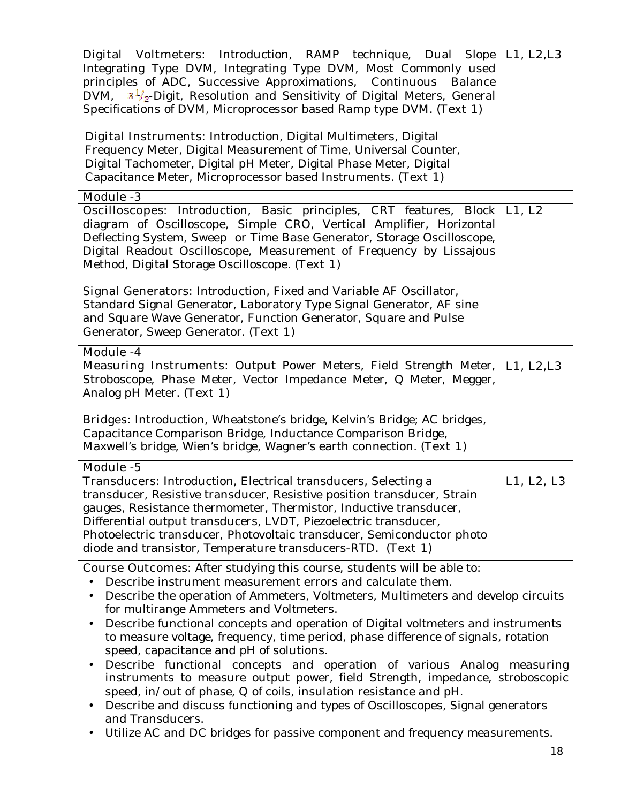| Digital Voltmeters: Introduction, RAMP technique, Dual Slope                                                                                                                                                                                                                      | L1, L2, L3 |  |
|-----------------------------------------------------------------------------------------------------------------------------------------------------------------------------------------------------------------------------------------------------------------------------------|------------|--|
| Integrating Type DVM, Integrating Type DVM, Most Commonly used                                                                                                                                                                                                                    |            |  |
| principles of ADC, Successive Approximations, Continuous<br>Balance                                                                                                                                                                                                               |            |  |
| DVM, $3\frac{1}{2}$ -Digit, Resolution and Sensitivity of Digital Meters, General                                                                                                                                                                                                 |            |  |
| Specifications of DVM, Microprocessor based Ramp type DVM. (Text 1)                                                                                                                                                                                                               |            |  |
|                                                                                                                                                                                                                                                                                   |            |  |
| <b>Digital Instruments:</b> Introduction, Digital Multimeters, Digital<br>Frequency Meter, Digital Measurement of Time, Universal Counter,<br>Digital Tachometer, Digital pH Meter, Digital Phase Meter, Digital<br>Capacitance Meter, Microprocessor based Instruments. (Text 1) |            |  |
|                                                                                                                                                                                                                                                                                   |            |  |
| <b>Module -3</b>                                                                                                                                                                                                                                                                  |            |  |
| <b>Oscilloscopes:</b> Introduction, Basic principles, CRT features, Block   L1, L2                                                                                                                                                                                                |            |  |
| diagram of Oscilloscope, Simple CRO, Vertical Amplifier, Horizontal                                                                                                                                                                                                               |            |  |
| Deflecting System, Sweep or Time Base Generator, Storage Oscilloscope,                                                                                                                                                                                                            |            |  |
| Digital Readout Oscilloscope, Measurement of Frequency by Lissajous                                                                                                                                                                                                               |            |  |
|                                                                                                                                                                                                                                                                                   |            |  |
| Method, Digital Storage Oscilloscope. (Text 1)                                                                                                                                                                                                                                    |            |  |
|                                                                                                                                                                                                                                                                                   |            |  |
| <b>Signal Generators:</b> Introduction, Fixed and Variable AF Oscillator,                                                                                                                                                                                                         |            |  |
| Standard Signal Generator, Laboratory Type Signal Generator, AF sine                                                                                                                                                                                                              |            |  |
| and Square Wave Generator, Function Generator, Square and Pulse                                                                                                                                                                                                                   |            |  |
| Generator, Sweep Generator. (Text 1)                                                                                                                                                                                                                                              |            |  |
|                                                                                                                                                                                                                                                                                   |            |  |
| Module -4                                                                                                                                                                                                                                                                         |            |  |
| Measuring Instruments: Output Power Meters, Field Strength Meter,                                                                                                                                                                                                                 | L1, L2, L3 |  |
| Stroboscope, Phase Meter, Vector Impedance Meter, Q Meter, Megger,                                                                                                                                                                                                                |            |  |
| Analog pH Meter. (Text 1)                                                                                                                                                                                                                                                         |            |  |
|                                                                                                                                                                                                                                                                                   |            |  |
| Bridges: Introduction, Wheatstone's bridge, Kelvin's Bridge; AC bridges,                                                                                                                                                                                                          |            |  |
| Capacitance Comparison Bridge, Inductance Comparison Bridge,                                                                                                                                                                                                                      |            |  |
| Maxwell's bridge, Wien's bridge, Wagner's earth connection. (Text 1)                                                                                                                                                                                                              |            |  |
|                                                                                                                                                                                                                                                                                   |            |  |
| <b>Module -5</b>                                                                                                                                                                                                                                                                  |            |  |
| <b>Transducers:</b> Introduction, Electrical transducers, Selecting a                                                                                                                                                                                                             | L1, L2, L3 |  |
| transducer, Resistive transducer, Resistive position transducer, Strain                                                                                                                                                                                                           |            |  |
| gauges, Resistance thermometer, Thermistor, Inductive transducer,                                                                                                                                                                                                                 |            |  |
| Differential output transducers, LVDT, Piezoelectric transducer,                                                                                                                                                                                                                  |            |  |
| Photoelectric transducer, Photovoltaic transducer, Semiconductor photo                                                                                                                                                                                                            |            |  |
| diode and transistor, Temperature transducers-RTD. (Text 1)                                                                                                                                                                                                                       |            |  |
|                                                                                                                                                                                                                                                                                   |            |  |
| <b>Course Outcomes:</b> After studying this course, students will be able to:                                                                                                                                                                                                     |            |  |
| Describe instrument measurement errors and calculate them.                                                                                                                                                                                                                        |            |  |
| Describe the operation of Ammeters, Voltmeters, Multimeters and develop circuits<br>$\bullet$                                                                                                                                                                                     |            |  |
| for multirange Ammeters and Voltmeters.                                                                                                                                                                                                                                           |            |  |
| Describe functional concepts and operation of Digital voltmeters and instruments<br>$\bullet$                                                                                                                                                                                     |            |  |
| to measure voltage, frequency, time period, phase difference of signals, rotation                                                                                                                                                                                                 |            |  |
|                                                                                                                                                                                                                                                                                   |            |  |
| speed, capacitance and pH of solutions.                                                                                                                                                                                                                                           |            |  |
| Describe functional concepts and operation of various Analog measuring<br>$\bullet$                                                                                                                                                                                               |            |  |
| instruments to measure output power, field Strength, impedance, stroboscopic                                                                                                                                                                                                      |            |  |
|                                                                                                                                                                                                                                                                                   |            |  |
| speed, in/out of phase, Q of coils, insulation resistance and pH.                                                                                                                                                                                                                 |            |  |
| Describe and discuss functioning and types of Oscilloscopes, Signal generators<br>$\bullet$                                                                                                                                                                                       |            |  |
| and Transducers.                                                                                                                                                                                                                                                                  |            |  |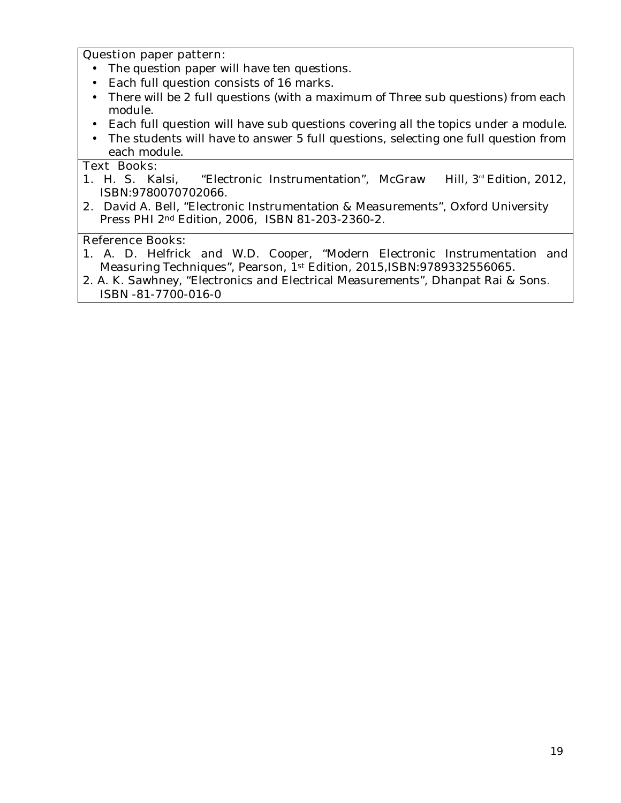#### **Question paper pattern:**

- The question paper will have ten questions.
- Each full question consists of 16 marks.
- There will be 2 full questions (with a maximum of Three sub questions) from each module.
- Each full question will have sub questions covering all the topics under a module.
- The students will have to answer 5 full questions, selecting one full question from each module.

#### **Text Books:**

- **1.** H. S. Kalsi, "Electronic Instrumentation", McGraw Hill, 3<sup>rd</sup> Edition, 2012, ISBN:9780070702066.
- **2.** David A. Bell, "Electronic Instrumentation & Measurements", Oxford University Press PHI 2nd Edition, 2006, ISBN 81-203-2360-2.

### **Reference Books:**

- 1. A. D. Helfrick and W.D. Cooper, "Modern Electronic Instrumentation and Measuring Techniques", Pearson, 1st Edition, 2015,ISBN:9789332556065.
- 2. A. K. Sawhney, "Electronics and Electrical Measurements", Dhanpat Rai & Sons. ISBN -81-7700-016-0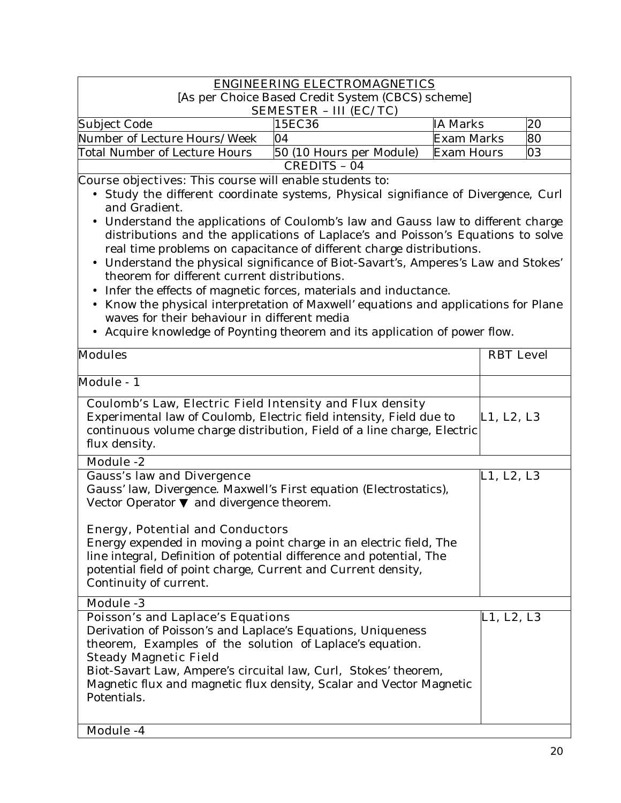#### **ENGINEERING ELECTROMAGNETICS** [As per Choice Based Credit System (CBCS) scheme] **SEMESTER – III (EC/TC)**  Subject Code 15EC36 IA Marks 20 Number of Lecture Hours/Week 04 Exam Marks 80 Total Number of Lecture Hours  $\,$  50 (10 Hours per Module) Exam Hours  $\,$   $\,$  03 CREDITS – 04

### **Course objectives:** This course will enable students to:

- Study the different coordinate systems, Physical signifiance of Divergence, Curl and Gradient.
- Understand the applications of Coulomb's law and Gauss law to different charge distributions and the applications of Laplace's and Poisson's Equations to solve real time problems on capacitance of different charge distributions.
- Understand the physical significance of Biot-Savart's, Amperes's Law and Stokes' theorem for different current distributions.
- Infer the effects of magnetic forces, materials and inductance.
- Know the physical interpretation of Maxwell' equations and applications for Plane waves for their behaviour in different media
- Acquire knowledge of Poynting theorem and its application of power flow.

| <b>Modules</b>                                                                     | <b>RBT</b> Level |
|------------------------------------------------------------------------------------|------------------|
| Module - 1                                                                         |                  |
| Coulomb's Law, Electric Field Intensity and Flux density                           |                  |
| Experimental law of Coulomb, Electric field intensity, Field due to                | L1, L2, L3       |
| continuous volume charge distribution, Field of a line charge, Electric            |                  |
| flux density.                                                                      |                  |
| <b>Module -2</b>                                                                   |                  |
| <b>Gauss's law and Divergence</b>                                                  | L1, L2, L3       |
| Gauss' law, Divergence. Maxwell's First equation (Electrostatics),                 |                  |
| and divergence theorem.<br>Vector Operator                                         |                  |
| <b>Energy, Potential and Conductors</b>                                            |                  |
| Energy expended in moving a point charge in an electric field, The                 |                  |
| line integral, Definition of potential difference and potential, The               |                  |
| potential field of point charge, Current and Current density,                      |                  |
| Continuity of current.                                                             |                  |
| <b>Module -3</b>                                                                   |                  |
| <b>Poisson's and Laplace's Equations</b>                                           | L1, L2, L3       |
| Derivation of Poisson's and Laplace's Equations, Uniqueness                        |                  |
| theorem, Examples of the solution of Laplace's equation.                           |                  |
|                                                                                    |                  |
| <b>Steady Magnetic Field</b>                                                       |                  |
| Biot-Savart Law, Ampere's circuital law, Curl, Stokes' theorem,                    |                  |
| Magnetic flux and magnetic flux density, Scalar and Vector Magnetic<br>Potentials. |                  |
|                                                                                    |                  |
|                                                                                    |                  |
| Module -4                                                                          |                  |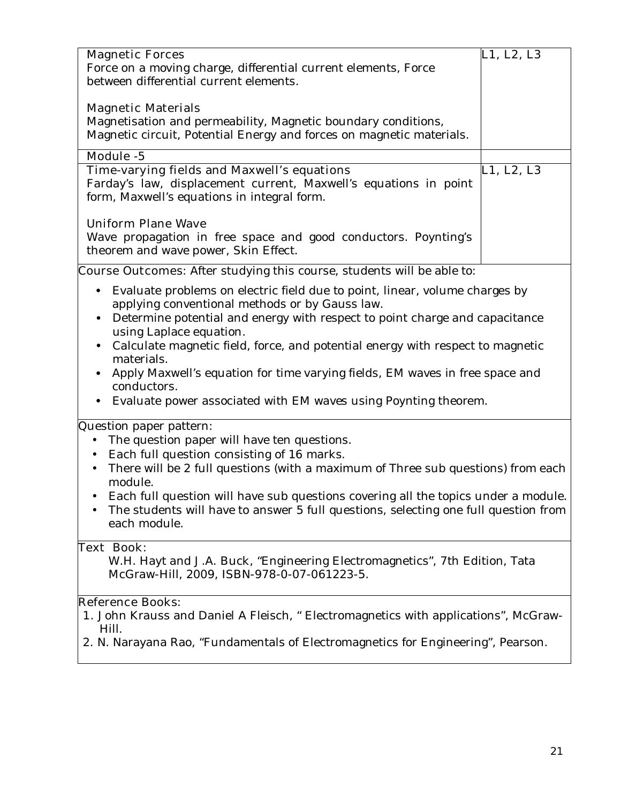| <b>Magnetic Materials</b>                                                                                                                                                                                                                                                                                                                                                                                                                                                                                                                     |            |
|-----------------------------------------------------------------------------------------------------------------------------------------------------------------------------------------------------------------------------------------------------------------------------------------------------------------------------------------------------------------------------------------------------------------------------------------------------------------------------------------------------------------------------------------------|------------|
| Magnetisation and permeability, Magnetic boundary conditions,<br>Magnetic circuit, Potential Energy and forces on magnetic materials.                                                                                                                                                                                                                                                                                                                                                                                                         |            |
| Module -5                                                                                                                                                                                                                                                                                                                                                                                                                                                                                                                                     |            |
| Time-varying fields and Maxwell's equations<br>Farday's law, displacement current, Maxwell's equations in point<br>form, Maxwell's equations in integral form.                                                                                                                                                                                                                                                                                                                                                                                | L1, L2, L3 |
| <b>Uniform Plane Wave</b><br>Wave propagation in free space and good conductors. Poynting's<br>theorem and wave power, Skin Effect.                                                                                                                                                                                                                                                                                                                                                                                                           |            |
| <b>Course Outcomes:</b> After studying this course, students will be able to:                                                                                                                                                                                                                                                                                                                                                                                                                                                                 |            |
| Evaluate problems on electric field due to point, linear, volume charges by<br>$\bullet$<br>applying conventional methods or by Gauss law.<br>Determine potential and energy with respect to point charge and capacitance<br>٠<br>using Laplace equation.<br>Calculate magnetic field, force, and potential energy with respect to magnetic<br>$\bullet$<br>materials.<br>Apply Maxwell's equation for time varying fields, EM waves in free space and<br>conductors.<br>Evaluate power associated with EM waves using Poynting theorem.<br>٠ |            |
| Question paper pattern:<br>The question paper will have ten questions.<br>Each full question consisting of 16 marks.<br>There will be 2 full questions (with a maximum of Three sub questions) from each<br>module.<br>Each full question will have sub questions covering all the topics under a module.<br>The students will have to answer 5 full questions, selecting one full question from<br>each module.                                                                                                                              |            |
| <b>Text Book:</b><br>W.H. Hayt and J.A. Buck, "Engineering Electromagnetics", 7th Edition, Tata<br>McGraw-Hill, 2009, ISBN-978-0-07-061223-5.<br><b>Reference Books:</b>                                                                                                                                                                                                                                                                                                                                                                      |            |

- 1. **1.** John Krauss and Daniel A Fleisch, " Electromagnetics with applications", McGraw-Hill.
	- 2. 2. N. Narayana Rao, "Fundamentals of Electromagnetics for Engineering", Pearson.

3.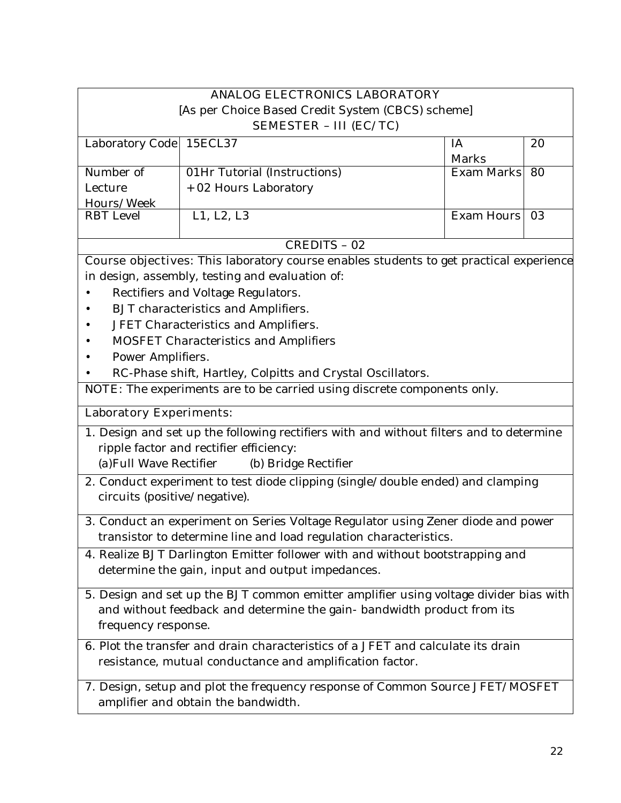| <b>ANALOG ELECTRONICS LABORATORY</b>                                                    |                                                                                               |                   |    |  |
|-----------------------------------------------------------------------------------------|-----------------------------------------------------------------------------------------------|-------------------|----|--|
|                                                                                         | [As per Choice Based Credit System (CBCS) scheme]                                             |                   |    |  |
|                                                                                         | <b>SEMESTER - III (EC/TC)</b>                                                                 |                   |    |  |
| Laboratory Code                                                                         | 15ECL37                                                                                       | IA                | 20 |  |
|                                                                                         |                                                                                               | Marks             |    |  |
| Number of                                                                               | 01Hr Tutorial (Instructions)                                                                  | Exam Marks        | 80 |  |
| Lecture                                                                                 | + 02 Hours Laboratory                                                                         |                   |    |  |
| Hours/Week<br><b>RBT</b> Level                                                          | L1, L2, L3                                                                                    | <b>Exam Hours</b> | 03 |  |
|                                                                                         | CREDITS - 02                                                                                  |                   |    |  |
|                                                                                         | <b>Course objectives:</b> This laboratory course enables students to get practical experience |                   |    |  |
|                                                                                         | in design, assembly, testing and evaluation of:                                               |                   |    |  |
|                                                                                         | Rectifiers and Voltage Regulators.                                                            |                   |    |  |
| $\bullet$                                                                               | BJT characteristics and Amplifiers.                                                           |                   |    |  |
|                                                                                         | JFET Characteristics and Amplifiers.                                                          |                   |    |  |
|                                                                                         | <b>MOSFET Characteristics and Amplifiers</b>                                                  |                   |    |  |
| Power Amplifiers.                                                                       |                                                                                               |                   |    |  |
|                                                                                         | RC-Phase shift, Hartley, Colpitts and Crystal Oscillators.                                    |                   |    |  |
|                                                                                         | NOTE: The experiments are to be carried using discrete components only.                       |                   |    |  |
| <b>Laboratory Experiments:</b>                                                          |                                                                                               |                   |    |  |
| 1. Design and set up the following rectifiers with and without filters and to determine |                                                                                               |                   |    |  |
| ripple factor and rectifier efficiency:                                                 |                                                                                               |                   |    |  |
| (a) Full Wave Rectifier                                                                 | (b) Bridge Rectifier                                                                          |                   |    |  |
|                                                                                         | 2. Conduct experiment to test diode clipping (single/double ended) and clamping               |                   |    |  |
| circuits (positive/negative).                                                           |                                                                                               |                   |    |  |
|                                                                                         | 3. Conduct an experiment on Series Voltage Regulator using Zener diode and power              |                   |    |  |
|                                                                                         | transistor to determine line and load regulation characteristics.                             |                   |    |  |
|                                                                                         | 4. Realize BJT Darlington Emitter follower with and without bootstrapping and                 |                   |    |  |
|                                                                                         | determine the gain, input and output impedances.                                              |                   |    |  |
| 5. Design and set up the BJT common emitter amplifier using voltage divider bias with   |                                                                                               |                   |    |  |
| and without feedback and determine the gain- bandwidth product from its                 |                                                                                               |                   |    |  |
| frequency response.                                                                     |                                                                                               |                   |    |  |
| 6. Plot the transfer and drain characteristics of a JFET and calculate its drain        |                                                                                               |                   |    |  |
| resistance, mutual conductance and amplification factor.                                |                                                                                               |                   |    |  |
| 7. Design, setup and plot the frequency response of Common Source JFET/MOSFET           |                                                                                               |                   |    |  |
|                                                                                         | amplifier and obtain the bandwidth.                                                           |                   |    |  |
|                                                                                         |                                                                                               |                   |    |  |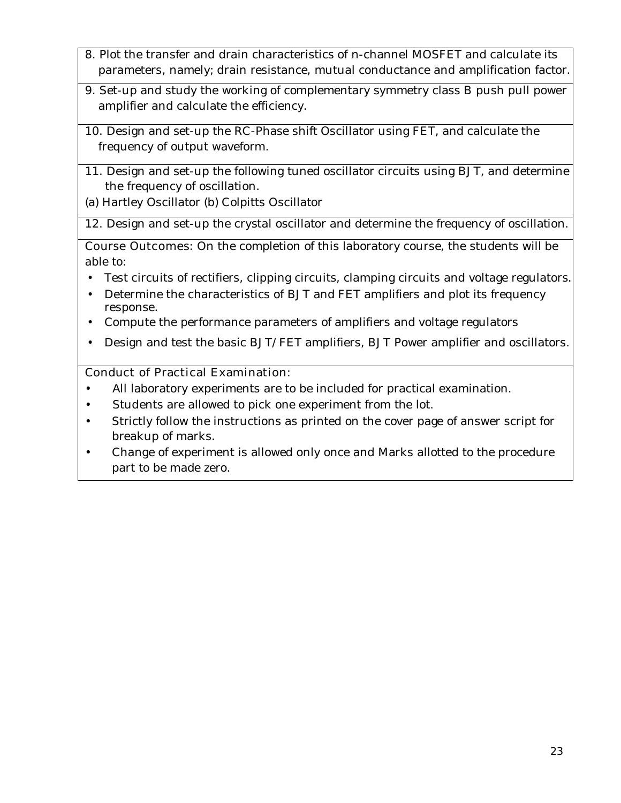- 8. Plot the transfer and drain characteristics of n-channel MOSFET and calculate its parameters, namely; drain resistance, mutual conductance and amplification factor.
- 9. Set-up and study the working of complementary symmetry class B push pull power amplifier and calculate the efficiency.
- 10. Design and set-up the RC-Phase shift Oscillator using FET, and calculate the frequency of output waveform.
- 11. Design and set-up the following tuned oscillator circuits using BJT, and determine the frequency of oscillation.
- (a) Hartley Oscillator (b) Colpitts Oscillator

12. Design and set-up the crystal oscillator and determine the frequency of oscillation.

**Course Outcomes:** On the completion of this laboratory course, the students will be able to:

- Test circuits of rectifiers, clipping circuits, clamping circuits and voltage regulators.
- Determine the characteristics of BJT and FET amplifiers and plot its frequency response.
- Compute the performance parameters of amplifiers and voltage regulators
- Design and test the basic BJT/FET amplifiers, BJT Power amplifier and oscillators.

### **Conduct of Practical Examination:**

- All laboratory experiments are to be included for practical examination.
- Students are allowed to pick one experiment from the lot.
- Strictly follow the instructions as printed on the cover page of answer script for breakup of marks.
- Change of experiment is allowed only once and Marks allotted to the procedure part to be made zero.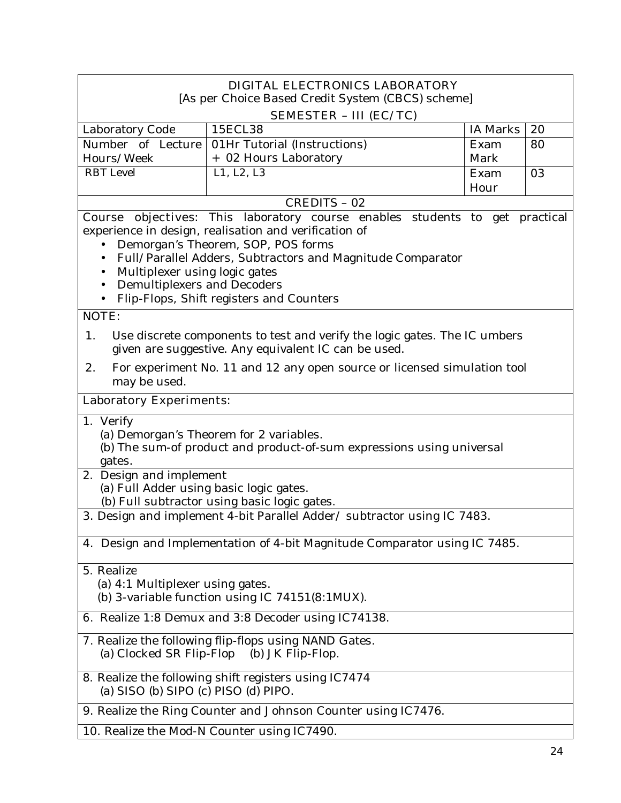| DIGITAL ELECTRONICS LABORATORY                                                                                                                                                                                            |                                                                                                                                                                                                                                                                                      |          |    |
|---------------------------------------------------------------------------------------------------------------------------------------------------------------------------------------------------------------------------|--------------------------------------------------------------------------------------------------------------------------------------------------------------------------------------------------------------------------------------------------------------------------------------|----------|----|
| [As per Choice Based Credit System (CBCS) scheme]<br>SEMESTER - III (EC/TC)                                                                                                                                               |                                                                                                                                                                                                                                                                                      |          |    |
| Laboratory Code                                                                                                                                                                                                           | 15ECL38                                                                                                                                                                                                                                                                              | IA Marks | 20 |
| Number of Lecture                                                                                                                                                                                                         | 01Hr Tutorial (Instructions)                                                                                                                                                                                                                                                         | Exam     | 80 |
| Hours/Week                                                                                                                                                                                                                | + 02 Hours Laboratory                                                                                                                                                                                                                                                                | Mark     |    |
| <b>RBT</b> Level                                                                                                                                                                                                          | L1, L2, L3                                                                                                                                                                                                                                                                           | Exam     | 03 |
|                                                                                                                                                                                                                           |                                                                                                                                                                                                                                                                                      | Hour     |    |
|                                                                                                                                                                                                                           | <b>CREDITS - 02</b>                                                                                                                                                                                                                                                                  |          |    |
| Multiplexer using logic gates<br>Demultiplexers and Decoders                                                                                                                                                              | Course objectives: This laboratory course enables students to get practical<br>experience in design, realisation and verification of<br>Demorgan's Theorem, SOP, POS forms<br>Full/Parallel Adders, Subtractors and Magnitude Comparator<br>Flip-Flops, Shift registers and Counters |          |    |
| <b>NOTE:</b>                                                                                                                                                                                                              |                                                                                                                                                                                                                                                                                      |          |    |
| 1.<br>Use discrete components to test and verify the logic gates. The IC umbers<br>given are suggestive. Any equivalent IC can be used.<br>2.<br>For experiment No. 11 and 12 any open source or licensed simulation tool |                                                                                                                                                                                                                                                                                      |          |    |
| may be used.                                                                                                                                                                                                              |                                                                                                                                                                                                                                                                                      |          |    |
| <b>Laboratory Experiments:</b>                                                                                                                                                                                            |                                                                                                                                                                                                                                                                                      |          |    |
| 1. Verify<br>(a) Demorgan's Theorem for 2 variables.<br>(b) The sum-of product and product-of-sum expressions using universal<br>gates.                                                                                   |                                                                                                                                                                                                                                                                                      |          |    |
| 2. Design and implement<br>(a) Full Adder using basic logic gates.                                                                                                                                                        |                                                                                                                                                                                                                                                                                      |          |    |
|                                                                                                                                                                                                                           | (b) Full subtractor using basic logic gates.                                                                                                                                                                                                                                         |          |    |
|                                                                                                                                                                                                                           | 3. Design and implement 4-bit Parallel Adder/ subtractor using IC 7483.                                                                                                                                                                                                              |          |    |
|                                                                                                                                                                                                                           | 4. Design and Implementation of 4-bit Magnitude Comparator using IC 7485.                                                                                                                                                                                                            |          |    |
| 5. Realize<br>(a) 4:1 Multiplexer using gates.<br>(b) 3-variable function using IC 74151(8:1MUX).                                                                                                                         |                                                                                                                                                                                                                                                                                      |          |    |
| <b>6.</b> Realize 1:8 Demux and 3:8 Decoder using IC74138.                                                                                                                                                                |                                                                                                                                                                                                                                                                                      |          |    |
| 7. Realize the following flip-flops using NAND Gates.<br>(a) Clocked SR Flip-Flop (b) JK Flip-Flop.                                                                                                                       |                                                                                                                                                                                                                                                                                      |          |    |
| 8. Realize the following shift registers using IC7474<br>(a) $SISO$ (b) $SIFO$ (c) $PISO$ (d) $PIFO$ .                                                                                                                    |                                                                                                                                                                                                                                                                                      |          |    |
|                                                                                                                                                                                                                           | 9. Realize the Ring Counter and Johnson Counter using IC7476.                                                                                                                                                                                                                        |          |    |
|                                                                                                                                                                                                                           | 10. Realize the Mod-N Counter using IC7490.                                                                                                                                                                                                                                          |          |    |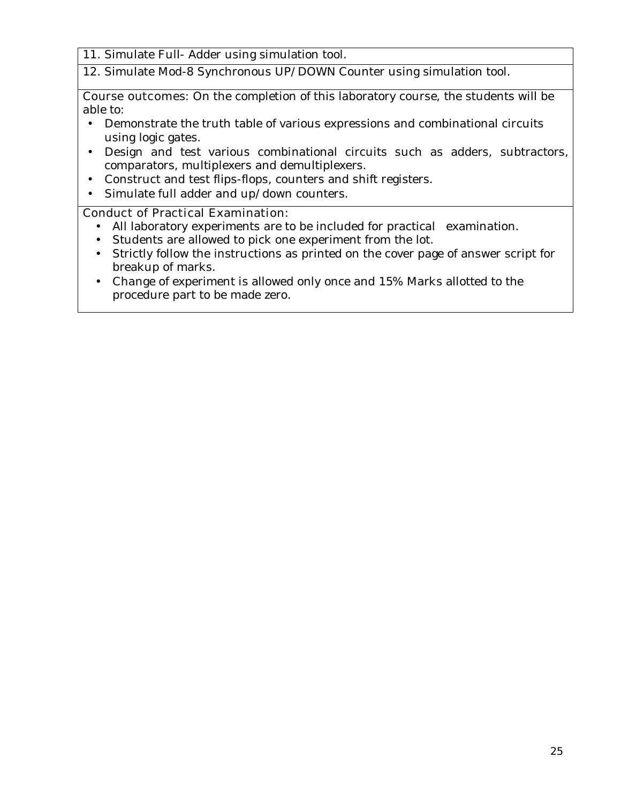- 11. Simulate Full- Adder using simulation tool.
- 12. Simulate Mod-8 Synchronous UP/DOWN Counter using simulation tool.

**Course outcomes:** On the completion of this laboratory course, the students will be able to:

- Demonstrate the truth table of various expressions and combinational circuits using logic gates.
- Design and test various combinational circuits such as adders, subtractors, comparators, multiplexers and demultiplexers.
- Construct and test flips-flops, counters and shift registers.
- Simulate full adder and up/down counters.

#### **Conduct of Practical Examination:**

- All laboratory experiments are to be included for practical examination.
- Students are allowed to pick one experiment from the lot.
- Strictly follow the instructions as printed on the cover page of answer script for breakup of marks.
- Change of experiment is allowed only once and 15% Marks allotted to the procedure part to be made zero.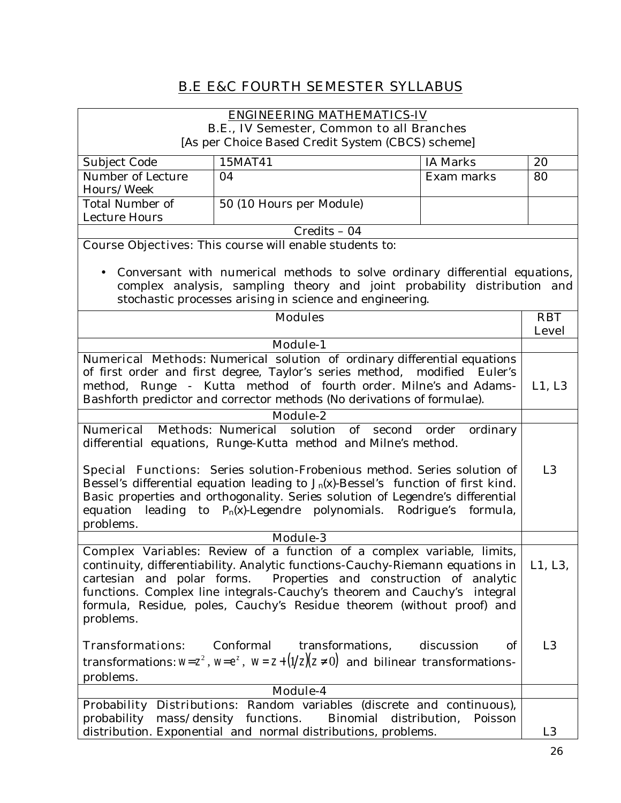# **B.E E&C FOURTH SEMESTER SYLLABUS**

## **ENGINEERING MATHEMATICS-IV**

**B.E., IV Semester, Common to all Branches** [As per Choice Based Credit System (CBCS) scheme] Subject Code 15MAT41 15MAT41 1A Marks 20 Number of Lecture Hours/Week 04 Exam marks 80 Total Number of Lecture Hours 50 (10 Hours per Module) Credits – 04 **Course Objectives:** This course will enable students to: • Conversant with numerical methods to solve ordinary differential equations, complex analysis, sampling theory and joint probability distribution and stochastic processes arising in science and engineering. **Modules RBT Level Module-1 Numerical Methods**: Numerical solution of ordinary differential equations of first order and first degree, Taylor's series method, modified Euler's method, Runge - Kutta method of fourth order. Milne's and Adams-Bashforth predictor and corrector methods (No derivations of formulae). L1, L3 **Module-2 Numerical Methods**: Numerical solution of second order ordinary differential equations, Runge-Kutta method and Milne's method. **Special Functions:** Series solution-Frobenious method. Series solution of Bessel's differential equation leading to *Jn(x)-*Bessel's function of first kind. Basic properties and orthogonality. Series solution of Legendre's differential equation leading to  $P_n(x)$ -Legendre polynomials. Rodrigue's formula, problems. L3 **Module-3 Complex Variables:** Review of a function of a complex variable, limits, continuity, differentiability. Analytic functions-Cauchy-Riemann equations in cartesian and polar forms. Properties and construction of analytic functions. Complex line integrals-Cauchy's theorem and Cauchy's integral formula, Residue, poles, Cauchy's Residue theorem (without proof) and problems. **Transformations:** Conformal transformations, discussion of transformations:  $w=z^2$ ,  $w=e^z$ ,  $w=z+(1/z)(z\neq0)$  and bilinear transformationsproblems. L1, L3,  $L<sub>3</sub>$ **Module-4 Probability Distributions:** Random variables (discrete and continuous), probability mass/density functions. Binomial distribution, Poisson distribution. Exponential and normal distributions, problems. The subset of the system of the system of the system of the system of the system of the system of the system of the system of the system of the system of the sy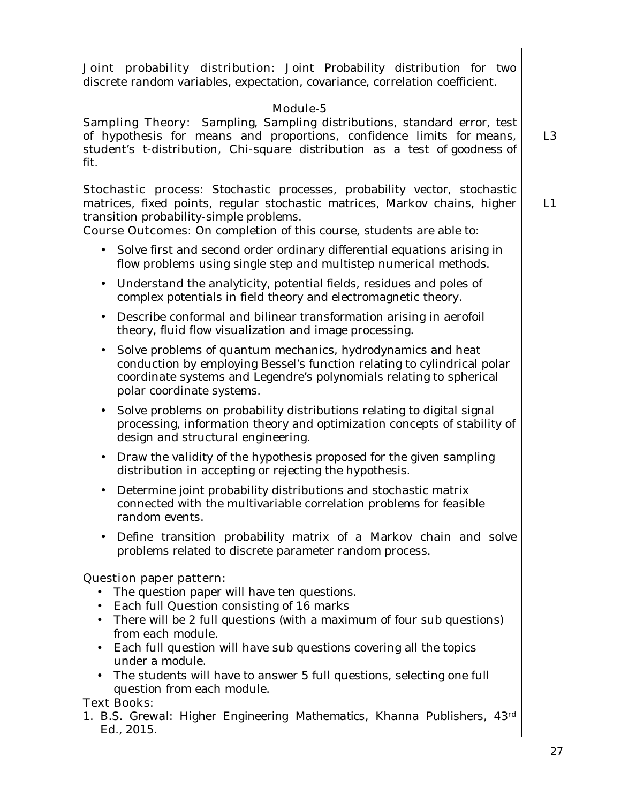| Joint probability distribution: Joint Probability distribution for two<br>discrete random variables, expectation, covariance, correlation coefficient.                                                                                                                                                                                                                                                                                                           |                |
|------------------------------------------------------------------------------------------------------------------------------------------------------------------------------------------------------------------------------------------------------------------------------------------------------------------------------------------------------------------------------------------------------------------------------------------------------------------|----------------|
| Module-5                                                                                                                                                                                                                                                                                                                                                                                                                                                         |                |
| Sampling Theory: Sampling, Sampling distributions, standard error, test<br>of hypothesis for means and proportions, confidence limits for means,<br>student's t-distribution, Chi-square distribution as a test of goodness of<br>fit.                                                                                                                                                                                                                           | L <sub>3</sub> |
| Stochastic process: Stochastic processes, probability vector, stochastic<br>matrices, fixed points, regular stochastic matrices, Markov chains, higher<br>transition probability-simple problems.<br><b>Course Outcomes:</b> On completion of this course, students are able to:                                                                                                                                                                                 | L1             |
| Solve first and second order ordinary differential equations arising in<br>$\bullet$<br>flow problems using single step and multistep numerical methods.                                                                                                                                                                                                                                                                                                         |                |
| Understand the analyticity, potential fields, residues and poles of<br>$\bullet$<br>complex potentials in field theory and electromagnetic theory.                                                                                                                                                                                                                                                                                                               |                |
| Describe conformal and bilinear transformation arising in aerofoil<br>$\bullet$<br>theory, fluid flow visualization and image processing.                                                                                                                                                                                                                                                                                                                        |                |
| Solve problems of quantum mechanics, hydrodynamics and heat<br>$\bullet$<br>conduction by employing Bessel's function relating to cylindrical polar<br>coordinate systems and Legendre's polynomials relating to spherical<br>polar coordinate systems.                                                                                                                                                                                                          |                |
| Solve problems on probability distributions relating to digital signal<br>$\bullet$<br>processing, information theory and optimization concepts of stability of<br>design and structural engineering.                                                                                                                                                                                                                                                            |                |
| Draw the validity of the hypothesis proposed for the given sampling<br>$\bullet$<br>distribution in accepting or rejecting the hypothesis.                                                                                                                                                                                                                                                                                                                       |                |
| Determine joint probability distributions and stochastic matrix<br>connected with the multivariable correlation problems for feasible<br>random events.                                                                                                                                                                                                                                                                                                          |                |
| Define transition probability matrix of a Markov chain and solve<br>problems related to discrete parameter random process.                                                                                                                                                                                                                                                                                                                                       |                |
| <b>Question paper pattern:</b><br>The question paper will have ten questions.<br>٠<br>Each full Question consisting of 16 marks<br>$\bullet$<br>There will be 2 full questions (with a maximum of four sub questions)<br>from each module.<br>Each full question will have sub questions covering all the topics<br>under a module.<br>The students will have to answer 5 full questions, selecting one full<br>question from each module.<br><b>Text Books:</b> |                |
| 1. B.S. Grewal: Higher Engineering Mathematics, Khanna Publishers, 43d<br>Ed., 2015.                                                                                                                                                                                                                                                                                                                                                                             |                |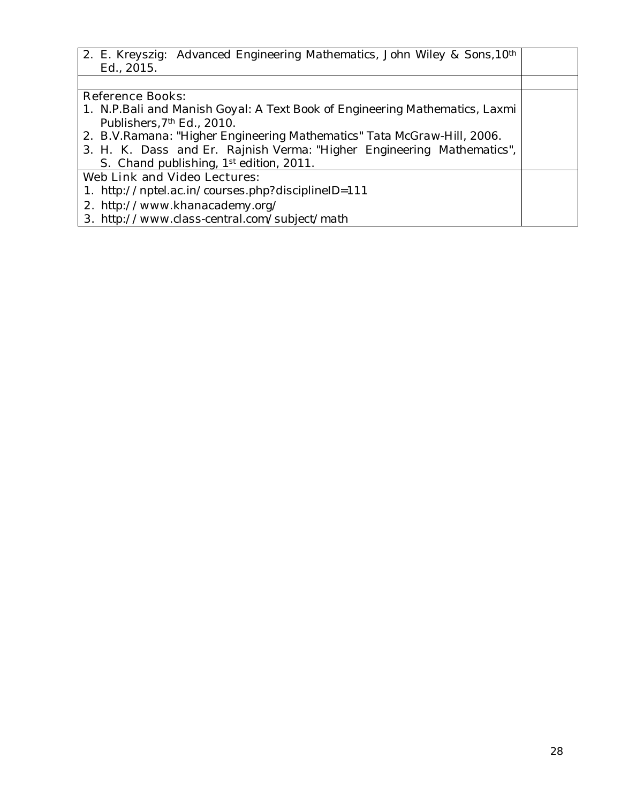*2. E. Kreyszig: Advanced Engineering Mathematics, John Wiley & Sons,10th Ed., 2015.* 

#### **Reference Books:**

- *1. N.P.Bali and Manish Goyal: A Text Book of Engineering Mathematics, Laxmi Publishers,7th Ed., 2010.*
- *2. B.V.Ramana: "Higher Engineering Mathematics" Tata McGraw-Hill, 2006.*
- *3. H. K. Dass and Er. Rajnish Verma: "Higher Engineering Mathematics", S. Chand publishing, 1st edition, 2011.*

## **Web Link and Video Lectures:**

- *1. http://nptel.ac.in/courses.php?disciplineID=111*
- **2.** *http://www.khanacademy.org/*
- **3.** *http://www.class-central.com/subject/math*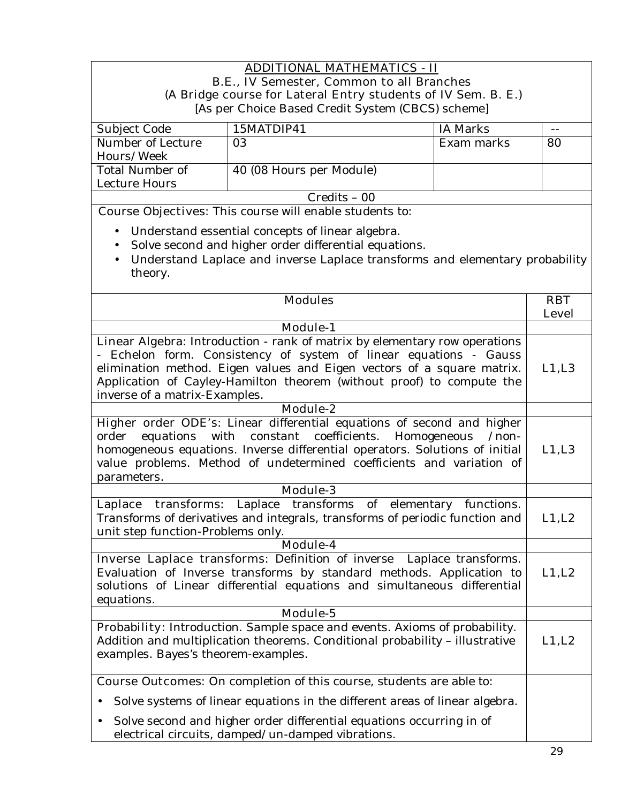#### **ADDITIONAL MATHEMATICS - II B.E., IV Semester, Common to all Branches (A Bridge course for Lateral Entry students of IV Sem. B. E.)**  [As per Choice Based Credit System (CBCS) scheme]

| Subject Code      | 15MATDIP41               | IA Marks   |    |
|-------------------|--------------------------|------------|----|
| Number of Lecture | 03                       | Exam marks | 80 |
| Hours/Week        |                          |            |    |
| Total Number of   | 40 (08 Hours per Module) |            |    |
| Lecture Hours     |                          |            |    |
| $C$ redits – 00   |                          |            |    |

**Course Objectives:** This course will enable students to:

- Understand essential concepts of linear algebra.
- Solve second and higher order differential equations.
- Understand Laplace and inverse Laplace transforms and elementary probability theory.

| <b>Modules</b>                                                                                                                                                                                                                                                                                                                      | <b>RBT</b>   |
|-------------------------------------------------------------------------------------------------------------------------------------------------------------------------------------------------------------------------------------------------------------------------------------------------------------------------------------|--------------|
|                                                                                                                                                                                                                                                                                                                                     | <b>Level</b> |
| <b>Module-1</b>                                                                                                                                                                                                                                                                                                                     |              |
| Linear Algebra: Introduction - rank of matrix by elementary row operations<br>- Echelon form. Consistency of system of linear equations - Gauss<br>elimination method. Eigen values and Eigen vectors of a square matrix.<br>Application of Cayley-Hamilton theorem (without proof) to compute the<br>inverse of a matrix-Examples. | L1,L3        |
| Module-2                                                                                                                                                                                                                                                                                                                            |              |
| Higher order ODE's: Linear differential equations of second and higher<br>constant coefficients. Homogeneous<br>with<br>order<br>equations<br>$/$ non-<br>homogeneous equations. Inverse differential operators. Solutions of initial<br>value problems. Method of undetermined coefficients and variation of<br>parameters.        | L1,L3        |
| Module-3                                                                                                                                                                                                                                                                                                                            |              |
| Laplace transforms: Laplace transforms of elementary functions.<br>Transforms of derivatives and integrals, transforms of periodic function and<br>unit step function-Problems only.                                                                                                                                                | L1, L2       |
| Module-4                                                                                                                                                                                                                                                                                                                            |              |
| Inverse Laplace transforms: Definition of inverse Laplace transforms.<br>Evaluation of Inverse transforms by standard methods. Application to<br>solutions of Linear differential equations and simultaneous differential<br>equations.                                                                                             | L1, L2       |
| Module-5                                                                                                                                                                                                                                                                                                                            |              |
| Probability: Introduction. Sample space and events. Axioms of probability.<br>Addition and multiplication theorems. Conditional probability - illustrative<br>examples. Bayes's theorem-examples.                                                                                                                                   | L1, L2       |
| <b>Course Outcomes:</b> On completion of this course, students are able to:                                                                                                                                                                                                                                                         |              |
| Solve systems of linear equations in the different areas of linear algebra.                                                                                                                                                                                                                                                         |              |
| Solve second and higher order differential equations occurring in of<br>electrical circuits, damped/un-damped vibrations.                                                                                                                                                                                                           |              |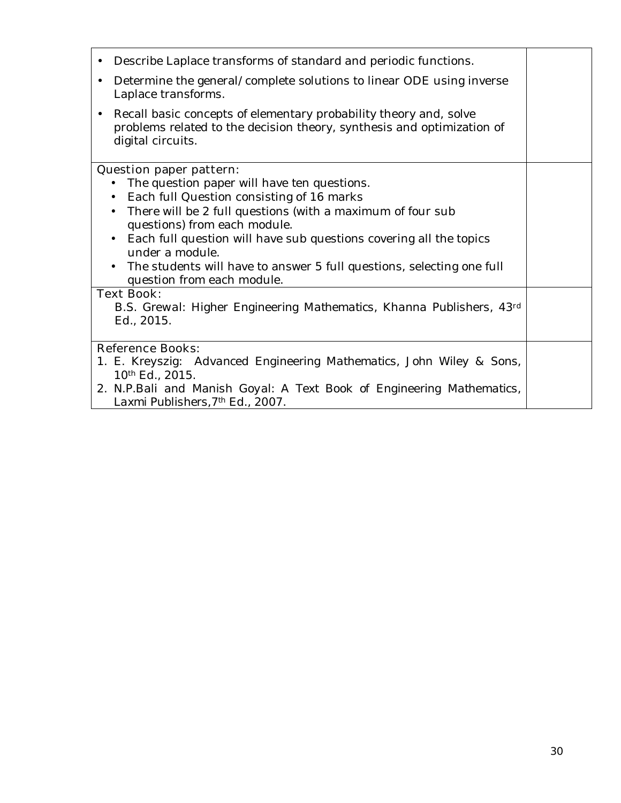| Describe Laplace transforms of standard and periodic functions.<br>٠                                                                                                          |  |
|-------------------------------------------------------------------------------------------------------------------------------------------------------------------------------|--|
| Determine the general/complete solutions to linear ODE using inverse<br>$\bullet$<br>Laplace transforms.                                                                      |  |
| Recall basic concepts of elementary probability theory and, solve<br>$\bullet$<br>problems related to the decision theory, synthesis and optimization of<br>digital circuits. |  |
| <b>Question paper pattern:</b>                                                                                                                                                |  |
| The question paper will have ten questions.                                                                                                                                   |  |
| Each full Question consisting of 16 marks                                                                                                                                     |  |
| There will be 2 full questions (with a maximum of four sub                                                                                                                    |  |
| questions) from each module.                                                                                                                                                  |  |
| Each full question will have sub questions covering all the topics<br>$\bullet$                                                                                               |  |
| under a module.                                                                                                                                                               |  |
| The students will have to answer 5 full questions, selecting one full<br>question from each module.                                                                           |  |
| <b>Text Book:</b>                                                                                                                                                             |  |
| B.S. Grewal: Higher Engineering Mathematics, Khanna Publishers, 43d                                                                                                           |  |
| Ed., 2015.                                                                                                                                                                    |  |
| <b>Reference Books:</b>                                                                                                                                                       |  |
| 1. E. Kreyszig: Advanced Engineering Mathematics, John Wiley & Sons,                                                                                                          |  |
| 10 <sup>th</sup> Ed., 2015.                                                                                                                                                   |  |
| 2. N.P.Bali and Manish Goyal: A Text Book of Engineering Mathematics,                                                                                                         |  |
| Laxmi Publishers, 7 <sup>th</sup> Ed., 2007.                                                                                                                                  |  |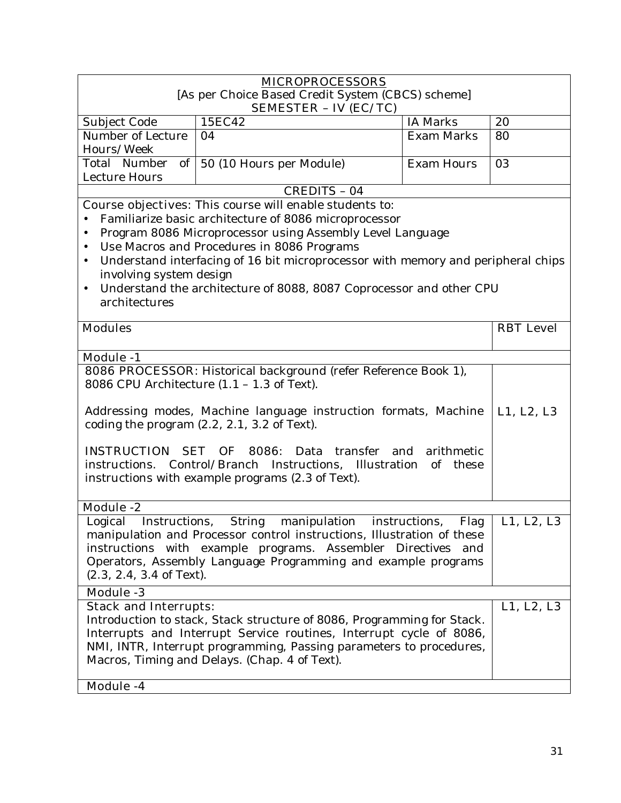| <b>MICROPROCESSORS</b>                                                                                            |                                                                                                         |                       |                  |  |
|-------------------------------------------------------------------------------------------------------------------|---------------------------------------------------------------------------------------------------------|-----------------------|------------------|--|
| [As per Choice Based Credit System (CBCS) scheme]                                                                 |                                                                                                         |                       |                  |  |
| <b>SEMESTER - IV (EC/TC)</b><br><b>IA Marks</b><br>15EC42<br>20<br>Subject Code                                   |                                                                                                         |                       |                  |  |
| Number of Lecture                                                                                                 | 04                                                                                                      | <b>Exam Marks</b>     | 80               |  |
| Hours/Week                                                                                                        |                                                                                                         |                       |                  |  |
| $of \mid$<br>Total Number                                                                                         | 50 (10 Hours per Module)                                                                                | <b>Exam Hours</b>     | 03               |  |
| Lecture Hours                                                                                                     | <b>CREDITS - 04</b>                                                                                     |                       |                  |  |
|                                                                                                                   | <b>Course objectives:</b> This course will enable students to:                                          |                       |                  |  |
|                                                                                                                   | Familiarize basic architecture of 8086 microprocessor                                                   |                       |                  |  |
|                                                                                                                   | Program 8086 Microprocessor using Assembly Level Language                                               |                       |                  |  |
|                                                                                                                   | Use Macros and Procedures in 8086 Programs                                                              |                       |                  |  |
| $\bullet$                                                                                                         | Understand interfacing of 16 bit microprocessor with memory and peripheral chips                        |                       |                  |  |
| involving system design                                                                                           |                                                                                                         |                       |                  |  |
| $\bullet$                                                                                                         | Understand the architecture of 8088, 8087 Coprocessor and other CPU                                     |                       |                  |  |
| architectures                                                                                                     |                                                                                                         |                       |                  |  |
| <b>Modules</b>                                                                                                    |                                                                                                         |                       | <b>RBT</b> Level |  |
|                                                                                                                   |                                                                                                         |                       |                  |  |
| Module $-1$                                                                                                       |                                                                                                         |                       |                  |  |
|                                                                                                                   | 8086 PROCESSOR: Historical background (refer Reference Book 1),                                         |                       |                  |  |
| 8086 CPU Architecture $(1.1 - 1.3$ of Text).                                                                      |                                                                                                         |                       |                  |  |
|                                                                                                                   |                                                                                                         |                       |                  |  |
| Addressing modes, Machine language instruction formats, Machine<br>coding the program $(2.2, 2.1, 3.2)$ of Text). |                                                                                                         |                       | L1, L2, L3       |  |
|                                                                                                                   |                                                                                                         |                       |                  |  |
| <b>INSTRUCTION</b>                                                                                                | SET OF<br>8086: Data transfer and                                                                       | arithmetic            |                  |  |
|                                                                                                                   | instructions. Control/Branch Instructions, Illustration                                                 | of these              |                  |  |
|                                                                                                                   | instructions with example programs (2.3 of Text).                                                       |                       |                  |  |
|                                                                                                                   |                                                                                                         |                       |                  |  |
| <b>Module -2</b>                                                                                                  |                                                                                                         |                       |                  |  |
| Logical<br>Instructions,                                                                                          | <b>String</b><br>manipulation<br>manipulation and Processor control instructions, Illustration of these | Flag<br>instructions, | L1, L2, L3       |  |
|                                                                                                                   | instructions with example programs. Assembler Directives and                                            |                       |                  |  |
|                                                                                                                   |                                                                                                         |                       |                  |  |
| $(2.3, 2.4, 3.4$ of Text).                                                                                        | Operators, Assembly Language Programming and example programs                                           |                       |                  |  |
| <b>Module -3</b>                                                                                                  |                                                                                                         |                       |                  |  |
| <b>Stack and Interrupts:</b>                                                                                      |                                                                                                         |                       | L1, L2, L3       |  |
|                                                                                                                   | Introduction to stack, Stack structure of 8086, Programming for Stack.                                  |                       |                  |  |
| Interrupts and Interrupt Service routines, Interrupt cycle of 8086,                                               |                                                                                                         |                       |                  |  |
| NMI, INTR, Interrupt programming, Passing parameters to procedures,                                               |                                                                                                         |                       |                  |  |
| Macros, Timing and Delays. (Chap. 4 of Text).                                                                     |                                                                                                         |                       |                  |  |
| Module -4                                                                                                         |                                                                                                         |                       |                  |  |
|                                                                                                                   |                                                                                                         |                       |                  |  |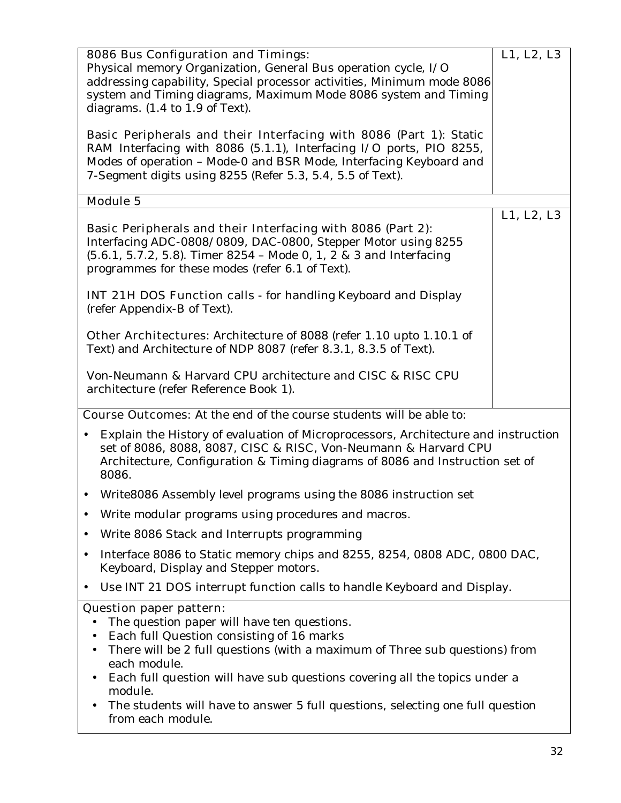|                                                                                                                         | <b>8086 Bus Configuration and Timings:</b>                                                                                                      | L1, L2, L3 |  |
|-------------------------------------------------------------------------------------------------------------------------|-------------------------------------------------------------------------------------------------------------------------------------------------|------------|--|
|                                                                                                                         | Physical memory Organization, General Bus operation cycle, I/O                                                                                  |            |  |
| addressing capability, Special processor activities, Minimum mode 8086                                                  |                                                                                                                                                 |            |  |
| system and Timing diagrams, Maximum Mode 8086 system and Timing<br>diagrams. $(1.4 \text{ to } 1.9 \text{ of } Text)$ . |                                                                                                                                                 |            |  |
|                                                                                                                         |                                                                                                                                                 |            |  |
|                                                                                                                         | Basic Peripherals and their Interfacing with 8086 (Part 1): Static                                                                              |            |  |
|                                                                                                                         | RAM Interfacing with 8086 (5.1.1), Interfacing I/O ports, PIO 8255,                                                                             |            |  |
|                                                                                                                         | Modes of operation - Mode-0 and BSR Mode, Interfacing Keyboard and<br>7-Segment digits using 8255 (Refer 5.3, 5.4, 5.5 of Text).                |            |  |
|                                                                                                                         |                                                                                                                                                 |            |  |
|                                                                                                                         | <b>Module 5</b>                                                                                                                                 |            |  |
|                                                                                                                         | Basic Peripherals and their Interfacing with 8086 (Part 2):                                                                                     | L1, L2, L3 |  |
|                                                                                                                         | Interfacing ADC-0808/0809, DAC-0800, Stepper Motor using 8255                                                                                   |            |  |
|                                                                                                                         | (5.6.1, 5.7.2, 5.8). Timer 8254 - Mode 0, 1, 2 & 3 and Interfacing                                                                              |            |  |
|                                                                                                                         | programmes for these modes (refer 6.1 of Text).                                                                                                 |            |  |
|                                                                                                                         | <b>INT 21H DOS Function calls</b> - for handling Keyboard and Display                                                                           |            |  |
|                                                                                                                         | (refer Appendix-B of Text).                                                                                                                     |            |  |
|                                                                                                                         |                                                                                                                                                 |            |  |
|                                                                                                                         | <b>Other Architectures:</b> Architecture of 8088 (refer 1.10 upto 1.10.1 of<br>Text) and Architecture of NDP 8087 (refer 8.3.1, 8.3.5 of Text). |            |  |
|                                                                                                                         |                                                                                                                                                 |            |  |
|                                                                                                                         | Von-Neumann & Harvard CPU architecture and CISC & RISC CPU                                                                                      |            |  |
|                                                                                                                         | architecture (refer Reference Book 1).                                                                                                          |            |  |
|                                                                                                                         | <b>Course Outcomes:</b> At the end of the course students will be able to:                                                                      |            |  |
|                                                                                                                         | Explain the History of evaluation of Microprocessors, Architecture and instruction                                                              |            |  |
|                                                                                                                         | set of 8086, 8088, 8087, CISC & RISC, Von-Neumann & Harvard CPU                                                                                 |            |  |
|                                                                                                                         | Architecture, Configuration & Timing diagrams of 8086 and Instruction set of                                                                    |            |  |
|                                                                                                                         | 8086.                                                                                                                                           |            |  |
|                                                                                                                         | Write8086 Assembly level programs using the 8086 instruction set                                                                                |            |  |
|                                                                                                                         | Write modular programs using procedures and macros.                                                                                             |            |  |
| $\bullet$                                                                                                               | Write 8086 Stack and Interrupts programming                                                                                                     |            |  |
| $\bullet$                                                                                                               | Interface 8086 to Static memory chips and 8255, 8254, 0808 ADC, 0800 DAC,                                                                       |            |  |
|                                                                                                                         | Keyboard, Display and Stepper motors.                                                                                                           |            |  |
| $\bullet$                                                                                                               | Use INT 21 DOS interrupt function calls to handle Keyboard and Display.                                                                         |            |  |
|                                                                                                                         | <b>Question paper pattern:</b>                                                                                                                  |            |  |
|                                                                                                                         | The question paper will have ten questions.<br>Each full Question consisting of 16 marks                                                        |            |  |
|                                                                                                                         | There will be 2 full questions (with a maximum of Three sub questions) from<br>٠                                                                |            |  |
|                                                                                                                         | each module.                                                                                                                                    |            |  |
|                                                                                                                         | Each full question will have sub questions covering all the topics under a<br>$\bullet$                                                         |            |  |
|                                                                                                                         | module.<br>The students will have to answer 5 full questions, selecting one full question                                                       |            |  |
|                                                                                                                         | from each module.                                                                                                                               |            |  |
|                                                                                                                         |                                                                                                                                                 |            |  |
|                                                                                                                         |                                                                                                                                                 | 32         |  |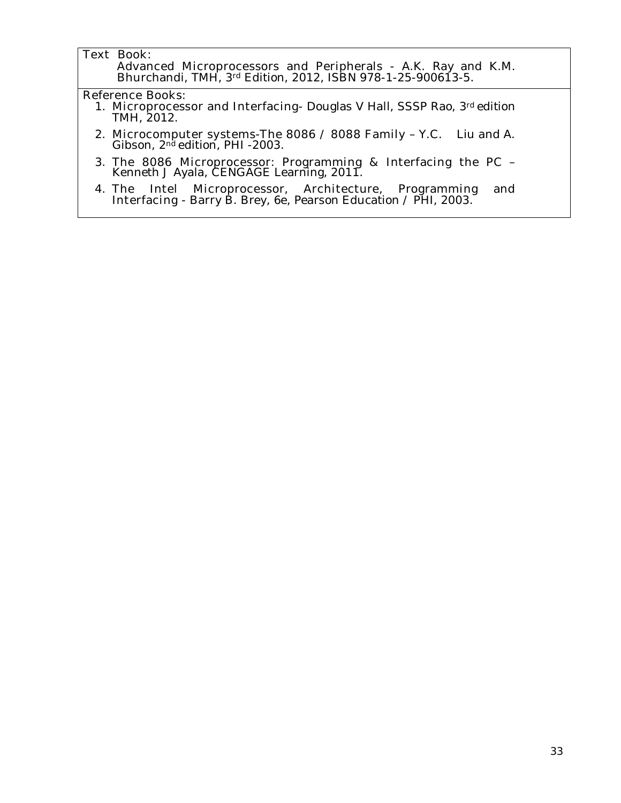#### **Text Book:**

**Advanced Microprocessors and Peripherals** - A.K. Ray and K.M. Bhurchandi, TMH, 3rd Edition, 2012, ISBN 978-1-25-900613-5.

#### **Reference Books:**

- 1. **Microprocessor and Interfacing** Douglas V Hall, SSSP Rao, 3rd edition TMH, 2012.
- 2. **Microcomputer systems-The 8086 / 8088 Family** Y.C. Liu and A. Gibson, 2nd edition, PHI -2003.
- 3. **The 8086 Microprocessor: Programming & Interfacing the PC**  Kenneth J Ayala, CENGAGE Learning, 2011.
- 4. **The Intel Microprocessor, Architecture, Programming and Interfacing** - Barry B. Brey, 6e, Pearson Education / PHI, 2003.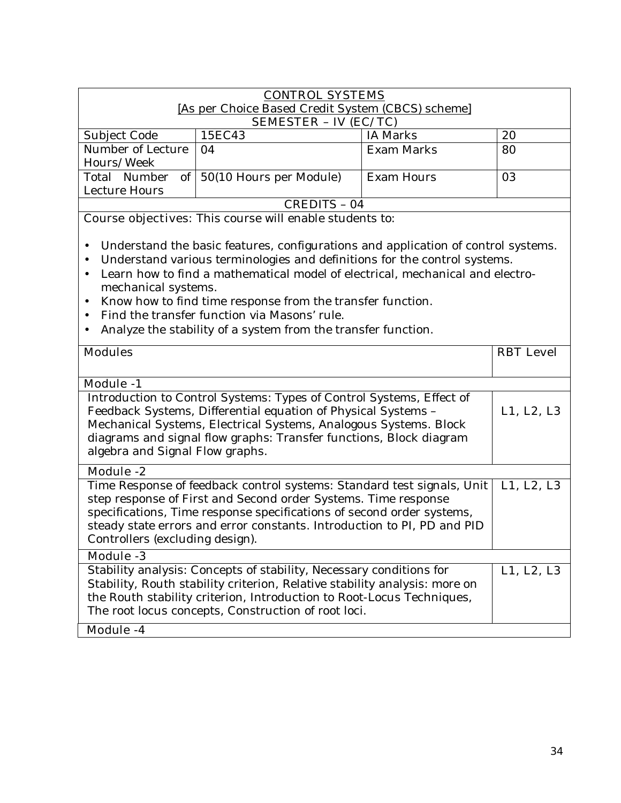| <b>CONTROL SYSTEMS</b><br>[As per Choice Based Credit System (CBCS) scheme] |                                           |                   |    |  |  |
|-----------------------------------------------------------------------------|-------------------------------------------|-------------------|----|--|--|
| <b>SEMESTER - IV (EC/TC)</b>                                                |                                           |                   |    |  |  |
| Subject Code                                                                | 15EC43                                    | <b>IA Marks</b>   | 20 |  |  |
| Number of Lecture                                                           | 04                                        | Exam Marks        | 80 |  |  |
| Hours/Week                                                                  |                                           |                   |    |  |  |
|                                                                             | Total Number of   50(10 Hours per Module) | <b>Exam Hours</b> | 03 |  |  |
| Lecture Hours                                                               |                                           |                   |    |  |  |
| CREDITS - 04                                                                |                                           |                   |    |  |  |

**Course objectives:** This course will enable students to:

- Understand the basic features, configurations and application of control systems.
- Understand various terminologies and definitions for the control systems.
- Learn how to find a mathematical model of electrical, mechanical and electromechanical systems.
- Know how to find time response from the transfer function.
- Find the transfer function via Masons' rule.
- Analyze the stability of a system from the transfer function.

| <b>Modules</b>                                                                                                                                                                                                                                                                                                                  | <b>RBT</b> Level |
|---------------------------------------------------------------------------------------------------------------------------------------------------------------------------------------------------------------------------------------------------------------------------------------------------------------------------------|------------------|
|                                                                                                                                                                                                                                                                                                                                 |                  |
| <b>Module -1</b>                                                                                                                                                                                                                                                                                                                |                  |
| Introduction to Control Systems: Types of Control Systems, Effect of<br>Feedback Systems, Differential equation of Physical Systems -<br>Mechanical Systems, Electrical Systems, Analogous Systems. Block<br>diagrams and signal flow graphs: Transfer functions, Block diagram<br>algebra and Signal Flow graphs.              | L1, L2, L3       |
| <b>Module -2</b>                                                                                                                                                                                                                                                                                                                |                  |
| Time Response of feedback control systems: Standard test signals, Unit<br>step response of First and Second order Systems. Time response<br>specifications, Time response specifications of second order systems,<br>steady state errors and error constants. Introduction to PI, PD and PID<br>Controllers (excluding design). | L1, L2, L3       |
| <b>Module -3</b>                                                                                                                                                                                                                                                                                                                |                  |
| Stability analysis: Concepts of stability, Necessary conditions for<br>Stability, Routh stability criterion, Relative stability analysis: more on<br>the Routh stability criterion, Introduction to Root-Locus Techniques,<br>The root locus concepts, Construction of root loci.                                               | L1, L2, L3       |
| <b>Module -4</b>                                                                                                                                                                                                                                                                                                                |                  |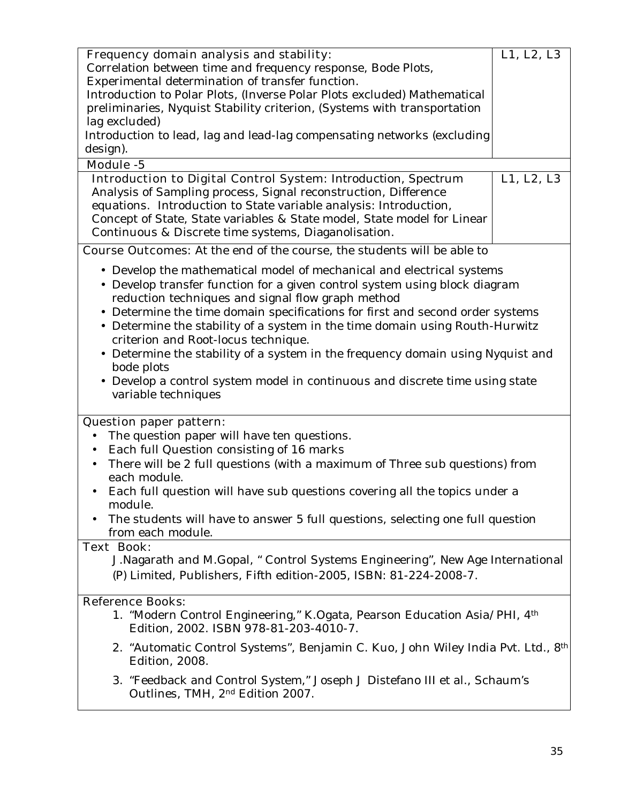|                                                                                             | Frequency domain analysis and stability:<br>Correlation between time and frequency response, Bode Plots,<br>Experimental determination of transfer function.<br>Introduction to Polar Plots, (Inverse Polar Plots excluded) Mathematical<br>preliminaries, Nyquist Stability criterion, (Systems with transportation<br>lag excluded)<br>Introduction to lead, lag and lead-lag compensating networks (excluding                                                                                                                                                                                                         | L1, L2, L3 |  |  |
|---------------------------------------------------------------------------------------------|--------------------------------------------------------------------------------------------------------------------------------------------------------------------------------------------------------------------------------------------------------------------------------------------------------------------------------------------------------------------------------------------------------------------------------------------------------------------------------------------------------------------------------------------------------------------------------------------------------------------------|------------|--|--|
| design).                                                                                    |                                                                                                                                                                                                                                                                                                                                                                                                                                                                                                                                                                                                                          |            |  |  |
| Module -5                                                                                   |                                                                                                                                                                                                                                                                                                                                                                                                                                                                                                                                                                                                                          |            |  |  |
|                                                                                             | <b>Introduction to Digital Control System: Introduction, Spectrum</b><br>Analysis of Sampling process, Signal reconstruction, Difference<br>equations. Introduction to State variable analysis: Introduction,<br>Concept of State, State variables & State model, State model for Linear<br>Continuous & Discrete time systems, Diaganolisation.                                                                                                                                                                                                                                                                         | L1, L2, L3 |  |  |
|                                                                                             | <b>Course Outcomes:</b> At the end of the course, the students will be able to                                                                                                                                                                                                                                                                                                                                                                                                                                                                                                                                           |            |  |  |
|                                                                                             | • Develop the mathematical model of mechanical and electrical systems<br>• Develop transfer function for a given control system using block diagram<br>reduction techniques and signal flow graph method<br>• Determine the time domain specifications for first and second order systems<br>• Determine the stability of a system in the time domain using Routh-Hurwitz<br>criterion and Root-locus technique.<br>• Determine the stability of a system in the frequency domain using Nyquist and<br>bode plots<br>• Develop a control system model in continuous and discrete time using state<br>variable techniques |            |  |  |
|                                                                                             | <b>Question paper pattern:</b>                                                                                                                                                                                                                                                                                                                                                                                                                                                                                                                                                                                           |            |  |  |
|                                                                                             | The question paper will have ten questions.                                                                                                                                                                                                                                                                                                                                                                                                                                                                                                                                                                              |            |  |  |
| $\bullet$                                                                                   | Each full Question consisting of 16 marks                                                                                                                                                                                                                                                                                                                                                                                                                                                                                                                                                                                |            |  |  |
| There will be 2 full questions (with a maximum of Three sub questions) from<br>each module. |                                                                                                                                                                                                                                                                                                                                                                                                                                                                                                                                                                                                                          |            |  |  |
|                                                                                             | • Each full question will have sub questions covering all the topics under a<br>module.                                                                                                                                                                                                                                                                                                                                                                                                                                                                                                                                  |            |  |  |
|                                                                                             | The students will have to answer 5 full questions, selecting one full question<br>from each module.                                                                                                                                                                                                                                                                                                                                                                                                                                                                                                                      |            |  |  |
| <b>Text Book:</b>                                                                           | J. Nagarath and M. Gopal, " Control Systems Engineering", New Age International<br>(P) Limited, Publishers, Fifth edition-2005, ISBN: 81-224-2008-7.                                                                                                                                                                                                                                                                                                                                                                                                                                                                     |            |  |  |
|                                                                                             | <b>Reference Books:</b>                                                                                                                                                                                                                                                                                                                                                                                                                                                                                                                                                                                                  |            |  |  |
|                                                                                             | 1. "Modern Control Engineering," K.Ogata, Pearson Education Asia/PHI, 4th<br>Edition, 2002. ISBN 978-81-203-4010-7.                                                                                                                                                                                                                                                                                                                                                                                                                                                                                                      |            |  |  |
|                                                                                             | 2. "Automatic Control Systems", Benjamin C. Kuo, John Wiley India Pvt. Ltd., 8 <sup>th</sup><br>Edition, 2008.                                                                                                                                                                                                                                                                                                                                                                                                                                                                                                           |            |  |  |
|                                                                                             | 3. "Feedback and Control System," Joseph J Distefano III et al., Schaum's<br>Outlines, TMH, 2 <sup>nd</sup> Edition 2007.                                                                                                                                                                                                                                                                                                                                                                                                                                                                                                |            |  |  |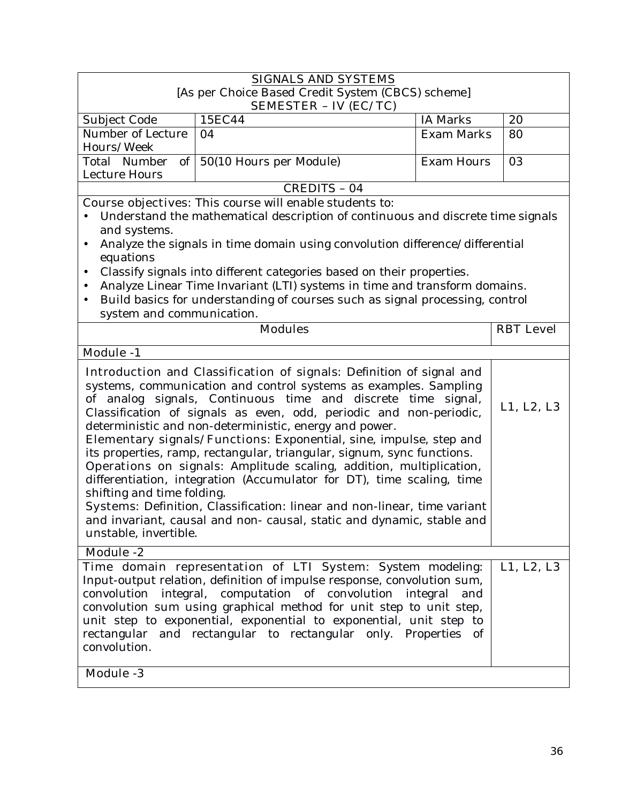| <b>SIGNALS AND SYSTEMS</b>                                                                                                                                                                                                                                                                                                                                                                                                                                                                                                                                                                                                                                                                                                                                                                                                                                            |                                                                                                                                                                                                                                                                                                                                                    |                   |                  |  |  |
|-----------------------------------------------------------------------------------------------------------------------------------------------------------------------------------------------------------------------------------------------------------------------------------------------------------------------------------------------------------------------------------------------------------------------------------------------------------------------------------------------------------------------------------------------------------------------------------------------------------------------------------------------------------------------------------------------------------------------------------------------------------------------------------------------------------------------------------------------------------------------|----------------------------------------------------------------------------------------------------------------------------------------------------------------------------------------------------------------------------------------------------------------------------------------------------------------------------------------------------|-------------------|------------------|--|--|
| [As per Choice Based Credit System (CBCS) scheme]<br><b>SEMESTER - IV (EC/TC)</b>                                                                                                                                                                                                                                                                                                                                                                                                                                                                                                                                                                                                                                                                                                                                                                                     |                                                                                                                                                                                                                                                                                                                                                    |                   |                  |  |  |
| Subject Code                                                                                                                                                                                                                                                                                                                                                                                                                                                                                                                                                                                                                                                                                                                                                                                                                                                          | 15EC44                                                                                                                                                                                                                                                                                                                                             | <b>IA Marks</b>   | 20               |  |  |
| Number of Lecture<br>Hours/Week                                                                                                                                                                                                                                                                                                                                                                                                                                                                                                                                                                                                                                                                                                                                                                                                                                       | 04                                                                                                                                                                                                                                                                                                                                                 | <b>Exam Marks</b> | 80               |  |  |
| Total Number<br>of  <br><b>Lecture Hours</b>                                                                                                                                                                                                                                                                                                                                                                                                                                                                                                                                                                                                                                                                                                                                                                                                                          | 50(10 Hours per Module)                                                                                                                                                                                                                                                                                                                            | <b>Exam Hours</b> | 03               |  |  |
|                                                                                                                                                                                                                                                                                                                                                                                                                                                                                                                                                                                                                                                                                                                                                                                                                                                                       | CREDITS - 04                                                                                                                                                                                                                                                                                                                                       |                   |                  |  |  |
|                                                                                                                                                                                                                                                                                                                                                                                                                                                                                                                                                                                                                                                                                                                                                                                                                                                                       | <b>Course objectives:</b> This course will enable students to:                                                                                                                                                                                                                                                                                     |                   |                  |  |  |
| and systems.                                                                                                                                                                                                                                                                                                                                                                                                                                                                                                                                                                                                                                                                                                                                                                                                                                                          | Understand the mathematical description of continuous and discrete time signals                                                                                                                                                                                                                                                                    |                   |                  |  |  |
|                                                                                                                                                                                                                                                                                                                                                                                                                                                                                                                                                                                                                                                                                                                                                                                                                                                                       | Analyze the signals in time domain using convolution difference/differential                                                                                                                                                                                                                                                                       |                   |                  |  |  |
| equations                                                                                                                                                                                                                                                                                                                                                                                                                                                                                                                                                                                                                                                                                                                                                                                                                                                             |                                                                                                                                                                                                                                                                                                                                                    |                   |                  |  |  |
|                                                                                                                                                                                                                                                                                                                                                                                                                                                                                                                                                                                                                                                                                                                                                                                                                                                                       | Classify signals into different categories based on their properties.                                                                                                                                                                                                                                                                              |                   |                  |  |  |
|                                                                                                                                                                                                                                                                                                                                                                                                                                                                                                                                                                                                                                                                                                                                                                                                                                                                       | Analyze Linear Time Invariant (LTI) systems in time and transform domains.                                                                                                                                                                                                                                                                         |                   |                  |  |  |
|                                                                                                                                                                                                                                                                                                                                                                                                                                                                                                                                                                                                                                                                                                                                                                                                                                                                       | Build basics for understanding of courses such as signal processing, control                                                                                                                                                                                                                                                                       |                   |                  |  |  |
| system and communication.                                                                                                                                                                                                                                                                                                                                                                                                                                                                                                                                                                                                                                                                                                                                                                                                                                             |                                                                                                                                                                                                                                                                                                                                                    |                   |                  |  |  |
|                                                                                                                                                                                                                                                                                                                                                                                                                                                                                                                                                                                                                                                                                                                                                                                                                                                                       | <b>Modules</b>                                                                                                                                                                                                                                                                                                                                     |                   | <b>RBT</b> Level |  |  |
| <b>Module -1</b>                                                                                                                                                                                                                                                                                                                                                                                                                                                                                                                                                                                                                                                                                                                                                                                                                                                      |                                                                                                                                                                                                                                                                                                                                                    |                   |                  |  |  |
| Introduction and Classification of signals: Definition of signal and<br>systems, communication and control systems as examples. Sampling<br>of analog signals, Continuous time and discrete time<br>signal,<br>L1, L2, L3<br>Classification of signals as even, odd, periodic and non-periodic,<br>deterministic and non-deterministic, energy and power.<br>Elementary signals/Functions: Exponential, sine, impulse, step and<br>its properties, ramp, rectangular, triangular, signum, sync functions.<br>Operations on signals: Amplitude scaling, addition, multiplication,<br>differentiation, integration (Accumulator for DT), time scaling, time<br>shifting and time folding.<br>Systems: Definition, Classification: linear and non-linear, time variant<br>and invariant, causal and non- causal, static and dynamic, stable and<br>unstable, invertible. |                                                                                                                                                                                                                                                                                                                                                    |                   |                  |  |  |
| <b>Module -2</b><br>Time domain representation of LTI System: System modeling:                                                                                                                                                                                                                                                                                                                                                                                                                                                                                                                                                                                                                                                                                                                                                                                        |                                                                                                                                                                                                                                                                                                                                                    |                   |                  |  |  |
| convolution.<br><b>Module -3</b>                                                                                                                                                                                                                                                                                                                                                                                                                                                                                                                                                                                                                                                                                                                                                                                                                                      | Input-output relation, definition of impulse response, convolution sum,<br>convolution integral, computation of convolution integral<br>convolution sum using graphical method for unit step to unit step,<br>unit step to exponential, exponential to exponential, unit step to<br>rectangular and rectangular to rectangular only. Properties of | and               | L1, L2, L3       |  |  |
|                                                                                                                                                                                                                                                                                                                                                                                                                                                                                                                                                                                                                                                                                                                                                                                                                                                                       |                                                                                                                                                                                                                                                                                                                                                    |                   |                  |  |  |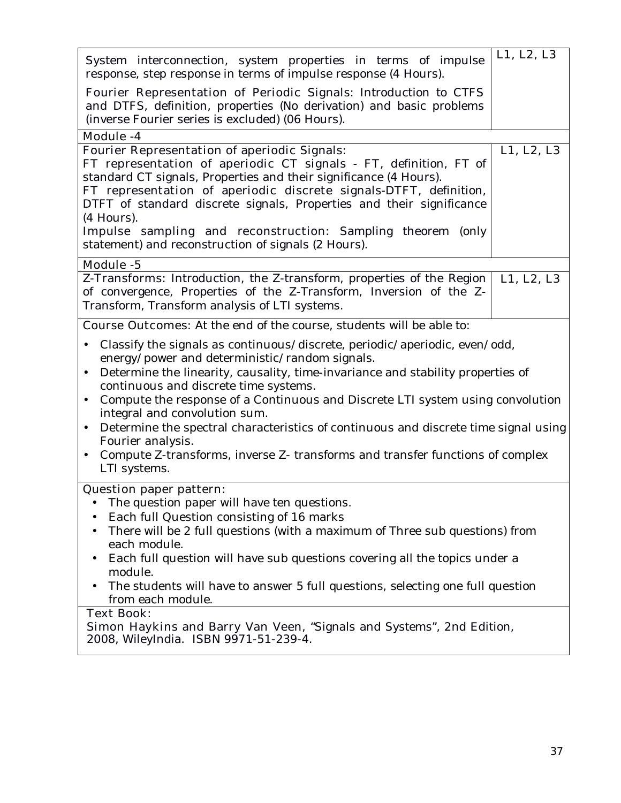| System interconnection, system properties in terms of impulse<br>response, step response in terms of impulse response (4 Hours).                                                                                                                                                                                                                                                                                                                                                                                                                                                                                                                         | L1, L2, L3 |
|----------------------------------------------------------------------------------------------------------------------------------------------------------------------------------------------------------------------------------------------------------------------------------------------------------------------------------------------------------------------------------------------------------------------------------------------------------------------------------------------------------------------------------------------------------------------------------------------------------------------------------------------------------|------------|
| Fourier Representation of Periodic Signals: Introduction to CTFS<br>and DTFS, definition, properties (No derivation) and basic problems<br>(inverse Fourier series is excluded) (06 Hours).                                                                                                                                                                                                                                                                                                                                                                                                                                                              |            |
| Module -4                                                                                                                                                                                                                                                                                                                                                                                                                                                                                                                                                                                                                                                |            |
| <b>Fourier Representation of aperiodic Signals:</b><br>FT representation of aperiodic CT signals - FT, definition, FT of<br>standard CT signals, Properties and their significance (4 Hours).<br>FT representation of aperiodic discrete signals-DTFT, definition,<br>DTFT of standard discrete signals, Properties and their significance<br>(4 Hours).<br><b>Impulse sampling and reconstruction:</b> Sampling theorem (only<br>statement) and reconstruction of signals (2 Hours).                                                                                                                                                                    | L1, L2, L3 |
| Module -5                                                                                                                                                                                                                                                                                                                                                                                                                                                                                                                                                                                                                                                |            |
| Z-Transforms: Introduction, the Z-transform, properties of the Region<br>of convergence, Properties of the Z-Transform, Inversion of the Z-<br>Transform, Transform analysis of LTI systems.                                                                                                                                                                                                                                                                                                                                                                                                                                                             | L1, L2, L3 |
| <b>Course Outcomes:</b> At the end of the course, students will be able to:                                                                                                                                                                                                                                                                                                                                                                                                                                                                                                                                                                              |            |
| Classify the signals as continuous/discrete, periodic/aperiodic, even/odd,<br>$\bullet$<br>energy/power and deterministic/random signals.<br>Determine the linearity, causality, time-invariance and stability properties of<br>$\bullet$<br>continuous and discrete time systems.<br>Compute the response of a Continuous and Discrete LTI system using convolution<br>$\bullet$<br>integral and convolution sum.<br>Determine the spectral characteristics of continuous and discrete time signal using<br>$\bullet$<br>Fourier analysis.<br>Compute Z-transforms, inverse Z-transforms and transfer functions of complex<br>$\bullet$<br>LTI systems. |            |
| <b>Question paper pattern:</b><br>The question paper will have ten questions.<br>Each full Question consisting of 16 marks<br>There will be 2 full questions (with a maximum of Three sub questions) from<br>each module.<br>Each full question will have sub questions covering all the topics under a<br>module.<br>The students will have to answer 5 full questions, selecting one full question<br>from each module.<br><b>Text Book:</b><br>Simon Haykins and Barry Van Veen, "Signals and Systems", 2nd Edition,                                                                                                                                  |            |
| 2008, WileyIndia. ISBN 9971-51-239-4.                                                                                                                                                                                                                                                                                                                                                                                                                                                                                                                                                                                                                    |            |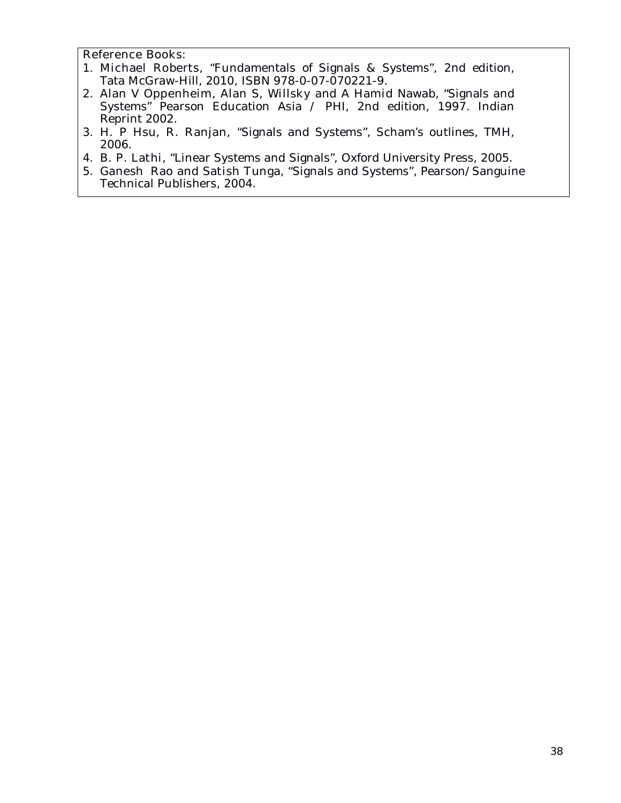- 1. **Michael Roberts,** "Fundamentals of Signals & Systems", 2nd edition, Tata McGraw-Hill, 2010, ISBN 978-0-07-070221-9.
- 2. **Alan V Oppenheim, Alan S, Willsky and A Hamid Nawab,** "Signals and Systems" Pearson Education Asia / PHI, 2nd edition, 1997. Indian Reprint 2002.
- 3. **H. P Hsu, R. Ranjan,** "Signals and Systems", Scham's outlines, TMH, 2006.
- 4. **B. P. Lathi,** "Linear Systems and Signals", Oxford University Press, 2005.
- 5. **Ganesh Rao and Satish Tunga,** "Signals and Systems", Pearson/Sanguine Technical Publishers, 2004.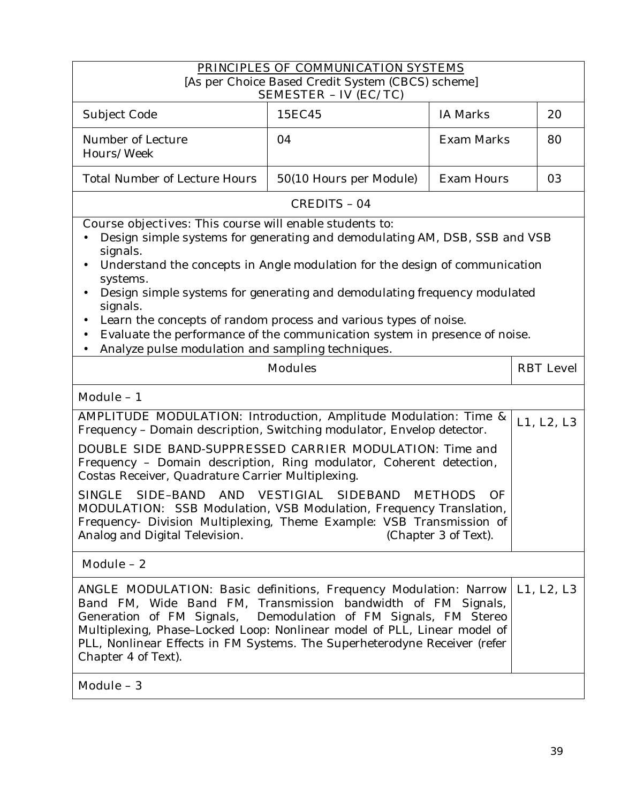|                                                                                                                                                                                                                                                                                                                                                                                                                                                                                                                                                                               | PRINCIPLES OF COMMUNICATION SYSTEMS                                               |                                              |                  |
|-------------------------------------------------------------------------------------------------------------------------------------------------------------------------------------------------------------------------------------------------------------------------------------------------------------------------------------------------------------------------------------------------------------------------------------------------------------------------------------------------------------------------------------------------------------------------------|-----------------------------------------------------------------------------------|----------------------------------------------|------------------|
|                                                                                                                                                                                                                                                                                                                                                                                                                                                                                                                                                                               | [As per Choice Based Credit System (CBCS) scheme]<br><b>SEMESTER - IV (EC/TC)</b> |                                              |                  |
| Subject Code                                                                                                                                                                                                                                                                                                                                                                                                                                                                                                                                                                  | 15EC45                                                                            | <b>IA Marks</b>                              | 20               |
| Number of Lecture<br>Hours/Week                                                                                                                                                                                                                                                                                                                                                                                                                                                                                                                                               | 04                                                                                | Exam Marks                                   | 80               |
| <b>Total Number of Lecture Hours</b>                                                                                                                                                                                                                                                                                                                                                                                                                                                                                                                                          | 50(10 Hours per Module)                                                           | <b>Exam Hours</b>                            | 03               |
|                                                                                                                                                                                                                                                                                                                                                                                                                                                                                                                                                                               | <b>CREDITS - 04</b>                                                               |                                              |                  |
| <b>Course objectives:</b> This course will enable students to:<br>Design simple systems for generating and demodulating AM, DSB, SSB and VSB<br>signals.<br>Understand the concepts in Angle modulation for the design of communication<br>systems.<br>Design simple systems for generating and demodulating frequency modulated<br>$\bullet$<br>signals.<br>Learn the concepts of random process and various types of noise.<br>Evaluate the performance of the communication system in presence of noise.<br>$\bullet$<br>Analyze pulse modulation and sampling techniques. |                                                                                   |                                              |                  |
|                                                                                                                                                                                                                                                                                                                                                                                                                                                                                                                                                                               | <b>Modules</b>                                                                    |                                              | <b>RBT</b> Level |
| Module - 1                                                                                                                                                                                                                                                                                                                                                                                                                                                                                                                                                                    |                                                                                   |                                              |                  |
| <b>AMPLITUDE MODULATION:</b> Introduction, Amplitude Modulation: Time &<br>Frequency - Domain description, Switching modulator, Envelop detector.                                                                                                                                                                                                                                                                                                                                                                                                                             |                                                                                   |                                              | L1, L2, L3       |
| <b>DOUBLE SIDE BAND-SUPPRESSED CARRIER MODULATION:</b> Time and<br>Frequency - Domain description, Ring modulator, Coherent detection,<br>Costas Receiver, Quadrature Carrier Multiplexing.<br>SINGLE<br>SIDE-BAND AND VESTIGIAL<br><b>MODULATION:</b> SSB Modulation, VSB Modulation, Frequency Translation,<br>Frequency- Division Multiplexing, Theme Example: VSB Transmission of<br>Analog and Digital Television.                                                                                                                                                       | <b>SIDEBAND</b>                                                                   | <b>METHODS</b><br>OF<br>(Chapter 3 of Text). |                  |
| Module - 2                                                                                                                                                                                                                                                                                                                                                                                                                                                                                                                                                                    |                                                                                   |                                              |                  |
|                                                                                                                                                                                                                                                                                                                                                                                                                                                                                                                                                                               |                                                                                   |                                              |                  |
| <b>ANGLE MODULATION:</b> Basic definitions, Frequency Modulation: Narrow<br>Band FM, Wide Band FM, Transmission bandwidth of FM Signals,<br>Generation of FM Signals, Demodulation of FM Signals, FM Stereo<br>Multiplexing, Phase-Locked Loop: Nonlinear model of PLL, Linear model of<br>PLL, Nonlinear Effects in FM Systems. The Superheterodyne Receiver (refer<br>Chapter 4 of Text).                                                                                                                                                                                   |                                                                                   |                                              | L1, L2, L3       |
| Module - 3                                                                                                                                                                                                                                                                                                                                                                                                                                                                                                                                                                    |                                                                                   |                                              |                  |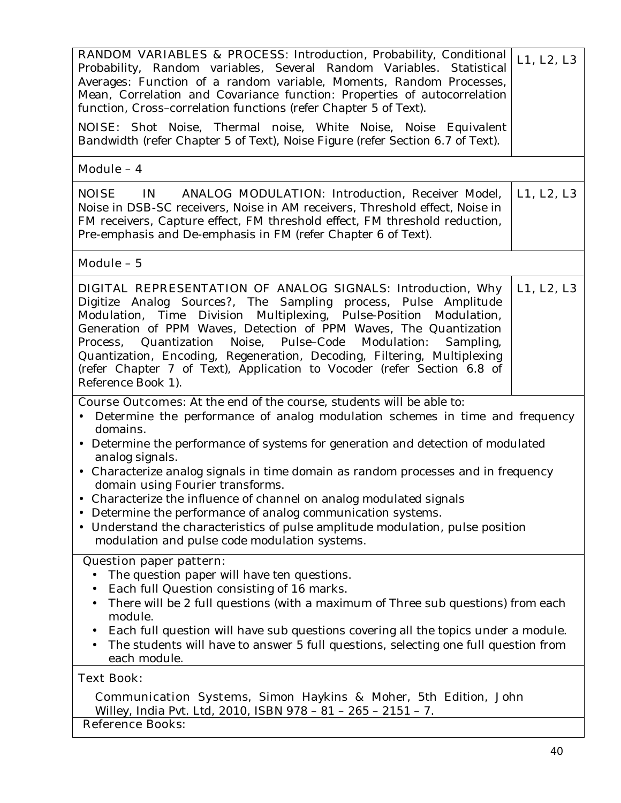| <b>RANDOM VARIABLES &amp; PROCESS:</b> Introduction, Probability, Conditional<br>Probability, Random variables, Several Random Variables. Statistical<br>Averages: Function of a random variable, Moments, Random Processes,<br>Mean, Correlation and Covariance function: Properties of autocorrelation<br>function, Cross-correlation functions (refer Chapter 5 of Text).<br><b>NOISE:</b> Shot Noise, Thermal noise, White Noise, Noise Equivalent<br>Bandwidth (refer Chapter 5 of Text), Noise Figure (refer Section 6.7 of Text).                                                     | L1, L2, L3 |
|----------------------------------------------------------------------------------------------------------------------------------------------------------------------------------------------------------------------------------------------------------------------------------------------------------------------------------------------------------------------------------------------------------------------------------------------------------------------------------------------------------------------------------------------------------------------------------------------|------------|
| Module - 4                                                                                                                                                                                                                                                                                                                                                                                                                                                                                                                                                                                   |            |
| <b>NOISE</b><br><b>ANALOG MODULATION:</b> Introduction, Receiver Model,<br>$\mathbf{N}$<br>Noise in DSB-SC receivers, Noise in AM receivers, Threshold effect, Noise in<br>FM receivers, Capture effect, FM threshold effect, FM threshold reduction,<br>Pre-emphasis and De-emphasis in FM (refer Chapter 6 of Text).                                                                                                                                                                                                                                                                       | L1, L2, L3 |
| Module - 5                                                                                                                                                                                                                                                                                                                                                                                                                                                                                                                                                                                   |            |
| DIGITAL REPRESENTATION OF ANALOG SIGNALS: Introduction, Why<br>Digitize Analog Sources?, The Sampling process, Pulse Amplitude<br>Modulation, Time Division Multiplexing, Pulse-Position Modulation,<br>Generation of PPM Waves, Detection of PPM Waves, The Quantization<br>Process, Quantization Noise, Pulse-Code Modulation:<br>Sampling,<br>Quantization, Encoding, Regeneration, Decoding, Filtering, Multiplexing<br>(refer Chapter 7 of Text), Application to Vocoder (refer Section 6.8 of<br>Reference Book 1).                                                                    | L1, L2, L3 |
| <b>Course Outcomes:</b> At the end of the course, students will be able to:                                                                                                                                                                                                                                                                                                                                                                                                                                                                                                                  |            |
| Determine the performance of analog modulation schemes in time and frequency<br>domains.<br>• Determine the performance of systems for generation and detection of modulated<br>analog signals.<br>• Characterize analog signals in time domain as random processes and in frequency<br>domain using Fourier transforms.<br>Characterize the influence of channel on analog modulated signals<br>Determine the performance of analog communication systems.<br>Understand the characteristics of pulse amplitude modulation, pulse position<br>modulation and pulse code modulation systems. |            |
| <b>Question paper pattern:</b>                                                                                                                                                                                                                                                                                                                                                                                                                                                                                                                                                               |            |
| The question paper will have ten questions.<br>Each full Question consisting of 16 marks.<br>There will be 2 full questions (with a maximum of Three sub questions) from each<br>module.<br>Each full question will have sub questions covering all the topics under a module.<br>The students will have to answer 5 full questions, selecting one full question from<br>each module.                                                                                                                                                                                                        |            |
| <b>Text Book:</b><br><b>Communication Systems</b> , Simon Haykins & Moher, 5th Edition, John                                                                                                                                                                                                                                                                                                                                                                                                                                                                                                 |            |
| Willey, India Pvt. Ltd, 2010, ISBN 978 - 81 - 265 - 2151 - 7.                                                                                                                                                                                                                                                                                                                                                                                                                                                                                                                                |            |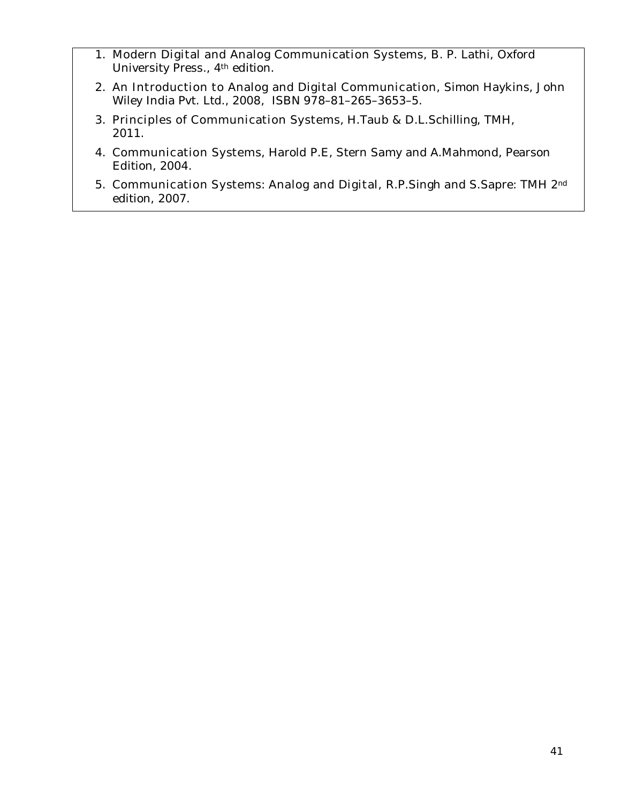- 1. **Modern Digital and Analog Communication Systems,** B. P. Lathi, Oxford University Press., 4th edition.
- 2. **An Introduction to Analog and Digital Communication**, Simon Haykins, John Wiley India Pvt. Ltd., 2008, ISBN 978–81–265–3653–5.
- 3. **Principles of Communication Systems**, H.Taub & D.L.Schilling, TMH, 2011.
- 4. **Communication Systems**, Harold P.E, Stern Samy and A.Mahmond, Pearson Edition, 2004.
- 5. **Communication Systems**: **Analog and Digital,** R.P.Singh and S.Sapre: TMH 2nd edition, 2007.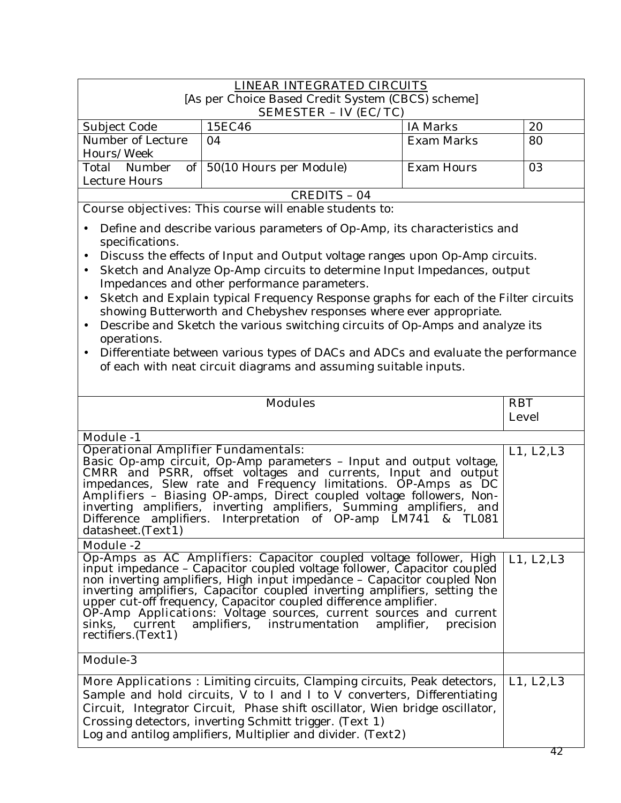|                                                                         | <b>LINEAR INTEGRATED CIRCUITS</b>                                                                                                                                                                                                                                                                                                                                                                                                                                                   |                         |                            |
|-------------------------------------------------------------------------|-------------------------------------------------------------------------------------------------------------------------------------------------------------------------------------------------------------------------------------------------------------------------------------------------------------------------------------------------------------------------------------------------------------------------------------------------------------------------------------|-------------------------|----------------------------|
|                                                                         | [As per Choice Based Credit System (CBCS) scheme]                                                                                                                                                                                                                                                                                                                                                                                                                                   |                         |                            |
|                                                                         | <b>SEMESTER - IV (EC/TC)</b>                                                                                                                                                                                                                                                                                                                                                                                                                                                        |                         |                            |
| Subject Code                                                            | 15EC46                                                                                                                                                                                                                                                                                                                                                                                                                                                                              | <b>IA Marks</b>         | 20                         |
| Number of Lecture<br>Hours/Week                                         | 04                                                                                                                                                                                                                                                                                                                                                                                                                                                                                  | <b>Exam Marks</b>       | 80                         |
| Number<br>Total                                                         | of $\vert$ 50(10 Hours per Module)                                                                                                                                                                                                                                                                                                                                                                                                                                                  | <b>Exam Hours</b>       | 03                         |
| <b>Lecture Hours</b>                                                    |                                                                                                                                                                                                                                                                                                                                                                                                                                                                                     |                         |                            |
|                                                                         | <b>CREDITS - 04</b>                                                                                                                                                                                                                                                                                                                                                                                                                                                                 |                         |                            |
|                                                                         | <b>Course objectives:</b> This course will enable students to:                                                                                                                                                                                                                                                                                                                                                                                                                      |                         |                            |
| specifications.<br>$\bullet$                                            | Define and describe various parameters of Op-Amp, its characteristics and<br>Discuss the effects of Input and Output voltage ranges upon Op-Amp circuits.<br>Sketch and Analyze Op-Amp circuits to determine Input Impedances, output<br>Impedances and other performance parameters.<br>Sketch and Explain typical Frequency Response graphs for each of the Filter circuits<br>showing Butterworth and Chebyshev responses where ever appropriate.                                |                         |                            |
| $\bullet$<br>operations.                                                | Describe and Sketch the various switching circuits of Op-Amps and analyze its<br>Differentiate between various types of DACs and ADCs and evaluate the performance<br>of each with neat circuit diagrams and assuming suitable inputs.                                                                                                                                                                                                                                              |                         |                            |
|                                                                         | <b>Modules</b>                                                                                                                                                                                                                                                                                                                                                                                                                                                                      |                         | <b>RBT</b><br><b>Level</b> |
| <b>Module -1</b>                                                        |                                                                                                                                                                                                                                                                                                                                                                                                                                                                                     |                         |                            |
| <b>Operational Amplifier Fundamentals:</b><br>datasheet. <b>(Text1)</b> | Basic Op-amp circuit, Op-Amp parameters - Input and output voltage,<br>CMRR and PSRR, offset voltages and currents, Input and output<br>impedances, Slew rate and Frequency limitations. OP-Amps as DC<br>Amplifiers - Biasing OP-amps, Direct coupled voltage followers, Non-<br>inverting amplifiers, inverting amplifiers, Summing amplifiers, and<br>Difference amplifiers. Interpretation of OP-amp LM741                                                                      | & TL081                 | L1, L2, L3                 |
| <b>Module -2</b>                                                        |                                                                                                                                                                                                                                                                                                                                                                                                                                                                                     |                         |                            |
| sinks,<br>current<br>rectifiers. (Text1)                                | Op-Amps as AC Amplifiers: Capacitor coupled voltage follower, High<br>input impedance - Capacitor coupled voltage follower, Capacitor coupled<br>non inverting amplifiers, High input impedance - Capacitor coupled Non<br>inverting amplifiers, Capacitor coupled inverting amplifiers, setting the<br>upper cut-off frequency, Capacitor coupled difference amplifier.<br><b>OP-Amp Applications:</b> Voltage sources, current sources and current<br>amplifiers, instrumentation | amplifier,<br>precision | L1, L2, L3                 |
| <b>Module-3</b>                                                         |                                                                                                                                                                                                                                                                                                                                                                                                                                                                                     |                         |                            |
|                                                                         | <b>More Applications :</b> Limiting circuits, Clamping circuits, Peak detectors,<br>Sample and hold circuits, V to I and I to V converters, Differentiating<br>Circuit, Integrator Circuit, Phase shift oscillator, Wien bridge oscillator,<br>Crossing detectors, inverting Schmitt trigger. (Text 1)<br>Log and antilog amplifiers, Multiplier and divider. (Text2)                                                                                                               |                         | L1, L2, L3                 |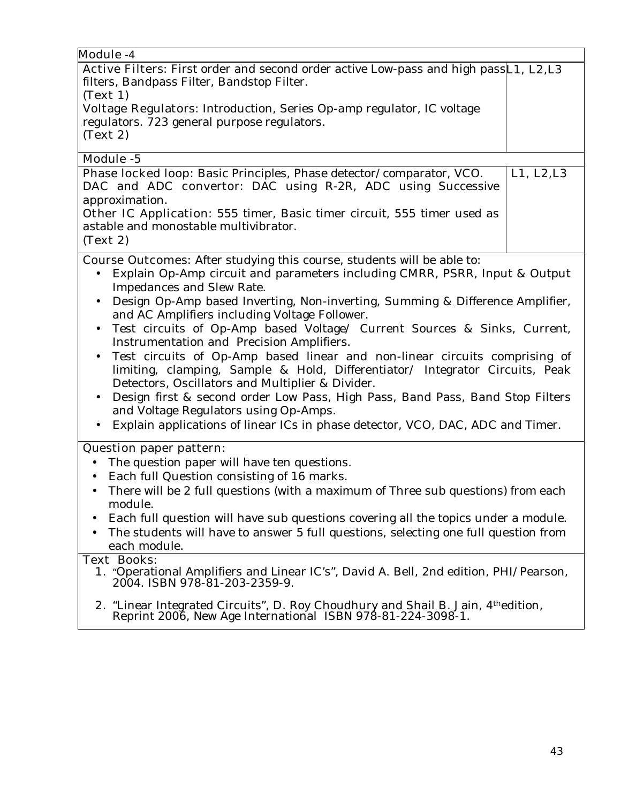| Module -4                                                                                                                                                                                                                                                                                                                                                                                                                                                                                                                                                                                                                                                                                                                                                                                                                                                                                                                                          |            |
|----------------------------------------------------------------------------------------------------------------------------------------------------------------------------------------------------------------------------------------------------------------------------------------------------------------------------------------------------------------------------------------------------------------------------------------------------------------------------------------------------------------------------------------------------------------------------------------------------------------------------------------------------------------------------------------------------------------------------------------------------------------------------------------------------------------------------------------------------------------------------------------------------------------------------------------------------|------------|
| Active Filters: First order and second order active Low-pass and high pass L1, L2, L3                                                                                                                                                                                                                                                                                                                                                                                                                                                                                                                                                                                                                                                                                                                                                                                                                                                              |            |
| filters, Bandpass Filter, Bandstop Filter.                                                                                                                                                                                                                                                                                                                                                                                                                                                                                                                                                                                                                                                                                                                                                                                                                                                                                                         |            |
| (Text 1)                                                                                                                                                                                                                                                                                                                                                                                                                                                                                                                                                                                                                                                                                                                                                                                                                                                                                                                                           |            |
| Voltage Regulators: Introduction, Series Op-amp regulator, IC voltage                                                                                                                                                                                                                                                                                                                                                                                                                                                                                                                                                                                                                                                                                                                                                                                                                                                                              |            |
| regulators. 723 general purpose regulators.                                                                                                                                                                                                                                                                                                                                                                                                                                                                                                                                                                                                                                                                                                                                                                                                                                                                                                        |            |
| (Text 2)                                                                                                                                                                                                                                                                                                                                                                                                                                                                                                                                                                                                                                                                                                                                                                                                                                                                                                                                           |            |
|                                                                                                                                                                                                                                                                                                                                                                                                                                                                                                                                                                                                                                                                                                                                                                                                                                                                                                                                                    |            |
| Module -5<br>Phase locked loop: Basic Principles, Phase detector/comparator, VCO.<br>DAC and ADC convertor: DAC using R-2R, ADC using Successive                                                                                                                                                                                                                                                                                                                                                                                                                                                                                                                                                                                                                                                                                                                                                                                                   | L1, L2, L3 |
| approximation.                                                                                                                                                                                                                                                                                                                                                                                                                                                                                                                                                                                                                                                                                                                                                                                                                                                                                                                                     |            |
| Other IC Application: 555 timer, Basic timer circuit, 555 timer used as                                                                                                                                                                                                                                                                                                                                                                                                                                                                                                                                                                                                                                                                                                                                                                                                                                                                            |            |
| astable and monostable multivibrator.                                                                                                                                                                                                                                                                                                                                                                                                                                                                                                                                                                                                                                                                                                                                                                                                                                                                                                              |            |
| (Text 2)                                                                                                                                                                                                                                                                                                                                                                                                                                                                                                                                                                                                                                                                                                                                                                                                                                                                                                                                           |            |
| <b>Course Outcomes:</b> After studying this course, students will be able to:<br>Explain Op-Amp circuit and parameters including CMRR, PSRR, Input & Output<br>Impedances and Slew Rate.<br>Design Op-Amp based Inverting, Non-inverting, Summing & Difference Amplifier,<br>$\bullet$<br>and AC Amplifiers including Voltage Follower.<br>Test circuits of Op-Amp based Voltage/ Current Sources & Sinks, Current,<br>$\bullet$<br>Instrumentation and Precision Amplifiers.<br>Test circuits of Op-Amp based linear and non-linear circuits comprising of<br>$\bullet$<br>limiting, clamping, Sample & Hold, Differentiator/ Integrator Circuits, Peak<br>Detectors, Oscillators and Multiplier & Divider.<br>Design first & second order Low Pass, High Pass, Band Pass, Band Stop Filters<br>$\bullet$<br>and Voltage Regulators using Op-Amps.<br>Explain applications of linear ICs in phase detector, VCO, DAC, ADC and Timer.<br>$\bullet$ |            |
| <b>Question paper pattern:</b>                                                                                                                                                                                                                                                                                                                                                                                                                                                                                                                                                                                                                                                                                                                                                                                                                                                                                                                     |            |
| The question paper will have ten questions.<br>$\bullet$                                                                                                                                                                                                                                                                                                                                                                                                                                                                                                                                                                                                                                                                                                                                                                                                                                                                                           |            |
| Each full Question consisting of 16 marks.<br>$\bullet$                                                                                                                                                                                                                                                                                                                                                                                                                                                                                                                                                                                                                                                                                                                                                                                                                                                                                            |            |
| There will be 2 full questions (with a maximum of Three sub questions) from each<br>$\bullet$<br>module.                                                                                                                                                                                                                                                                                                                                                                                                                                                                                                                                                                                                                                                                                                                                                                                                                                           |            |
| Each full question will have sub questions covering all the topics under a module.                                                                                                                                                                                                                                                                                                                                                                                                                                                                                                                                                                                                                                                                                                                                                                                                                                                                 |            |
| The students will have to answer 5 full questions, selecting one full question from                                                                                                                                                                                                                                                                                                                                                                                                                                                                                                                                                                                                                                                                                                                                                                                                                                                                |            |
| each module.                                                                                                                                                                                                                                                                                                                                                                                                                                                                                                                                                                                                                                                                                                                                                                                                                                                                                                                                       |            |
| <b>Text Books:</b><br>1. "Operational Amplifiers and Linear IC's", David A. Bell, 2nd edition, PHI/Pearson,<br>2004. ISBN 978-81-203-2359-9.                                                                                                                                                                                                                                                                                                                                                                                                                                                                                                                                                                                                                                                                                                                                                                                                       |            |
| 2. "Linear Integrated Circuits", D. Roy Choudhury and Shail B. Jain, 4th edition,<br>Reprint 2006, New Age International ISBN 978-81-224-3098-1.                                                                                                                                                                                                                                                                                                                                                                                                                                                                                                                                                                                                                                                                                                                                                                                                   |            |
|                                                                                                                                                                                                                                                                                                                                                                                                                                                                                                                                                                                                                                                                                                                                                                                                                                                                                                                                                    |            |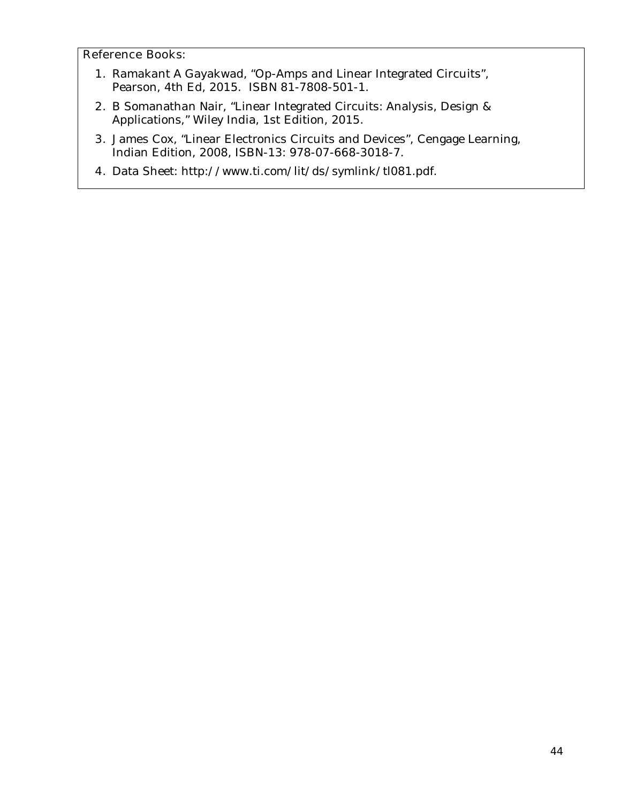- **1.** Ramakant A Gayakwad, "Op-Amps and Linear Integrated Circuits", Pearson, 4th Ed, 2015. ISBN 81-7808-501-1.
- **2.** B Somanathan Nair, "Linear Integrated Circuits: Analysis, Design & Applications," Wiley India, 1st Edition, 2015.
- **3.** James Cox, "Linear Electronics Circuits and Devices", Cengage Learning, Indian Edition, 2008, ISBN-13: 978-07-668-3018-7.
- **4.** Data Sheet: http://www.ti.com/lit/ds/symlink/tl081.pdf.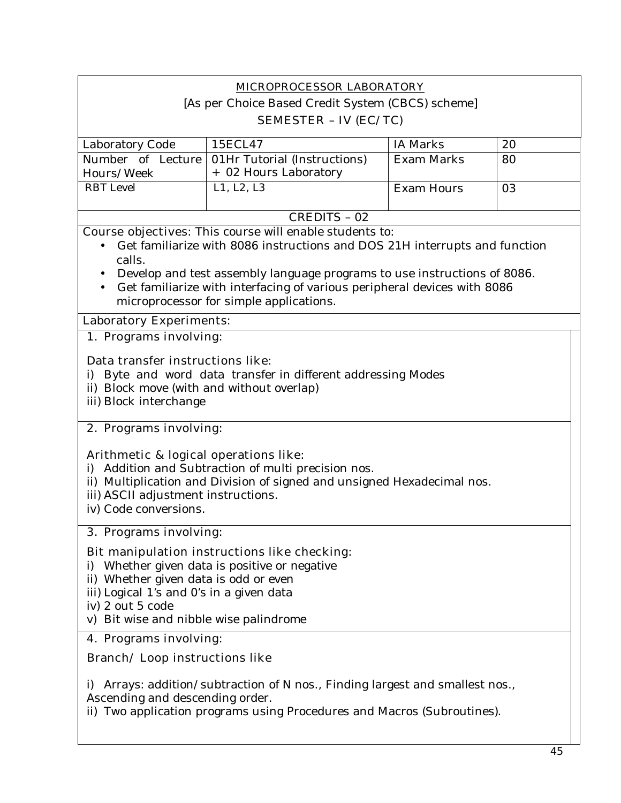|                   | <b>MICROPROCESSOR LABORATORY</b>                  |                   |    |
|-------------------|---------------------------------------------------|-------------------|----|
|                   | [As per Choice Based Credit System (CBCS) scheme] |                   |    |
|                   | <b>SEMESTER - IV (EC/TC)</b>                      |                   |    |
| Laboratory Code   | 15ECL47                                           | <b>IA Marks</b>   | 20 |
| Number of Lecture | 01Hr Tutorial (Instructions)                      | <b>Exam Marks</b> | 80 |
| Hours/Week        | + 02 Hours Laboratory                             |                   |    |
| RBT Level         | L1, L2, L3                                        | <b>Exam Hours</b> | 03 |
|                   |                                                   |                   |    |
|                   | CREDITS - 02                                      |                   |    |

**Course objectives:** This course will enable students to:

- Get familiarize with 8086 instructions and DOS 21H interrupts and function calls.
- Develop and test assembly language programs to use instructions of 8086.
- Get familiarize with interfacing of various peripheral devices with 8086 microprocessor for simple applications.

# **Laboratory Experiments:**

# **1. Programs involving:**

# **Data transfer instructions like**:

- i) Byte and word data transfer in different addressing Modes
- ii) Block move (with and without overlap)
- iii) Block interchange

# **2. Programs involving:**

# **Arithmetic & logical operations like**:

- i) Addition and Subtraction of multi precision nos.
- ii) Multiplication and Division of signed and unsigned Hexadecimal nos.
- iii) ASCII adjustment instructions.
- iv) Code conversions.

# **3. Programs involving:**

# **Bit manipulation instructions like checking**:

- i) Whether given data is positive or negative
- ii) Whether given data is odd or even
- iii) Logical 1's and 0's in a given data
- iv) 2 out 5 code
- v) Bit wise and nibble wise palindrome

# **4. Programs involving:**

# **Branch/ Loop instructions like**

i) Arrays: addition/subtraction of N nos., Finding largest and smallest nos., Ascending and descending order.

ii) Two application programs using Procedures and Macros (Subroutines).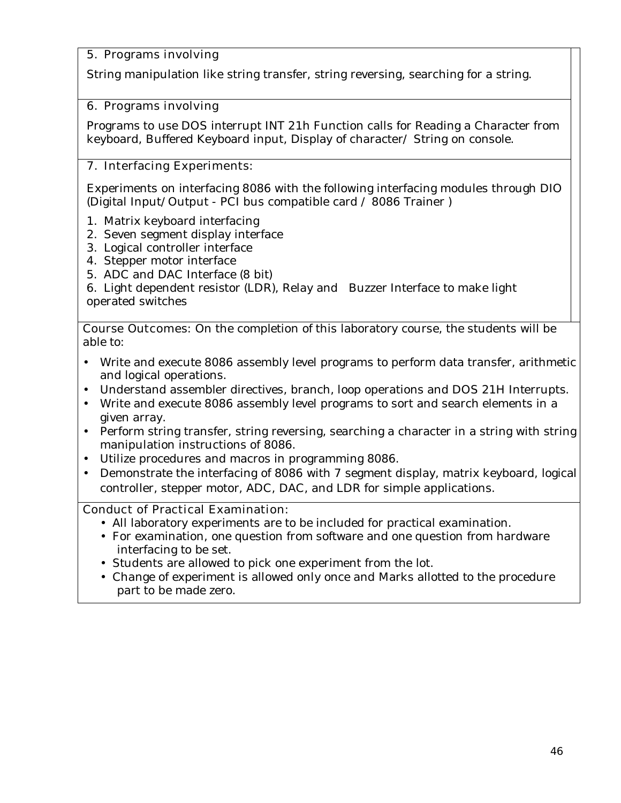# **5. Programs involving**

String manipulation like string transfer, string reversing, searching for a string.

# **6. Programs involving**

Programs to use DOS interrupt INT 21h Function calls for Reading a Character from keyboard, Buffered Keyboard input, Display of character/ String on console.

# **7. Interfacing Experiments:**

Experiments on interfacing 8086 with the following interfacing modules through DIO (Digital Input/Output - PCI bus compatible card / 8086 Trainer )

- 1. Matrix keyboard interfacing
- 2. Seven segment display interface
- 3. Logical controller interface
- 4. Stepper motor interface
- 5. ADC and DAC Interface (8 bit)

6. Light dependent resistor (LDR), Relay and Buzzer Interface to make light operated switches

**Course Outcomes:** On the completion of this laboratory course, the students will be able to:

- Write and execute 8086 assembly level programs to perform data transfer, arithmetic and logical operations.
- Understand assembler directives, branch, loop operations and DOS 21H Interrupts.
- Write and execute 8086 assembly level programs to sort and search elements in a given array.
- Perform string transfer, string reversing, searching a character in a string with string manipulation instructions of 8086.
- Utilize procedures and macros in programming 8086.
- Demonstrate the interfacing of 8086 with 7 segment display, matrix keyboard, logical controller, stepper motor, ADC, DAC, and LDR for simple applications.

# **Conduct of Practical Examination:**

- All laboratory experiments are to be included for practical examination.
- For examination, one question from software and one question from hardware interfacing to be set.
- Students are allowed to pick one experiment from the lot.
- Change of experiment is allowed only once and Marks allotted to the procedure part to be made zero.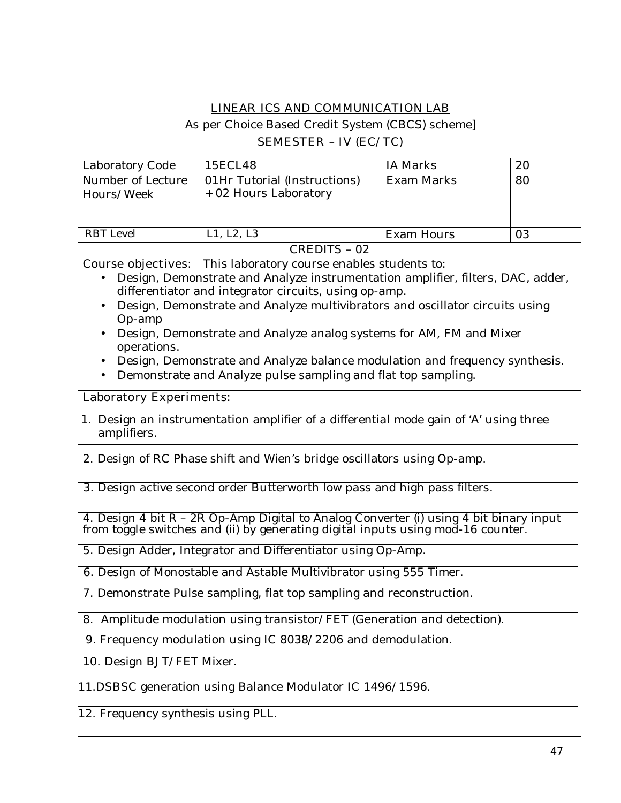# **LINEAR ICS AND COMMUNICATION LAB**

As per Choice Based Credit System (CBCS) scheme]

### **SEMESTER – IV (EC/TC)**

| Laboratory Code   | 15ECL48                      | IA Marks   | 20 |
|-------------------|------------------------------|------------|----|
| Number of Lecture | 01Hr Tutorial (Instructions) | Exam Marks | 80 |
| Hours/Week        | + 02 Hours Laboratory        |            |    |
|                   |                              |            |    |
|                   |                              |            |    |
| RBT Level         | L1, L2, L3                   | Exam Hours | 03 |
|                   | CREDITS - 02                 |            |    |

**Course objectives:** This laboratory course enables students to:

- Design, Demonstrate and Analyze instrumentation amplifier, filters, DAC, adder, differentiator and integrator circuits, using op-amp.
- Design, Demonstrate and Analyze multivibrators and oscillator circuits using Op-amp
- Design, Demonstrate and Analyze analog systems for AM, FM and Mixer operations.
- Design, Demonstrate and Analyze balance modulation and frequency synthesis.
- Demonstrate and Analyze pulse sampling and flat top sampling.

### **Laboratory Experiments:**

- 1. Design an instrumentation amplifier of a differential mode gain of 'A' using three amplifiers.
- 2. Design of RC Phase shift and Wien's bridge oscillators using Op-amp.

3. Design active second order Butterworth low pass and high pass filters.

4. Design 4 bit  $R - 2R$  Op-Amp Digital to Analog Converter (i) using 4 bit binary input from toggle switches and (ii) by generating digital inputs using mod-16 counter.

5. Design Adder, Integrator and Differentiator using Op-Amp.

6. Design of Monostable and Astable Multivibrator using 555 Timer.

7. Demonstrate Pulse sampling, flat top sampling and reconstruction.

8. Amplitude modulation using transistor/FET (Generation and detection).

9. Frequency modulation using IC 8038/2206 and demodulation.

10. Design BJT/FET Mixer.

11.DSBSC generation using Balance Modulator IC 1496/1596.

12. Frequency synthesis using PLL.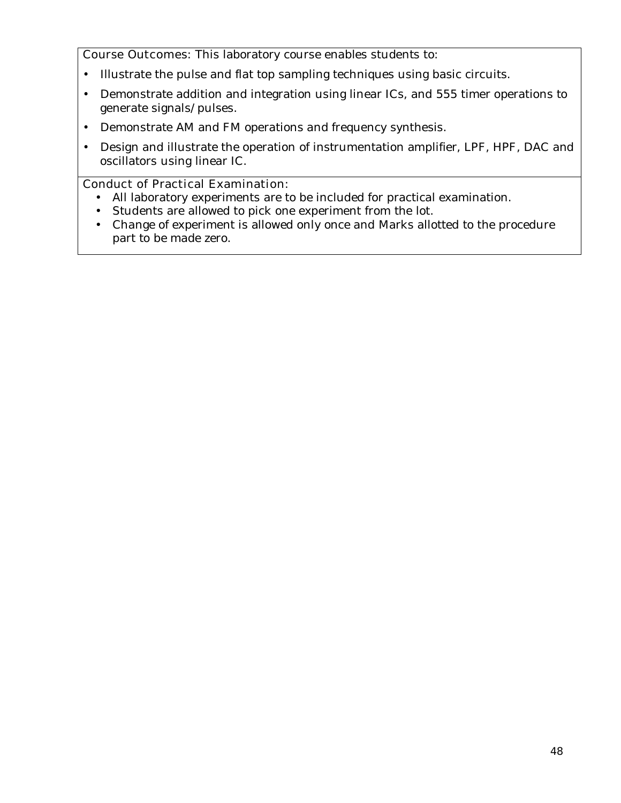**Course Outcomes:** This laboratory course enables students to:

- Illustrate the pulse and flat top sampling techniques using basic circuits.
- Demonstrate addition and integration using linear ICs, and 555 timer operations to generate signals/pulses.
- Demonstrate AM and FM operations and frequency synthesis.
- Design and illustrate the operation of instrumentation amplifier, LPF, HPF, DAC and oscillators using linear IC.

# **Conduct of Practical Examination:**

- All laboratory experiments are to be included for practical examination.
- Students are allowed to pick one experiment from the lot.
- Change of experiment is allowed only once and Marks allotted to the procedure part to be made zero.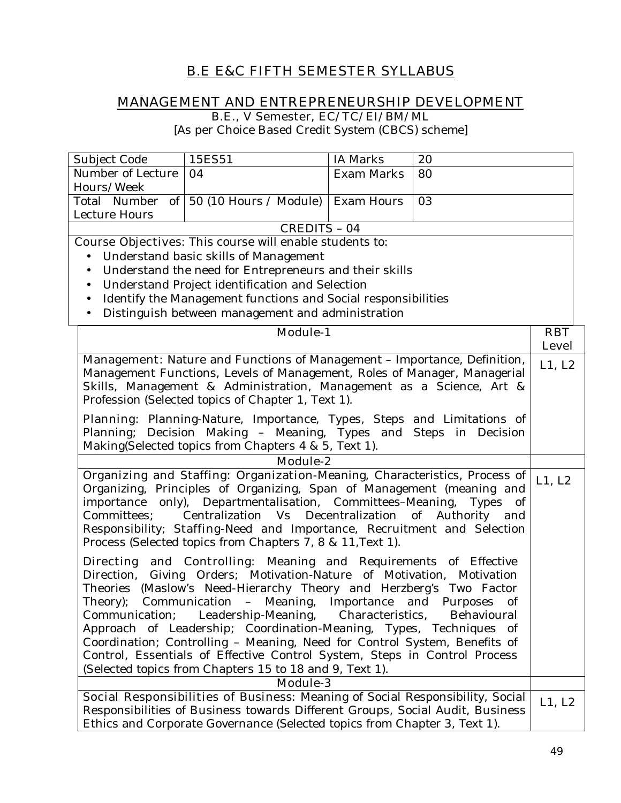# **B.E E&C FIFTH SEMESTER SYLLABUS**

# **MANAGEMENT AND ENTREPRENEURSHIP DEVELOPMENT**

**B.E., V Semester, EC/TC/EI/BM/ML** 

[As per Choice Based Credit System (CBCS) scheme]

| Number of Lecture<br><b>Exam Marks</b><br>80<br>04<br>Hours/Week<br>of $\vert$ 50 (10 Hours / Module) Exam Hours<br>Total Number<br>03<br>Lecture Hours<br><b>CREDITS - 04</b><br><b>Course Objectives:</b> This course will enable students to:<br>Understand basic skills of Management<br>Understand the need for Entrepreneurs and their skills<br>Understand Project identification and Selection<br>Identify the Management functions and Social responsibilities<br>Distinguish between management and administration<br>$\bullet$<br><b>Module-1</b><br><b>RBT</b><br><b>Level</b><br><b>Management:</b> Nature and Functions of Management - Importance, Definition,<br>L1, L2<br>Management Functions, Levels of Management, Roles of Manager, Managerial<br>Skills, Management & Administration, Management as a Science, Art &<br>Profession (Selected topics of Chapter 1, Text 1).<br>Planning: Planning-Nature, Importance, Types, Steps and Limitations of<br>Planning; Decision Making - Meaning, Types and Steps in Decision<br>Making(Selected topics from Chapters 4 & 5, Text 1).<br><b>Module-2</b><br>Organizing and Staffing: Organization-Meaning, Characteristics, Process of<br>L1, L2<br>Organizing, Principles of Organizing, Span of Management (meaning and<br>importance only), Departmentalisation, Committees-Meaning,<br>Types of<br>Centralization Vs Decentralization of Authority and<br>Committees;<br>Responsibility; Staffing-Need and Importance, Recruitment and Selection<br>Process (Selected topics from Chapters 7, 8 & 11, Text 1).<br><b>Directing and Controlling:</b> Meaning and Requirements of Effective<br>Direction,<br>Giving Orders; Motivation-Nature of Motivation, Motivation<br>Theories (Maslow's Need-Hierarchy Theory and Herzberg's Two Factor<br>Theory); Communication - Meaning, Importance and Purposes of<br>Communication; Leadership-Meaning,<br>Characteristics,<br>Behavioural<br>Approach of Leadership; Coordination-Meaning, Types, Techniques of<br>Coordination; Controlling - Meaning, Need for Control System, Benefits of<br>Control, Essentials of Effective Control System, Steps in Control Process<br>(Selected topics from Chapters 15 to 18 and 9, Text 1).<br><b>Module-3</b><br>Social Responsibilities of Business: Meaning of Social Responsibility, Social<br>L1, L2<br>Responsibilities of Business towards Different Groups, Social Audit, Business | Subject Code | 15ES51 | <b>IA Marks</b> | 20 |  |
|-----------------------------------------------------------------------------------------------------------------------------------------------------------------------------------------------------------------------------------------------------------------------------------------------------------------------------------------------------------------------------------------------------------------------------------------------------------------------------------------------------------------------------------------------------------------------------------------------------------------------------------------------------------------------------------------------------------------------------------------------------------------------------------------------------------------------------------------------------------------------------------------------------------------------------------------------------------------------------------------------------------------------------------------------------------------------------------------------------------------------------------------------------------------------------------------------------------------------------------------------------------------------------------------------------------------------------------------------------------------------------------------------------------------------------------------------------------------------------------------------------------------------------------------------------------------------------------------------------------------------------------------------------------------------------------------------------------------------------------------------------------------------------------------------------------------------------------------------------------------------------------------------------------------------------------------------------------------------------------------------------------------------------------------------------------------------------------------------------------------------------------------------------------------------------------------------------------------------------------------------------------------------------------------------------------------------------------------------------------------------------------------------------------------------------------------------------|--------------|--------|-----------------|----|--|
|                                                                                                                                                                                                                                                                                                                                                                                                                                                                                                                                                                                                                                                                                                                                                                                                                                                                                                                                                                                                                                                                                                                                                                                                                                                                                                                                                                                                                                                                                                                                                                                                                                                                                                                                                                                                                                                                                                                                                                                                                                                                                                                                                                                                                                                                                                                                                                                                                                                     |              |        |                 |    |  |
|                                                                                                                                                                                                                                                                                                                                                                                                                                                                                                                                                                                                                                                                                                                                                                                                                                                                                                                                                                                                                                                                                                                                                                                                                                                                                                                                                                                                                                                                                                                                                                                                                                                                                                                                                                                                                                                                                                                                                                                                                                                                                                                                                                                                                                                                                                                                                                                                                                                     |              |        |                 |    |  |
|                                                                                                                                                                                                                                                                                                                                                                                                                                                                                                                                                                                                                                                                                                                                                                                                                                                                                                                                                                                                                                                                                                                                                                                                                                                                                                                                                                                                                                                                                                                                                                                                                                                                                                                                                                                                                                                                                                                                                                                                                                                                                                                                                                                                                                                                                                                                                                                                                                                     |              |        |                 |    |  |
|                                                                                                                                                                                                                                                                                                                                                                                                                                                                                                                                                                                                                                                                                                                                                                                                                                                                                                                                                                                                                                                                                                                                                                                                                                                                                                                                                                                                                                                                                                                                                                                                                                                                                                                                                                                                                                                                                                                                                                                                                                                                                                                                                                                                                                                                                                                                                                                                                                                     |              |        |                 |    |  |
|                                                                                                                                                                                                                                                                                                                                                                                                                                                                                                                                                                                                                                                                                                                                                                                                                                                                                                                                                                                                                                                                                                                                                                                                                                                                                                                                                                                                                                                                                                                                                                                                                                                                                                                                                                                                                                                                                                                                                                                                                                                                                                                                                                                                                                                                                                                                                                                                                                                     |              |        |                 |    |  |
|                                                                                                                                                                                                                                                                                                                                                                                                                                                                                                                                                                                                                                                                                                                                                                                                                                                                                                                                                                                                                                                                                                                                                                                                                                                                                                                                                                                                                                                                                                                                                                                                                                                                                                                                                                                                                                                                                                                                                                                                                                                                                                                                                                                                                                                                                                                                                                                                                                                     |              |        |                 |    |  |
|                                                                                                                                                                                                                                                                                                                                                                                                                                                                                                                                                                                                                                                                                                                                                                                                                                                                                                                                                                                                                                                                                                                                                                                                                                                                                                                                                                                                                                                                                                                                                                                                                                                                                                                                                                                                                                                                                                                                                                                                                                                                                                                                                                                                                                                                                                                                                                                                                                                     |              |        |                 |    |  |
|                                                                                                                                                                                                                                                                                                                                                                                                                                                                                                                                                                                                                                                                                                                                                                                                                                                                                                                                                                                                                                                                                                                                                                                                                                                                                                                                                                                                                                                                                                                                                                                                                                                                                                                                                                                                                                                                                                                                                                                                                                                                                                                                                                                                                                                                                                                                                                                                                                                     |              |        |                 |    |  |
|                                                                                                                                                                                                                                                                                                                                                                                                                                                                                                                                                                                                                                                                                                                                                                                                                                                                                                                                                                                                                                                                                                                                                                                                                                                                                                                                                                                                                                                                                                                                                                                                                                                                                                                                                                                                                                                                                                                                                                                                                                                                                                                                                                                                                                                                                                                                                                                                                                                     |              |        |                 |    |  |
|                                                                                                                                                                                                                                                                                                                                                                                                                                                                                                                                                                                                                                                                                                                                                                                                                                                                                                                                                                                                                                                                                                                                                                                                                                                                                                                                                                                                                                                                                                                                                                                                                                                                                                                                                                                                                                                                                                                                                                                                                                                                                                                                                                                                                                                                                                                                                                                                                                                     |              |        |                 |    |  |
|                                                                                                                                                                                                                                                                                                                                                                                                                                                                                                                                                                                                                                                                                                                                                                                                                                                                                                                                                                                                                                                                                                                                                                                                                                                                                                                                                                                                                                                                                                                                                                                                                                                                                                                                                                                                                                                                                                                                                                                                                                                                                                                                                                                                                                                                                                                                                                                                                                                     |              |        |                 |    |  |
|                                                                                                                                                                                                                                                                                                                                                                                                                                                                                                                                                                                                                                                                                                                                                                                                                                                                                                                                                                                                                                                                                                                                                                                                                                                                                                                                                                                                                                                                                                                                                                                                                                                                                                                                                                                                                                                                                                                                                                                                                                                                                                                                                                                                                                                                                                                                                                                                                                                     |              |        |                 |    |  |
|                                                                                                                                                                                                                                                                                                                                                                                                                                                                                                                                                                                                                                                                                                                                                                                                                                                                                                                                                                                                                                                                                                                                                                                                                                                                                                                                                                                                                                                                                                                                                                                                                                                                                                                                                                                                                                                                                                                                                                                                                                                                                                                                                                                                                                                                                                                                                                                                                                                     |              |        |                 |    |  |
|                                                                                                                                                                                                                                                                                                                                                                                                                                                                                                                                                                                                                                                                                                                                                                                                                                                                                                                                                                                                                                                                                                                                                                                                                                                                                                                                                                                                                                                                                                                                                                                                                                                                                                                                                                                                                                                                                                                                                                                                                                                                                                                                                                                                                                                                                                                                                                                                                                                     |              |        |                 |    |  |
|                                                                                                                                                                                                                                                                                                                                                                                                                                                                                                                                                                                                                                                                                                                                                                                                                                                                                                                                                                                                                                                                                                                                                                                                                                                                                                                                                                                                                                                                                                                                                                                                                                                                                                                                                                                                                                                                                                                                                                                                                                                                                                                                                                                                                                                                                                                                                                                                                                                     |              |        |                 |    |  |
|                                                                                                                                                                                                                                                                                                                                                                                                                                                                                                                                                                                                                                                                                                                                                                                                                                                                                                                                                                                                                                                                                                                                                                                                                                                                                                                                                                                                                                                                                                                                                                                                                                                                                                                                                                                                                                                                                                                                                                                                                                                                                                                                                                                                                                                                                                                                                                                                                                                     |              |        |                 |    |  |
|                                                                                                                                                                                                                                                                                                                                                                                                                                                                                                                                                                                                                                                                                                                                                                                                                                                                                                                                                                                                                                                                                                                                                                                                                                                                                                                                                                                                                                                                                                                                                                                                                                                                                                                                                                                                                                                                                                                                                                                                                                                                                                                                                                                                                                                                                                                                                                                                                                                     |              |        |                 |    |  |
|                                                                                                                                                                                                                                                                                                                                                                                                                                                                                                                                                                                                                                                                                                                                                                                                                                                                                                                                                                                                                                                                                                                                                                                                                                                                                                                                                                                                                                                                                                                                                                                                                                                                                                                                                                                                                                                                                                                                                                                                                                                                                                                                                                                                                                                                                                                                                                                                                                                     |              |        |                 |    |  |
|                                                                                                                                                                                                                                                                                                                                                                                                                                                                                                                                                                                                                                                                                                                                                                                                                                                                                                                                                                                                                                                                                                                                                                                                                                                                                                                                                                                                                                                                                                                                                                                                                                                                                                                                                                                                                                                                                                                                                                                                                                                                                                                                                                                                                                                                                                                                                                                                                                                     |              |        |                 |    |  |
|                                                                                                                                                                                                                                                                                                                                                                                                                                                                                                                                                                                                                                                                                                                                                                                                                                                                                                                                                                                                                                                                                                                                                                                                                                                                                                                                                                                                                                                                                                                                                                                                                                                                                                                                                                                                                                                                                                                                                                                                                                                                                                                                                                                                                                                                                                                                                                                                                                                     |              |        |                 |    |  |
|                                                                                                                                                                                                                                                                                                                                                                                                                                                                                                                                                                                                                                                                                                                                                                                                                                                                                                                                                                                                                                                                                                                                                                                                                                                                                                                                                                                                                                                                                                                                                                                                                                                                                                                                                                                                                                                                                                                                                                                                                                                                                                                                                                                                                                                                                                                                                                                                                                                     |              |        |                 |    |  |
|                                                                                                                                                                                                                                                                                                                                                                                                                                                                                                                                                                                                                                                                                                                                                                                                                                                                                                                                                                                                                                                                                                                                                                                                                                                                                                                                                                                                                                                                                                                                                                                                                                                                                                                                                                                                                                                                                                                                                                                                                                                                                                                                                                                                                                                                                                                                                                                                                                                     |              |        |                 |    |  |
|                                                                                                                                                                                                                                                                                                                                                                                                                                                                                                                                                                                                                                                                                                                                                                                                                                                                                                                                                                                                                                                                                                                                                                                                                                                                                                                                                                                                                                                                                                                                                                                                                                                                                                                                                                                                                                                                                                                                                                                                                                                                                                                                                                                                                                                                                                                                                                                                                                                     |              |        |                 |    |  |
|                                                                                                                                                                                                                                                                                                                                                                                                                                                                                                                                                                                                                                                                                                                                                                                                                                                                                                                                                                                                                                                                                                                                                                                                                                                                                                                                                                                                                                                                                                                                                                                                                                                                                                                                                                                                                                                                                                                                                                                                                                                                                                                                                                                                                                                                                                                                                                                                                                                     |              |        |                 |    |  |
|                                                                                                                                                                                                                                                                                                                                                                                                                                                                                                                                                                                                                                                                                                                                                                                                                                                                                                                                                                                                                                                                                                                                                                                                                                                                                                                                                                                                                                                                                                                                                                                                                                                                                                                                                                                                                                                                                                                                                                                                                                                                                                                                                                                                                                                                                                                                                                                                                                                     |              |        |                 |    |  |
|                                                                                                                                                                                                                                                                                                                                                                                                                                                                                                                                                                                                                                                                                                                                                                                                                                                                                                                                                                                                                                                                                                                                                                                                                                                                                                                                                                                                                                                                                                                                                                                                                                                                                                                                                                                                                                                                                                                                                                                                                                                                                                                                                                                                                                                                                                                                                                                                                                                     |              |        |                 |    |  |
|                                                                                                                                                                                                                                                                                                                                                                                                                                                                                                                                                                                                                                                                                                                                                                                                                                                                                                                                                                                                                                                                                                                                                                                                                                                                                                                                                                                                                                                                                                                                                                                                                                                                                                                                                                                                                                                                                                                                                                                                                                                                                                                                                                                                                                                                                                                                                                                                                                                     |              |        |                 |    |  |
|                                                                                                                                                                                                                                                                                                                                                                                                                                                                                                                                                                                                                                                                                                                                                                                                                                                                                                                                                                                                                                                                                                                                                                                                                                                                                                                                                                                                                                                                                                                                                                                                                                                                                                                                                                                                                                                                                                                                                                                                                                                                                                                                                                                                                                                                                                                                                                                                                                                     |              |        |                 |    |  |
|                                                                                                                                                                                                                                                                                                                                                                                                                                                                                                                                                                                                                                                                                                                                                                                                                                                                                                                                                                                                                                                                                                                                                                                                                                                                                                                                                                                                                                                                                                                                                                                                                                                                                                                                                                                                                                                                                                                                                                                                                                                                                                                                                                                                                                                                                                                                                                                                                                                     |              |        |                 |    |  |
|                                                                                                                                                                                                                                                                                                                                                                                                                                                                                                                                                                                                                                                                                                                                                                                                                                                                                                                                                                                                                                                                                                                                                                                                                                                                                                                                                                                                                                                                                                                                                                                                                                                                                                                                                                                                                                                                                                                                                                                                                                                                                                                                                                                                                                                                                                                                                                                                                                                     |              |        |                 |    |  |
|                                                                                                                                                                                                                                                                                                                                                                                                                                                                                                                                                                                                                                                                                                                                                                                                                                                                                                                                                                                                                                                                                                                                                                                                                                                                                                                                                                                                                                                                                                                                                                                                                                                                                                                                                                                                                                                                                                                                                                                                                                                                                                                                                                                                                                                                                                                                                                                                                                                     |              |        |                 |    |  |
|                                                                                                                                                                                                                                                                                                                                                                                                                                                                                                                                                                                                                                                                                                                                                                                                                                                                                                                                                                                                                                                                                                                                                                                                                                                                                                                                                                                                                                                                                                                                                                                                                                                                                                                                                                                                                                                                                                                                                                                                                                                                                                                                                                                                                                                                                                                                                                                                                                                     |              |        |                 |    |  |
|                                                                                                                                                                                                                                                                                                                                                                                                                                                                                                                                                                                                                                                                                                                                                                                                                                                                                                                                                                                                                                                                                                                                                                                                                                                                                                                                                                                                                                                                                                                                                                                                                                                                                                                                                                                                                                                                                                                                                                                                                                                                                                                                                                                                                                                                                                                                                                                                                                                     |              |        |                 |    |  |
|                                                                                                                                                                                                                                                                                                                                                                                                                                                                                                                                                                                                                                                                                                                                                                                                                                                                                                                                                                                                                                                                                                                                                                                                                                                                                                                                                                                                                                                                                                                                                                                                                                                                                                                                                                                                                                                                                                                                                                                                                                                                                                                                                                                                                                                                                                                                                                                                                                                     |              |        |                 |    |  |
|                                                                                                                                                                                                                                                                                                                                                                                                                                                                                                                                                                                                                                                                                                                                                                                                                                                                                                                                                                                                                                                                                                                                                                                                                                                                                                                                                                                                                                                                                                                                                                                                                                                                                                                                                                                                                                                                                                                                                                                                                                                                                                                                                                                                                                                                                                                                                                                                                                                     |              |        |                 |    |  |
|                                                                                                                                                                                                                                                                                                                                                                                                                                                                                                                                                                                                                                                                                                                                                                                                                                                                                                                                                                                                                                                                                                                                                                                                                                                                                                                                                                                                                                                                                                                                                                                                                                                                                                                                                                                                                                                                                                                                                                                                                                                                                                                                                                                                                                                                                                                                                                                                                                                     |              |        |                 |    |  |
|                                                                                                                                                                                                                                                                                                                                                                                                                                                                                                                                                                                                                                                                                                                                                                                                                                                                                                                                                                                                                                                                                                                                                                                                                                                                                                                                                                                                                                                                                                                                                                                                                                                                                                                                                                                                                                                                                                                                                                                                                                                                                                                                                                                                                                                                                                                                                                                                                                                     |              |        |                 |    |  |
|                                                                                                                                                                                                                                                                                                                                                                                                                                                                                                                                                                                                                                                                                                                                                                                                                                                                                                                                                                                                                                                                                                                                                                                                                                                                                                                                                                                                                                                                                                                                                                                                                                                                                                                                                                                                                                                                                                                                                                                                                                                                                                                                                                                                                                                                                                                                                                                                                                                     |              |        |                 |    |  |
|                                                                                                                                                                                                                                                                                                                                                                                                                                                                                                                                                                                                                                                                                                                                                                                                                                                                                                                                                                                                                                                                                                                                                                                                                                                                                                                                                                                                                                                                                                                                                                                                                                                                                                                                                                                                                                                                                                                                                                                                                                                                                                                                                                                                                                                                                                                                                                                                                                                     |              |        |                 |    |  |
| Ethics and Corporate Governance (Selected topics from Chapter 3, Text 1).                                                                                                                                                                                                                                                                                                                                                                                                                                                                                                                                                                                                                                                                                                                                                                                                                                                                                                                                                                                                                                                                                                                                                                                                                                                                                                                                                                                                                                                                                                                                                                                                                                                                                                                                                                                                                                                                                                                                                                                                                                                                                                                                                                                                                                                                                                                                                                           |              |        |                 |    |  |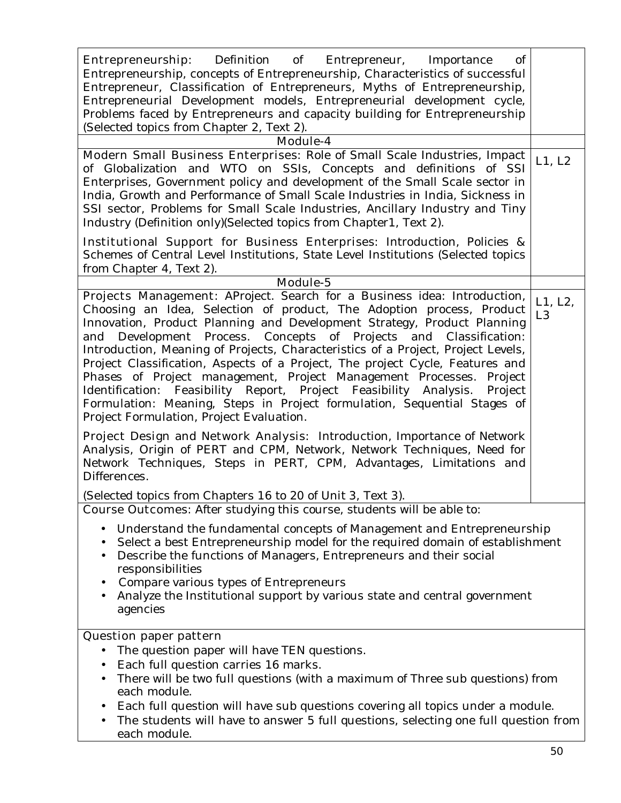| Entrepreneurship:<br>Definition of<br>Entrepreneur, Importance<br>of<br>Entrepreneurship, concepts of Entrepreneurship, Characteristics of successful<br>Entrepreneur, Classification of Entrepreneurs, Myths of Entrepreneurship,<br>Entrepreneurial Development models, Entrepreneurial development cycle,<br>Problems faced by Entrepreneurs and capacity building for Entrepreneurship<br>(Selected topics from Chapter 2, Text 2).<br>Module-4                                                                                                                                                                                                                                                                                                   |                           |
|-------------------------------------------------------------------------------------------------------------------------------------------------------------------------------------------------------------------------------------------------------------------------------------------------------------------------------------------------------------------------------------------------------------------------------------------------------------------------------------------------------------------------------------------------------------------------------------------------------------------------------------------------------------------------------------------------------------------------------------------------------|---------------------------|
| Modern Small Business Enterprises: Role of Small Scale Industries, Impact<br>of Globalization and WTO on SSIs, Concepts and definitions of SSI                                                                                                                                                                                                                                                                                                                                                                                                                                                                                                                                                                                                        | L1, L2                    |
| Enterprises, Government policy and development of the Small Scale sector in<br>India, Growth and Performance of Small Scale Industries in India, Sickness in<br>SSI sector, Problems for Small Scale Industries, Ancillary Industry and Tiny<br>Industry (Definition only) (Selected topics from Chapter1, Text 2).                                                                                                                                                                                                                                                                                                                                                                                                                                   |                           |
| <b>Institutional Support for Business Enterprises:</b> Introduction, Policies &<br>Schemes of Central Level Institutions, State Level Institutions (Selected topics<br>from Chapter 4, Text 2).                                                                                                                                                                                                                                                                                                                                                                                                                                                                                                                                                       |                           |
| Module-5                                                                                                                                                                                                                                                                                                                                                                                                                                                                                                                                                                                                                                                                                                                                              |                           |
| Projects Management: AProject. Search for a Business idea: Introduction,<br>Choosing an Idea, Selection of product, The Adoption process, Product<br>Innovation, Product Planning and Development Strategy, Product Planning<br>and Development Process. Concepts of Projects and Classification:<br>Introduction, Meaning of Projects, Characteristics of a Project, Project Levels,<br>Project Classification, Aspects of a Project, The project Cycle, Features and<br>Phases of Project management, Project Management Processes. Project<br>Identification: Feasibility Report, Project Feasibility Analysis.<br>Project<br>Formulation: Meaning, Steps in Project formulation, Sequential Stages of<br>Project Formulation, Project Evaluation. | L1, L2,<br>L <sub>3</sub> |
| <b>Project Design and Network Analysis:</b> Introduction, Importance of Network<br>Analysis, Origin of PERT and CPM, Network, Network Techniques, Need for<br>Network Techniques, Steps in PERT, CPM, Advantages, Limitations and<br>Differences.                                                                                                                                                                                                                                                                                                                                                                                                                                                                                                     |                           |
| (Selected topics from Chapters 16 to 20 of Unit 3, Text 3).<br><b>Course Outcomes:</b> After studying this course, students will be able to:                                                                                                                                                                                                                                                                                                                                                                                                                                                                                                                                                                                                          |                           |
| Understand the fundamental concepts of Management and Entrepreneurship<br>Select a best Entrepreneurship model for the required domain of establishment<br>$\bullet$<br>Describe the functions of Managers, Entrepreneurs and their social<br>$\bullet$<br>responsibilities<br>Compare various types of Entrepreneurs<br>Analyze the Institutional support by various state and central government<br>agencies                                                                                                                                                                                                                                                                                                                                        |                           |
| <b>Question paper pattern</b>                                                                                                                                                                                                                                                                                                                                                                                                                                                                                                                                                                                                                                                                                                                         |                           |
| The question paper will have TEN questions.<br>٠                                                                                                                                                                                                                                                                                                                                                                                                                                                                                                                                                                                                                                                                                                      |                           |
| Each full question carries 16 marks.<br>$\bullet$                                                                                                                                                                                                                                                                                                                                                                                                                                                                                                                                                                                                                                                                                                     |                           |
| There will be two full questions (with a maximum of Three sub questions) from<br>$\bullet$<br>each module.                                                                                                                                                                                                                                                                                                                                                                                                                                                                                                                                                                                                                                            |                           |
| Each full question will have sub questions covering all topics under a module.<br>$\bullet$<br>The students will have to answer 5 full questions, selecting one full question from<br>each module.                                                                                                                                                                                                                                                                                                                                                                                                                                                                                                                                                    |                           |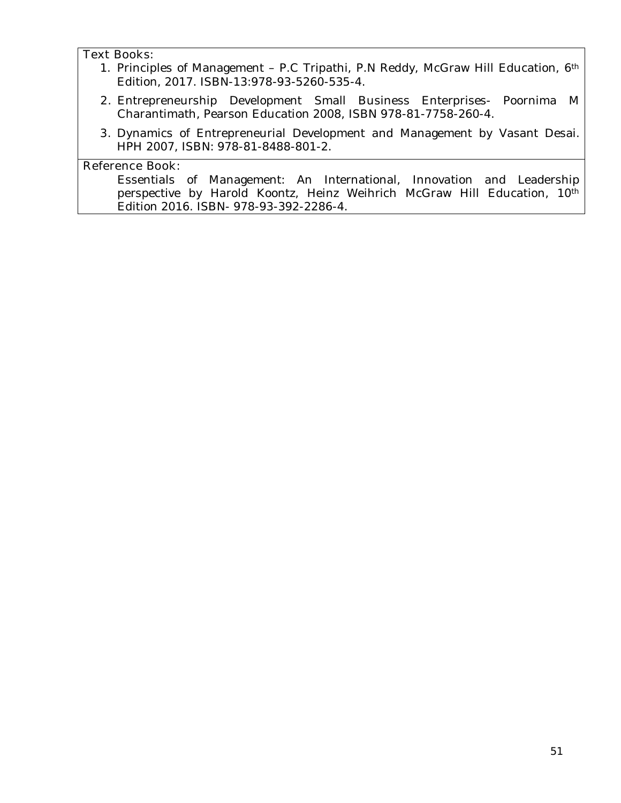#### **Text Books:**

- 1. Principles of Management P.C Tripathi, P.N Reddy, McGraw Hill Education, 6th Edition, 2017. ISBN-13:978-93-5260-535-4.
- **2.** Entrepreneurship Development Small Business Enterprises- Poornima M Charantimath, Pearson Education 2008, ISBN 978-81-7758-260-4.
- **3.** Dynamics of Entrepreneurial Development and Management by Vasant Desai. HPH 2007, ISBN: 978-81-8488-801-2.

#### **Reference Book:**

Essentials of Management: An International, Innovation and Leadership perspective by Harold Koontz, Heinz Weihrich McGraw Hill Education, 10th Edition 2016. ISBN- 978-93-392-2286-4.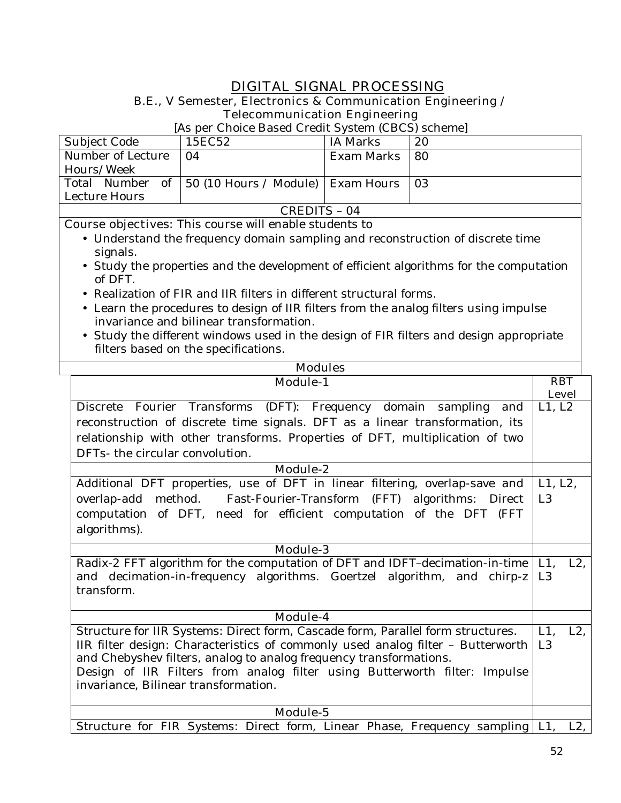# **DIGITAL SIGNAL PROCESSING**

# **B.E., V Semester, Electronics & Communication Engineering / Telecommunication Engineering**

| [As per Choice Based Credit System (CBCS) scheme] |                                                       |                                                                                            |     |
|---------------------------------------------------|-------------------------------------------------------|--------------------------------------------------------------------------------------------|-----|
| Subject Code                                      | 15EC52                                                | <b>IA Marks</b>                                                                            | 20  |
| Number of Lecture                                 | 04                                                    | Exam Marks                                                                                 | 80  |
| Hours/Week                                        |                                                       |                                                                                            |     |
|                                                   | Total Number of   50 (10 Hours / Module)   Exam Hours |                                                                                            | -03 |
| Lecture Hours                                     |                                                       |                                                                                            |     |
| CREDITS - 04                                      |                                                       |                                                                                            |     |
| $\sim$<br>.                                       | $\cdot$ 11<br>$m1$ .                                  | $\mathbf{1}$ $\mathbf{1}$ $\mathbf{1}$ $\mathbf{1}$ $\mathbf{1}$ $\mathbf{1}$ $\mathbf{1}$ |     |

- Understand the frequency domain sampling and reconstruction of discrete time signals.
- Study the properties and the development of efficient algorithms for the computation of DFT.
- Realization of FIR and IIR filters in different structural forms.
- Learn the procedures to design of IIR filters from the analog filters using impulse invariance and bilinear transformation.
- Study the different windows used in the design of FIR filters and design appropriate filters based on the specifications.

| <b>Modules</b>                                                                  |                |
|---------------------------------------------------------------------------------|----------------|
| <b>Module-1</b>                                                                 | <b>RBT</b>     |
|                                                                                 | <b>Level</b>   |
| Discrete Fourier Transforms (DFT): Frequency domain sampling and                | L1, L2         |
| reconstruction of discrete time signals. DFT as a linear transformation, its    |                |
| relationship with other transforms. Properties of DFT, multiplication of two    |                |
| DFTs- the circular convolution.                                                 |                |
| Module-2                                                                        |                |
| Additional DFT properties, use of DFT in linear filtering, overlap-save and     | L1, L2,        |
| overlap-add method. Fast-Fourier-Transform (FFT) algorithms: Direct             | L <sub>3</sub> |
| computation of DFT, need for efficient computation of the DFT (FFT              |                |
| algorithms).                                                                    |                |
| <b>Module-3</b>                                                                 |                |
| Radix-2 FFT algorithm for the computation of DFT and IDFT-decimation-in-time    | L1, L2,        |
| and decimation-in-frequency algorithms. Goertzel algorithm, and chirp-z         | L <sub>3</sub> |
| transform.                                                                      |                |
|                                                                                 |                |
| Module-4                                                                        |                |
| Structure for IIR Systems: Direct form, Cascade form, Parallel form structures. | L1,<br>$L2$ ,  |
| IIR filter design: Characteristics of commonly used analog filter - Butterworth | L3             |
| and Chebyshev filters, analog to analog frequency transformations.              |                |
| Design of IIR Filters from analog filter using Butterworth filter: Impulse      |                |
| invariance, Bilinear transformation.                                            |                |
|                                                                                 |                |
| Module-5                                                                        |                |
| Structure for FIR Systems: Direct form, Linear Phase, Frequency sampling   L1,  | $L2$ ,         |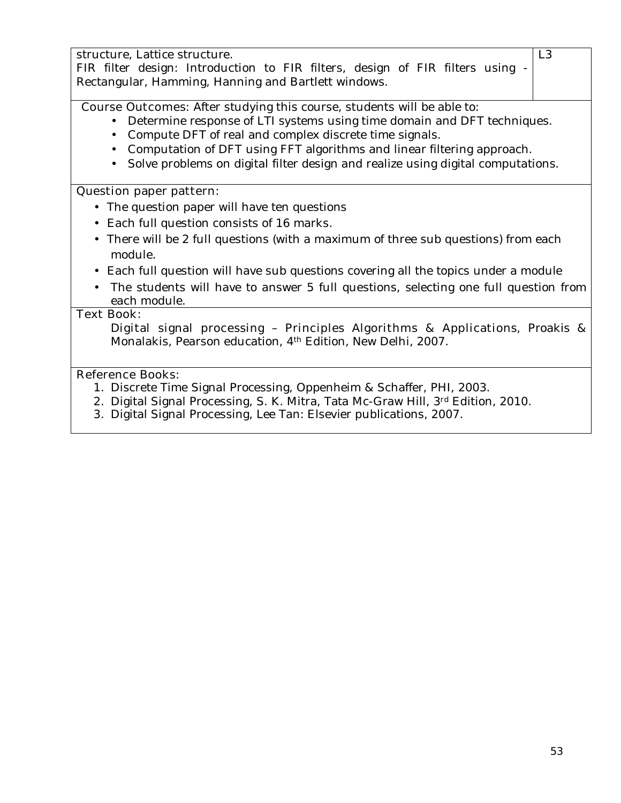structure, Lattice structure. FIR filter design: Introduction to FIR filters, design of FIR filters using - Rectangular, Hamming, Hanning and Bartlett windows. L3 **Course Outcomes:** After studying this course, students will be able to: • Determine response of LTI systems using time domain and DFT techniques. • Compute DFT of real and complex discrete time signals. • Computation of DFT using FFT algorithms and linear filtering approach. • Solve problems on digital filter design and realize using digital computations. **Question paper pattern:** • The question paper will have ten questions • Each full question consists of 16 marks**.** • There will be 2 full questions (with a maximum of three sub questions) from each module. • Each full question will have sub questions covering all the topics under a module • The students will have to answer 5 full questions, selecting one full question from each module. **Text Book: Digital signal processing** – **Principles Algorithms & Applications**, Proakis & Monalakis, Pearson education, 4th Edition, New Delhi, 2007. **Reference Books:** 1. Discrete Time Signal Processing, Oppenheim & Schaffer, PHI, 2003. 2. Digital Signal Processing, S. K. Mitra, Tata Mc-Graw Hill, 3rd Edition, 2010. 3. Digital Signal Processing, Lee Tan: Elsevier publications, 2007.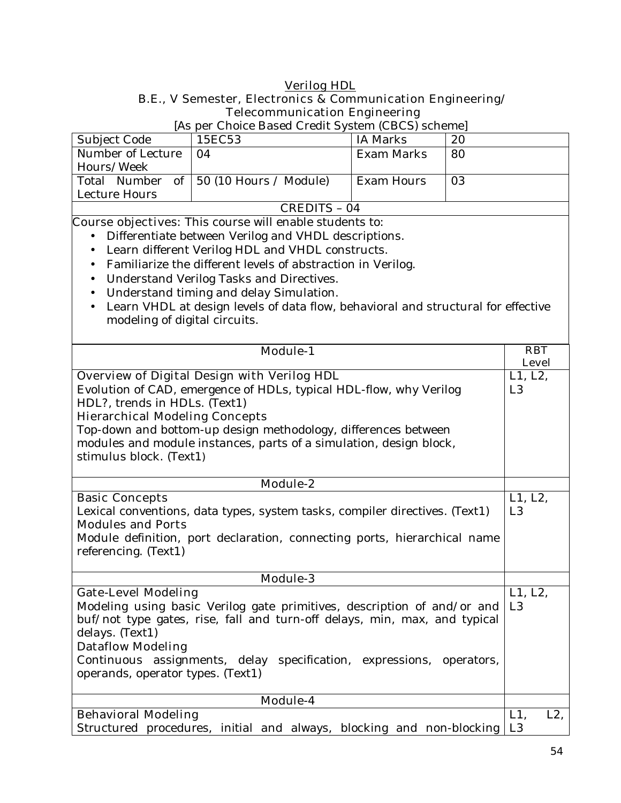# **Verilog HDL B.E., V Semester, Electronics & Communication Engineering/ Telecommunication Engineering**

|                                       | [As per Choice Based Credit System (CBCS) scheme]                                 |                   |    |                |
|---------------------------------------|-----------------------------------------------------------------------------------|-------------------|----|----------------|
| Subject Code                          | 15EC53                                                                            | <b>IA Marks</b>   | 20 |                |
| Number of Lecture                     | 04                                                                                | <b>Exam Marks</b> | 80 |                |
| Hours/Week                            |                                                                                   |                   |    |                |
| of<br>Total Number                    | 50 (10 Hours / Module)                                                            | <b>Exam Hours</b> | 03 |                |
| Lecture Hours                         |                                                                                   |                   |    |                |
|                                       | <b>CREDITS - 04</b>                                                               |                   |    |                |
|                                       | <b>Course objectives:</b> This course will enable students to:                    |                   |    |                |
|                                       | Differentiate between Verilog and VHDL descriptions.                              |                   |    |                |
| $\bullet$                             | Learn different Verilog HDL and VHDL constructs.                                  |                   |    |                |
| $\bullet$                             | Familiarize the different levels of abstraction in Verilog.                       |                   |    |                |
| $\bullet$                             | Understand Verilog Tasks and Directives.                                          |                   |    |                |
| $\bullet$                             | Understand timing and delay Simulation.                                           |                   |    |                |
| $\bullet$                             | Learn VHDL at design levels of data flow, behavioral and structural for effective |                   |    |                |
| modeling of digital circuits.         |                                                                                   |                   |    |                |
|                                       |                                                                                   |                   |    |                |
|                                       | <b>Module-1</b>                                                                   |                   |    | <b>RBT</b>     |
|                                       |                                                                                   |                   |    | <b>Level</b>   |
|                                       | <b>Overview of Digital Design with Verilog HDL</b>                                |                   |    | L1, L2,        |
|                                       | Evolution of CAD, emergence of HDLs, typical HDL-flow, why Verilog                |                   |    | L <sub>3</sub> |
| HDL?, trends in HDLs. (Text1)         |                                                                                   |                   |    |                |
| <b>Hierarchical Modeling Concepts</b> |                                                                                   |                   |    |                |
|                                       | Top-down and bottom-up design methodology, differences between                    |                   |    |                |
|                                       | modules and module instances, parts of a simulation, design block,                |                   |    |                |
| stimulus block. (Text1)               |                                                                                   |                   |    |                |
|                                       |                                                                                   |                   |    |                |
|                                       | Module-2                                                                          |                   |    |                |
| <b>Basic Concepts</b>                 |                                                                                   |                   |    | L1, L2,        |
|                                       | Lexical conventions, data types, system tasks, compiler directives. (Text1)       |                   |    |                |
| <b>Modules and Ports</b>              |                                                                                   |                   |    | L <sub>3</sub> |
|                                       |                                                                                   |                   |    |                |
|                                       | Module definition, port declaration, connecting ports, hierarchical name          |                   |    |                |
| referencing. (Text1)                  |                                                                                   |                   |    |                |
|                                       |                                                                                   |                   |    |                |
|                                       | <b>Module-3</b>                                                                   |                   |    |                |
| <b>Gate-Level Modeling</b>            |                                                                                   |                   |    | L1, L2,        |
|                                       | Modeling using basic Verilog gate primitives, description of and/or and           |                   |    | L <sub>3</sub> |
|                                       | buf/not type gates, rise, fall and turn-off delays, min, max, and typical         |                   |    |                |
| delays. (Text1)                       |                                                                                   |                   |    |                |
| <b>Dataflow Modeling</b>              |                                                                                   |                   |    |                |
|                                       | Continuous assignments, delay specification, expressions, operators,              |                   |    |                |
| operands, operator types. (Text1)     |                                                                                   |                   |    |                |
|                                       |                                                                                   |                   |    |                |
| <b>Behavioral Modeling</b>            | Module-4                                                                          |                   |    | $L1$ ,<br>L2,  |
|                                       |                                                                                   |                   |    |                |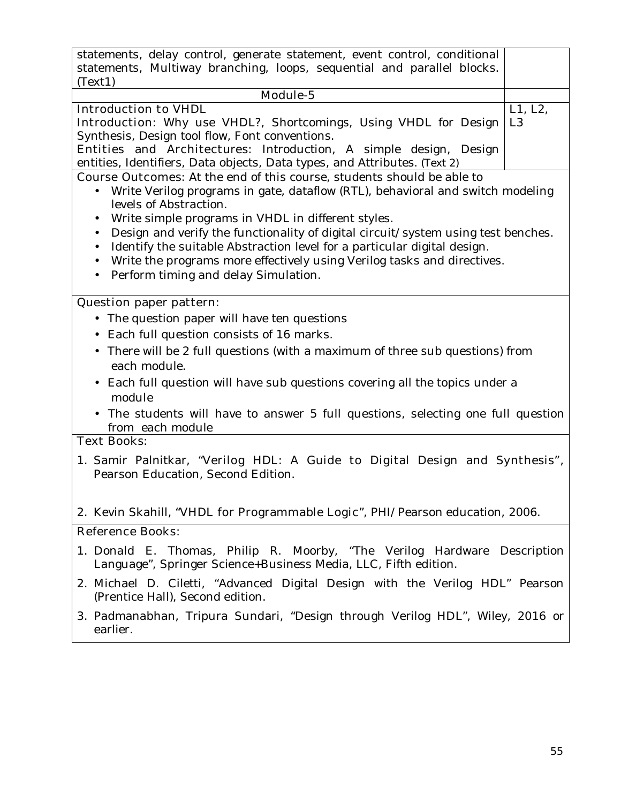| statements, delay control, generate statement, event control, conditional<br>statements, Multiway branching, loops, sequential and parallel blocks.<br>(Text1)                                                                                                                                                                                                                                                                                                                                                                                                                          |  |
|-----------------------------------------------------------------------------------------------------------------------------------------------------------------------------------------------------------------------------------------------------------------------------------------------------------------------------------------------------------------------------------------------------------------------------------------------------------------------------------------------------------------------------------------------------------------------------------------|--|
| Module-5                                                                                                                                                                                                                                                                                                                                                                                                                                                                                                                                                                                |  |
| <b>Introduction to VHDL</b><br>L1, L2,<br><b>Introduction:</b> Why use VHDL?, Shortcomings, Using VHDL for Design<br>L <sub>3</sub><br>Synthesis, Design tool flow, Font conventions.<br>Entities and Architectures: Introduction, A simple design, Design<br>entities, Identifiers, Data objects, Data types, and Attributes. (Text 2)                                                                                                                                                                                                                                                 |  |
| <b>Course Outcomes:</b> At the end of this course, students should be able to<br>Write Verilog programs in gate, dataflow (RTL), behavioral and switch modeling<br>$\bullet$<br>levels of Abstraction.<br>Write simple programs in VHDL in different styles.<br>Design and verify the functionality of digital circuit/system using test benches.<br>Identify the suitable Abstraction level for a particular digital design.<br>$\bullet$<br>Write the programs more effectively using Verilog tasks and directives.<br>$\bullet$<br>Perform timing and delay Simulation.<br>$\bullet$ |  |
| <b>Question paper pattern:</b><br>• The question paper will have ten questions<br>Each full question consists of 16 marks.<br>• There will be 2 full questions (with a maximum of three sub questions) from<br>each module.<br>• Each full question will have sub questions covering all the topics under a<br>module<br>• The students will have to answer 5 full questions, selecting one full question<br>from each module                                                                                                                                                           |  |
| <b>Text Books:</b><br>1. Samir Palnitkar, "Verilog HDL: A Guide to Digital Design and Synthesis",<br>Pearson Education, Second Edition.                                                                                                                                                                                                                                                                                                                                                                                                                                                 |  |
| 2. Kevin Skahill, "VHDL for Programmable Logic", PHI/Pearson education, 2006.                                                                                                                                                                                                                                                                                                                                                                                                                                                                                                           |  |
| <b>Reference Books:</b>                                                                                                                                                                                                                                                                                                                                                                                                                                                                                                                                                                 |  |
| 1. Donald E. Thomas, Philip R. Moorby, "The Verilog Hardware Description<br>Language", Springer Science+Business Media, LLC, Fifth edition.                                                                                                                                                                                                                                                                                                                                                                                                                                             |  |
| 2. Michael D. Ciletti, "Advanced Digital Design with the Verilog HDL" Pearson<br>(Prentice Hall), Second edition.                                                                                                                                                                                                                                                                                                                                                                                                                                                                       |  |
| 3. Padmanabhan, Tripura Sundari, "Design through Verilog HDL", Wiley, 2016 or<br>earlier.                                                                                                                                                                                                                                                                                                                                                                                                                                                                                               |  |
|                                                                                                                                                                                                                                                                                                                                                                                                                                                                                                                                                                                         |  |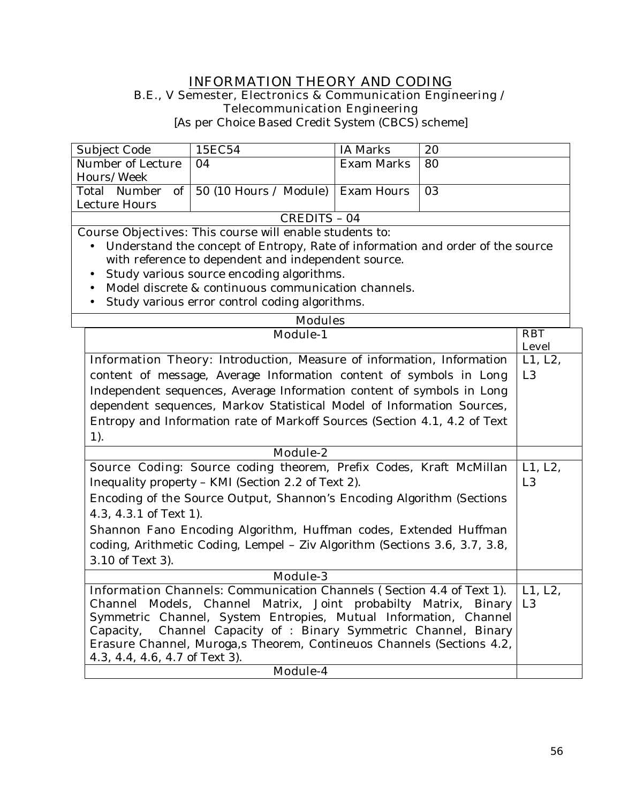### **INFORMATION THEORY AND CODING B.E., V Semester, Electronics & Communication Engineering /**

**Telecommunication Engineering** 

[As per Choice Based Credit System (CBCS) scheme]

| Subject Code      | 15EC54                                                | IA Marks   | 20  |
|-------------------|-------------------------------------------------------|------------|-----|
| Number of Lecture | 04                                                    | Exam Marks | -80 |
| Hours/Week        |                                                       |            |     |
|                   | Total Number of   50 (10 Hours / Module)   Exam Hours |            | -03 |
| Lecture Hours     |                                                       |            |     |
| CREDITS – 04      |                                                       |            |     |

- Understand the concept of Entropy, Rate of information and order of the source with reference to dependent and independent source.
- Study various source encoding algorithms.
- Model discrete & continuous communication channels.
- Study various error control coding algorithms.

| <b>Modules</b>                                                               |                            |  |  |
|------------------------------------------------------------------------------|----------------------------|--|--|
| <b>Module-1</b>                                                              | <b>RBT</b><br><b>Level</b> |  |  |
|                                                                              |                            |  |  |
| <b>Information Theory:</b> Introduction, Measure of information, Information | L1, L2,                    |  |  |
| content of message, Average Information content of symbols in Long           | L <sub>3</sub>             |  |  |
| Independent sequences, Average Information content of symbols in Long        |                            |  |  |
| dependent sequences, Markov Statistical Model of Information Sources,        |                            |  |  |
| Entropy and Information rate of Markoff Sources (Section 4.1, 4.2 of Text    |                            |  |  |
| 1).                                                                          |                            |  |  |
| <b>Module-2</b>                                                              |                            |  |  |
| Source Coding: Source coding theorem, Prefix Codes, Kraft McMillan           | L1, L2,                    |  |  |
| Inequality property - KMI (Section 2.2 of Text 2).                           | L <sub>3</sub>             |  |  |
| Encoding of the Source Output, Shannon's Encoding Algorithm (Sections        |                            |  |  |
| 4.3, 4.3.1 of Text 1).                                                       |                            |  |  |
| Shannon Fano Encoding Algorithm, Huffman codes, Extended Huffman             |                            |  |  |
| coding, Arithmetic Coding, Lempel - Ziv Algorithm (Sections 3.6, 3.7, 3.8,   |                            |  |  |
| 3.10 of Text 3).                                                             |                            |  |  |
| Module-3                                                                     |                            |  |  |
| <b>Information Channels:</b> Communication Channels (Section 4.4 of Text 1). | L1, L2,                    |  |  |
| Channel Models, Channel Matrix, Joint probabilty Matrix, Binary              | L <sub>3</sub>             |  |  |
| Symmetric Channel, System Entropies, Mutual Information, Channel             |                            |  |  |
| Capacity, Channel Capacity of : Binary Symmetric Channel, Binary             |                            |  |  |
| Erasure Channel, Muroga, a Theorem, Contineuos Channels (Sections 4.2,       |                            |  |  |
| 4.3, 4.4, 4.6, 4.7 of Text 3).                                               |                            |  |  |
| Module-4                                                                     |                            |  |  |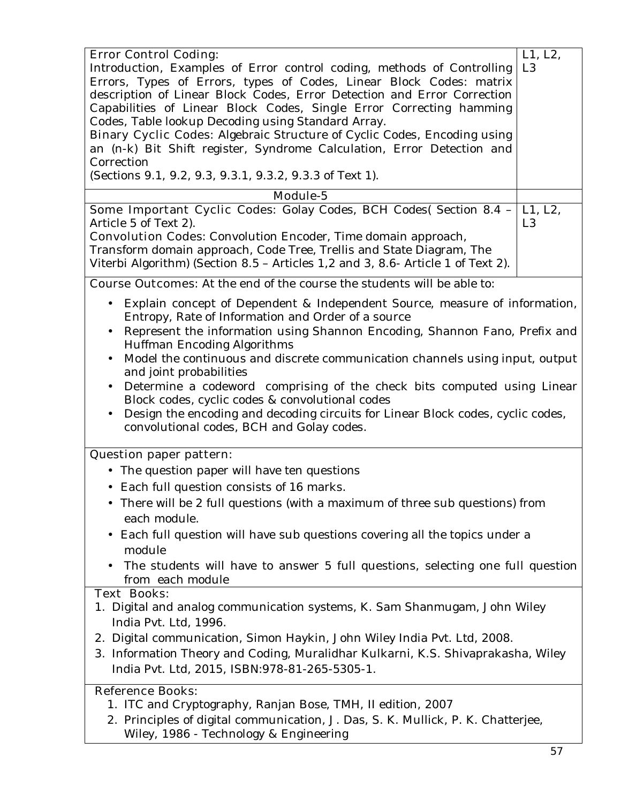| <b>Error Control Coding:</b>                                                             | L1, L2,        |
|------------------------------------------------------------------------------------------|----------------|
| Introduction, Examples of Error control coding, methods of Controlling                   | L <sub>3</sub> |
| Errors, Types of Errors, types of Codes, Linear Block Codes: matrix                      |                |
| description of Linear Block Codes, Error Detection and Error Correction                  |                |
| Capabilities of Linear Block Codes, Single Error Correcting hamming                      |                |
| Codes, Table lookup Decoding using Standard Array.                                       |                |
|                                                                                          |                |
| <b>Binary Cyclic Codes:</b> Algebraic Structure of Cyclic Codes, Encoding using          |                |
| an (n-k) Bit Shift register, Syndrome Calculation, Error Detection and                   |                |
| Correction                                                                               |                |
| (Sections 9.1, 9.2, 9.3, 9.3.1, 9.3.2, 9.3.3 of Text 1).                                 |                |
| Module-5                                                                                 |                |
| Some Important Cyclic Codes: Golay Codes, BCH Codes( Section 8.4 -                       | L1, L2,        |
| Article 5 of Text 2).                                                                    | L <sub>3</sub> |
| <b>Convolution Codes:</b> Convolution Encoder, Time domain approach,                     |                |
| Transform domain approach, Code Tree, Trellis and State Diagram, The                     |                |
| Viterbi Algorithm) (Section 8.5 - Articles 1,2 and 3, 8.6- Article 1 of Text 2).         |                |
|                                                                                          |                |
| <b>Course Outcomes:</b> At the end of the course the students will be able to:           |                |
| Explain concept of Dependent & Independent Source, measure of information,               |                |
| Entropy, Rate of Information and Order of a source                                       |                |
| Represent the information using Shannon Encoding, Shannon Fano, Prefix and               |                |
|                                                                                          |                |
| Huffman Encoding Algorithms                                                              |                |
| Model the continuous and discrete communication channels using input, output             |                |
| and joint probabilities                                                                  |                |
| Determine a codeword comprising of the check bits computed using Linear                  |                |
| Block codes, cyclic codes & convolutional codes                                          |                |
| Design the encoding and decoding circuits for Linear Block codes, cyclic codes,          |                |
| convolutional codes, BCH and Golay codes.                                                |                |
|                                                                                          |                |
| <b>Question paper pattern:</b>                                                           |                |
| • The question paper will have ten questions                                             |                |
| • Each full question consists of 16 marks.                                               |                |
|                                                                                          |                |
| There will be 2 full questions (with a maximum of three sub questions) from<br>$\bullet$ |                |
| each module.                                                                             |                |
| Each full question will have sub questions covering all the topics under a               |                |
| module                                                                                   |                |
|                                                                                          |                |
| The students will have to answer 5 full questions, selecting one full question           |                |
| from each module                                                                         |                |
| <b>Text Books:</b>                                                                       |                |
| 1. Digital and analog communication systems, K. Sam Shanmugam, John Wiley                |                |
| India Pvt. Ltd, 1996.                                                                    |                |
| 2. Digital communication, Simon Haykin, John Wiley India Pvt. Ltd, 2008.                 |                |
| 3. Information Theory and Coding, Muralidhar Kulkarni, K.S. Shivaprakasha, Wiley         |                |
|                                                                                          |                |
| India Pvt. Ltd, 2015, ISBN:978-81-265-5305-1.                                            |                |
| <b>Reference Books:</b>                                                                  |                |
| 1. ITC and Cryptography, Ranjan Bose, TMH, II edition, 2007                              |                |
| 2. Principles of digital communication, J. Das, S. K. Mullick, P. K. Chatterjee,         |                |
| Wiley, 1986 - Technology & Engineering                                                   |                |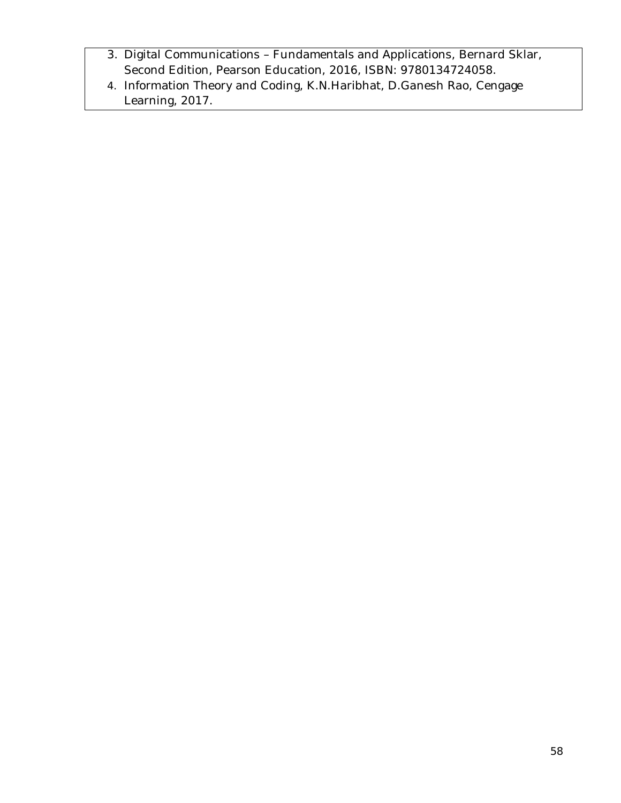- 3. Digital Communications Fundamentals and Applications, Bernard Sklar, Second Edition, Pearson Education, 2016, ISBN: 9780134724058.
- 4. Information Theory and Coding, K.N.Haribhat, D.Ganesh Rao, Cengage Learning, 2017.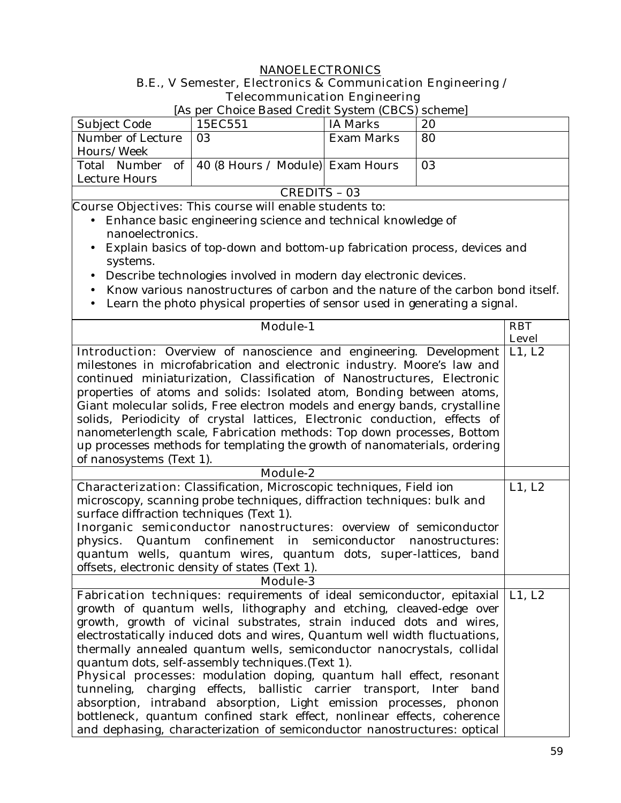# **NANOELECTRONICS**

# **B.E., V Semester, Electronics & Communication Engineering / Telecommunication Engineering**

[As per Choice Based Credit System (CBCS) scheme]

| Subject Code      | 15EC551                                             | IA Marks   | 20 |
|-------------------|-----------------------------------------------------|------------|----|
| Number of Lecture | 03                                                  | Exam Marks | 80 |
| Hours/Week        |                                                     |            |    |
|                   | Total Number of   40 (8 Hours / Module)  Exam Hours |            | 03 |
| Lecture Hours     |                                                     |            |    |
| CREDITS – 03      |                                                     |            |    |

- Enhance basic engineering science and technical knowledge of nanoelectronics.
- Explain basics of top-down and bottom-up fabrication process, devices and systems.
- Describe technologies involved in modern day electronic devices.
- Know various nanostructures of carbon and the nature of the carbon bond itself.
- Learn the photo physical properties of sensor used in generating a signal.

| <b>Module-1</b>                                                                      | <b>RBT</b>   |
|--------------------------------------------------------------------------------------|--------------|
|                                                                                      | <b>Level</b> |
| <b>Introduction:</b> Overview of nanoscience and engineering. Development            | L1, L2       |
| milestones in microfabrication and electronic industry. Moore's law and              |              |
| continued miniaturization, Classification of Nanostructures, Electronic              |              |
| properties of atoms and solids: Isolated atom, Bonding between atoms,                |              |
| Giant molecular solids, Free electron models and energy bands, crystalline           |              |
| solids, Periodicity of crystal lattices, Electronic conduction, effects of           |              |
| nanometerlength scale, Fabrication methods: Top down processes, Bottom               |              |
| up processes methods for templating the growth of nanomaterials, ordering            |              |
| of nanosystems (Text 1).                                                             |              |
| <b>Module-2</b>                                                                      |              |
| <b>Characterization:</b> Classification, Microscopic techniques, Field ion           | L1, L2       |
| microscopy, scanning probe techniques, diffraction techniques: bulk and              |              |
| surface diffraction techniques (Text 1).                                             |              |
| Inorganic semiconductor nanostructures: overview of semiconductor                    |              |
| Quantum confinement in semiconductor nanostructures:<br>physics.                     |              |
| quantum wells, quantum wires, quantum dots, super-lattices, band                     |              |
| offsets, electronic density of states (Text 1).                                      |              |
| <b>Module-3</b>                                                                      |              |
| <b>Fabrication techniques:</b> requirements of ideal semiconductor, epitaxial L1, L2 |              |
| growth of quantum wells, lithography and etching, cleaved-edge over                  |              |
| growth, growth of vicinal substrates, strain induced dots and wires,                 |              |
| electrostatically induced dots and wires, Quantum well width fluctuations,           |              |
| thermally annealed quantum wells, semiconductor nanocrystals, collidal               |              |
| quantum dots, self-assembly techniques. (Text 1).                                    |              |
| Physical processes: modulation doping, quantum hall effect, resonant                 |              |
| tunneling, charging effects, ballistic carrier transport, Inter band                 |              |
| absorption, intraband absorption, Light emission processes, phonon                   |              |
| bottleneck, quantum confined stark effect, nonlinear effects, coherence              |              |
| and dephasing, characterization of semiconductor nanostructures: optical             |              |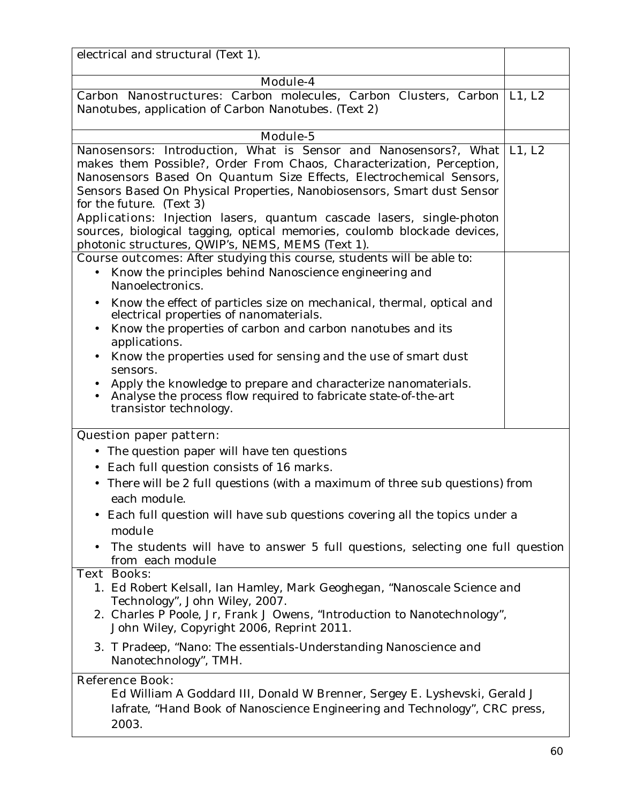| electrical and structural (Text 1).                                                                                                                                                                                                                                                                                                 |  |  |
|-------------------------------------------------------------------------------------------------------------------------------------------------------------------------------------------------------------------------------------------------------------------------------------------------------------------------------------|--|--|
|                                                                                                                                                                                                                                                                                                                                     |  |  |
| <b>Module-4</b>                                                                                                                                                                                                                                                                                                                     |  |  |
| <b>Carbon Nanostructures:</b> Carbon molecules, Carbon Clusters, Carbon L1, L2<br>Nanotubes, application of Carbon Nanotubes. (Text 2)                                                                                                                                                                                              |  |  |
| Module-5                                                                                                                                                                                                                                                                                                                            |  |  |
| Nanosensors: Introduction, What is Sensor and Nanosensors?, What   L1, L2                                                                                                                                                                                                                                                           |  |  |
| makes them Possible?, Order From Chaos, Characterization, Perception,<br>Nanosensors Based On Quantum Size Effects, Electrochemical Sensors,<br>Sensors Based On Physical Properties, Nanobiosensors, Smart dust Sensor<br>for the future. (Text 3)<br><b>Applications:</b> Injection lasers, quantum cascade lasers, single-photon |  |  |
| sources, biological tagging, optical memories, coulomb blockade devices,<br>photonic structures, QWIP's, NEMS, MEMS (Text 1).                                                                                                                                                                                                       |  |  |
| <b>Course outcomes:</b> After studying this course, students will be able to:                                                                                                                                                                                                                                                       |  |  |
| Know the principles behind Nanoscience engineering and<br>Nanoelectronics.                                                                                                                                                                                                                                                          |  |  |
| Know the effect of particles size on mechanical, thermal, optical and<br>electrical properties of nanomaterials.                                                                                                                                                                                                                    |  |  |
| Know the properties of carbon and carbon nanotubes and its<br>applications.                                                                                                                                                                                                                                                         |  |  |
| Know the properties used for sensing and the use of smart dust<br>sensors.                                                                                                                                                                                                                                                          |  |  |
| Apply the knowledge to prepare and characterize nanomaterials.<br>Analyse the process flow required to fabricate state-of-the-art<br>transistor technology.                                                                                                                                                                         |  |  |
| <b>Question paper pattern:</b>                                                                                                                                                                                                                                                                                                      |  |  |
| The question paper will have ten questions                                                                                                                                                                                                                                                                                          |  |  |
| Each full question consists of 16 marks.                                                                                                                                                                                                                                                                                            |  |  |
| There will be 2 full questions (with a maximum of three sub questions) from<br>$\bullet$                                                                                                                                                                                                                                            |  |  |
| each module.                                                                                                                                                                                                                                                                                                                        |  |  |
| Each full question will have sub questions covering all the topics under a<br>module                                                                                                                                                                                                                                                |  |  |
| The students will have to answer 5 full questions, selecting one full question<br>from each module                                                                                                                                                                                                                                  |  |  |
| <b>Text Books:</b><br>1. Ed Robert Kelsall, Ian Hamley, Mark Geoghegan, "Nanoscale Science and<br>Technology", John Wiley, 2007.<br>2. Charles P Poole, Jr, Frank J Owens, "Introduction to Nanotechnology",<br>John Wiley, Copyright 2006, Reprint 2011.                                                                           |  |  |
| 3. T Pradeep, "Nano: The essentials-Understanding Nanoscience and<br>Nanotechnology", TMH.                                                                                                                                                                                                                                          |  |  |
| <b>Reference Book:</b><br>Ed William A Goddard III, Donald W Brenner, Sergey E. Lyshevski, Gerald J<br>Iafrate, "Hand Book of Nanoscience Engineering and Technology", CRC press,<br>2003.                                                                                                                                          |  |  |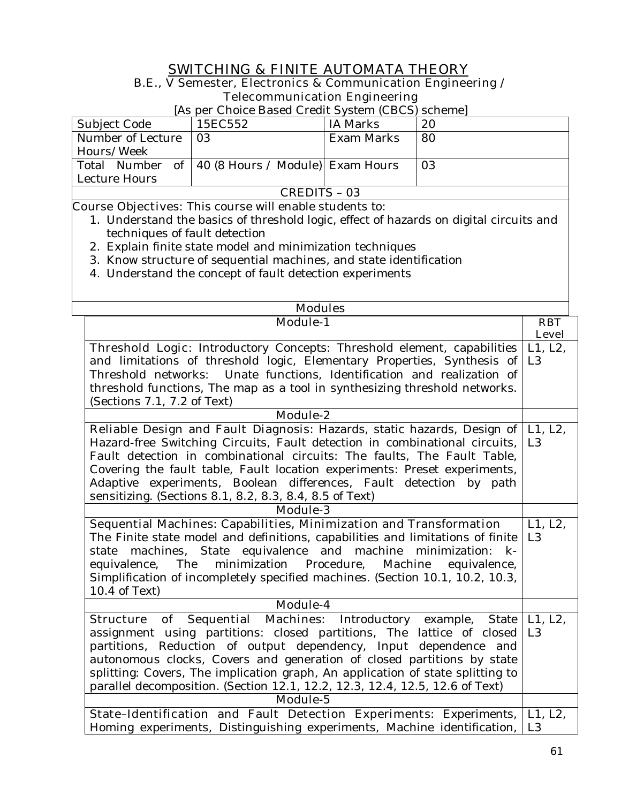# **SWITCHING & FINITE AUTOMATA THEORY**

#### **B.E., V Semester, Electronics & Communication Engineering / Telecommunication Engineering**

[As per Choice Based Credit System (CBCS) scheme]

| Subject Code      | 15EC552                                             | IA Marks   | 20 |
|-------------------|-----------------------------------------------------|------------|----|
| Number of Lecture | 03                                                  | Exam Marks | 80 |
| Hours/Week        |                                                     |            |    |
|                   | Total Number of   40 (8 Hours / Module)  Exam Hours |            | 03 |
| Lecture Hours     |                                                     |            |    |
| CREDITS – 03      |                                                     |            |    |

- 1. Understand the basics of threshold logic, effect of hazards on digital circuits and techniques of fault detection
- 2. Explain finite state model and minimization techniques
- 3. Know structure of sequential machines, and state identification
- 4. Understand the concept of fault detection experiments

| <b>Modules</b>                                                                  |                            |  |
|---------------------------------------------------------------------------------|----------------------------|--|
| <b>Module-1</b>                                                                 | <b>RBT</b><br><b>Level</b> |  |
| Threshold Logic: Introductory Concepts: Threshold element, capabilities         | L1, L2,                    |  |
| and limitations of threshold logic, Elementary Properties, Synthesis of         | L <sub>3</sub>             |  |
| Threshold networks: Unate functions, Identification and realization of          |                            |  |
| threshold functions, The map as a tool in synthesizing threshold networks.      |                            |  |
| (Sections 7.1, 7.2 of Text)                                                     |                            |  |
| Module-2                                                                        |                            |  |
| Reliable Design and Fault Diagnosis: Hazards, static hazards, Design of         | L1, L2,                    |  |
| Hazard-free Switching Circuits, Fault detection in combinational circuits,      | L <sub>3</sub>             |  |
| Fault detection in combinational circuits: The faults, The Fault Table,         |                            |  |
| Covering the fault table, Fault location experiments: Preset experiments,       |                            |  |
| Adaptive experiments, Boolean differences, Fault detection by path              |                            |  |
| sensitizing. (Sections 8.1, 8.2, 8.3, 8.4, 8.5 of Text)                         |                            |  |
| <b>Module-3</b>                                                                 |                            |  |
| Sequential Machines: Capabilities, Minimization and Transformation              | L1, L2,                    |  |
| The Finite state model and definitions, capabilities and limitations of finite  | L <sub>3</sub>             |  |
| machines, State equivalence and machine minimization: k-<br>state               |                            |  |
| minimization<br>Procedure,<br>Machine<br>equivalence,<br>The<br>equivalence,    |                            |  |
| Simplification of incompletely specified machines. (Section 10.1, 10.2, 10.3,   |                            |  |
| 10.4 of Text)                                                                   |                            |  |
| Module-4                                                                        |                            |  |
| of Sequential Machines: Introductory<br>example,<br>State  <br><b>Structure</b> | L1, L2,                    |  |
| assignment using partitions: closed partitions, The lattice of closed           | L <sub>3</sub>             |  |
| partitions, Reduction of output dependency, Input dependence and                |                            |  |
| autonomous clocks, Covers and generation of closed partitions by state          |                            |  |
| splitting: Covers, The implication graph, An application of state splitting to  |                            |  |
| parallel decomposition. (Section 12.1, 12.2, 12.3, 12.4, 12.5, 12.6 of Text)    |                            |  |
| Module-5                                                                        |                            |  |
| State-Identification and Fault Detection Experiments: Experiments,              | L1, L2,                    |  |
| Homing experiments, Distinguishing experiments, Machine identification,         | L <sub>3</sub>             |  |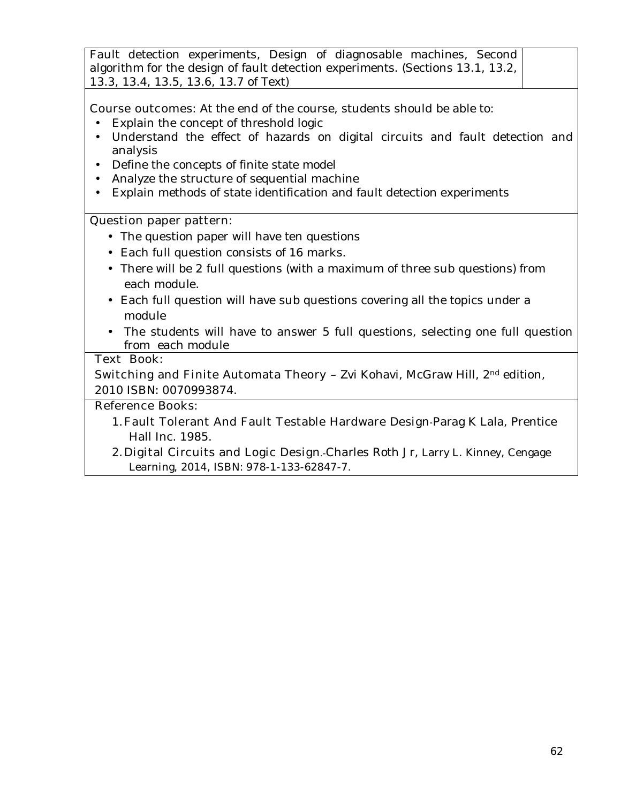| Fault detection experiments, Design of diagnosable machines, Second                    |  |
|----------------------------------------------------------------------------------------|--|
| algorithm for the design of fault detection experiments. (Sections 13.1, 13.2, $\vert$ |  |
| 13.3, 13.4, 13.5, 13.6, 13.7 of Text)                                                  |  |

**Course outcomes:** At the end of the course, students should be able to:

- Explain the concept of threshold logic
- Understand the effect of hazards on digital circuits and fault detection and analysis
- Define the concepts of finite state model
- Analyze the structure of sequential machine
- Explain methods of state identification and fault detection experiments

#### **Question paper pattern:**

- The question paper will have ten questions
- Each full question consists of 16 marks**.**
- There will be 2 full questions (with a maximum of three sub questions) from each module.
- Each full question will have sub questions covering all the topics under a module
- The students will have to answer 5 full questions, selecting one full question from each module

### **Text Book:**

**Switching and Finite Automata Theory - Zvi Kohavi, McGraw Hill, 2<sup>nd</sup> edition,** 2010 ISBN: 0070993874.

- 1.**Fault Tolerant And Fault Testable Hardware Design-**Parag K Lala, Prentice Hall Inc. 1985.
- 2. Digital Circuits and Logic Design.-Charles Roth Jr, Larry L. Kinney, Cengage Learning, 2014, ISBN: 978-1-133-62847-7.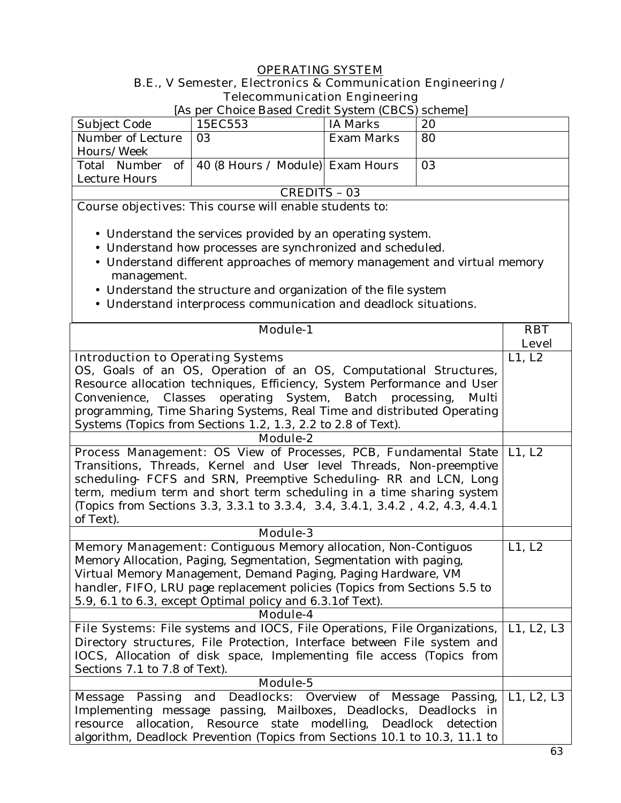# **OPERATING SYSTEM B.E., V Semester, Electronics & Communication Engineering / Telecommunication Engineering**

[As per Choice Based Credit System (CBCS) scheme]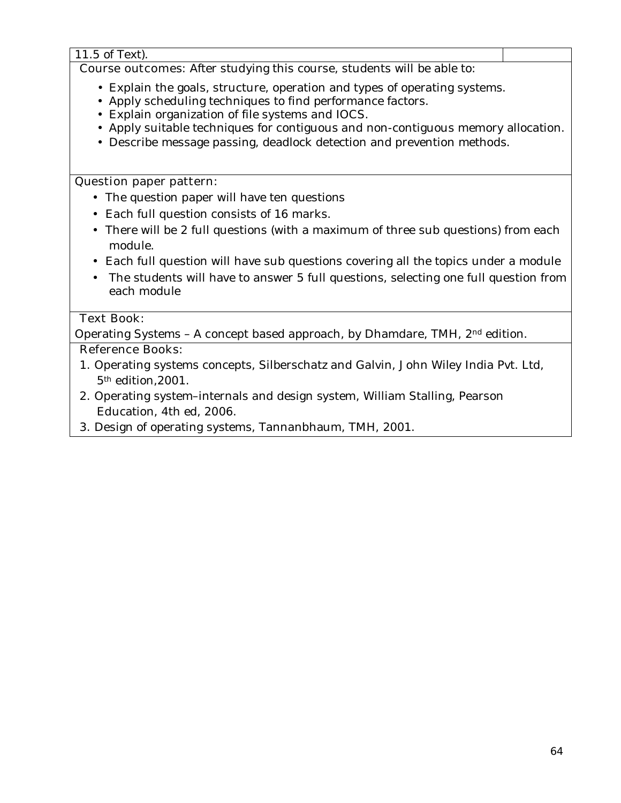11.5 of Text). **Course outcomes:** After studying this course, students will be able to: • Explain the goals, structure, operation and types of operating systems. • Apply scheduling techniques to find performance factors.

- Explain organization of file systems and IOCS.
- Apply suitable techniques for contiguous and non-contiguous memory allocation.
- Describe message passing, deadlock detection and prevention methods.

#### **Question paper pattern:**

- The question paper will have ten questions
- Each full question consists of 16 marks**.**
- There will be 2 full questions (with a maximum of three sub questions) from each module.
- Each full question will have sub questions covering all the topics under a module
- The students will have to answer 5 full questions, selecting one full question from each module

# **Text Book:**

Operating Systems – A concept based approach, by Dhamdare, TMH, 2nd edition.

- 1. Operating systems concepts, Silberschatz and Galvin, John Wiley India Pvt. Ltd, 5th edition,2001.
- 2. Operating system–internals and design system, William Stalling, Pearson Education, 4th ed, 2006.
- 3. Design of operating systems, Tannanbhaum, TMH, 2001.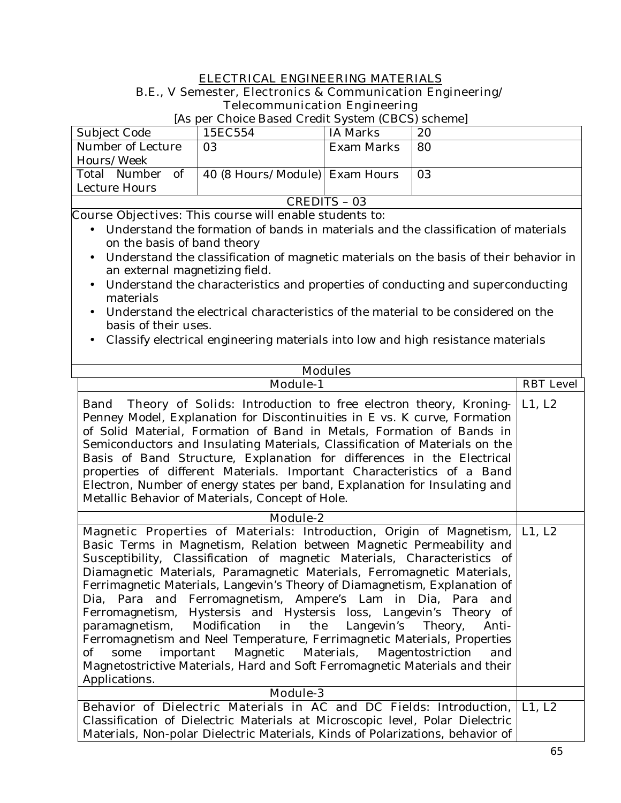#### **ELECTRICAL ENGINEERING MATERIALS**

#### **B.E., V Semester, Electronics & Communication Engineering/ Telecommunication Engineering**

[As per Choice Based Credit System (CBCS) scheme]

| Subject Code      | 15EC554                        | IA Marks   | 20 |
|-------------------|--------------------------------|------------|----|
| Number of Lecture | 03                             | Exam Marks | 80 |
| Hours/Week        |                                |            |    |
| Total Number of   | 40 (8 Hours/Module) Exam Hours |            | 03 |
| Lecture Hours     |                                |            |    |
| CREDITS - 03      |                                |            |    |

- Understand the formation of bands in materials and the classification of materials on the basis of band theory
- Understand the classification of magnetic materials on the basis of their behavior in an external magnetizing field.
- Understand the characteristics and properties of conducting and superconducting materials
- Understand the electrical characteristics of the material to be considered on the basis of their uses.
- Classify electrical engineering materials into low and high resistance materials

| <b>Modules</b>                                                                                                                                                                                                                                                                                                                                                                                                                                                                                                                                                                                                                                                                                                                                                                                                                                             |                  |  |  |
|------------------------------------------------------------------------------------------------------------------------------------------------------------------------------------------------------------------------------------------------------------------------------------------------------------------------------------------------------------------------------------------------------------------------------------------------------------------------------------------------------------------------------------------------------------------------------------------------------------------------------------------------------------------------------------------------------------------------------------------------------------------------------------------------------------------------------------------------------------|------------------|--|--|
| Module-1                                                                                                                                                                                                                                                                                                                                                                                                                                                                                                                                                                                                                                                                                                                                                                                                                                                   | <b>RBT Level</b> |  |  |
| <b>Theory of Solids:</b> Introduction to free electron theory, Kroning- L1, L2<br><b>Band</b><br>Penney Model, Explanation for Discontinuities in E vs. K curve, Formation<br>of Solid Material, Formation of Band in Metals, Formation of Bands in<br>Semiconductors and Insulating Materials, Classification of Materials on the<br>Basis of Band Structure, Explanation for differences in the Electrical<br>properties of different Materials. Important Characteristics of a Band<br>Electron, Number of energy states per band, Explanation for Insulating and<br>Metallic Behavior of Materials, Concept of Hole.                                                                                                                                                                                                                                   |                  |  |  |
| Module-2                                                                                                                                                                                                                                                                                                                                                                                                                                                                                                                                                                                                                                                                                                                                                                                                                                                   |                  |  |  |
| Magnetic Properties of Materials: Introduction, Origin of Magnetism,<br>Basic Terms in Magnetism, Relation between Magnetic Permeability and<br>Susceptibility, Classification of magnetic Materials, Characteristics of<br>Diamagnetic Materials, Paramagnetic Materials, Ferromagnetic Materials,<br>Ferrimagnetic Materials, Langevin's Theory of Diamagnetism, Explanation of<br>Dia, Para and Ferromagnetism, Ampere's Lam in Dia, Para and<br>Ferromagnetism, Hystersis and Hystersis loss, Langevin's Theory of<br>Modification in<br>the<br>Langevin's<br>Theory,<br>paramagnetism,<br>Anti-<br>Ferromagnetism and Neel Temperature, Ferrimagnetic Materials, Properties<br>important Magnetic Materials,<br>some<br>Magentostriction<br>of<br>and<br>Magnetostrictive Materials, Hard and Soft Ferromagnetic Materials and their<br>Applications. | L1, L2           |  |  |
| <b>Module-3</b>                                                                                                                                                                                                                                                                                                                                                                                                                                                                                                                                                                                                                                                                                                                                                                                                                                            |                  |  |  |
| Behavior of Dielectric Materials in AC and DC Fields: Introduction,<br>Classification of Dielectric Materials at Microscopic level, Polar Dielectric<br>Materials, Non-polar Dielectric Materials, Kinds of Polarizations, behavior of                                                                                                                                                                                                                                                                                                                                                                                                                                                                                                                                                                                                                     | L1, L2           |  |  |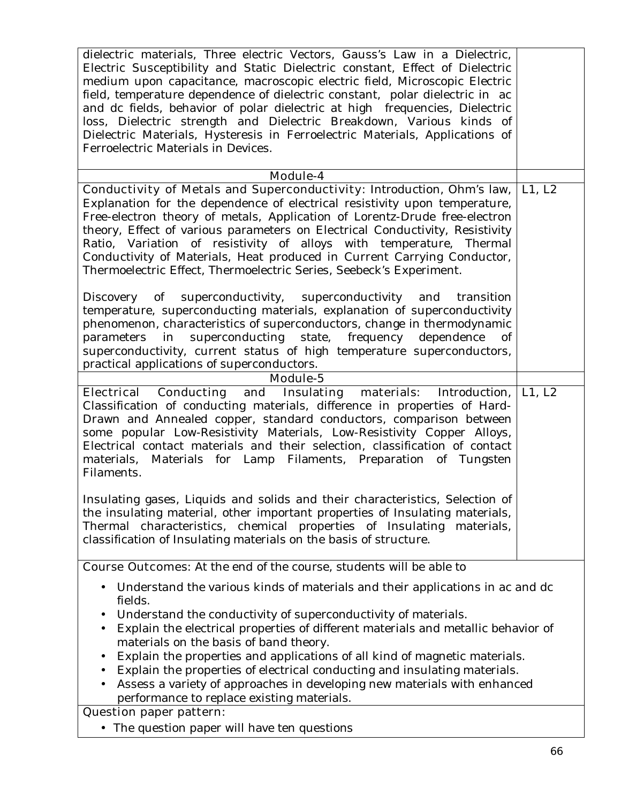| dielectric materials, Three electric Vectors, Gauss's Law in a Dielectric,<br>Electric Susceptibility and Static Dielectric constant, Effect of Dielectric<br>medium upon capacitance, macroscopic electric field, Microscopic Electric<br>field, temperature dependence of dielectric constant, polar dielectric in ac<br>and dc fields, behavior of polar dielectric at high frequencies, Dielectric<br>loss, Dielectric strength and Dielectric Breakdown, Various kinds of<br>Dielectric Materials, Hysteresis in Ferroelectric Materials, Applications of<br>Ferroelectric Materials in Devices.                       |        |  |
|-----------------------------------------------------------------------------------------------------------------------------------------------------------------------------------------------------------------------------------------------------------------------------------------------------------------------------------------------------------------------------------------------------------------------------------------------------------------------------------------------------------------------------------------------------------------------------------------------------------------------------|--------|--|
| <b>Module-4</b>                                                                                                                                                                                                                                                                                                                                                                                                                                                                                                                                                                                                             |        |  |
| Conductivity of Metals and Superconductivity: Introduction, Ohm's law,<br>Explanation for the dependence of electrical resistivity upon temperature,<br>Free-electron theory of metals, Application of Lorentz-Drude free-electron<br>theory, Effect of various parameters on Electrical Conductivity, Resistivity<br>Ratio, Variation of resistivity of alloys with temperature, Thermal<br>Conductivity of Materials, Heat produced in Current Carrying Conductor,<br>Thermoelectric Effect, Thermoelectric Series, Seebeck's Experiment.                                                                                 | L1, L2 |  |
| $\alpha$<br>superconductivity, superconductivity and transition<br>Discovery<br>temperature, superconducting materials, explanation of superconductivity<br>phenomenon, characteristics of superconductors, change in thermodynamic<br>in superconducting state, frequency dependence<br>parameters<br>of<br>superconductivity, current status of high temperature superconductors,<br>practical applications of superconductors.                                                                                                                                                                                           |        |  |
| Module-5                                                                                                                                                                                                                                                                                                                                                                                                                                                                                                                                                                                                                    |        |  |
| Electrical Conducting and Insulating materials: Introduction,<br>Classification of conducting materials, difference in properties of Hard-<br>Drawn and Annealed copper, standard conductors, comparison between<br>some popular Low-Resistivity Materials, Low-Resistivity Copper Alloys,<br>Electrical contact materials and their selection, classification of contact<br>materials, Materials for Lamp Filaments, Preparation of Tungsten<br>Filaments.<br>Insulating gases, Liquids and solids and their characteristics, Selection of<br>the insulating material, other important properties of Insulating materials, | L1, L2 |  |
| Thermal characteristics, chemical properties of Insulating materials,<br>classification of Insulating materials on the basis of structure.                                                                                                                                                                                                                                                                                                                                                                                                                                                                                  |        |  |
| <b>Course Outcomes:</b> At the end of the course, students will be able to                                                                                                                                                                                                                                                                                                                                                                                                                                                                                                                                                  |        |  |
| Understand the various kinds of materials and their applications in ac and dc<br>fields.<br>Understand the conductivity of superconductivity of materials.<br>$\bullet$<br>Explain the electrical properties of different materials and metallic behavior of<br>$\bullet$<br>materials on the basis of band theory.<br>Explain the properties and applications of all kind of magnetic materials.<br>$\bullet$<br>Explain the properties of electrical conducting and insulating materials.<br>Assess a variety of approaches in developing new materials with enhanced<br>performance to replace existing materials.       |        |  |
| <b>Question paper pattern:</b>                                                                                                                                                                                                                                                                                                                                                                                                                                                                                                                                                                                              |        |  |
| • The question paper will have ten questions                                                                                                                                                                                                                                                                                                                                                                                                                                                                                                                                                                                |        |  |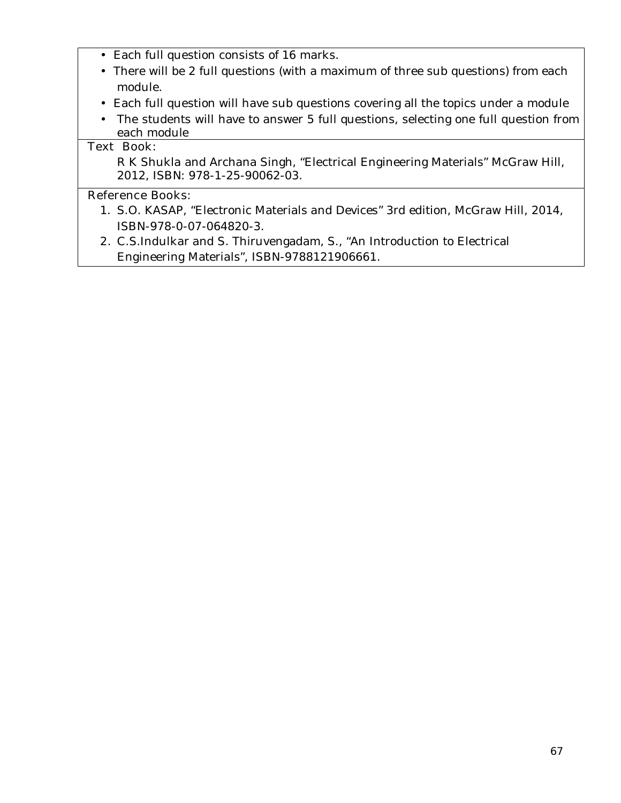- Each full question consists of 16 marks**.**
- There will be 2 full questions (with a maximum of three sub questions) from each module.
- Each full question will have sub questions covering all the topics under a module
- The students will have to answer 5 full questions, selecting one full question from each module

# **Text Book:**

R K Shukla and Archana Singh, "Electrical Engineering Materials" McGraw Hill, 2012, ISBN: 978-1-25-90062-03.

- 1. S.O. KASAP, "Electronic Materials and Devices" 3rd edition, McGraw Hill, 2014, ISBN-978-0-07-064820-3.
- **2.** C.S.Indulkar and S. Thiruvengadam, S., "An Introduction to Electrical Engineering Materials", ISBN-9788121906661.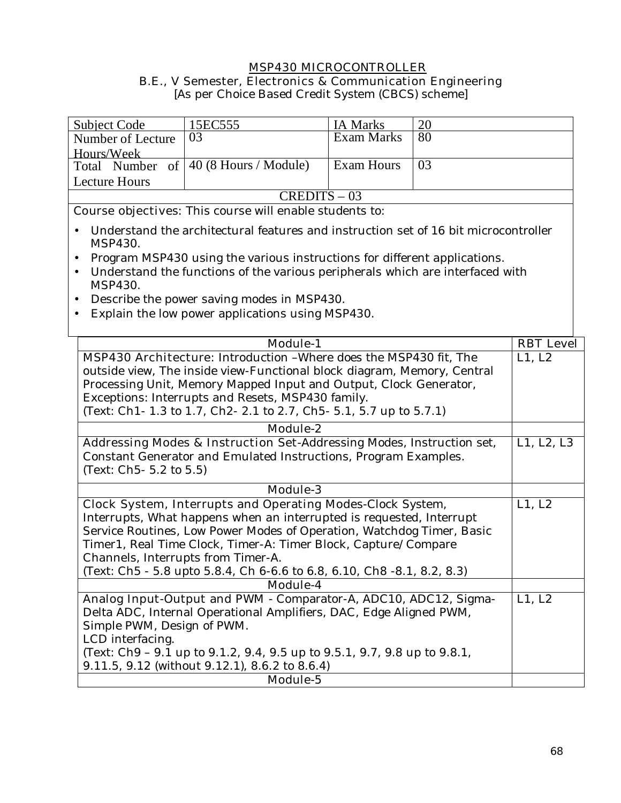# **MSP430 MICROCONTROLLER B.E., V Semester, Electronics & Communication Engineering**

[As per Choice Based Credit System (CBCS) scheme]

| <b>Subject Code</b>                                                                                                                           | 15EC555                                                                             | <b>IA Marks</b>   | 20 |                  |
|-----------------------------------------------------------------------------------------------------------------------------------------------|-------------------------------------------------------------------------------------|-------------------|----|------------------|
| Number of Lecture                                                                                                                             | 03                                                                                  | <b>Exam Marks</b> | 80 |                  |
| Hours/Week                                                                                                                                    |                                                                                     |                   |    |                  |
|                                                                                                                                               | Total Number of $ 40 (8 \text{ Hours} / \text{Module}) $                            | <b>Exam Hours</b> | 03 |                  |
| <b>Lecture Hours</b>                                                                                                                          |                                                                                     |                   |    |                  |
|                                                                                                                                               | $CREDITS - 03$                                                                      |                   |    |                  |
|                                                                                                                                               | <b>Course objectives:</b> This course will enable students to:                      |                   |    |                  |
|                                                                                                                                               |                                                                                     |                   |    |                  |
| MSP430.                                                                                                                                       | Understand the architectural features and instruction set of 16 bit microcontroller |                   |    |                  |
|                                                                                                                                               | Program MSP430 using the various instructions for different applications.           |                   |    |                  |
| MSP430.                                                                                                                                       | Understand the functions of the various peripherals which are interfaced with       |                   |    |                  |
|                                                                                                                                               | Describe the power saving modes in MSP430.                                          |                   |    |                  |
|                                                                                                                                               | Explain the low power applications using MSP430.                                    |                   |    |                  |
|                                                                                                                                               |                                                                                     |                   |    |                  |
|                                                                                                                                               | <b>Module-1</b>                                                                     |                   |    | <b>RBT</b> Level |
|                                                                                                                                               |                                                                                     |                   |    | L1, L2           |
| MSP430 Architecture: Introduction - Where does the MSP430 fit, The<br>outside view, The inside view-Functional block diagram, Memory, Central |                                                                                     |                   |    |                  |
|                                                                                                                                               | Processing Unit, Memory Mapped Input and Output, Clock Generator,                   |                   |    |                  |
|                                                                                                                                               | Exceptions: Interrupts and Resets, MSP430 family.                                   |                   |    |                  |
|                                                                                                                                               | (Text: Ch1-1.3 to 1.7, Ch2-2.1 to 2.7, Ch5-5.1, 5.7 up to 5.7.1)                    |                   |    |                  |
|                                                                                                                                               |                                                                                     |                   |    |                  |
|                                                                                                                                               | Module-2                                                                            |                   |    |                  |
| Addressing Modes & Instruction Set-Addressing Modes, Instruction set,<br>Constant Generator and Emulated Instructions, Program Examples.      |                                                                                     | L1, L2, L3        |    |                  |
|                                                                                                                                               |                                                                                     |                   |    |                  |
| (Text: Ch5- 5.2 to 5.5)                                                                                                                       |                                                                                     |                   |    |                  |
|                                                                                                                                               | <b>Module-3</b>                                                                     |                   |    |                  |
|                                                                                                                                               | <b>Clock System, Interrupts and Operating Modes-Clock System,</b>                   |                   |    | L1, L2           |
| Interrupts, What happens when an interrupted is requested, Interrupt                                                                          |                                                                                     |                   |    |                  |
|                                                                                                                                               | Service Routines, Low Power Modes of Operation, Watchdog Timer, Basic               |                   |    |                  |
|                                                                                                                                               | Timer1, Real Time Clock, Timer-A: Timer Block, Capture/Compare                      |                   |    |                  |
|                                                                                                                                               | Channels, Interrupts from Timer-A.                                                  |                   |    |                  |
|                                                                                                                                               | (Text: Ch5 - 5.8 upto 5.8.4, Ch 6-6.6 to 6.8, 6.10, Ch8 -8.1, 8.2, 8.3)             |                   |    |                  |
|                                                                                                                                               | <b>Module-4</b>                                                                     |                   |    |                  |
|                                                                                                                                               | Analog Input-Output and PWM - Comparator-A, ADC10, ADC12, Sigma-                    |                   |    | L1, L2           |
| Delta ADC, Internal Operational Amplifiers, DAC, Edge Aligned PWM,                                                                            |                                                                                     |                   |    |                  |
| Simple PWM, Design of PWM.                                                                                                                    |                                                                                     |                   |    |                  |
| LCD interfacing.                                                                                                                              |                                                                                     |                   |    |                  |
| (Text: Ch9 - 9.1 up to 9.1.2, 9.4, 9.5 up to 9.5.1, 9.7, 9.8 up to 9.8.1,                                                                     |                                                                                     |                   |    |                  |
|                                                                                                                                               | 9.11.5, 9.12 (without 9.12.1), 8.6.2 to 8.6.4)                                      |                   |    |                  |
|                                                                                                                                               | Module-5                                                                            |                   |    |                  |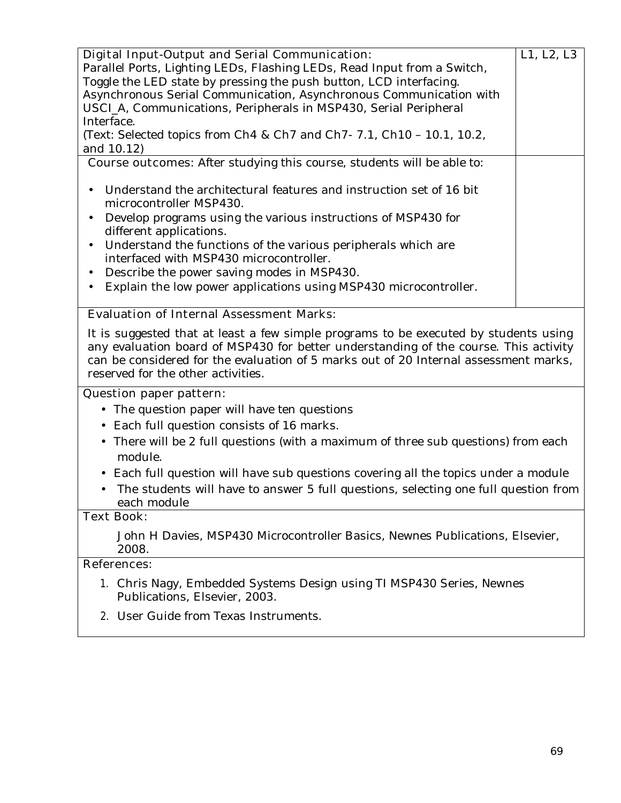| <b>Digital Input-Output and Serial Communication:</b>                         | L1, L2, L3 |
|-------------------------------------------------------------------------------|------------|
| Parallel Ports, Lighting LEDs, Flashing LEDs, Read Input from a Switch,       |            |
| Toggle the LED state by pressing the push button, LCD interfacing.            |            |
| Asynchronous Serial Communication, Asynchronous Communication with            |            |
| USCI_A, Communications, Peripherals in MSP430, Serial Peripheral              |            |
|                                                                               |            |
| Interface.                                                                    |            |
| (Text: Selected topics from Ch4 & Ch7 and Ch7- 7.1, Ch10 - 10.1, 10.2,        |            |
| and 10.12)                                                                    |            |
| <b>Course outcomes:</b> After studying this course, students will be able to: |            |
|                                                                               |            |
| Understand the architectural features and instruction set of 16 bit           |            |
|                                                                               |            |
| microcontroller MSP430.                                                       |            |
| Develop programs using the various instructions of MSP430 for                 |            |
| different applications.                                                       |            |
| Understand the functions of the various peripherals which are<br>$\bullet$    |            |
| interfaced with MSP430 microcontroller.                                       |            |
|                                                                               |            |
| Describe the power saving modes in MSP430.                                    |            |
| Explain the low power applications using MSP430 microcontroller.              |            |
|                                                                               |            |
| <b>. .</b> .<br>$\mathbf{r}$ $\mathbf{r}$<br><b>TA</b>                        |            |

# **Evaluation of Internal Assessment Marks:**

It is suggested that at least a few simple programs to be executed by students using any evaluation board of MSP430 for better understanding of the course. This activity can be considered for the evaluation of 5 marks out of 20 Internal assessment marks, reserved for the other activities.

### **Question paper pattern:**

- The question paper will have ten questions
- Each full question consists of 16 marks**.**
- There will be 2 full questions (with a maximum of three sub questions) from each module.
- Each full question will have sub questions covering all the topics under a module
- The students will have to answer 5 full questions, selecting one full question from each module

### **Text Book:**

John H Davies, MSP430 Microcontroller Basics, Newnes Publications, Elsevier, 2008.

# **References:**

- 1. Chris Nagy, Embedded Systems Design using TI MSP430 Series, Newnes Publications, Elsevier, 2003.
- 2. User Guide from Texas Instruments.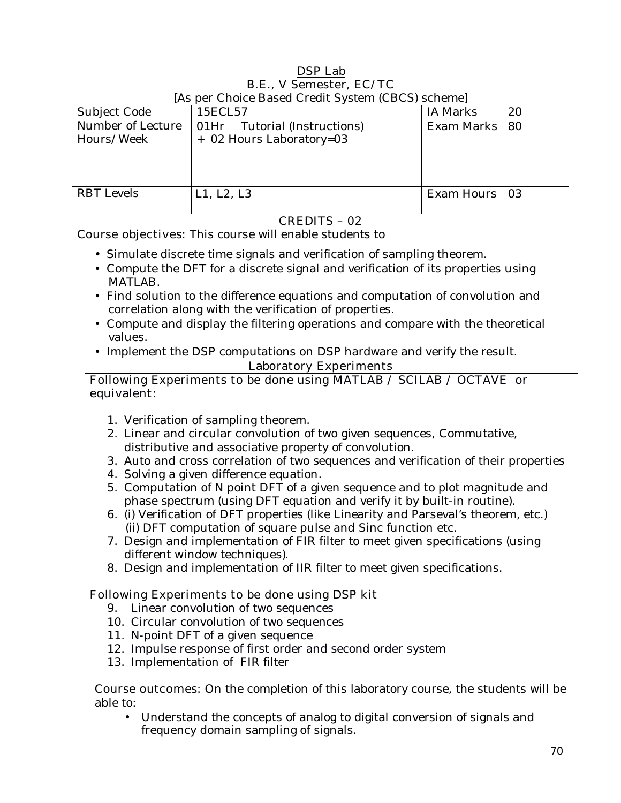# **DSP Lab B.E., V Semester, EC/TC**

|                                 | [As per Choice Based Credit System (CBCS) scheme]                                                                                                                                                                                                                                                                                                                                                                                                                                                                                                                                                                                                                                                                                                                                                                                                                                                                                                                                                                                                                              |                   |    |
|---------------------------------|--------------------------------------------------------------------------------------------------------------------------------------------------------------------------------------------------------------------------------------------------------------------------------------------------------------------------------------------------------------------------------------------------------------------------------------------------------------------------------------------------------------------------------------------------------------------------------------------------------------------------------------------------------------------------------------------------------------------------------------------------------------------------------------------------------------------------------------------------------------------------------------------------------------------------------------------------------------------------------------------------------------------------------------------------------------------------------|-------------------|----|
| Subject Code                    | 15ECL57                                                                                                                                                                                                                                                                                                                                                                                                                                                                                                                                                                                                                                                                                                                                                                                                                                                                                                                                                                                                                                                                        | <b>IA Marks</b>   | 20 |
| Number of Lecture<br>Hours/Week | 01Hr<br>Tutorial (Instructions)<br>+ 02 Hours Laboratory=03                                                                                                                                                                                                                                                                                                                                                                                                                                                                                                                                                                                                                                                                                                                                                                                                                                                                                                                                                                                                                    | <b>Exam Marks</b> | 80 |
|                                 |                                                                                                                                                                                                                                                                                                                                                                                                                                                                                                                                                                                                                                                                                                                                                                                                                                                                                                                                                                                                                                                                                |                   |    |
|                                 |                                                                                                                                                                                                                                                                                                                                                                                                                                                                                                                                                                                                                                                                                                                                                                                                                                                                                                                                                                                                                                                                                |                   |    |
| <b>RBT</b> Levels               | L1, L2, L3                                                                                                                                                                                                                                                                                                                                                                                                                                                                                                                                                                                                                                                                                                                                                                                                                                                                                                                                                                                                                                                                     | <b>Exam Hours</b> | 03 |
|                                 | <b>CREDITS - 02</b>                                                                                                                                                                                                                                                                                                                                                                                                                                                                                                                                                                                                                                                                                                                                                                                                                                                                                                                                                                                                                                                            |                   |    |
|                                 | <b>Course objectives:</b> This course will enable students to                                                                                                                                                                                                                                                                                                                                                                                                                                                                                                                                                                                                                                                                                                                                                                                                                                                                                                                                                                                                                  |                   |    |
|                                 | • Simulate discrete time signals and verification of sampling theorem.                                                                                                                                                                                                                                                                                                                                                                                                                                                                                                                                                                                                                                                                                                                                                                                                                                                                                                                                                                                                         |                   |    |
| MATLAB.                         | • Compute the DFT for a discrete signal and verification of its properties using                                                                                                                                                                                                                                                                                                                                                                                                                                                                                                                                                                                                                                                                                                                                                                                                                                                                                                                                                                                               |                   |    |
|                                 | Find solution to the difference equations and computation of convolution and                                                                                                                                                                                                                                                                                                                                                                                                                                                                                                                                                                                                                                                                                                                                                                                                                                                                                                                                                                                                   |                   |    |
|                                 | correlation along with the verification of properties.                                                                                                                                                                                                                                                                                                                                                                                                                                                                                                                                                                                                                                                                                                                                                                                                                                                                                                                                                                                                                         |                   |    |
| values.                         | • Compute and display the filtering operations and compare with the theoretical                                                                                                                                                                                                                                                                                                                                                                                                                                                                                                                                                                                                                                                                                                                                                                                                                                                                                                                                                                                                |                   |    |
|                                 | • Implement the DSP computations on DSP hardware and verify the result.                                                                                                                                                                                                                                                                                                                                                                                                                                                                                                                                                                                                                                                                                                                                                                                                                                                                                                                                                                                                        |                   |    |
|                                 | <b>Laboratory Experiments</b>                                                                                                                                                                                                                                                                                                                                                                                                                                                                                                                                                                                                                                                                                                                                                                                                                                                                                                                                                                                                                                                  |                   |    |
| equivalent:                     | Following Experiments to be done using MATLAB / SCILAB / OCTAVE or                                                                                                                                                                                                                                                                                                                                                                                                                                                                                                                                                                                                                                                                                                                                                                                                                                                                                                                                                                                                             |                   |    |
|                                 | 1. Verification of sampling theorem.<br>2. Linear and circular convolution of two given sequences, Commutative,<br>distributive and associative property of convolution.<br>3. Auto and cross correlation of two sequences and verification of their properties<br>4. Solving a given difference equation.<br>5. Computation of N point DFT of a given sequence and to plot magnitude and<br>phase spectrum (using DFT equation and verify it by built-in routine).<br>6. (i) Verification of DFT properties (like Linearity and Parseval's theorem, etc.)<br>(ii) DFT computation of square pulse and Sinc function etc.<br>7. Design and implementation of FIR filter to meet given specifications (using<br>different window techniques).<br>8. Design and implementation of IIR filter to meet given specifications.<br><b>Following Experiments to be done using DSP kit</b><br>9. Linear convolution of two sequences<br>10. Circular convolution of two sequences<br>11. N-point DFT of a given sequence<br>12. Impulse response of first order and second order system |                   |    |
|                                 | 13. Implementation of FIR filter                                                                                                                                                                                                                                                                                                                                                                                                                                                                                                                                                                                                                                                                                                                                                                                                                                                                                                                                                                                                                                               |                   |    |
| able to:<br>$\bullet$           | <b>Course outcomes:</b> On the completion of this laboratory course, the students will be<br>Understand the concepts of analog to digital conversion of signals and<br>frequency domain sampling of signals.                                                                                                                                                                                                                                                                                                                                                                                                                                                                                                                                                                                                                                                                                                                                                                                                                                                                   |                   |    |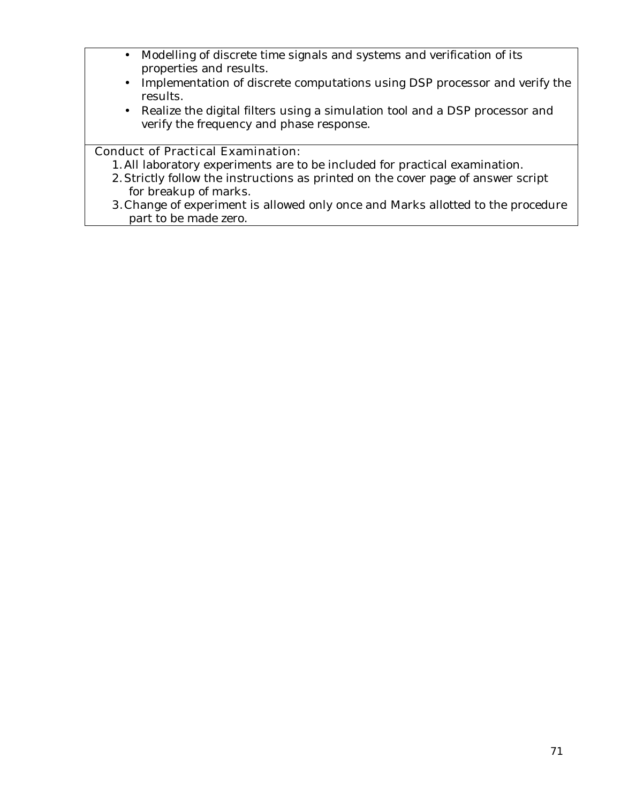- Modelling of discrete time signals and systems and verification of its properties and results.
- Implementation of discrete computations using DSP processor and verify the results.
- Realize the digital filters using a simulation tool and a DSP processor and verify the frequency and phase response.

# **Conduct of Practical Examination:**

- 1.All laboratory experiments are to be included for practical examination.
- 2.Strictly follow the instructions as printed on the cover page of answer script for breakup of marks.
- **3.**Change of experiment is allowed only once and Marks allotted to the procedure part to be made zero.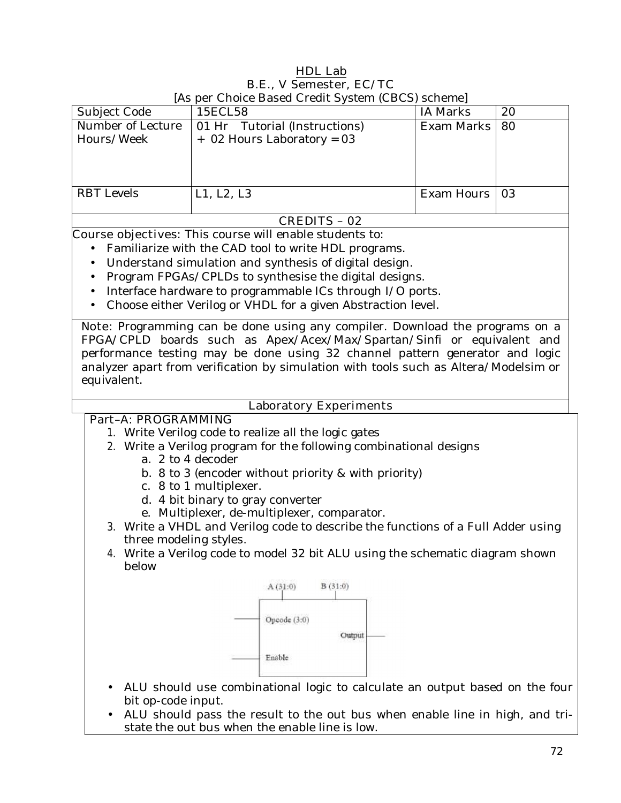# **HDL Lab B.E., V Semester, EC/TC**

| Subject Code                    | 15ECL58                                                       | IA Marks   | 20  |
|---------------------------------|---------------------------------------------------------------|------------|-----|
| Number of Lecture<br>Hours/Week | 01 Hr Tutorial (Instructions)<br>$+$ 02 Hours Laboratory = 03 | Exam Marks | -80 |
| <b>RBT</b> Levels               | L1, L2, L3                                                    | Exam Hours | -03 |

# [As per Choice Based Credit System (CBCS) scheme]

### **CREDITS – 02**

**Course objectives:** This course will enable students to:

- Familiarize with the CAD tool to write HDL programs.
- Understand simulation and synthesis of digital design.
- Program FPGAs/CPLDs to synthesise the digital designs.
- Interface hardware to programmable ICs through I/O ports.
- Choose either Verilog or VHDL for a given Abstraction level.

**Note:** Programming can be done using any compiler. Download the programs on a FPGA/CPLD boards such as Apex/Acex/Max/Spartan/Sinfi or equivalent and performance testing may be done using 32 channel pattern generator and logic analyzer apart from verification by simulation with tools such as Altera/Modelsim or equivalent.

#### **Laboratory Experiments**

# **Part–A: PROGRAMMING**

- 1. Write Verilog code to realize all the logic gates
- 2. Write a Verilog program for the following combinational designs
	- a. 2 to 4 decoder
	- b. 8 to 3 (encoder without priority & with priority)
	- c. 8 to 1 multiplexer.
	- d. 4 bit binary to gray converter
	- e. Multiplexer, de-multiplexer, comparator.
- 3. Write a VHDL and Verilog code to describe the functions of a Full Adder using three modeling styles.
- 4. Write a Verilog code to model 32 bit ALU using the schematic diagram shown below



- ALU should use combinational logic to calculate an output based on the four bit op-code input.
- ALU should pass the result to the out bus when enable line in high, and tristate the out bus when the enable line is low.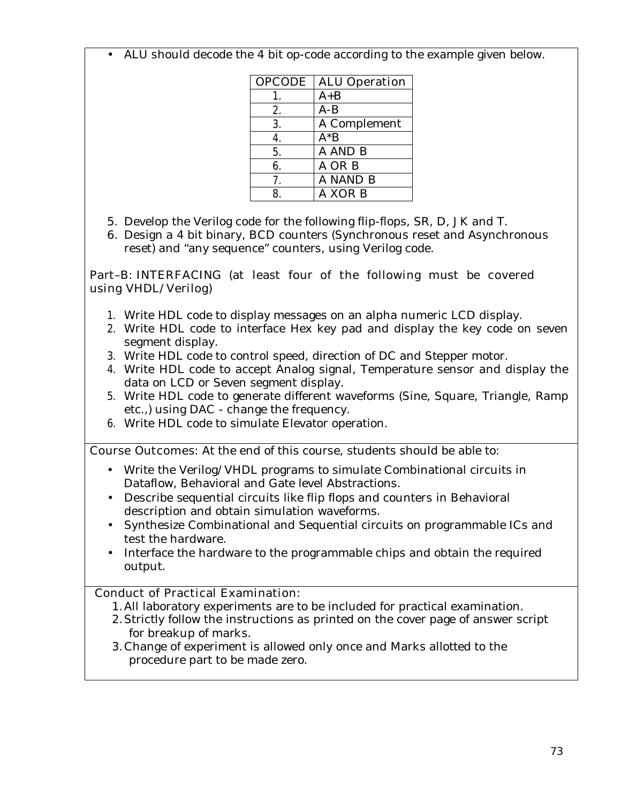• ALU should decode the 4 bit op-code according to the example given below.

| <b>OPCODE</b> | <b>ALU Operation</b> |
|---------------|----------------------|
|               | $A + B$              |
| 2.            | $A-B$                |
| 3.            | A Complement         |
| 4.            | $A^*B$               |
| 5.            | A AND B              |
| 6.            | A OR B               |
| 7.            | A NAND B             |
| 8             | A XOR B              |

- 5. Develop the Verilog code for the following flip-flops, SR, D, JK and T.
- 6. Design a 4 bit binary, BCD counters (Synchronous reset and Asynchronous reset) and "any sequence" counters, using Verilog code.

#### **Part–B: INTERFACING (at least four of the following must be covered using VHDL/Verilog)**

- 1. Write HDL code to display messages on an alpha numeric LCD display.
- **2.** Write HDL code to interface Hex key pad and display the key code on seven segment display.
- **3.** Write HDL code to control speed, direction of DC and Stepper motor.
- **4.** Write HDL code to accept Analog signal, Temperature sensor and display the data on LCD or Seven segment display.
- 5. Write HDL code to generate different waveforms (Sine, Square, Triangle, Ramp etc.,) using DAC - change the frequency.
- **6.** Write HDL code to simulate Elevator operation.

**Course Outcomes:** At the end of this course, students should be able to:

- Write the Verilog/VHDL programs to simulate Combinational circuits in Dataflow, Behavioral and Gate level Abstractions.
- Describe sequential circuits like flip flops and counters in Behavioral description and obtain simulation waveforms.
- Synthesize Combinational and Sequential circuits on programmable ICs and test the hardware.
- Interface the hardware to the programmable chips and obtain the required output.

## **Conduct of Practical Examination:**

- 1.All laboratory experiments are to be included for practical examination.
- 2.Strictly follow the instructions as printed on the cover page of answer script for breakup of marks.
- 3.Change of experiment is allowed only once and Marks allotted to the procedure part to be made zero.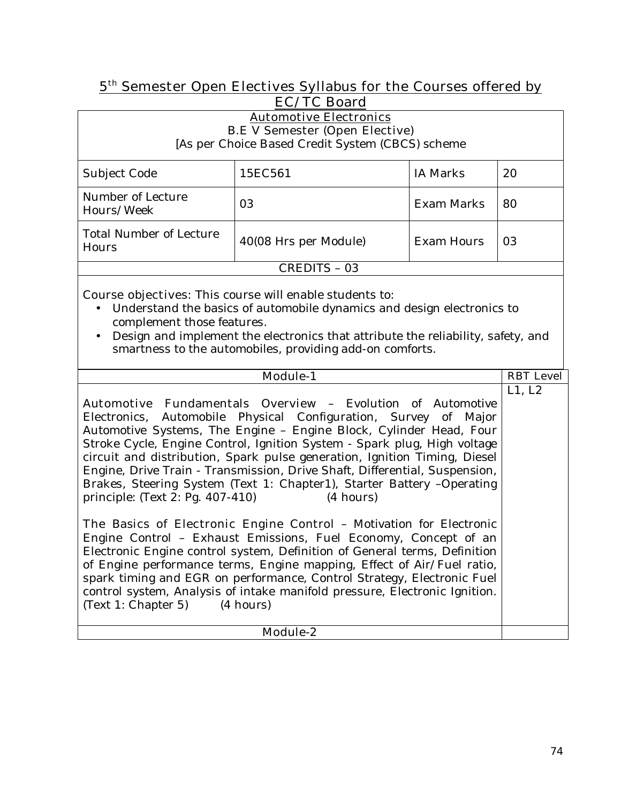## **5th Semester Open Electives Syllabus for the Courses offered by EC/TC Board**

| <b>Automotive Electronics</b><br><b>B.E V Semester (Open Elective)</b><br>[As per Choice Based Credit System (CBCS) scheme                                                                                                                                                                                                                                                                                                                                                                                                     |                       |                   |                  |  |
|--------------------------------------------------------------------------------------------------------------------------------------------------------------------------------------------------------------------------------------------------------------------------------------------------------------------------------------------------------------------------------------------------------------------------------------------------------------------------------------------------------------------------------|-----------------------|-------------------|------------------|--|
| Subject Code                                                                                                                                                                                                                                                                                                                                                                                                                                                                                                                   | 15EC561               | <b>IA Marks</b>   | 20               |  |
| Number of Lecture<br>Hours/Week                                                                                                                                                                                                                                                                                                                                                                                                                                                                                                | 03                    | <b>Exam Marks</b> | 80               |  |
| <b>Total Number of Lecture</b><br>Hours                                                                                                                                                                                                                                                                                                                                                                                                                                                                                        | 40(08 Hrs per Module) | <b>Exam Hours</b> | 03               |  |
|                                                                                                                                                                                                                                                                                                                                                                                                                                                                                                                                | <b>CREDITS - 03</b>   |                   |                  |  |
| <b>Course objectives:</b> This course will enable students to:<br>Understand the basics of automobile dynamics and design electronics to<br>complement those features.<br>Design and implement the electronics that attribute the reliability, safety, and<br>$\bullet$<br>smartness to the automobiles, providing add-on comforts.                                                                                                                                                                                            |                       |                   |                  |  |
|                                                                                                                                                                                                                                                                                                                                                                                                                                                                                                                                | Module-1              |                   | <b>RBT</b> Level |  |
| <b>Automotive Fundamentals Overview - Evolution of Automotive</b><br>Automobile Physical Configuration, Survey of Major<br>Electronics.<br>Automotive Systems, The Engine - Engine Block, Cylinder Head, Four<br>Stroke Cycle, Engine Control, Ignition System - Spark plug, High voltage<br>circuit and distribution, Spark pulse generation, Ignition Timing, Diesel<br>Engine, Drive Train - Transmission, Drive Shaft, Differential, Suspension,<br>Brakes, Steering System (Text 1: Chapter1), Starter Battery -Operating |                       |                   | L1, L2           |  |

**The Basics of Electronic Engine Control –** Motivation for Electronic Engine Control – Exhaust Emissions, Fuel Economy, Concept of an Electronic Engine control system, Definition of General terms, Definition of Engine performance terms, Engine mapping, Effect of Air/Fuel ratio, spark timing and EGR on performance, Control Strategy, Electronic Fuel control system, Analysis of intake manifold pressure, Electronic Ignition.  $(Text 1: Chapter 5)$  (4 hours)

principle: (Text 2: Pg. 407-410) (4 hours)

 $\Gamma$ 

**Module-2**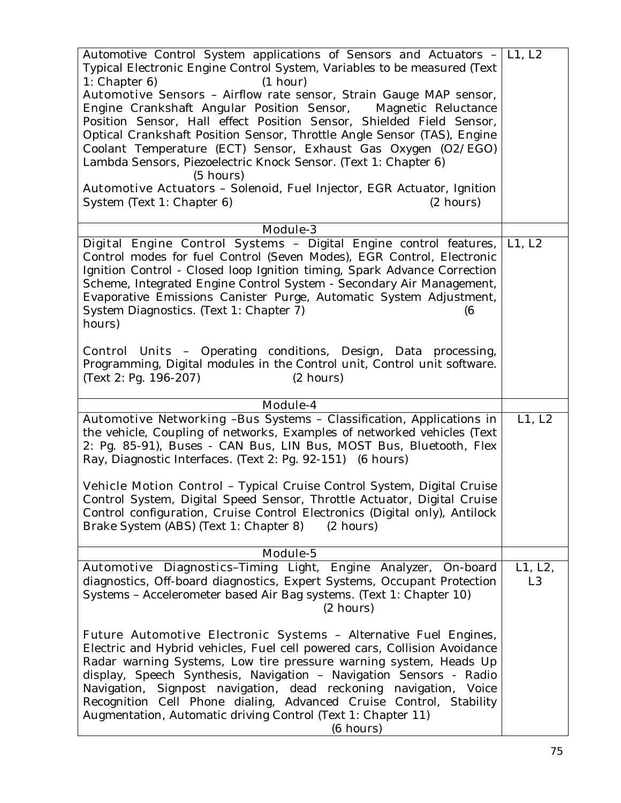| Automotive Control System applications of Sensors and Actuators $- L1, L2 $<br>Typical Electronic Engine Control System, Variables to be measured (Text                                                                                                                                                                                                                                                                                                                                                                                                                                                                              |                           |
|--------------------------------------------------------------------------------------------------------------------------------------------------------------------------------------------------------------------------------------------------------------------------------------------------------------------------------------------------------------------------------------------------------------------------------------------------------------------------------------------------------------------------------------------------------------------------------------------------------------------------------------|---------------------------|
| (1 hour)<br>1: Chapter 6                                                                                                                                                                                                                                                                                                                                                                                                                                                                                                                                                                                                             |                           |
| Automotive Sensors - Airflow rate sensor, Strain Gauge MAP sensor,<br>Engine Crankshaft Angular Position Sensor, Magnetic Reluctance<br>Position Sensor, Hall effect Position Sensor, Shielded Field Sensor,<br>Optical Crankshaft Position Sensor, Throttle Angle Sensor (TAS), Engine<br>Coolant Temperature (ECT) Sensor, Exhaust Gas Oxygen (O2/EGO)<br>Lambda Sensors, Piezoelectric Knock Sensor. (Text 1: Chapter 6)<br>$(5 \text{ hours})$<br>Automotive Actuators - Solenoid, Fuel Injector, EGR Actuator, Ignition                                                                                                         |                           |
| System (Text 1: Chapter 6)<br>$(2 \text{ hours})$                                                                                                                                                                                                                                                                                                                                                                                                                                                                                                                                                                                    |                           |
| <b>Module-3</b>                                                                                                                                                                                                                                                                                                                                                                                                                                                                                                                                                                                                                      |                           |
| Digital Engine Control Systems - Digital Engine control features,<br>Control modes for fuel Control (Seven Modes), EGR Control, Electronic<br>Ignition Control - Closed loop Ignition timing, Spark Advance Correction<br>Scheme, Integrated Engine Control System - Secondary Air Management,<br>Evaporative Emissions Canister Purge, Automatic System Adjustment,<br>System Diagnostics. (Text 1: Chapter 7)<br>(6<br>hours)<br><b>Control Units -</b> Operating conditions, Design, Data processing,<br>Programming, Digital modules in the Control unit, Control unit software.<br>(Text 2: Pg. 196-207)<br>$(2 \text{ hours})$ | L1, L2                    |
| Module-4                                                                                                                                                                                                                                                                                                                                                                                                                                                                                                                                                                                                                             |                           |
| Automotive Networking -Bus Systems - Classification, Applications in<br>the vehicle, Coupling of networks, Examples of networked vehicles (Text<br>2: Pg. 85-91), Buses - CAN Bus, LIN Bus, MOST Bus, Bluetooth, Flex<br>Ray, Diagnostic Interfaces. (Text 2: Pg. 92-151) (6 hours)<br>Vehicle Motion Control - Typical Cruise Control System, Digital Cruise<br>Control System, Digital Speed Sensor, Throttle Actuator, Digital Cruise<br>Control configuration, Cruise Control Electronics (Digital only), Antilock<br>Brake System (ABS) (Text 1: Chapter 8)<br>$(2 \text{ hours})$                                              | L1, L2                    |
| Module-5                                                                                                                                                                                                                                                                                                                                                                                                                                                                                                                                                                                                                             |                           |
| Automotive Diagnostics-Timing Light, Engine Analyzer,<br>On-board<br>diagnostics, Off-board diagnostics, Expert Systems, Occupant Protection<br>Systems - Accelerometer based Air Bag systems. (Text 1: Chapter 10)<br>$(2 \text{ hours})$                                                                                                                                                                                                                                                                                                                                                                                           | L1, L2,<br>L <sub>3</sub> |
| <b>Future Automotive Electronic Systems - Alternative Fuel Engines,</b><br>Electric and Hybrid vehicles, Fuel cell powered cars, Collision Avoidance<br>Radar warning Systems, Low tire pressure warning system, Heads Up<br>display, Speech Synthesis, Navigation - Navigation Sensors - Radio<br>Signpost navigation, dead reckoning navigation, Voice<br>Navigation,<br>Recognition Cell Phone dialing, Advanced Cruise Control, Stability<br>Augmentation, Automatic driving Control (Text 1: Chapter 11)<br>(6 hours)                                                                                                           |                           |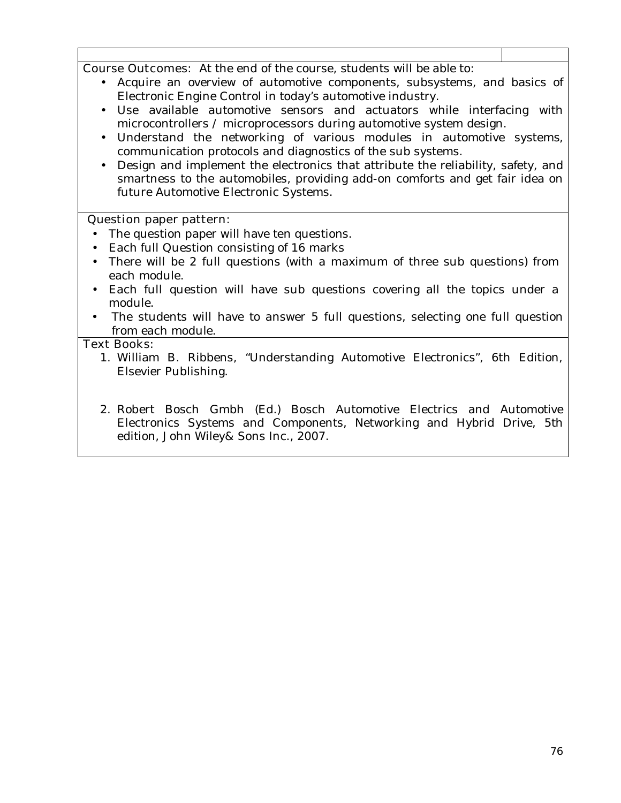| $\sim$ |  | $\bullet$ . A . I . I . I . I . The set of $\bullet$ |  |
|--------|--|------------------------------------------------------|--|
|        |  |                                                      |  |
|        |  |                                                      |  |

**Course Outcomes:** At the end of the course, students will be able to:

- Acquire an overview of automotive components, subsystems, and basics of Electronic Engine Control in today's automotive industry.
- Use available automotive sensors and actuators while interfacing with microcontrollers / microprocessors during automotive system design.
- Understand the networking of various modules in automotive systems, communication protocols and diagnostics of the sub systems.
- Design and implement the electronics that attribute the reliability, safety, and smartness to the automobiles, providing add-on comforts and get fair idea on future Automotive Electronic Systems.

#### **Question paper pattern:**

- The question paper will have ten questions.
- Each full Question consisting of 16 marks
- There will be 2 full questions (with a maximum of three sub questions) from each module.
- Each full question will have sub questions covering all the topics under a module.
- The students will have to answer 5 full questions, selecting one full question from each module.

#### **Text Books:**

- 1. William B. Ribbens, "Understanding Automotive Electronics", 6th Edition, Elsevier Publishing.
- 2. Robert Bosch Gmbh (Ed.) Bosch Automotive Electrics and Automotive Electronics Systems and Components, Networking and Hybrid Drive, 5th edition, John Wiley& Sons Inc., 2007.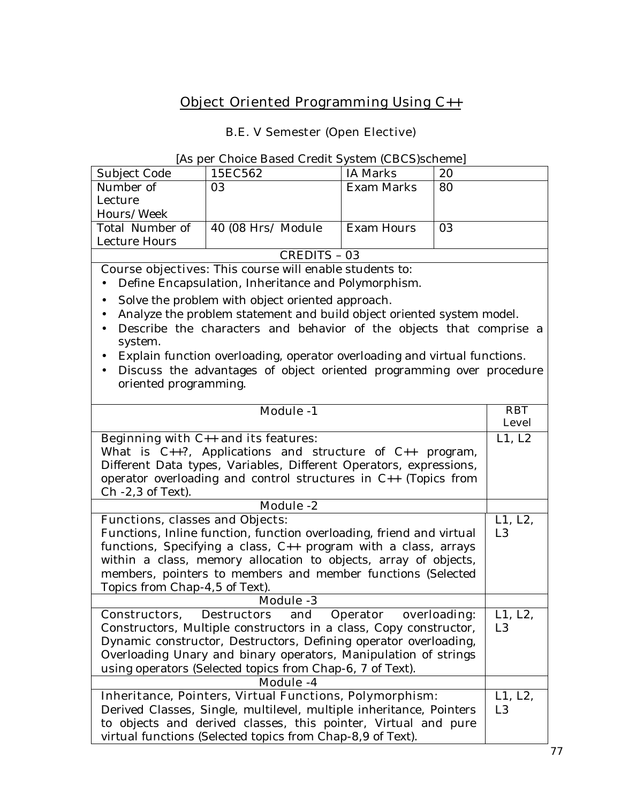# **Object Oriented Programming Using C++**

## **B.E. V Semester (Open Elective)**

|                                                                     | [As per Choice Based Credit System (CBCS)scheme]                                                                                      |                   |              |                           |
|---------------------------------------------------------------------|---------------------------------------------------------------------------------------------------------------------------------------|-------------------|--------------|---------------------------|
| Subject Code                                                        | 15EC562                                                                                                                               | <b>IA Marks</b>   | 20           |                           |
| Number of                                                           | 03                                                                                                                                    | <b>Exam Marks</b> | 80           |                           |
| Lecture                                                             |                                                                                                                                       |                   |              |                           |
| Hours/Week                                                          |                                                                                                                                       |                   |              |                           |
| Total Number of                                                     | 40 (08 Hrs/ Module                                                                                                                    | <b>Exam Hours</b> | 03           |                           |
| Lecture Hours                                                       |                                                                                                                                       |                   |              |                           |
|                                                                     | <b>CREDITS - 03</b>                                                                                                                   |                   |              |                           |
|                                                                     | <b>Course objectives:</b> This course will enable students to:                                                                        |                   |              |                           |
|                                                                     | Define Encapsulation, Inheritance and Polymorphism.                                                                                   |                   |              |                           |
| $\bullet$                                                           | Solve the problem with object oriented approach.                                                                                      |                   |              |                           |
|                                                                     | Analyze the problem statement and build object oriented system model.                                                                 |                   |              |                           |
| $\bullet$                                                           | Describe the characters and behavior of the objects that comprise a                                                                   |                   |              |                           |
| system.                                                             |                                                                                                                                       |                   |              |                           |
|                                                                     | Explain function overloading, operator overloading and virtual functions.                                                             |                   |              |                           |
| $\bullet$                                                           | Discuss the advantages of object oriented programming over procedure                                                                  |                   |              |                           |
| oriented programming.                                               |                                                                                                                                       |                   |              |                           |
|                                                                     | <b>Module -1</b>                                                                                                                      |                   |              | <b>RBT</b>                |
|                                                                     |                                                                                                                                       |                   |              | <b>Level</b>              |
|                                                                     | Beginning with $C_{++}$ and its features:                                                                                             |                   |              | L1, L2                    |
| What is $C_{++}$ ?, Applications and structure of $C_{++}$ program, |                                                                                                                                       |                   |              |                           |
| Different Data types, Variables, Different Operators, expressions,  |                                                                                                                                       |                   |              |                           |
|                                                                     | operator overloading and control structures in C++ (Topics from                                                                       |                   |              |                           |
| Ch -2,3 of Text).                                                   |                                                                                                                                       |                   |              |                           |
|                                                                     | <b>Module -2</b>                                                                                                                      |                   |              |                           |
| <b>Functions, classes and Objects:</b>                              |                                                                                                                                       |                   |              | L1, L2,                   |
|                                                                     | Functions, Inline function, function overloading, friend and virtual                                                                  |                   |              | L3                        |
|                                                                     | functions, Specifying a class, $C_{++}$ program with a class, arrays                                                                  |                   |              |                           |
|                                                                     | within a class, memory allocation to objects, array of objects,                                                                       |                   |              |                           |
|                                                                     | members, pointers to members and member functions (Selected                                                                           |                   |              |                           |
| Topics from Chap-4,5 of Text).                                      |                                                                                                                                       |                   |              |                           |
| <b>Module -3</b>                                                    |                                                                                                                                       |                   |              |                           |
|                                                                     |                                                                                                                                       |                   |              |                           |
| Constructors,                                                       | <b>Destructors</b><br>and                                                                                                             | <b>Operator</b>   | overloading: | L1, L2,                   |
|                                                                     | Constructors, Multiple constructors in a class, Copy constructor,                                                                     |                   |              | L <sub>3</sub>            |
|                                                                     | Dynamic constructor, Destructors, Defining operator overloading,                                                                      |                   |              |                           |
|                                                                     | Overloading Unary and binary operators, Manipulation of strings                                                                       |                   |              |                           |
|                                                                     | using operators (Selected topics from Chap-6, 7 of Text).                                                                             |                   |              |                           |
|                                                                     | Module -4                                                                                                                             |                   |              |                           |
|                                                                     | <b>Inheritance, Pointers, Virtual Functions, Polymorphism:</b>                                                                        |                   |              | L1, L2,<br>L <sub>3</sub> |
|                                                                     | Derived Classes, Single, multilevel, multiple inheritance, Pointers<br>to objects and derived classes, this pointer, Virtual and pure |                   |              |                           |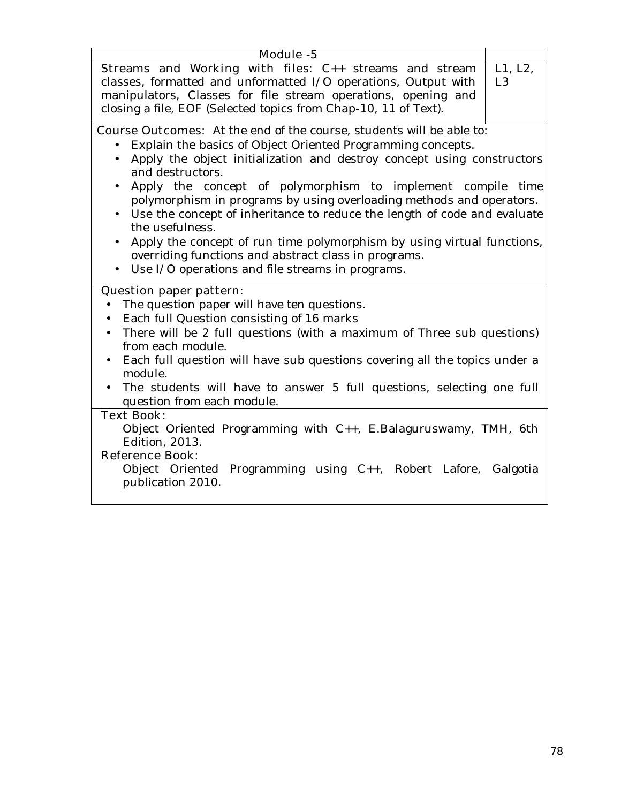| Module -5                                                                           |         |
|-------------------------------------------------------------------------------------|---------|
| Streams and Working with files: C++ streams and stream                              | L1, L2, |
| classes, formatted and unformatted I/O operations, Output with                      | L3      |
| manipulators, Classes for file stream operations, opening and                       |         |
| closing a file, EOF (Selected topics from Chap-10, 11 of Text).                     |         |
|                                                                                     |         |
| <b>Course Outcomes:</b> At the end of the course, students will be able to:         |         |
| Explain the basics of Object Oriented Programming concepts.<br>$\bullet$            |         |
| Apply the object initialization and destroy concept using constructors<br>$\bullet$ |         |
| and destructors.                                                                    |         |
| Apply the concept of polymorphism to implement compile time                         |         |
| polymorphism in programs by using overloading methods and operators.                |         |
| Use the concept of inheritance to reduce the length of code and evaluate            |         |
| the usefulness.                                                                     |         |
| Apply the concept of run time polymorphism by using virtual functions,<br>$\bullet$ |         |
| overriding functions and abstract class in programs.                                |         |
| Use I/O operations and file streams in programs.                                    |         |
|                                                                                     |         |
| <b>Question paper pattern:</b>                                                      |         |
| The question paper will have ten questions.                                         |         |
| Each full Question consisting of 16 marks                                           |         |
| There will be 2 full questions (with a maximum of Three sub questions)<br>$\bullet$ |         |
| from each module.                                                                   |         |
| Each full question will have sub questions covering all the topics under a          |         |
| module.                                                                             |         |
| The students will have to answer 5 full questions, selecting one full               |         |
| question from each module.                                                          |         |
| <b>Text Book:</b>                                                                   |         |
| Object Oriented Programming with C++, E.Balaguruswamy, TMH, 6th                     |         |
| <b>Edition</b> , 2013.                                                              |         |
| <b>Reference Book:</b>                                                              |         |
| Object Oriented Programming using C++, Robert Lafore, Galgotia                      |         |
| publication 2010.                                                                   |         |
|                                                                                     |         |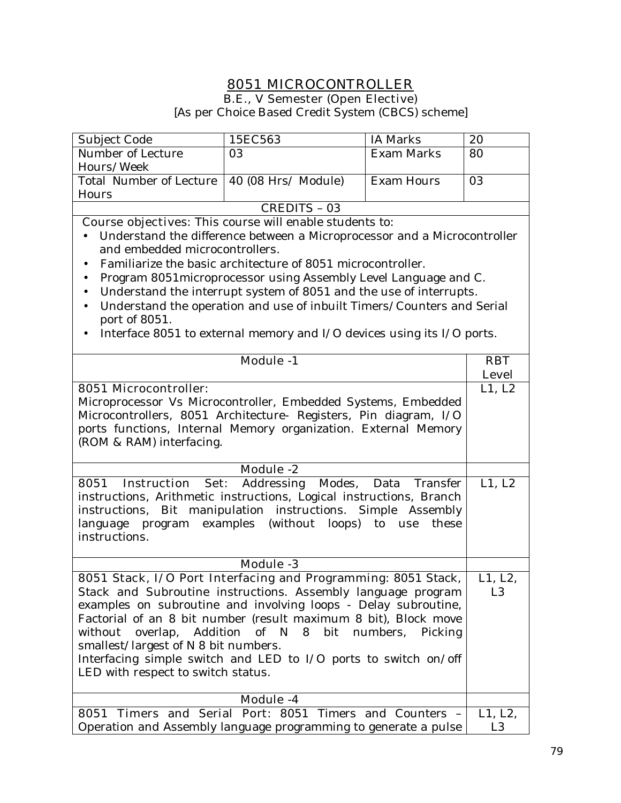## **8051 MICROCONTROLLER B.E., V Semester (Open Elective)**

[As per Choice Based Credit System (CBCS) scheme]

| Subject Code                                                                                                                                                                                                                                                                                                                                                                                                                                                                                                                                                                                                 | 15EC563             | <b>IA Marks</b>   | 20                     |
|--------------------------------------------------------------------------------------------------------------------------------------------------------------------------------------------------------------------------------------------------------------------------------------------------------------------------------------------------------------------------------------------------------------------------------------------------------------------------------------------------------------------------------------------------------------------------------------------------------------|---------------------|-------------------|------------------------|
| Number of Lecture                                                                                                                                                                                                                                                                                                                                                                                                                                                                                                                                                                                            | 03                  | <b>Exam Marks</b> | 80                     |
| Hours/Week                                                                                                                                                                                                                                                                                                                                                                                                                                                                                                                                                                                                   |                     |                   |                        |
| <b>Total Number of Lecture</b>                                                                                                                                                                                                                                                                                                                                                                                                                                                                                                                                                                               | 40 (08 Hrs/ Module) | <b>Exam Hours</b> | 03                     |
| Hours                                                                                                                                                                                                                                                                                                                                                                                                                                                                                                                                                                                                        |                     |                   |                        |
|                                                                                                                                                                                                                                                                                                                                                                                                                                                                                                                                                                                                              | <b>CREDITS - 03</b> |                   |                        |
|                                                                                                                                                                                                                                                                                                                                                                                                                                                                                                                                                                                                              |                     |                   |                        |
| Course objectives: This course will enable students to:<br>Understand the difference between a Microprocessor and a Microcontroller<br>and embedded microcontrollers.<br>Familiarize the basic architecture of 8051 microcontroller.<br>Program 8051microprocessor using Assembly Level Language and C.<br>٠<br>Understand the interrupt system of 8051 and the use of interrupts.<br>$\bullet$<br>Understand the operation and use of inbuilt Timers/Counters and Serial<br>$\bullet$<br>port of 8051.<br>Interface 8051 to external memory and I/O devices using its I/O ports.<br>Module -1<br><b>RBT</b> |                     |                   |                        |
| <b>8051 Microcontroller:</b>                                                                                                                                                                                                                                                                                                                                                                                                                                                                                                                                                                                 |                     |                   | <b>Level</b><br>L1, L2 |
| Microprocessor Vs Microcontroller, Embedded Systems, Embedded<br>Microcontrollers, 8051 Architecture- Registers, Pin diagram, I/O<br>ports functions, Internal Memory organization. External Memory<br>(ROM & RAM) interfacing.                                                                                                                                                                                                                                                                                                                                                                              |                     |                   |                        |
|                                                                                                                                                                                                                                                                                                                                                                                                                                                                                                                                                                                                              | <b>Module -2</b>    |                   |                        |
| Addressing<br>Modes,<br>8051<br><b>Instruction</b><br>Set:<br>Data<br>Transfer<br>instructions, Arithmetic instructions, Logical instructions, Branch<br>instructions, Bit manipulation instructions. Simple Assembly<br>language program examples (without loops) to use<br>these<br>instructions.                                                                                                                                                                                                                                                                                                          |                     |                   | L1, L2                 |
|                                                                                                                                                                                                                                                                                                                                                                                                                                                                                                                                                                                                              | <b>Module -3</b>    |                   |                        |
| 8051 Stack, I/O Port Interfacing and Programming: 8051 Stack,<br>Stack and Subroutine instructions. Assembly language program<br>examples on subroutine and involving loops - Delay subroutine,<br>Factorial of an 8 bit number (result maximum 8 bit), Block move<br>without overlap, Addition of N 8 bit numbers,<br>smallest/largest of N 8 bit numbers.<br>Interfacing simple switch and LED to I/O ports to switch on/off<br>LED with respect to switch status.                                                                                                                                         |                     | Picking           | L1, L2,<br>L3          |
|                                                                                                                                                                                                                                                                                                                                                                                                                                                                                                                                                                                                              | Module -4           |                   |                        |
|                                                                                                                                                                                                                                                                                                                                                                                                                                                                                                                                                                                                              |                     |                   | L1, L2,                |
| 8051 Timers and Serial Port: 8051 Timers and Counters -<br>Operation and Assembly language programming to generate a pulse                                                                                                                                                                                                                                                                                                                                                                                                                                                                                   |                     |                   |                        |

Operation and Assembly language programming to generate a pulse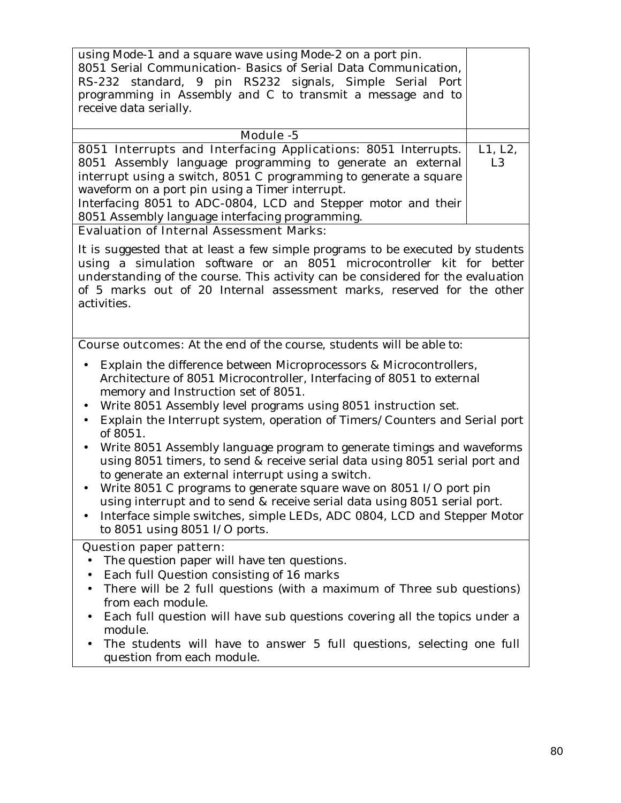| using Mode-1 and a square wave using Mode-2 on a port pin.<br>8051 Serial Communication- Basics of Serial Data Communication,<br>RS-232 standard, 9 pin RS232 signals, Simple Serial Port<br>programming in Assembly and C to transmit a message and to<br>receive data serially. |                |
|-----------------------------------------------------------------------------------------------------------------------------------------------------------------------------------------------------------------------------------------------------------------------------------|----------------|
| Module -5                                                                                                                                                                                                                                                                         |                |
| <b>8051 Interrupts and Interfacing Applications:</b> 8051 Interrupts.                                                                                                                                                                                                             | L1, L2,        |
| 8051 Assembly language programming to generate an external                                                                                                                                                                                                                        | L <sub>3</sub> |
| interrupt using a switch, 8051 C programming to generate a square                                                                                                                                                                                                                 |                |
| waveform on a port pin using a Timer interrupt.                                                                                                                                                                                                                                   |                |
| Interfacing 8051 to ADC-0804, LCD and Stepper motor and their                                                                                                                                                                                                                     |                |
| 8051 Assembly language interfacing programming.                                                                                                                                                                                                                                   |                |
| <b>Evaluation of Internal Assessment Marks:</b>                                                                                                                                                                                                                                   |                |

It is suggested that at least a few simple programs to be executed by students using a simulation software or an 8051 microcontroller kit for better understanding of the course. This activity can be considered for the evaluation of 5 marks out of 20 Internal assessment marks, reserved for the other activities.

**Course outcomes:** At the end of the course, students will be able to:

- Explain the difference between Microprocessors & Microcontrollers, Architecture of 8051 Microcontroller, Interfacing of 8051 to external memory and Instruction set of 8051.
- Write 8051 Assembly level programs using 8051 instruction set.
- Explain the Interrupt system, operation of Timers/Counters and Serial port of 8051.
- Write 8051 Assembly language program to generate timings and waveforms using 8051 timers, to send & receive serial data using 8051 serial port and to generate an external interrupt using a switch.
- Write 8051 C programs to generate square wave on 8051 I/O port pin using interrupt and to send & receive serial data using 8051 serial port.
- Interface simple switches, simple LEDs, ADC 0804, LCD and Stepper Motor to 8051 using 8051 I/O ports.

#### **Question paper pattern:**

- The question paper will have ten questions.
- Each full Question consisting of 16 marks
- There will be 2 full questions (with a maximum of Three sub questions) from each module.
- Each full question will have sub questions covering all the topics under a module.
- The students will have to answer 5 full questions, selecting one full question from each module.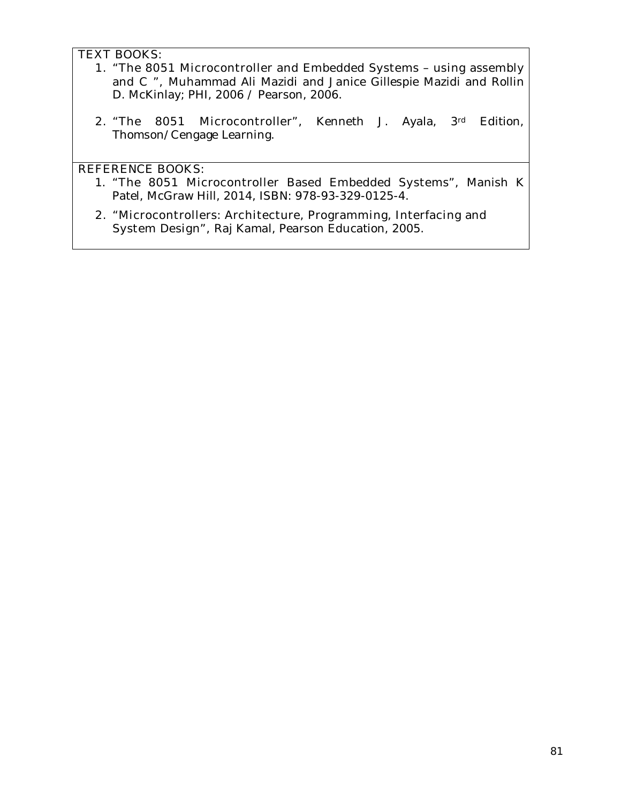#### **TEXT BOOKS:**

- **1. "The 8051 Microcontroller and Embedded Systems using assembly and C ",** Muhammad Ali Mazidi and Janice Gillespie Mazidi and Rollin D. McKinlay; PHI, 2006 / Pearson, 2006.
- **2. "The 8051 Microcontroller",** Kenneth J. Ayala, 3rd Edition, Thomson/Cengage Learning.

## **REFERENCE BOOKS:**

- 1. **"The 8051 Microcontroller Based Embedded Systems",** Manish K Patel, McGraw Hill, 2014, ISBN: 978-93-329-0125-4.
- **2. "Microcontrollers: Architecture, Programming, Interfacing and System Design",** Raj Kamal, Pearson Education, 2005.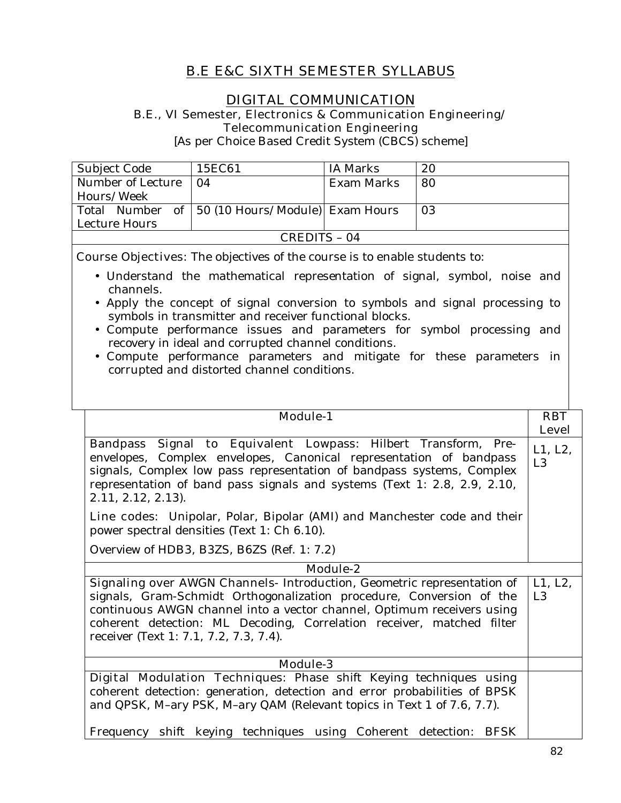## **B.E E&C SIXTH SEMESTER SYLLABUS**

## **DIGITAL COMMUNICATION**

**B.E., VI Semester, Electronics & Communication Engineering/ Telecommunication Engineering** 

[As per Choice Based Credit System (CBCS) scheme]

| Subject Code      | 15EC61                                            | IA Marks   | 20 |
|-------------------|---------------------------------------------------|------------|----|
| Number of Lecture | $\Omega$                                          | Exam Marks | 80 |
| Hours/Week        |                                                   |            |    |
|                   | Total Number of   50 (10 Hours/Module) Exam Hours |            | 03 |
| Lecture Hours     |                                                   |            |    |
| CREDITS – 04      |                                                   |            |    |

**Course Objectives:** The objectives of the course is to enable students to:

- Understand the mathematical representation of signal, symbol, noise and channels.
- Apply the concept of signal conversion to symbols and signal processing to symbols in transmitter and receiver functional blocks.
- Compute performance issues and parameters for symbol processing and recovery in ideal and corrupted channel conditions.
- Compute performance parameters and mitigate for these parameters in corrupted and distorted channel conditions.

| <b>Module-1</b>                                                                                                                                                                                                                                                                                                   | <b>RBT</b>    |
|-------------------------------------------------------------------------------------------------------------------------------------------------------------------------------------------------------------------------------------------------------------------------------------------------------------------|---------------|
|                                                                                                                                                                                                                                                                                                                   |               |
|                                                                                                                                                                                                                                                                                                                   | <b>Level</b>  |
| Bandpass Signal to Equivalent Lowpass: Hilbert Transform, Pre-<br>envelopes, Complex envelopes, Canonical representation of bandpass<br>signals, Complex low pass representation of bandpass systems, Complex<br>representation of band pass signals and systems (Text 1: 2.8, 2.9, 2.10,<br>$2.11, 2.12, 2.13$ . | L1, L2,<br>L3 |
| <b>Line codes:</b> Unipolar, Polar, Bipolar (AMI) and Manchester code and their<br>power spectral densities (Text 1: Ch 6.10).                                                                                                                                                                                    |               |
| Overview of HDB3, B3ZS, B6ZS (Ref. 1: 7.2)                                                                                                                                                                                                                                                                        |               |
| Module-2                                                                                                                                                                                                                                                                                                          |               |
| <b>Signaling over AWGN Channels-</b> Introduction, Geometric representation of                                                                                                                                                                                                                                    | L1, L2,       |
| signals, Gram-Schmidt Orthogonalization procedure, Conversion of the                                                                                                                                                                                                                                              | L3            |
| continuous AWGN channel into a vector channel, Optimum receivers using                                                                                                                                                                                                                                            |               |
| coherent detection: ML Decoding, Correlation receiver, matched filter<br>receiver (Text 1: 7.1, 7.2, 7.3, 7.4).                                                                                                                                                                                                   |               |
| <b>Module-3</b>                                                                                                                                                                                                                                                                                                   |               |
| Digital Modulation Techniques: Phase shift Keying techniques using<br>coherent detection: generation, detection and error probabilities of BPSK<br>and QPSK, M-ary PSK, M-ary QAM (Relevant topics in Text 1 of 7.6, 7.7).<br>Frequency shift keying techniques using Coherent detection: BFSK                    |               |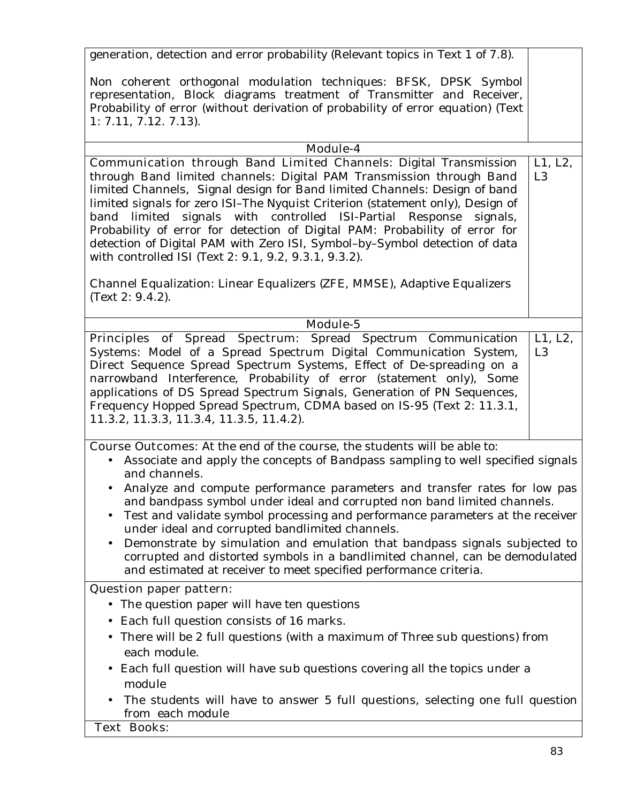generation, detection and error probability (Relevant topics in Text 1 of 7.8).

Non coherent orthogonal modulation techniques: BFSK, DPSK Symbol representation, Block diagrams treatment of Transmitter and Receiver, Probability of error (without derivation of probability of error equation) (Text 1: 7.11, 7.12. 7.13).

| Module-4                                                                                                                                                                                                                                                                                                                                                                                                                                                                                                                                                                                                       |                           |
|----------------------------------------------------------------------------------------------------------------------------------------------------------------------------------------------------------------------------------------------------------------------------------------------------------------------------------------------------------------------------------------------------------------------------------------------------------------------------------------------------------------------------------------------------------------------------------------------------------------|---------------------------|
| <b>Communication through Band Limited Channels: Digital Transmission</b><br>through Band limited channels: Digital PAM Transmission through Band<br>limited Channels, Signal design for Band limited Channels: Design of band<br>limited signals for zero ISI-The Nyquist Criterion (statement only), Design of<br>band limited signals with controlled ISI-Partial Response<br>signals,<br>Probability of error for detection of Digital PAM: Probability of error for<br>detection of Digital PAM with Zero ISI, Symbol-by-Symbol detection of data<br>with controlled ISI (Text 2: 9.1, 9.2, 9.3.1, 9.3.2). | L1, L2,<br>L <sub>3</sub> |
| Channel Equalization: Linear Equalizers (ZFE, MMSE), Adaptive Equalizers<br>(Text $2: 9.4.2$ ).                                                                                                                                                                                                                                                                                                                                                                                                                                                                                                                |                           |
| Module-5                                                                                                                                                                                                                                                                                                                                                                                                                                                                                                                                                                                                       |                           |
| Principles of Spread Spectrum: Spread Spectrum Communication<br>Systems: Model of a Spread Spectrum Digital Communication System,<br>Direct Sequence Spread Spectrum Systems, Effect of De-spreading on a<br>narrowband Interference, Probability of error (statement only), Some<br>applications of DS Spread Spectrum Signals, Generation of PN Sequences,<br>Frequency Hopped Spread Spectrum, CDMA based on IS-95 (Text 2: 11.3.1,<br>11.3.2, 11.3.3, 11.3.4, 11.3.5, 11.4.2).                                                                                                                             | L1, L2,<br>L <sub>3</sub> |
| <b>Course Outcomes:</b> At the end of the course, the students will be able to:<br>Associate and apply the concepts of Bandpass sampling to well specified signals<br>and channels.<br>Analyze and compute performance parameters and transfer rates for low pas<br>and bandpass symbol under ideal and corrupted non band limited channels.<br>Test and validate symbol processing and performance parameters at the receiver                                                                                                                                                                                 |                           |
| under ideal and corrupted bandlimited channels.<br>Demonstrate by simulation and emulation that bandpass signals subjected to<br>$\bullet$<br>corrupted and distorted symbols in a bandlimited channel, can be demodulated<br>and estimated at receiver to meet specified performance criteria.                                                                                                                                                                                                                                                                                                                |                           |
| <b>Question paper pattern:</b>                                                                                                                                                                                                                                                                                                                                                                                                                                                                                                                                                                                 |                           |
| The question paper will have ten questions<br>$\bullet$<br>Each full question consists of 16 marks.<br>• There will be 2 full questions (with a maximum of Three sub questions) from<br>each module.<br>Each full question will have sub questions covering all the topics under a                                                                                                                                                                                                                                                                                                                             |                           |
| module<br>The students will have to answer 5 full questions, selecting one full question                                                                                                                                                                                                                                                                                                                                                                                                                                                                                                                       |                           |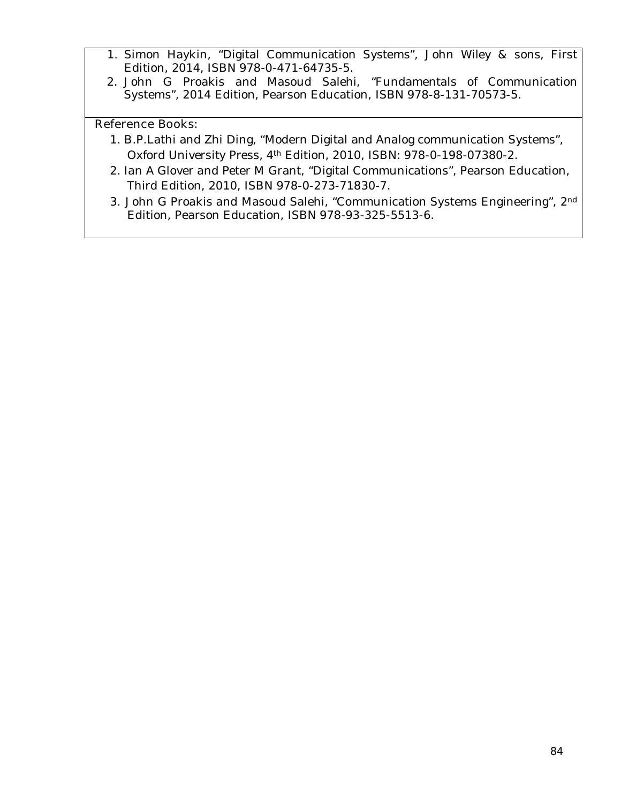- 1. Simon Haykin, "Digital Communication Systems", John Wiley & sons, First Edition, 2014, ISBN 978-0-471-64735-5.
- 2. John G Proakis and Masoud Salehi, "Fundamentals of Communication Systems", 2014 Edition, Pearson Education, ISBN 978-8-131-70573-5.

### **Reference Books:**

- 1. B.P.Lathi and Zhi Ding, "Modern Digital and Analog communication Systems", Oxford University Press, 4th Edition, 2010, ISBN: 978-0-198-07380-2.
- 2. Ian A Glover and Peter M Grant, "Digital Communications", Pearson Education, Third Edition, 2010, ISBN 978-0-273-71830-7.
- 3. John G Proakis and Masoud Salehi, "Communication Systems Engineering", 2nd Edition, Pearson Education, ISBN 978-93-325-5513-6.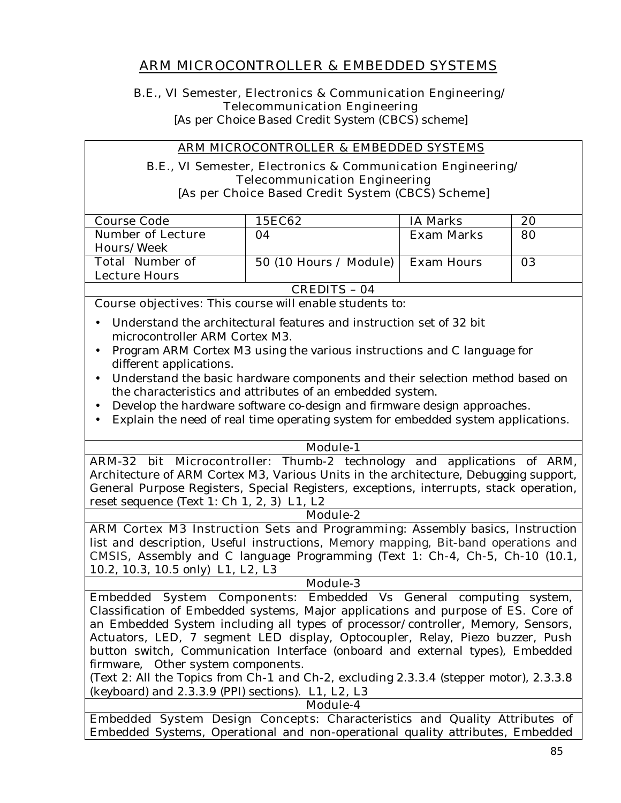## **ARM MICROCONTROLLER & EMBEDDED SYSTEMS**

### **B.E., VI Semester, Electronics & Communication Engineering/ Telecommunication Engineering**

[As per Choice Based Credit System (CBCS) scheme]

### **ARM MICROCONTROLLER & EMBEDDED SYSTEMS**

#### **B.E., VI Semester, Electronics & Communication Engineering/ Telecommunication Engineering [As per Choice Based Credit System (CBCS) Scheme]**

| <b>Course Code</b>                             | <b>15EC62</b>           | <b>IA Marks</b>   | 20 |  |
|------------------------------------------------|-------------------------|-------------------|----|--|
| <b>Number of Lecture</b>                       | 04                      | <b>Exam Marks</b> | 80 |  |
| Hours/Week                                     |                         |                   |    |  |
| <b>Total Number of</b>                         | $50(10$ Hours / Module) | <b>Exam Hours</b> | 03 |  |
| Lecture Hours                                  |                         |                   |    |  |
| $\alpha$ rre $\alpha$<br>$\sim$ $\blacksquare$ |                         |                   |    |  |

**CREDITS – 04**

**Course objectives:** This course will enable students to:

- Understand the architectural features and instruction set of 32 bit microcontroller ARM Cortex M3.
- Program ARM Cortex M3 using the various instructions and C language for different applications.
- Understand the basic hardware components and their selection method based on the characteristics and attributes of an embedded system.
- Develop the hardware software co-design and firmware design approaches.
- Explain the need of real time operating system for embedded system applications.

**Module-1** 

**ARM-32 bit Microcontroller:** Thumb-2 technology and applications of ARM, Architecture of ARM Cortex M3, Various Units in the architecture, Debugging support, General Purpose Registers, Special Registers, exceptions, interrupts, stack operation, reset sequence (Text 1: Ch 1, 2, 3) **L1, L2** 

**Module-2**

**ARM Cortex M3 Instruction Sets and Programming:** Assembly basics, Instruction list and description, Useful instructions, Memory mapping, Bit-band operations and CMSIS, Assembly and C language Programming (Text 1: Ch-4, Ch-5, Ch-10 (10.1, 10.2, 10.3, 10.5 only) **L1, L2, L3** 

#### **Module-3**

**Embedded System Components:** Embedded Vs General computing system, Classification of Embedded systems, Major applications and purpose of ES. Core of an Embedded System including all types of processor/controller, Memory, Sensors, Actuators, LED, 7 segment LED display, Optocoupler, Relay, Piezo buzzer, Push button switch, Communication Interface (onboard and external types), Embedded firmware, Other system components.

(Text 2: All the Topics from Ch-1 and Ch-2, excluding 2.3.3.4 (stepper motor), 2.3.3.8 (keyboard) and 2.3.3.9 (PPI) sections). **L1, L2, L3** 

**Module-4**

**Embedded System Design Concepts:** Characteristics and Quality Attributes of Embedded Systems, Operational and non-operational quality attributes, Embedded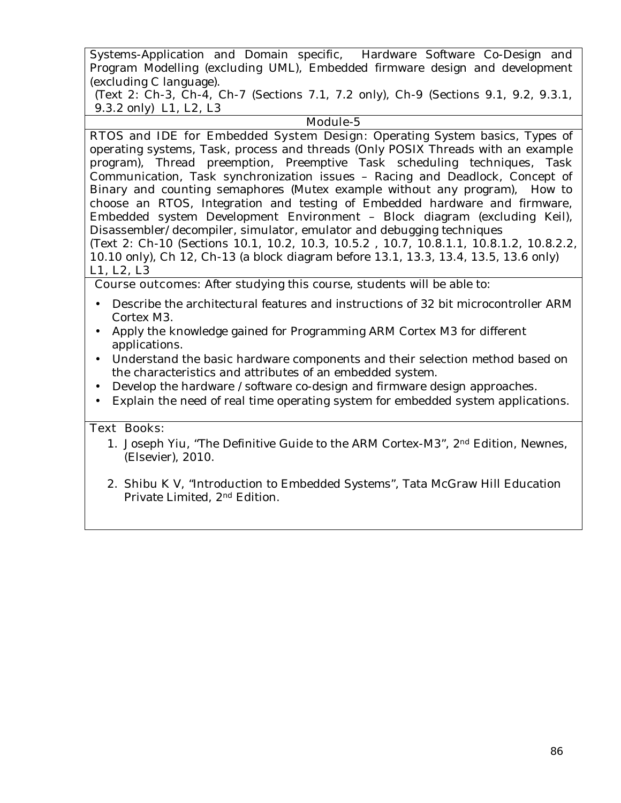Systems-Application and Domain specific, Hardware Software Co-Design and Program Modelling (excluding UML), Embedded firmware design and development (excluding C language).

(Text 2: Ch-3, Ch-4, Ch-7 (Sections 7.1, 7.2 only), Ch-9 (Sections 9.1, 9.2, 9.3.1, 9.3.2 only) **L1, L2, L3** 

## **Module-5**

**RTOS and IDE for Embedded System Design:** Operating System basics, Types of operating systems, Task, process and threads (Only POSIX Threads with an example program), Thread preemption, Preemptive Task scheduling techniques, Task Communication, Task synchronization issues – Racing and Deadlock, Concept of Binary and counting semaphores (Mutex example without any program), How to choose an RTOS, Integration and testing of Embedded hardware and firmware, Embedded system Development Environment – Block diagram (excluding Keil), Disassembler/decompiler, simulator, emulator and debugging techniques (Text 2: Ch-10 (Sections 10.1, 10.2, 10.3, 10.5.2 , 10.7, 10.8.1.1, 10.8.1.2, 10.8.2.2, 10.10 only), Ch 12, Ch-13 (a block diagram before 13.1, 13.3, 13.4, 13.5, 13.6 only) **L1, L2, L3** 

## **Course outcomes:** After studying this course, students will be able to:

- Describe the architectural features and instructions of 32 bit microcontroller ARM Cortex M3.
- Apply the knowledge gained for Programming ARM Cortex M3 for different applications.
- Understand the basic hardware components and their selection method based on the characteristics and attributes of an embedded system.
- Develop the hardware /software co-design and firmware design approaches.
- Explain the need of real time operating system for embedded system applications.

#### **Text Books:**

- 1. Joseph Yiu, "The Definitive Guide to the ARM Cortex-M3", 2nd Edition, Newnes, (Elsevier), 2010.
- 2. Shibu K V, "Introduction to Embedded Systems", Tata McGraw Hill Education Private Limited, 2nd Edition.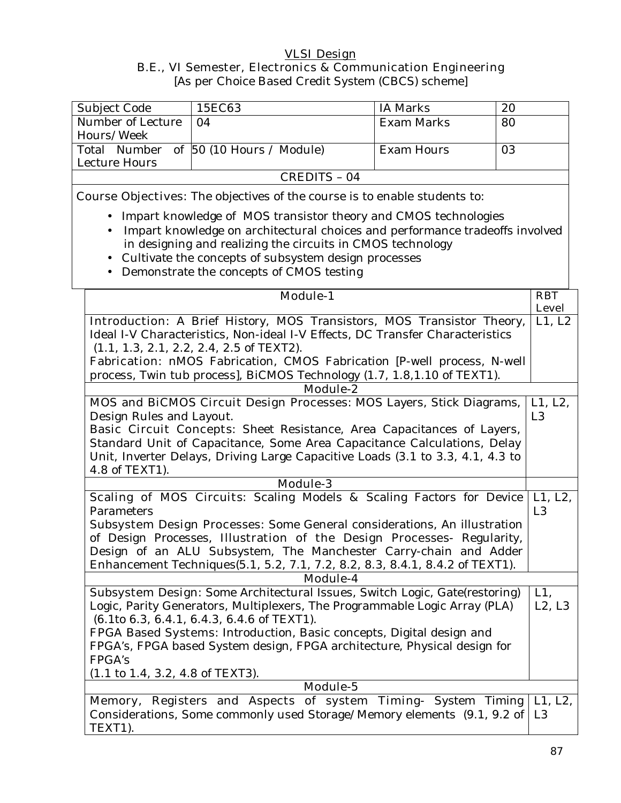## **VLSI Design B.E., VI Semester, Electronics & Communication Engineering**

[As per Choice Based Credit System (CBCS) scheme]

| Subject Code                                                                                                                                      | 15EC63                                                                                                                                                  | <b>IA Marks</b> | 20                        |  |  |
|---------------------------------------------------------------------------------------------------------------------------------------------------|---------------------------------------------------------------------------------------------------------------------------------------------------------|-----------------|---------------------------|--|--|
| Number of Lecture                                                                                                                                 | <b>Exam Marks</b><br>04<br>80                                                                                                                           |                 |                           |  |  |
| Hours/Week                                                                                                                                        |                                                                                                                                                         |                 |                           |  |  |
| Total Number                                                                                                                                      | of $50(10$ Hours / Module)<br><b>Exam Hours</b><br>03                                                                                                   |                 |                           |  |  |
| <b>Lecture Hours</b>                                                                                                                              |                                                                                                                                                         |                 |                           |  |  |
|                                                                                                                                                   | <b>CREDITS - 04</b>                                                                                                                                     |                 |                           |  |  |
|                                                                                                                                                   | <b>Course Objectives:</b> The objectives of the course is to enable students to:                                                                        |                 |                           |  |  |
|                                                                                                                                                   | Impart knowledge of MOS transistor theory and CMOS technologies                                                                                         |                 |                           |  |  |
|                                                                                                                                                   | Impart knowledge on architectural choices and performance tradeoffs involved                                                                            |                 |                           |  |  |
|                                                                                                                                                   | in designing and realizing the circuits in CMOS technology                                                                                              |                 |                           |  |  |
| $\bullet$                                                                                                                                         | Cultivate the concepts of subsystem design processes                                                                                                    |                 |                           |  |  |
|                                                                                                                                                   | Demonstrate the concepts of CMOS testing                                                                                                                |                 |                           |  |  |
|                                                                                                                                                   |                                                                                                                                                         |                 |                           |  |  |
|                                                                                                                                                   | <b>Module-1</b>                                                                                                                                         |                 | <b>RBT</b>                |  |  |
|                                                                                                                                                   |                                                                                                                                                         |                 | <b>Level</b>              |  |  |
|                                                                                                                                                   | Introduction: A Brief History, MOS Transistors, MOS Transistor Theory,<br>Ideal I-V Characteristics, Non-ideal I-V Effects, DC Transfer Characteristics |                 | L1, L2                    |  |  |
|                                                                                                                                                   | $(1.1, 1.3, 2.1, 2.2, 2.4, 2.5$ of TEXT2).                                                                                                              |                 |                           |  |  |
|                                                                                                                                                   | Fabrication: nMOS Fabrication, CMOS Fabrication [P-well process, N-well                                                                                 |                 |                           |  |  |
|                                                                                                                                                   | process, Twin tub process], BiCMOS Technology (1.7, 1.8, 1.10 of TEXT1).                                                                                |                 |                           |  |  |
|                                                                                                                                                   | <b>Module-2</b>                                                                                                                                         |                 |                           |  |  |
| MOS and BiCMOS Circuit Design Processes: MOS Layers, Stick Diagrams,                                                                              |                                                                                                                                                         |                 |                           |  |  |
| Design Rules and Layout.                                                                                                                          |                                                                                                                                                         |                 | L1, L2,<br>L <sub>3</sub> |  |  |
|                                                                                                                                                   | <b>Basic Circuit Concepts:</b> Sheet Resistance, Area Capacitances of Layers,                                                                           |                 |                           |  |  |
|                                                                                                                                                   | Standard Unit of Capacitance, Some Area Capacitance Calculations, Delay                                                                                 |                 |                           |  |  |
|                                                                                                                                                   | Unit, Inverter Delays, Driving Large Capacitive Loads (3.1 to 3.3, 4.1, 4.3 to                                                                          |                 |                           |  |  |
| 4.8 of TEXT1).                                                                                                                                    |                                                                                                                                                         |                 |                           |  |  |
|                                                                                                                                                   | <b>Module-3</b>                                                                                                                                         |                 |                           |  |  |
|                                                                                                                                                   | Scaling of MOS Circuits: Scaling Models & Scaling Factors for Device                                                                                    |                 | L1, L2,                   |  |  |
| Parameters                                                                                                                                        |                                                                                                                                                         |                 | L <sub>3</sub>            |  |  |
|                                                                                                                                                   | Subsystem Design Processes: Some General considerations, An illustration                                                                                |                 |                           |  |  |
|                                                                                                                                                   | of Design Processes, Illustration of the Design Processes- Regularity,                                                                                  |                 |                           |  |  |
| Design of an ALU Subsystem, The Manchester Carry-chain and Adder<br>Enhancement Techniques (5.1, 5.2, 7.1, 7.2, 8.2, 8.3, 8.4.1, 8.4.2 of TEXT1). |                                                                                                                                                         |                 |                           |  |  |
|                                                                                                                                                   | <b>Module-4</b>                                                                                                                                         |                 |                           |  |  |
|                                                                                                                                                   | Subsystem Design: Some Architectural Issues, Switch Logic, Gate(restoring)                                                                              |                 | $L1$ ,                    |  |  |
|                                                                                                                                                   | Logic, Parity Generators, Multiplexers, The Programmable Logic Array (PLA)                                                                              |                 | L2, L3                    |  |  |
|                                                                                                                                                   | (6.1to 6.3, 6.4.1, 6.4.3, 6.4.6 of TEXT1).                                                                                                              |                 |                           |  |  |
|                                                                                                                                                   | FPGA Based Systems: Introduction, Basic concepts, Digital design and                                                                                    |                 |                           |  |  |
|                                                                                                                                                   | FPGA's, FPGA based System design, FPGA architecture, Physical design for                                                                                |                 |                           |  |  |
| FPGA's                                                                                                                                            |                                                                                                                                                         |                 |                           |  |  |

(1.1 to 1.4, 3.2, 4.8 of TEXT3).

| <b>Module-5</b> |                                                                                      |  |  |  |  |  |  |
|-----------------|--------------------------------------------------------------------------------------|--|--|--|--|--|--|
|                 | <b>Memory, Registers and Aspects of system Timing-</b> System Timing $\vert$ L1, L2, |  |  |  |  |  |  |
|                 | Considerations, Some commonly used Storage/Memory elements (9.1, 9.2 of   L3         |  |  |  |  |  |  |
| TEXT1).         |                                                                                      |  |  |  |  |  |  |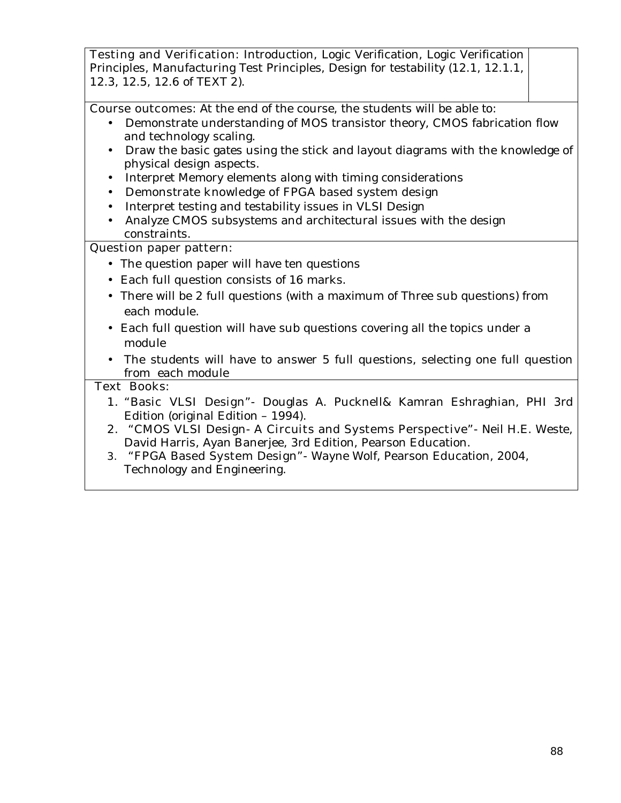**Testing and Verification:** Introduction, Logic Verification, Logic Verification Principles, Manufacturing Test Principles, Design for testability (12.1, 12.1.1, 12.3, 12.5, 12.6 of TEXT 2).

**Course outcomes:** At the end of the course, the students will be able to:

- Demonstrate understanding of MOS transistor theory, CMOS fabrication flow and technology scaling.
- Draw the basic gates using the stick and layout diagrams with the knowledge of physical design aspects.
- Interpret Memory elements along with timing considerations
- Demonstrate knowledge of FPGA based system design
- Interpret testing and testability issues in VLSI Design
- Analyze CMOS subsystems and architectural issues with the design constraints.

## **Question paper pattern:**

- The question paper will have ten questions
- Each full question consists of 16 marks**.**
- There will be 2 full questions (with a maximum of Three sub questions) from each module.
- Each full question will have sub questions covering all the topics under a module
- The students will have to answer 5 full questions, selecting one full question from each module

## **Text Books:**

- **1. "Basic VLSI Design"** Douglas A. Pucknell& Kamran Eshraghian, PHI 3rd Edition (original Edition – 1994).
- **2. "CMOS VLSI Design- A Circuits and Systems Perspective"-** Neil H.E. Weste, David Harris, Ayan Banerjee, 3rd Edition, Pearson Education.
- **3. "FPGA Based System Design"-** Wayne Wolf, Pearson Education, 2004, Technology and Engineering.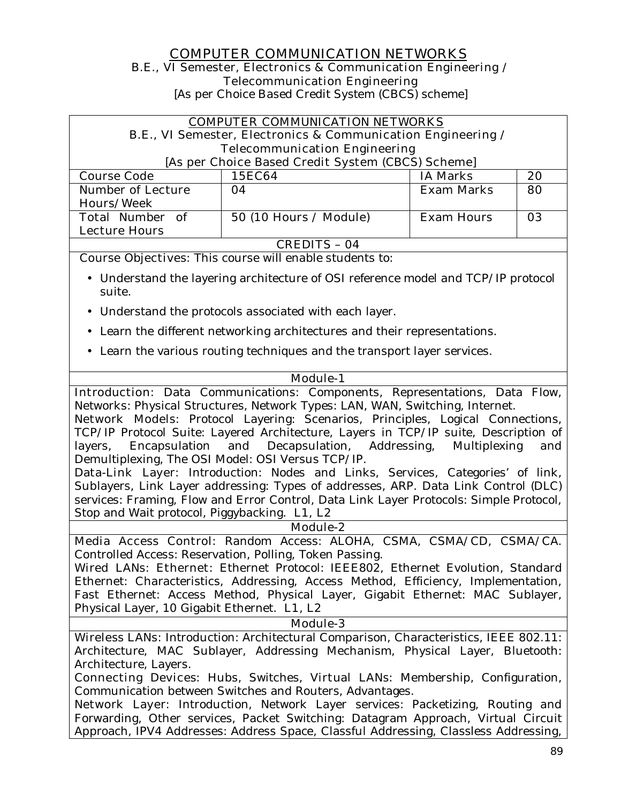## **COMPUTER COMMUNICATION NETWORKS B.E., VI Semester, Electronics & Communication Engineering / Telecommunication Engineering**

[As per Choice Based Credit System (CBCS) scheme]

|                                                                               | <b>COMPUTER COMMUNICATION NETWORKS</b><br>B.E., VI Semester, Electronics & Communication Engineering /                                                     |                             |     |  |  |
|-------------------------------------------------------------------------------|------------------------------------------------------------------------------------------------------------------------------------------------------------|-----------------------------|-----|--|--|
|                                                                               | <b>Telecommunication Engineering</b>                                                                                                                       |                             |     |  |  |
|                                                                               | [As per Choice Based Credit System (CBCS) Scheme]                                                                                                          |                             |     |  |  |
| <b>Course Code</b>                                                            | <b>15EC64</b>                                                                                                                                              | <b>IA Marks</b>             | 20  |  |  |
| <b>Number of Lecture</b><br><b>Hours/Week</b>                                 | 04                                                                                                                                                         | Exam Marks                  | 80  |  |  |
| <b>Total Number of</b><br><b>Lecture Hours</b>                                | 50 (10 Hours / Module)                                                                                                                                     | <b>Exam Hours</b>           | 03  |  |  |
|                                                                               | <b>CREDITS - 04</b>                                                                                                                                        |                             |     |  |  |
|                                                                               | <b>Course Objectives:</b> This course will enable students to:                                                                                             |                             |     |  |  |
| suite.                                                                        | • Understand the layering architecture of OSI reference model and TCP/IP protocol                                                                          |                             |     |  |  |
|                                                                               | • Understand the protocols associated with each layer.                                                                                                     |                             |     |  |  |
|                                                                               | • Learn the different networking architectures and their representations.                                                                                  |                             |     |  |  |
|                                                                               | • Learn the various routing techniques and the transport layer services.                                                                                   |                             |     |  |  |
|                                                                               |                                                                                                                                                            |                             |     |  |  |
|                                                                               | <b>Module-1</b>                                                                                                                                            |                             |     |  |  |
|                                                                               | Introduction: Data Communications: Components, Representations, Data Flow,<br>Networks: Physical Structures, Network Types: LAN, WAN, Switching, Internet. |                             |     |  |  |
|                                                                               | Network Models: Protocol Layering: Scenarios, Principles, Logical Connections,                                                                             |                             |     |  |  |
|                                                                               | TCP/IP Protocol Suite: Layered Architecture, Layers in TCP/IP suite, Description of                                                                        |                             |     |  |  |
| Encapsulation<br>layers,<br>Demultiplexing, The OSI Model: OSI Versus TCP/IP. | and Decapsulation,                                                                                                                                         | Addressing,<br>Multiplexing | and |  |  |
|                                                                               | Data-Link Layer: Introduction: Nodes and Links, Services, Categories' of link,                                                                             |                             |     |  |  |
|                                                                               | Sublayers, Link Layer addressing: Types of addresses, ARP. Data Link Control (DLC)                                                                         |                             |     |  |  |
|                                                                               | services: Framing, Flow and Error Control, Data Link Layer Protocols: Simple Protocol,                                                                     |                             |     |  |  |
| Stop and Wait protocol, Piggybacking. L1, L2                                  |                                                                                                                                                            |                             |     |  |  |
|                                                                               | Module-2                                                                                                                                                   |                             |     |  |  |
|                                                                               | Media Access Control: Random Access: ALOHA, CSMA, CSMA/CD, CSMA/CA.                                                                                        |                             |     |  |  |
|                                                                               | Controlled Access: Reservation, Polling, Token Passing.<br>Wired LANs: Ethernet: Ethernet Protocol: IEEE802, Ethernet Evolution, Standard                  |                             |     |  |  |
|                                                                               | Ethernet: Characteristics, Addressing, Access Method, Efficiency, Implementation,                                                                          |                             |     |  |  |
|                                                                               | Fast Ethernet: Access Method, Physical Layer, Gigabit Ethernet: MAC Sublayer,                                                                              |                             |     |  |  |
| Physical Layer, 10 Gigabit Ethernet. L1, L2                                   |                                                                                                                                                            |                             |     |  |  |

#### **Module-3**

Wireless LANs: Introduction: Architectural Comparison, Characteristics, IEEE 802.11: Architecture, MAC Sublayer, Addressing Mechanism, Physical Layer, Bluetooth: Architecture, Layers.

**Connecting Devices:** Hubs, Switches, **Virtual LANs:** Membership, Configuration, Communication between Switches and Routers, Advantages.

**Network Layer:** Introduction, Network Layer services: Packetizing, Routing and Forwarding, Other services, Packet Switching: Datagram Approach, Virtual Circuit Approach, IPV4 Addresses: Address Space, Classful Addressing, Classless Addressing,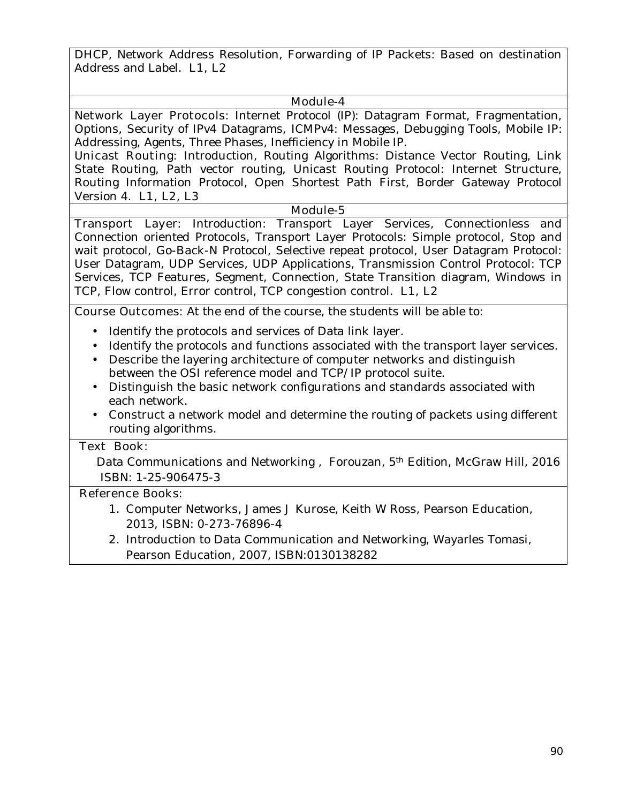DHCP, Network Address Resolution, Forwarding of IP Packets: Based on destination Address and Label. **L1, L2** 

#### **Module-4**

**Network Layer Protocols:** Internet Protocol (IP): Datagram Format, Fragmentation, Options, Security of IPv4 Datagrams, ICMPv4: Messages, Debugging Tools, Mobile IP: Addressing, Agents, Three Phases, Inefficiency in Mobile IP.

**Unicast Routing:** Introduction, Routing Algorithms: Distance Vector Routing, Link State Routing, Path vector routing, Unicast Routing Protocol: Internet Structure, Routing Information Protocol, Open Shortest Path First, Border Gateway Protocol Version 4. **L1, L2, L3** 

#### **Module-5**

**Transport Layer:** Introduction: Transport Layer Services, Connectionless and Connection oriented Protocols, Transport Layer Protocols: Simple protocol, Stop and wait protocol, Go-Back-N Protocol, Selective repeat protocol, User Datagram Protocol: User Datagram, UDP Services, UDP Applications, Transmission Control Protocol: TCP Services, TCP Features, Segment, Connection, State Transition diagram, Windows in TCP, Flow control, Error control, TCP congestion control. **L1, L2** 

**Course Outcomes:** At the end of the course, the students will be able to:

- Identify the protocols and services of Data link layer.
- Identify the protocols and functions associated with the transport layer services.
- Describe the layering architecture of computer networks and distinguish between the OSI reference model and TCP/IP protocol suite.
- Distinguish the basic network configurations and standards associated with each network.
- Construct a network model and determine the routing of packets using different routing algorithms.

#### **Text Book:**

Data Communications and Networking, Forouzan, 5<sup>th</sup> Edition, McGraw Hill, 2016 ISBN: 1-25-906475-3

## **Reference Books:**

- 1. Computer Networks, James J Kurose, Keith W Ross, Pearson Education, 2013, ISBN: 0-273-76896-4
- 2. Introduction to Data Communication and Networking, Wayarles Tomasi, Pearson Education, 2007, ISBN:0130138282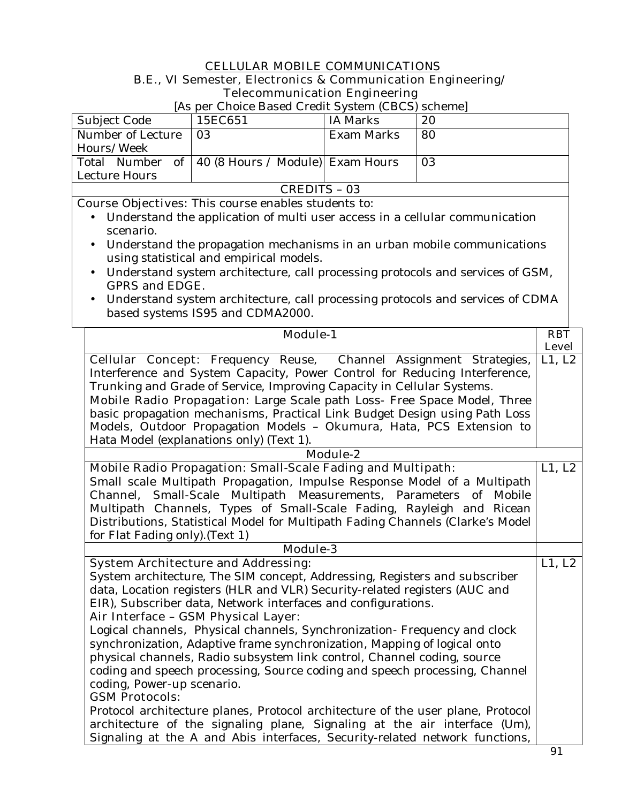## **CELLULAR MOBILE COMMUNICATIONS B.E., VI Semester, Electronics & Communication Engineering/ Telecommunication Engineering**

[As per Choice Based Credit System (CBCS) scheme]

| Subject Code      | 15EC651                                             | IA Marks   | 20 |  |
|-------------------|-----------------------------------------------------|------------|----|--|
| Number of Lecture | 03                                                  | Exam Marks | 80 |  |
| Hours/Week        |                                                     |            |    |  |
|                   | Total Number of   40 (8 Hours / Module)  Exam Hours |            | 03 |  |
| Lecture Hours     |                                                     |            |    |  |
| CREDITS - 03      |                                                     |            |    |  |

**Course Objectives:** This course enables students to:

- Understand the application of multi user access in a cellular communication scenario.
- Understand the propagation mechanisms in an urban mobile communications using statistical and empirical models.
- Understand system architecture, call processing protocols and services of GSM, GPRS and EDGE.
- Understand system architecture, call processing protocols and services of CDMA based systems IS95 and CDMA2000.

| <b>Module-1</b>                                                                 | <b>RBT</b>   |
|---------------------------------------------------------------------------------|--------------|
|                                                                                 | <b>Level</b> |
| <b>Cellular Concept:</b> Frequency Reuse, Channel Assignment Strategies,        | L1, L2       |
| Interference and System Capacity, Power Control for Reducing Interference,      |              |
| Trunking and Grade of Service, Improving Capacity in Cellular Systems.          |              |
| Mobile Radio Propagation: Large Scale path Loss- Free Space Model, Three        |              |
| basic propagation mechanisms, Practical Link Budget Design using Path Loss      |              |
| Models, Outdoor Propagation Models - Okumura, Hata, PCS Extension to            |              |
| Hata Model (explanations only) (Text 1).                                        |              |
| Module-2                                                                        |              |
| <b>Mobile Radio Propagation: Small-Scale Fading and Multipath:</b>              | L1, L2       |
| Small scale Multipath Propagation, Impulse Response Model of a Multipath        |              |
| Channel, Small-Scale Multipath Measurements, Parameters of Mobile               |              |
| Multipath Channels, Types of Small-Scale Fading, Rayleigh and Ricean            |              |
| Distributions, Statistical Model for Multipath Fading Channels (Clarke's Model  |              |
| for Flat Fading only). (Text 1)                                                 |              |
| Module-3                                                                        |              |
| <b>System Architecture and Addressing:</b>                                      | L1, L2       |
| System architecture, The SIM concept, Addressing, Registers and subscriber      |              |
| data, Location registers (HLR and VLR) Security-related registers (AUC and      |              |
| EIR), Subscriber data, Network interfaces and configurations.                   |              |
| Air Interface - GSM Physical Layer:                                             |              |
| Logical channels, Physical channels, Synchronization- Frequency and clock       |              |
| synchronization, Adaptive frame synchronization, Mapping of logical onto        |              |
| physical channels, Radio subsystem link control, Channel coding, source         |              |
| coding and speech processing, Source coding and speech processing, Channel      |              |
| coding, Power-up scenario.                                                      |              |
| <b>GSM Protocols:</b>                                                           |              |
| Protocol architecture planes, Protocol architecture of the user plane, Protocol |              |
| architecture of the signaling plane, Signaling at the air interface (Um),       |              |
| Signaling at the A and Abis interfaces, Security-related network functions,     |              |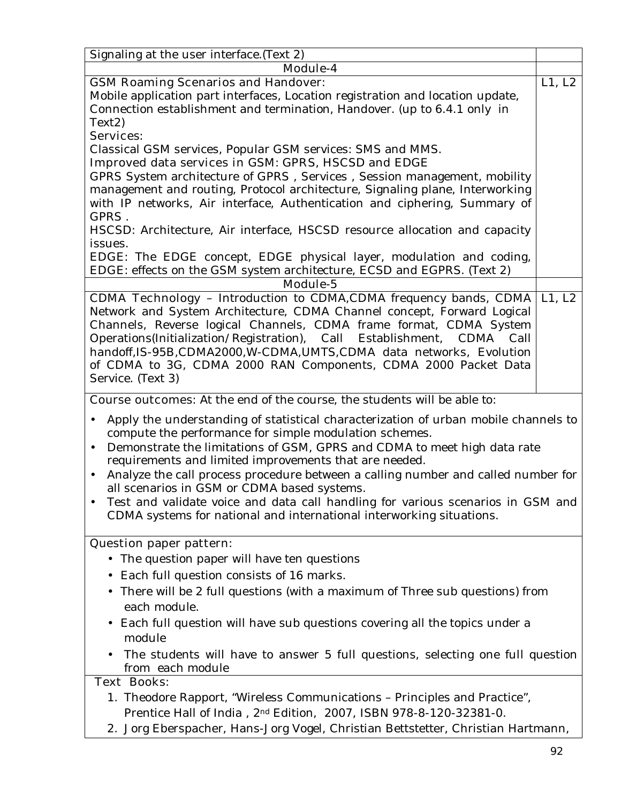| Signaling at the user interface. (Text 2)                                                                                                                                                                                                                                                                                                                                                                                                                                                                                                                                                                                 |        |
|---------------------------------------------------------------------------------------------------------------------------------------------------------------------------------------------------------------------------------------------------------------------------------------------------------------------------------------------------------------------------------------------------------------------------------------------------------------------------------------------------------------------------------------------------------------------------------------------------------------------------|--------|
| Module-4                                                                                                                                                                                                                                                                                                                                                                                                                                                                                                                                                                                                                  |        |
| <b>GSM Roaming Scenarios and Handover:</b><br>Mobile application part interfaces, Location registration and location update,<br>Connection establishment and termination, Handover. (up to 6.4.1 only in                                                                                                                                                                                                                                                                                                                                                                                                                  | L1, L2 |
| Text <sub>2</sub> )<br><b>Services:</b>                                                                                                                                                                                                                                                                                                                                                                                                                                                                                                                                                                                   |        |
| Classical GSM services, Popular GSM services: SMS and MMS.<br>Improved data services in GSM: GPRS, HSCSD and EDGE                                                                                                                                                                                                                                                                                                                                                                                                                                                                                                         |        |
| GPRS System architecture of GPRS, Services, Session management, mobility<br>management and routing, Protocol architecture, Signaling plane, Interworking<br>with IP networks, Air interface, Authentication and ciphering, Summary of<br>GPRS.                                                                                                                                                                                                                                                                                                                                                                            |        |
| HSCSD: Architecture, Air interface, HSCSD resource allocation and capacity<br>issues.                                                                                                                                                                                                                                                                                                                                                                                                                                                                                                                                     |        |
| EDGE: The EDGE concept, EDGE physical layer, modulation and coding,<br>EDGE: effects on the GSM system architecture, ECSD and EGPRS. (Text 2)                                                                                                                                                                                                                                                                                                                                                                                                                                                                             |        |
| <b>Module-5</b>                                                                                                                                                                                                                                                                                                                                                                                                                                                                                                                                                                                                           |        |
| <b>CDMA Technology</b> - Introduction to CDMA, CDMA frequency bands, CDMA<br>Network and System Architecture, CDMA Channel concept, Forward Logical<br>Channels, Reverse logical Channels, CDMA frame format, CDMA System<br>Operations(Initialization/Registration), Call Establishment,<br>CDMA Call<br>handoff, IS-95B, CDMA2000, W-CDMA, UMTS, CDMA data networks, Evolution<br>of CDMA to 3G, CDMA 2000 RAN Components, CDMA 2000 Packet Data<br>Service. (Text 3)                                                                                                                                                   | L1, L2 |
| <b>Course outcomes:</b> At the end of the course, the students will be able to:                                                                                                                                                                                                                                                                                                                                                                                                                                                                                                                                           |        |
| Apply the understanding of statistical characterization of urban mobile channels to<br>$\bullet$<br>compute the performance for simple modulation schemes.<br>Demonstrate the limitations of GSM, GPRS and CDMA to meet high data rate<br>$\bullet$<br>requirements and limited improvements that are needed.<br>Analyze the call process procedure between a calling number and called number for<br>$\bullet$<br>all scenarios in GSM or CDMA based systems.<br>Test and validate voice and data call handling for various scenarios in GSM and<br>CDMA systems for national and international interworking situations. |        |
| <b>Question paper pattern:</b>                                                                                                                                                                                                                                                                                                                                                                                                                                                                                                                                                                                            |        |
| • The question paper will have ten questions                                                                                                                                                                                                                                                                                                                                                                                                                                                                                                                                                                              |        |
| Each full question consists of 16 marks.                                                                                                                                                                                                                                                                                                                                                                                                                                                                                                                                                                                  |        |
| There will be 2 full questions (with a maximum of Three sub questions) from<br>each module.                                                                                                                                                                                                                                                                                                                                                                                                                                                                                                                               |        |
| Each full question will have sub questions covering all the topics under a                                                                                                                                                                                                                                                                                                                                                                                                                                                                                                                                                |        |
| module<br>The students will have to answer 5 full questions, selecting one full question<br>from each module                                                                                                                                                                                                                                                                                                                                                                                                                                                                                                              |        |
| <b>Text Books:</b>                                                                                                                                                                                                                                                                                                                                                                                                                                                                                                                                                                                                        |        |
| 1. Theodore Rapport, "Wireless Communications - Principles and Practice",<br>Prentice Hall of India, 2nd Edition, 2007, ISBN 978-8-120-32381-0.<br>2. Jorg Eberspacher, Hans-Jorg Vogel, Christian Bettstetter, Christian Hartmann,                                                                                                                                                                                                                                                                                                                                                                                       |        |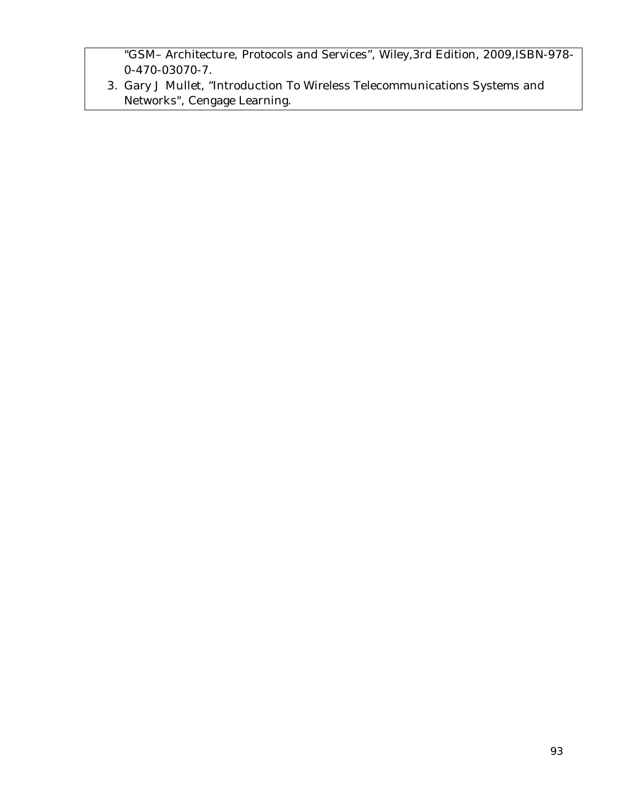"GSM– Architecture, Protocols and Services", Wiley,3rd Edition, 2009,ISBN-978- 0-470-03070-7.

3. Gary J Mullet, "Introduction To Wireless Telecommunications Systems and Networks", Cengage Learning.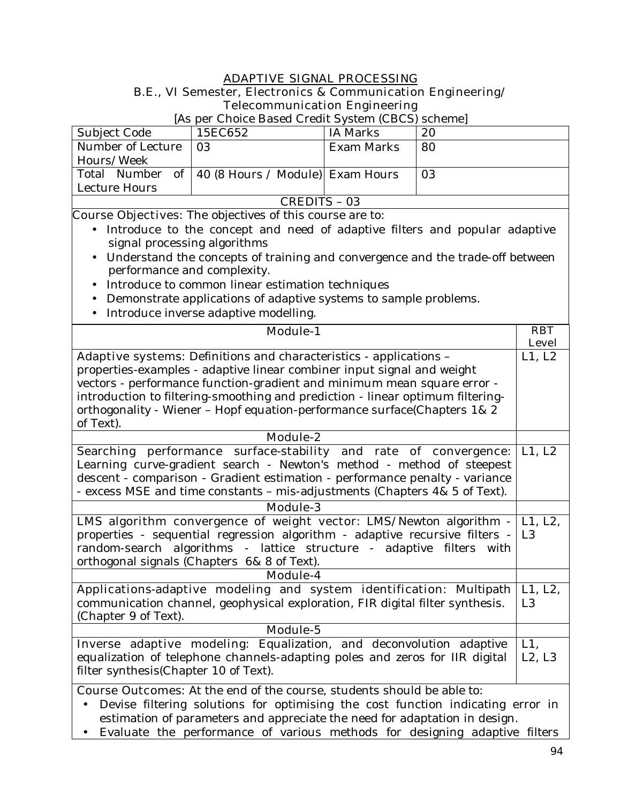#### **ADAPTIVE SIGNAL PROCESSING**

#### **B.E., VI Semester, Electronics & Communication Engineering/ Telecommunication Engineering**

[As per Choice Based Credit System (CBCS) scheme]

| Subject Code      | 15EC652                                             | IA Marks   | 20 |  |
|-------------------|-----------------------------------------------------|------------|----|--|
| Number of Lecture | -03                                                 | Exam Marks | 80 |  |
| Hours/Week        |                                                     |            |    |  |
|                   | Total Number of   40 (8 Hours / Module)  Exam Hours |            | 03 |  |
| Lecture Hours     |                                                     |            |    |  |
| CREDITS - 03      |                                                     |            |    |  |

**Course Objectives:** The objectives of this course are to:

- Introduce to the concept and need of adaptive filters and popular adaptive signal processing algorithms
- Understand the concepts of training and convergence and the trade-off between performance and complexity.
- Introduce to common linear estimation techniques
- Demonstrate applications of adaptive systems to sample problems.
- Introduce inverse adaptive modelling.

| <b>Module-1</b>                                                                        | <b>RBT</b>     |
|----------------------------------------------------------------------------------------|----------------|
|                                                                                        | <b>Level</b>   |
| Adaptive systems: Definitions and characteristics - applications -                     | L1, L2         |
| properties-examples - adaptive linear combiner input signal and weight                 |                |
| vectors - performance function-gradient and minimum mean square error -                |                |
| introduction to filtering-smoothing and prediction - linear optimum filtering-         |                |
| orthogonality - Wiener - Hopf equation-performance surface(Chapters 1& 2               |                |
| of Text).                                                                              |                |
| <b>Module-2</b>                                                                        |                |
| Searching performance surface-stability and rate of convergence:                       | L1, L2         |
| Learning curve-gradient search - Newton's method - method of steepest                  |                |
| descent - comparison - Gradient estimation - performance penalty - variance            |                |
| - excess MSE and time constants - mis-adjustments (Chapters 4& 5 of Text).             |                |
| <b>Module-3</b>                                                                        |                |
| <b>LMS algorithm convergence of weight vector:</b> LMS/Newton algorithm $-$ L1, L2,    |                |
| properties - sequential regression algorithm - adaptive recursive filters - $\vert$ L3 |                |
| random-search algorithms - lattice structure - adaptive filters with                   |                |
| orthogonal signals (Chapters 6& 8 of Text).                                            |                |
| <b>Module-4</b>                                                                        |                |
| Applications-adaptive modeling and system identification: Multipath                    | L1, L2,        |
| communication channel, geophysical exploration, FIR digital filter synthesis.          | L <sub>3</sub> |
| (Chapter 9 of Text).                                                                   |                |
| Module-5                                                                               |                |
| Inverse adaptive modeling: Equalization, and deconvolution adaptive                    | L1,            |
| equalization of telephone channels-adapting poles and zeros for IIR digital            | L2, L3         |
| filter synthesis(Chapter 10 of Text).                                                  |                |
| <b>Course Outcomes:</b> At the end of the course, students should be able to:          |                |
| Devise filtering solutions for optimising the cost function indicating error in        |                |
| estimation of parameters and appreciate the need for adaptation in design.             |                |

• Evaluate the performance of various methods for designing adaptive filters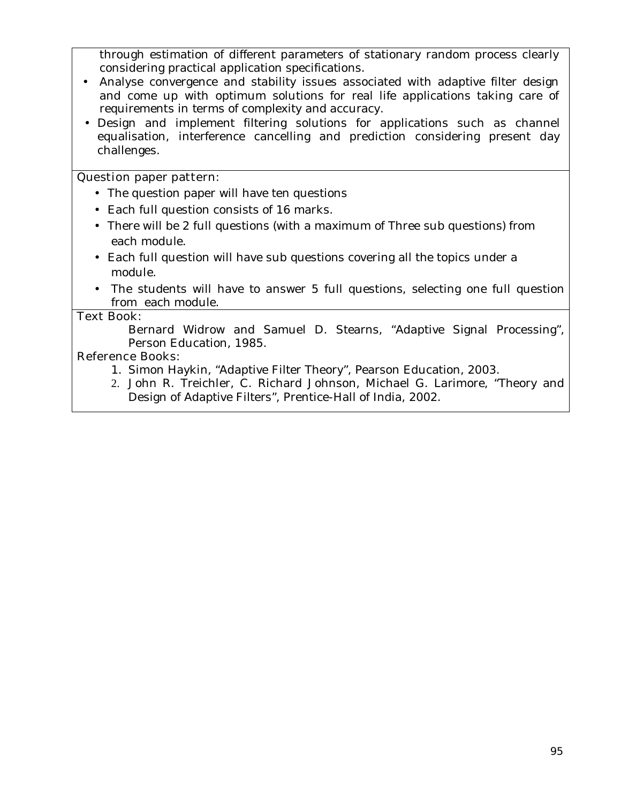through estimation of different parameters of stationary random process clearly considering practical application specifications.

- Analyse convergence and stability issues associated with adaptive filter design and come up with optimum solutions for real life applications taking care of requirements in terms of complexity and accuracy.
- Design and implement filtering solutions for applications such as channel equalisation, interference cancelling and prediction considering present day challenges.

#### **Question paper pattern:**

- The question paper will have ten questions
- Each full question consists of 16 marks**.**
- There will be 2 full questions (with a maximum of Three sub questions) from each module.
- Each full question will have sub questions covering all the topics under a module.
- The students will have to answer 5 full questions, selecting one full question from each module.

#### **Text Book:**

Bernard Widrow and Samuel D. Stearns, "Adaptive Signal Processing", Person Education, 1985.

## **Reference Books:**

- 1. Simon Haykin, "Adaptive Filter Theory", Pearson Education, 2003.
- 2. John R. Treichler, C. Richard Johnson, Michael G. Larimore, "Theory and Design of Adaptive Filters", Prentice-Hall of India, 2002.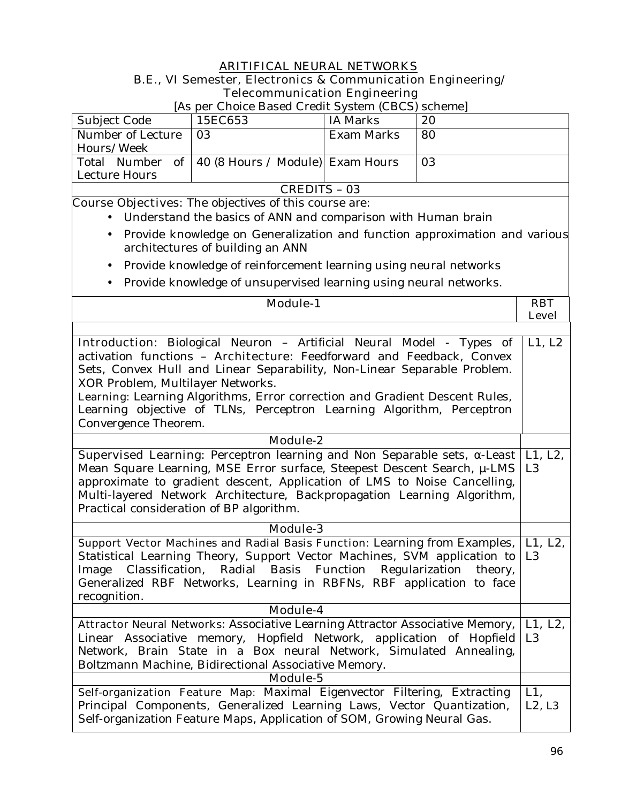## **ARITIFICAL NEURAL NETWORKS B.E., VI Semester, Electronics & Communication Engineering/ Telecommunication Engineering**

[As per Choice Based Credit System (CBCS) scheme]

| Subject Code      | 15EC653                                            | IA Marks   | 20 |  |
|-------------------|----------------------------------------------------|------------|----|--|
| Number of Lecture | 03                                                 | Exam Marks | 80 |  |
| Hours/Week        |                                                    |            |    |  |
|                   | Total Number of   40 (8 Hours / Module) Exam Hours |            | 03 |  |
| Lecture Hours     |                                                    |            |    |  |
| CREDITS - 03      |                                                    |            |    |  |

**Course Objectives:** The objectives of this course are:

- Understand the basics of ANN and comparison with Human brain
- Provide knowledge on Generalization and function approximation and various architectures of building an ANN
- Provide knowledge of reinforcement learning using neural networks
- Provide knowledge of unsupervised learning using neural networks.

| ac michieuxe of amouper noca fearing ability frear ar fleew                    |                |
|--------------------------------------------------------------------------------|----------------|
| <b>Module-1</b>                                                                | <b>RBT</b>     |
|                                                                                | <b>Level</b>   |
|                                                                                |                |
| <b>Introduction</b> : Biological Neuron - Artificial Neural Model - Types of   | L1, L2         |
| activation functions - <b>Architecture</b> : Feedforward and Feedback, Convex  |                |
| Sets, Convex Hull and Linear Separability, Non-Linear Separable Problem.       |                |
| XOR Problem, Multilayer Networks.                                              |                |
| Learning: Learning Algorithms, Error correction and Gradient Descent Rules,    |                |
| Learning objective of TLNs, Perceptron Learning Algorithm, Perceptron          |                |
| Convergence Theorem.                                                           |                |
|                                                                                |                |
| <b>Module-2</b>                                                                |                |
| <b>Supervised Learning:</b> Perceptron learning and Non Separable sets, -Least | L1, L2,        |
| Mean Square Learning, MSE Error surface, Steepest Descent Search, µ-LMS        | L <sub>3</sub> |
| approximate to gradient descent, Application of LMS to Noise Cancelling,       |                |
| Multi-layered Network Architecture, Backpropagation Learning Algorithm,        |                |
| Practical consideration of BP algorithm.                                       |                |
| <b>Module-3</b>                                                                |                |
| Support Vector Machines and Radial Basis Function: Learning from Examples,     | L1, L2,        |
| Statistical Learning Theory, Support Vector Machines, SVM application to       | L <sub>3</sub> |
| Image Classification, Radial Basis Function Regularization theory,             |                |
| Generalized RBF Networks, Learning in RBFNs, RBF application to face           |                |
| recognition.                                                                   |                |
| Module-4                                                                       |                |
| Attractor Neural Networks: Associative Learning Attractor Associative Memory,  | L1, L2,        |
| Linear Associative memory, Hopfield Network, application of Hopfield           | L3             |
| Network, Brain State in a Box neural Network, Simulated Annealing,             |                |
| Boltzmann Machine, Bidirectional Associative Memory.                           |                |
| <b>Module-5</b>                                                                |                |
| Self-organization Feature Map: Maximal Eigenvector Filtering, Extracting       | $L1$ ,         |
| Principal Components, Generalized Learning Laws, Vector Quantization,          | $L2$ , $L3$    |
| Self-organization Feature Maps, Application of SOM, Growing Neural Gas.        |                |
|                                                                                |                |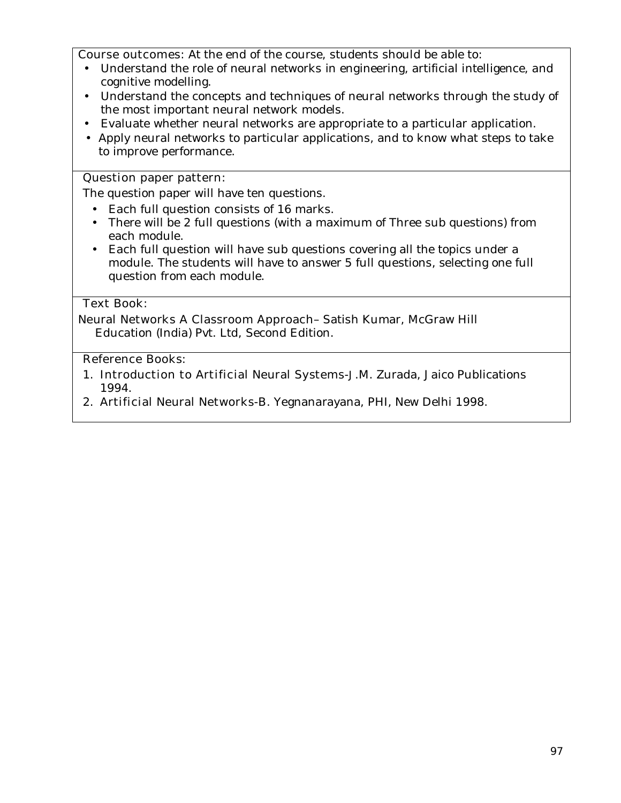**Course outcomes:** At the end of the course, students should be able to:

- Understand the role of neural networks in engineering, artificial intelligence, and cognitive modelling.
- Understand the concepts and techniques of neural networks through the study of the most important neural network models.
- Evaluate whether neural networks are appropriate to a particular application.
- Apply neural networks to particular applications, and to know what steps to take to improve performance.

### **Question paper pattern:**

The question paper will have ten questions.

- Each full question consists of 16 marks.
- There will be 2 full questions (with a maximum of Three sub questions) from each module.
- Each full question will have sub questions covering all the topics under a module. The students will have to answer 5 full questions, selecting one full question from each module.

#### **Text Book:**

**Neural Networks A Classroom Approach**– Satish Kumar, McGraw Hill Education (India) Pvt. Ltd, Second Edition.

## **Reference Books:**

- 1. **Introduction to Artificial Neural Systems-**J.M. Zurada, Jaico Publications 1994.
- 2. **Artificial Neural Networks-**B. Yegnanarayana, PHI, New Delhi 1998.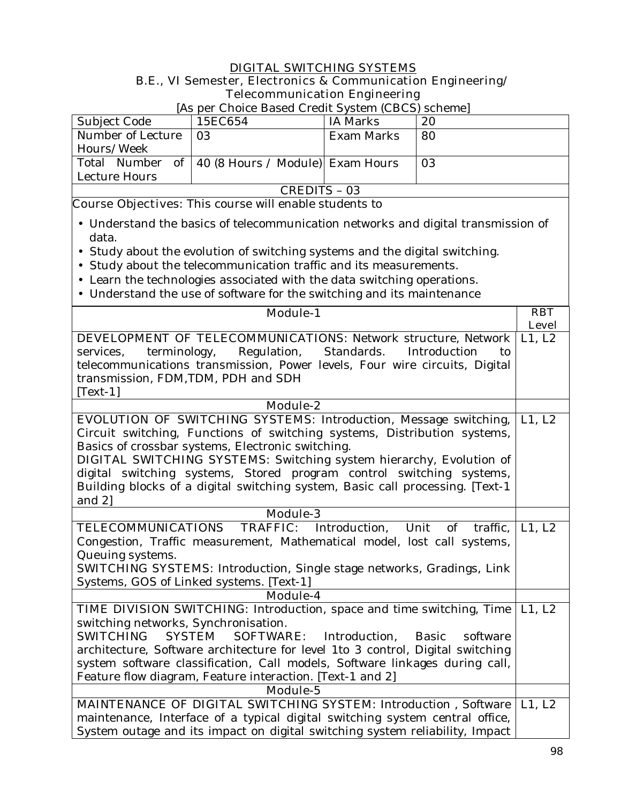## **DIGITAL SWITCHING SYSTEMS B.E., VI Semester, Electronics & Communication Engineering/ Telecommunication Engineering**

|                     | <u>the per choice Dasca Create Distent (CDCD) schemet</u> |            |    |  |  |  |
|---------------------|-----------------------------------------------------------|------------|----|--|--|--|
| Subject Code        | 15EC654                                                   | IA Marks   | 20 |  |  |  |
| Number of Lecture   | 03                                                        | Exam Marks | 80 |  |  |  |
| Hours/Week          |                                                           |            |    |  |  |  |
| Total Number of     | 40 (8 Hours / Module) Exam Hours                          |            | 03 |  |  |  |
| Lecture Hours       |                                                           |            |    |  |  |  |
| <b>CREDITS - 03</b> |                                                           |            |    |  |  |  |

[As per Choice Based Credit System (CBCS) scheme]

**Course Objectives:** This course will enable students to

- Understand the basics of telecommunication networks and digital transmission of data.
- Study about the evolution of switching systems and the digital switching.
- Study about the telecommunication traffic and its measurements.
- Learn the technologies associated with the data switching operations.
- Understand the use of software for the switching and its maintenance

| <b>Module-1</b>                                                                                    | <b>RBT</b>   |
|----------------------------------------------------------------------------------------------------|--------------|
|                                                                                                    | <b>Level</b> |
| <b>DEVELOPMENT OF TELECOMMUNICATIONS: Network structure, Network</b>                               | L1, L2       |
| Regulation,<br>Standards.<br>Introduction<br>terminology,<br>services,<br>to                       |              |
| telecommunications transmission, Power levels, Four wire circuits, Digital                         |              |
| transmission, FDM, TDM, PDH and SDH                                                                |              |
| $[Text-1]$                                                                                         |              |
| Module-2                                                                                           |              |
| <b>EVOLUTION OF SWITCHING SYSTEMS:</b> Introduction, Message switching,                            | L1, L2       |
| Circuit switching, Functions of switching systems, Distribution systems,                           |              |
| Basics of crossbar systems, Electronic switching.                                                  |              |
| <b>DIGITAL SWITCHING SYSTEMS:</b> Switching system hierarchy, Evolution of                         |              |
| digital switching systems, Stored program control switching systems,                               |              |
| Building blocks of a digital switching system, Basic call processing. [Text-1                      |              |
| and $2$ ]                                                                                          |              |
| <b>Module-3</b>                                                                                    |              |
| TELECOMMUNICATIONS<br><b>TRAFFIC:</b> Introduction, Unit<br>of<br>traffic,                         | L1, L2       |
| Congestion, Traffic measurement, Mathematical model, lost call systems,                            |              |
| Queuing systems.                                                                                   |              |
| <b>SWITCHING SYSTEMS:</b> Introduction, Single stage networks, Gradings, Link                      |              |
| Systems, GOS of Linked systems. [Text-1]                                                           |              |
| Module-4                                                                                           |              |
| TIME DIVISION SWITCHING: Introduction, space and time switching, Time                              | L1, L2       |
| switching networks, Synchronisation.                                                               |              |
| <b>SWITCHING</b><br><b>SYSTEM</b><br><b>SOFTWARE:</b><br>Introduction,<br><b>Basic</b><br>software |              |
| architecture, Software architecture for level 1to 3 control, Digital switching                     |              |
| system software classification, Call models, Software linkages during call,                        |              |
| Feature flow diagram, Feature interaction. [Text-1 and 2]                                          |              |
| <b>Module-5</b>                                                                                    |              |
| <b>MAINTENANCE OF DIGITAL SWITCHING SYSTEM:</b> Introduction, Software                             | L1, L2       |
| maintenance, Interface of a typical digital switching system central office,                       |              |
| System outage and its impact on digital switching system reliability, Impact                       |              |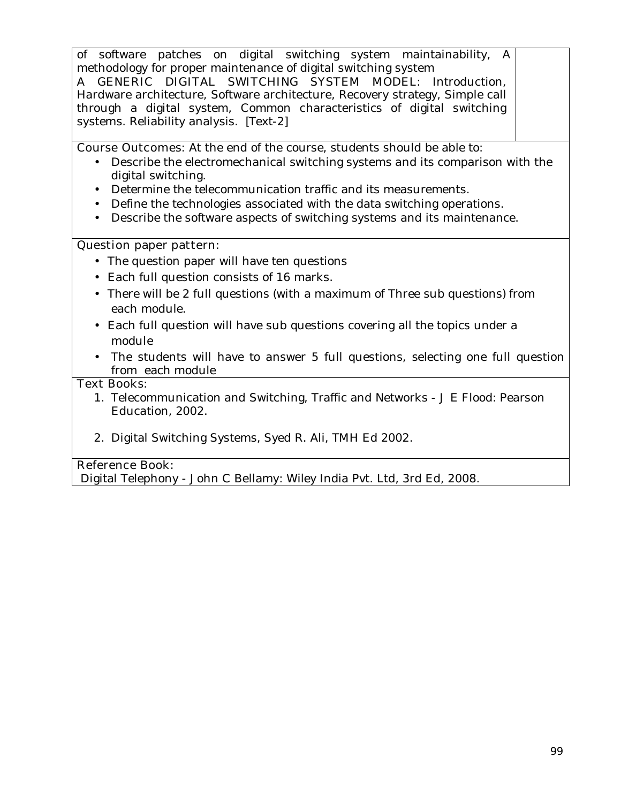of software patches on digital switching system maintainability, A methodology for proper maintenance of digital switching system

**A GENERIC DIGITAL SWITCHING SYSTEM MODEL:** Introduction, Hardware architecture, Software architecture, Recovery strategy, Simple call through a digital system, Common characteristics of digital switching systems. Reliability analysis. [Text-2]

**Course Outcomes:** At the end of the course, students should be able to:

- Describe the electromechanical switching systems and its comparison with the digital switching.
- Determine the telecommunication traffic and its measurements.
- Define the technologies associated with the data switching operations.
- Describe the software aspects of switching systems and its maintenance.

## **Question paper pattern:**

- The question paper will have ten questions
- Each full question consists of 16 marks**.**
- There will be 2 full questions (with a maximum of Three sub questions) from each module.
- Each full question will have sub questions covering all the topics under a module
- The students will have to answer 5 full questions, selecting one full question from each module

#### **Text Books:**

- 1. Telecommunication and Switching, Traffic and Networks J E Flood: Pearson Education, 2002.
- 2. Digital Switching Systems, Syed R. Ali, TMH Ed 2002.

## **Reference Book:**

Digital Telephony - John C Bellamy: Wiley India Pvt. Ltd, 3rd Ed, 2008.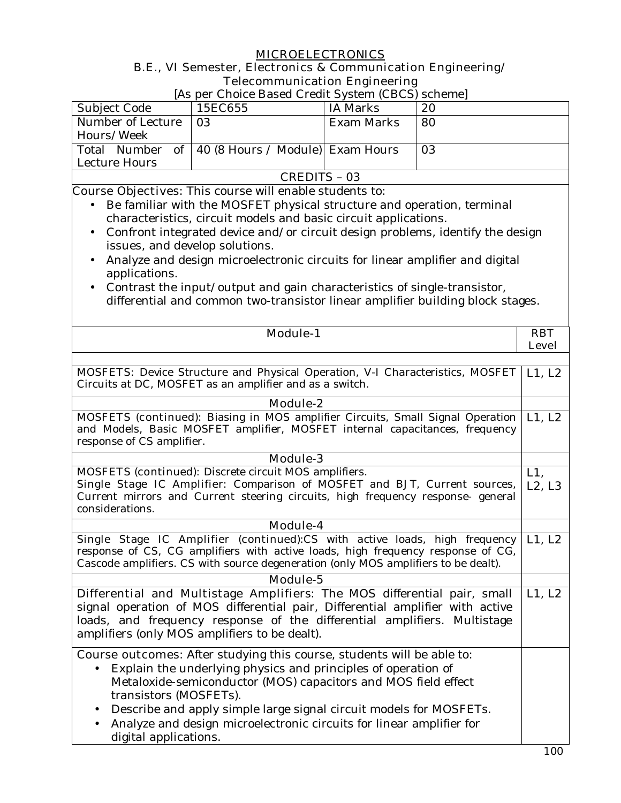## **MICROELECTRONICS**

## **B.E., VI Semester, Electronics & Communication Engineering/ Telecommunication Engineering**

|                                                                                                                                                              | тексоппиансатон видинения<br>[As per Choice Based Credit System (CBCS) scheme]                           |                   |    |                           |
|--------------------------------------------------------------------------------------------------------------------------------------------------------------|----------------------------------------------------------------------------------------------------------|-------------------|----|---------------------------|
| Subject Code                                                                                                                                                 | 15EC655                                                                                                  | <b>IA Marks</b>   | 20 |                           |
| Number of Lecture                                                                                                                                            | 03                                                                                                       | <b>Exam Marks</b> | 80 |                           |
| Hours/Week                                                                                                                                                   |                                                                                                          |                   |    |                           |
| Total Number<br>of                                                                                                                                           | 40 (8 Hours / Module) Exam Hours                                                                         |                   | 03 |                           |
| Lecture Hours                                                                                                                                                |                                                                                                          |                   |    |                           |
|                                                                                                                                                              | <b>CREDITS - 03</b>                                                                                      |                   |    |                           |
|                                                                                                                                                              | <b>Course Objectives:</b> This course will enable students to:                                           |                   |    |                           |
|                                                                                                                                                              | Be familiar with the MOSFET physical structure and operation, terminal                                   |                   |    |                           |
|                                                                                                                                                              | characteristics, circuit models and basic circuit applications.                                          |                   |    |                           |
| $\bullet$                                                                                                                                                    | Confront integrated device and/or circuit design problems, identify the design                           |                   |    |                           |
| issues, and develop solutions.                                                                                                                               |                                                                                                          |                   |    |                           |
| $\bullet$                                                                                                                                                    | Analyze and design microelectronic circuits for linear amplifier and digital                             |                   |    |                           |
| applications.                                                                                                                                                |                                                                                                          |                   |    |                           |
| $\bullet$                                                                                                                                                    | Contrast the input/output and gain characteristics of single-transistor,                                 |                   |    |                           |
|                                                                                                                                                              | differential and common two-transistor linear amplifier building block stages.                           |                   |    |                           |
|                                                                                                                                                              |                                                                                                          |                   |    |                           |
|                                                                                                                                                              | <b>Module-1</b>                                                                                          |                   |    | <b>RBT</b>                |
|                                                                                                                                                              |                                                                                                          |                   |    | <b>Level</b>              |
|                                                                                                                                                              |                                                                                                          |                   |    |                           |
|                                                                                                                                                              | <b>MOSFETS:</b> Device Structure and Physical Operation, V-I Characteristics, MOSFET                     |                   |    | L1, L2                    |
|                                                                                                                                                              | Circuits at DC, MOSFET as an amplifier and as a switch.                                                  |                   |    |                           |
|                                                                                                                                                              |                                                                                                          |                   |    |                           |
|                                                                                                                                                              | <b>Module-2</b><br><b>MOSFETS (continued):</b> Biasing in MOS amplifier Circuits, Small Signal Operation |                   |    |                           |
|                                                                                                                                                              | and Models, Basic MOSFET amplifier, MOSFET internal capacitances, frequency                              |                   |    | L1, L2                    |
| response of CS amplifier.                                                                                                                                    |                                                                                                          |                   |    |                           |
|                                                                                                                                                              | <b>Module-3</b>                                                                                          |                   |    |                           |
|                                                                                                                                                              | <b>MOSFETS (continued):</b> Discrete circuit MOS amplifiers.                                             |                   |    | $L1$ ,                    |
|                                                                                                                                                              |                                                                                                          |                   |    | L2, L3                    |
| Single Stage IC Amplifier: Comparison of MOSFET and BJT, Current sources,<br>Current mirrors and Current steering circuits, high frequency response- general |                                                                                                          |                   |    |                           |
| considerations.                                                                                                                                              |                                                                                                          |                   |    |                           |
|                                                                                                                                                              | <b>Module-4</b>                                                                                          |                   |    |                           |
|                                                                                                                                                              | Single Stage IC Amplifier (continued):CS with active loads, high frequency                               |                   |    | $\overline{\lfloor}1, L2$ |
|                                                                                                                                                              | response of CS, CG amplifiers with active loads, high frequency response of CG,                          |                   |    |                           |
|                                                                                                                                                              | Cascode amplifiers. CS with source degeneration (only MOS amplifiers to be dealt).                       |                   |    |                           |
|                                                                                                                                                              | Module-5                                                                                                 |                   |    |                           |
|                                                                                                                                                              | Differential and Multistage Amplifiers: The MOS differential pair, small                                 |                   |    | L1, L2                    |
|                                                                                                                                                              | signal operation of MOS differential pair, Differential amplifier with active                            |                   |    |                           |
| loads, and frequency response of the differential amplifiers. Multistage                                                                                     |                                                                                                          |                   |    |                           |
| amplifiers (only MOS amplifiers to be dealt).                                                                                                                |                                                                                                          |                   |    |                           |
|                                                                                                                                                              |                                                                                                          |                   |    |                           |
|                                                                                                                                                              | <b>Course outcomes:</b> After studying this course, students will be able to:                            |                   |    |                           |
| Explain the underlying physics and principles of operation of                                                                                                |                                                                                                          |                   |    |                           |
| Metaloxide-semiconductor (MOS) capacitors and MOS field effect                                                                                               |                                                                                                          |                   |    |                           |
| transistors (MOSFETs).                                                                                                                                       |                                                                                                          |                   |    |                           |
|                                                                                                                                                              | Describe and apply simple large signal circuit models for MOSFETs.                                       |                   |    |                           |
|                                                                                                                                                              | Analyze and design microelectronic circuits for linear amplifier for                                     |                   |    |                           |
| digital applications.                                                                                                                                        |                                                                                                          |                   |    |                           |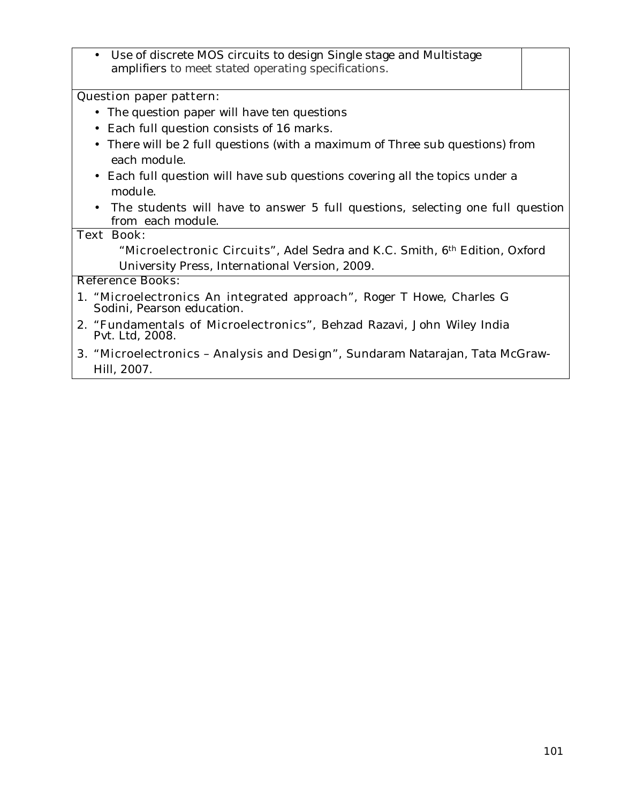• Use of discrete MOS circuits to design Single stage and Multistage amplifiers to meet stated operating specifications.

#### **Question paper pattern:**

- The question paper will have ten questions
- Each full question consists of 16 marks**.**
- There will be 2 full questions (with a maximum of Three sub questions) from each module.
- Each full question will have sub questions covering all the topics under a module.
- The students will have to answer 5 full questions, selecting one full question from each module.

#### **Text Book:**

**"Microelectronic Circuits",** Adel Sedra and K.C. Smith, 6th Edition, Oxford University Press, International Version, 2009.

#### **Reference Books:**

- 1. **"Microelectronics An integrated approach",** Roger T Howe, Charles G Sodini, Pearson education.
- 2. **"Fundamentals of Microelectronics",** Behzad Razavi, John Wiley India Pvt. Ltd, 2008.
- **3. "Microelectronics Analysis and Design",** Sundaram Natarajan, Tata McGraw-Hill, 2007.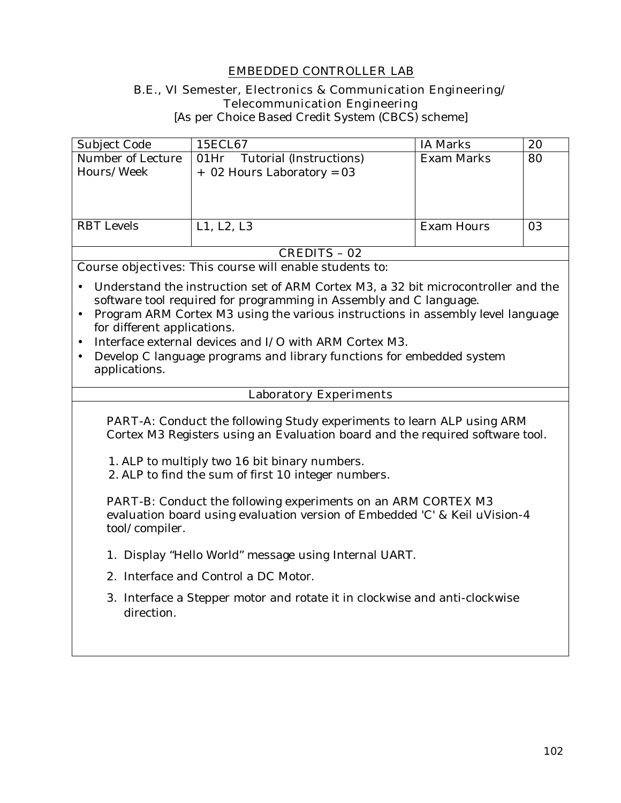## **EMBEDDED CONTROLLER LAB**

#### **B.E., VI Semester, Electronics & Communication Engineering/ Telecommunication Engineering**

[As per Choice Based Credit System (CBCS) scheme]

| Subject Code                    | 15ECL67                                                         | <b>IA Marks</b> | 20 |
|---------------------------------|-----------------------------------------------------------------|-----------------|----|
| Number of Lecture<br>Hours/Week | Tutorial (Instructions)<br>01Hr<br>$+$ 02 Hours Laboratory = 03 | Exam Marks      | 80 |
|                                 |                                                                 |                 |    |
|                                 |                                                                 |                 |    |
| <b>RBT</b> Levels               | L1, L2, L3                                                      | Exam Hours      | 03 |
|                                 |                                                                 |                 |    |

#### **CREDITS – 02**

**Course objectives:** This course will enable students to:

- Understand the instruction set of ARM Cortex M3, a 32 bit microcontroller and the software tool required for programming in Assembly and C language.
- Program ARM Cortex M3 using the various instructions in assembly level language for different applications.
- Interface external devices and I/O with ARM Cortex M3.
- Develop C language programs and library functions for embedded system applications.

#### **Laboratory Experiments**

**PART-A:** Conduct the following Study experiments to learn ALP using ARM Cortex M3 Registers using an Evaluation board and the required software tool.

- 1. ALP to multiply two 16 bit binary numbers.
- 2. ALP to find the sum of first 10 integer numbers.

**PART-B:** Conduct the following experiments on an ARM CORTEX M3 evaluation board using evaluation version of Embedded 'C' & Keil uVision-4 tool/compiler.

- 1. Display "Hello World" message using Internal UART.
- 2. Interface and Control a DC Motor.
- 3. Interface a Stepper motor and rotate it in clockwise and anti-clockwise direction.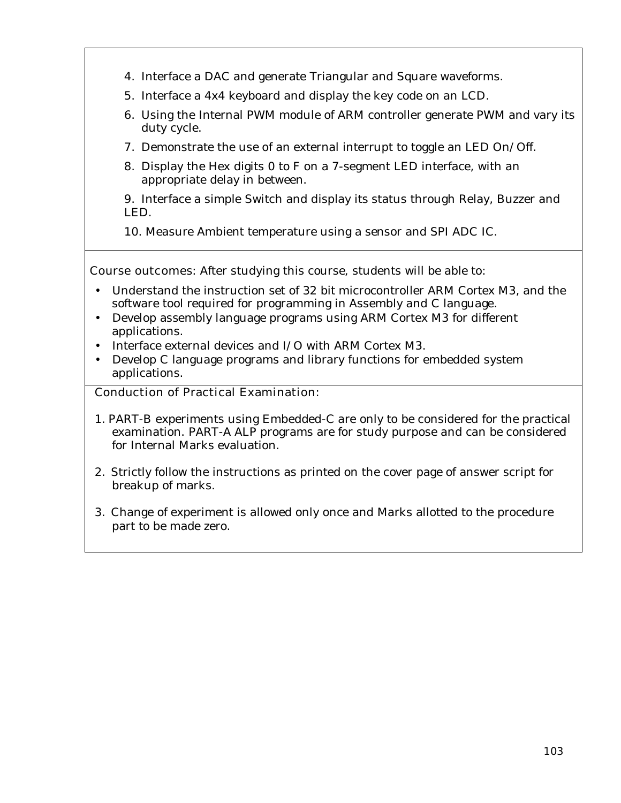- 4. Interface a DAC and generate Triangular and Square waveforms.
- 5. Interface a 4x4 keyboard and display the key code on an LCD.
- 6. Using the Internal PWM module of ARM controller generate PWM and vary its duty cycle.
- 7. Demonstrate the use of an external interrupt to toggle an LED On/Off.
- 8. Display the Hex digits 0 to F on a 7-segment LED interface, with an appropriate delay in between.

9. Interface a simple Switch and display its status through Relay, Buzzer and LED.

10. Measure Ambient temperature using a sensor and SPI ADC IC.

**Course outcomes:** After studying this course, students will be able to:

- Understand the instruction set of 32 bit microcontroller ARM Cortex M3, and the software tool required for programming in Assembly and C language.
- Develop assembly language programs using ARM Cortex M3 for different applications.
- Interface external devices and I/O with ARM Cortex M3.
- Develop C language programs and library functions for embedded system applications.

## **Conduction of Practical Examination:**

- 1. PART-B experiments using Embedded-C are only to be considered for the practical examination. PART-A ALP programs are for study purpose and can be considered for Internal Marks evaluation.
- 2. Strictly follow the instructions as printed on the cover page of answer script for breakup of marks.
- 3. Change of experiment is allowed only once and Marks allotted to the procedure part to be made zero.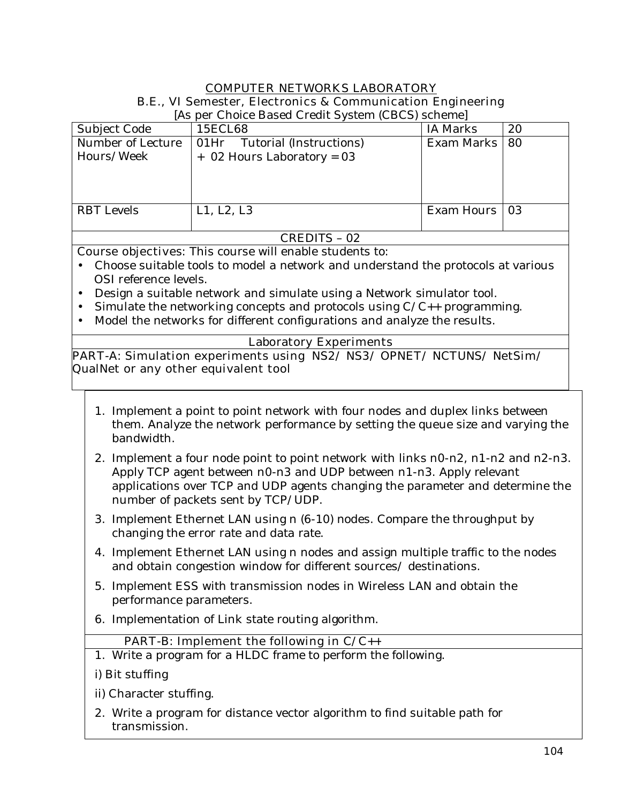## **COMPUTER NETWORKS LABORATORY B.E., VI Semester, Electronics & Communication Engineering**

| Subject Code      | 15ECL68                         | <b>IA Marks</b>   | 20   |
|-------------------|---------------------------------|-------------------|------|
| Number of Lecture | Tutorial (Instructions)<br>01Hr | <b>Exam Marks</b> | 80   |
| Hours/Week        | $+$ 02 Hours Laboratory = 03    |                   |      |
|                   |                                 |                   |      |
|                   |                                 |                   |      |
|                   |                                 |                   |      |
| <b>RBT</b> Levels | L1, L2, L3                      | Exam Hours        | l 03 |
|                   |                                 |                   |      |
| CREDITS - 02      |                                 |                   |      |
|                   |                                 |                   |      |

[As per Choice Based Credit System (CBCS) scheme]

**Course objectives:** This course will enable students to:

- Choose suitable tools to model a network and understand the protocols at various OSI reference levels.
- Design a suitable network and simulate using a Network simulator tool.
- Simulate the networking concepts and protocols using  $C/C++$  programming.
- Model the networks for different configurations and analyze the results.

## **Laboratory Experiments**

**PART-A: Simulation experiments using NS2/ NS3/ OPNET/ NCTUNS/ NetSim/ QualNet or any other equivalent tool** 

- 1. Implement a point to point network with four nodes and duplex links between them. Analyze the network performance by setting the queue size and varying the bandwidth.
- 2. Implement a four node point to point network with links n0-n2, n1-n2 and n2-n3. Apply TCP agent between n0-n3 and UDP between n1-n3. Apply relevant applications over TCP and UDP agents changing the parameter and determine the number of packets sent by TCP/UDP.
- 3. Implement Ethernet LAN using n (6-10) nodes. Compare the throughput by changing the error rate and data rate.
- 4. Implement Ethernet LAN using n nodes and assign multiple traffic to the nodes and obtain congestion window for different sources/ destinations.
- 5. Implement ESS with transmission nodes in Wireless LAN and obtain the performance parameters.
- 6. Implementation of Link state routing algorithm.

## **PART-B: Implement the following in C/C++**

- 1. Write a program for a HLDC frame to perform the following.
- i) Bit stuffing
- ii) Character stuffing.
- 2. Write a program for distance vector algorithm to find suitable path for transmission.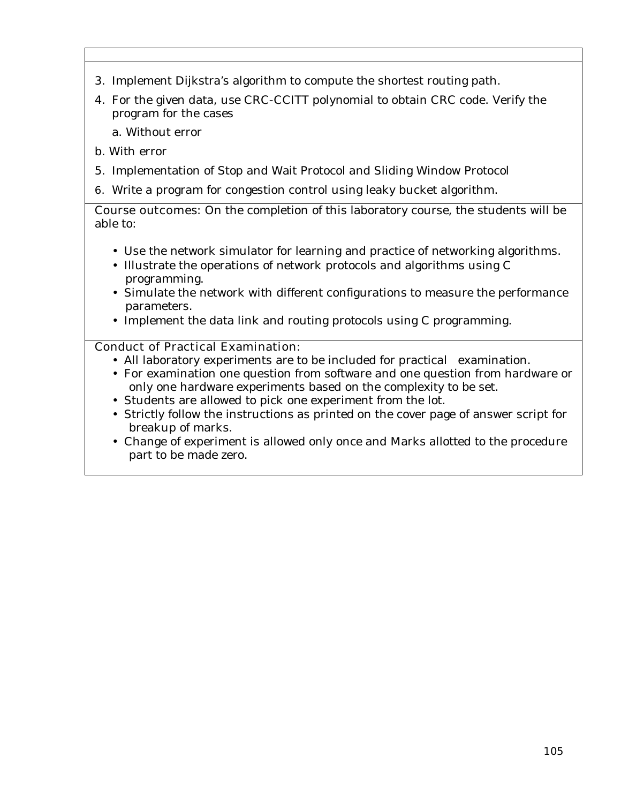- 3. Implement Dijkstra's algorithm to compute the shortest routing path.
- 4. For the given data, use CRC-CCITT polynomial to obtain CRC code. Verify the program for the cases

a. Without error

- b. With error
- 5. Implementation of Stop and Wait Protocol and Sliding Window Protocol
- **6.** Write a program for congestion control using leaky bucket algorithm.

**Course outcomes:** On the completion of this laboratory course, the students will be able to:

- Use the network simulator for learning and practice of networking algorithms.
- Illustrate the operations of network protocols and algorithms using C programming.
- Simulate the network with different configurations to measure the performance parameters.
- Implement the data link and routing protocols using C programming.

## **Conduct of Practical Examination:**

- All laboratory experiments are to be included for practical examination.
- For examination one question from software and one question from hardware or only one hardware experiments based on the complexity to be set.
- Students are allowed to pick one experiment from the lot.
- Strictly follow the instructions as printed on the cover page of answer script for breakup of marks.
- Change of experiment is allowed only once and Marks allotted to the procedure part to be made zero.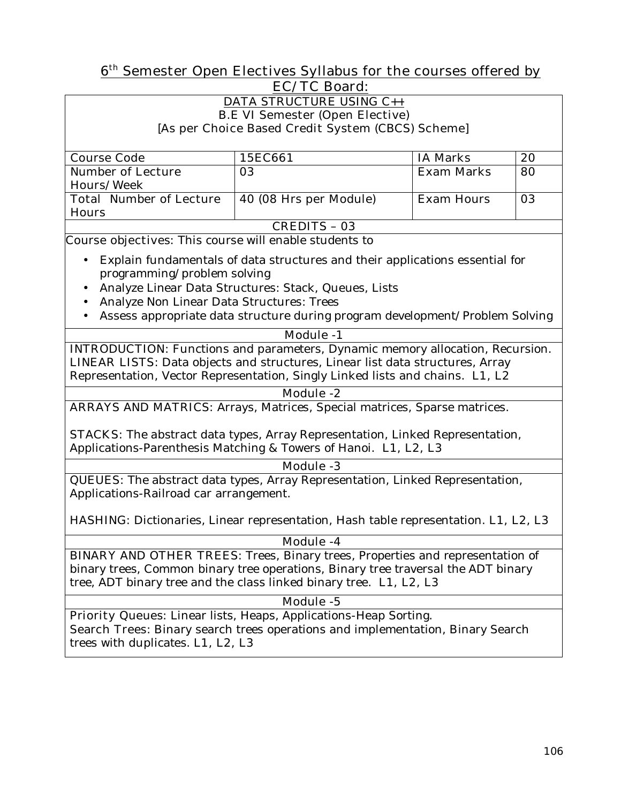## **6th Semester Open Electives Syllabus for the courses offered by EC/TC Board:**

#### **DATA STRUCTURE USING C++ B.E VI Semester (Open Elective) [As per Choice Based Credit System (CBCS) Scheme]**

| <b>Course Code</b>             | 15EC661                | <b>IA Marks</b>   | 20 |
|--------------------------------|------------------------|-------------------|----|
| <b>Number of Lecture</b>       | 03                     | <b>Exam Marks</b> | 80 |
| <b>Hours/Week</b>              |                        |                   |    |
| <b>Total Number of Lecture</b> | 40 (08 Hrs per Module) | <b>Exam Hours</b> | 03 |
| <b>Hours</b>                   |                        |                   |    |
| <b>CREDITS - 03</b>            |                        |                   |    |

**Course objectives:** This course will enable students to

- Explain fundamentals of data structures and their applications essential for programming/problem solving
- Analyze Linear Data Structures: Stack, Queues, Lists
- Analyze Non Linear Data Structures: Trees
- Assess appropriate data structure during program development/Problem Solving

## **Module -1**

**INTRODUCTION:** Functions and parameters, Dynamic memory allocation, Recursion. **LINEAR LISTS:** Data objects and structures, Linear list data structures, Array Representation, Vector Representation, Singly Linked lists and chains. **L1, L2** 

## **Module -2**

**ARRAYS AND MATRICS:** Arrays, Matrices, Special matrices, Sparse matrices.

**STACKS:** The abstract data types, Array Representation, Linked Representation, Applications-Parenthesis Matching & Towers of Hanoi. **L1, L2, L3** 

## **Module -3**

**QUEUES:** The abstract data types, Array Representation, Linked Representation, Applications-Railroad car arrangement.

**HASHING:** Dictionaries, Linear representation, Hash table representation. **L1, L2, L3** 

## **Module -4**

**BINARY AND OTHER TREES:** Trees, Binary trees, Properties and representation of binary trees, Common binary tree operations, Binary tree traversal the ADT binary tree, ADT binary tree and the class linked binary tree. **L1, L2, L3** 

## **Module -5**

**Priority Queues:** Linear lists, Heaps, Applications-Heap Sorting. **Search Trees:** Binary search trees operations and implementation, Binary Search trees with duplicates. **L1, L2, L3**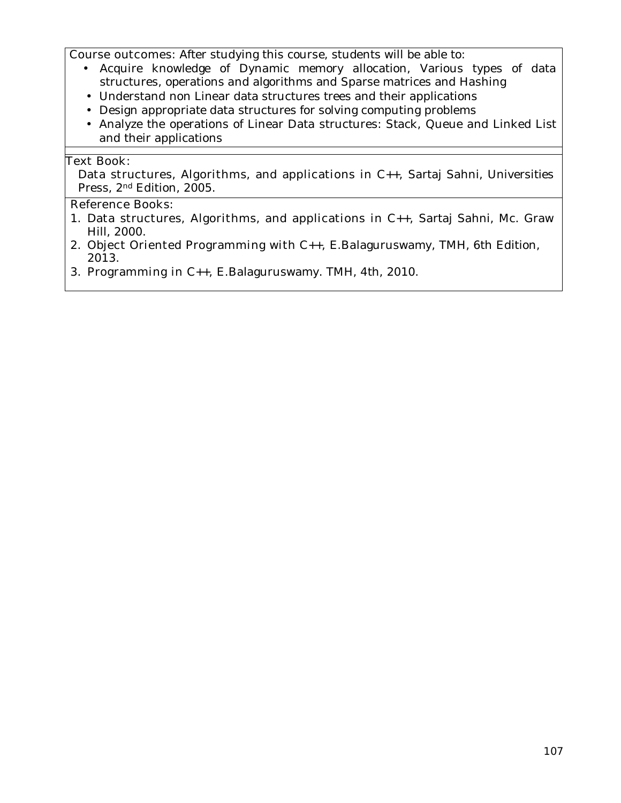**Course outcomes:** After studying this course, students will be able to:

- Acquire knowledge of Dynamic memory allocation, Various types of data structures, operations and algorithms and Sparse matrices and Hashing
- Understand non Linear data structures trees and their applications
- Design appropriate data structures for solving computing problems
- Analyze the operations of Linear Data structures: Stack, Queue and Linked List and their applications

#### **Text Book:**

**Data structures, Algorithms, and applications in C++,** Sartaj Sahni, Universities Press, 2nd Edition, 2005.

#### **Reference Books:**

- 1. **Data structures, Algorithms, and applications in C++,** Sartaj Sahni, Mc. Graw Hill, 2000.
- 2. **Object Oriented Programming with C++,** E.Balaguruswamy**,** TMH, 6th Edition, 2013.
- 3. **Programming in C++,** E.Balaguruswamy. TMH, 4th, 2010.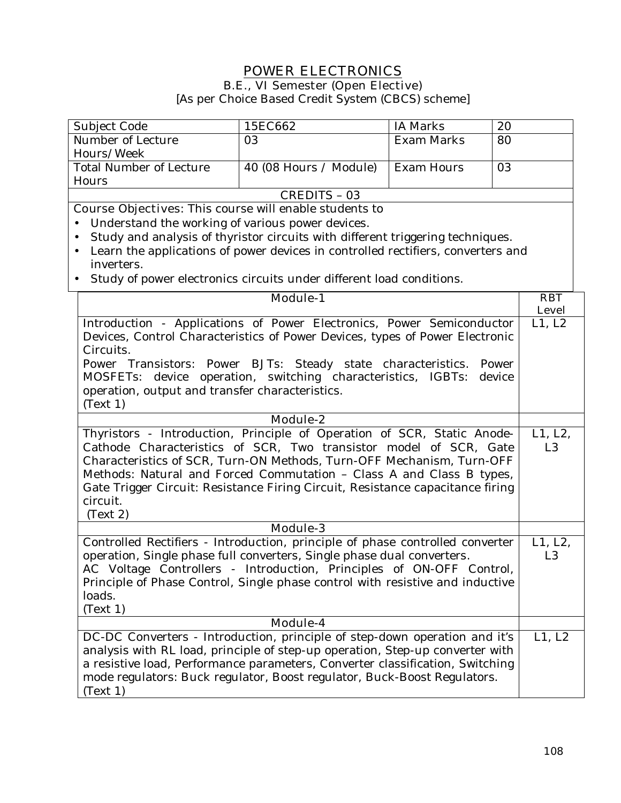## **POWER ELECTRONICS B.E., VI Semester (Open Elective)**

[As per Choice Based Credit System (CBCS) scheme]

| Subject Code                                                                                                                                           | 15EC662                | IA Marks          | 20             |
|--------------------------------------------------------------------------------------------------------------------------------------------------------|------------------------|-------------------|----------------|
| Number of Lecture                                                                                                                                      | 03                     | <b>Exam Marks</b> | 80             |
| Hours/Week                                                                                                                                             |                        |                   |                |
| <b>Total Number of Lecture</b>                                                                                                                         | 40 (08 Hours / Module) | <b>Exam Hours</b> | 03             |
| Hours                                                                                                                                                  |                        |                   |                |
|                                                                                                                                                        | <b>CREDITS - 03</b>    |                   |                |
| <b>Course Objectives:</b> This course will enable students to                                                                                          |                        |                   |                |
| Understand the working of various power devices.                                                                                                       |                        |                   |                |
| Study and analysis of thyristor circuits with different triggering techniques.                                                                         |                        |                   |                |
| Learn the applications of power devices in controlled rectifiers, converters and<br>$\bullet$                                                          |                        |                   |                |
| inverters.                                                                                                                                             |                        |                   |                |
| Study of power electronics circuits under different load conditions.                                                                                   |                        |                   |                |
|                                                                                                                                                        | <b>Module-1</b>        |                   | <b>RBT</b>     |
|                                                                                                                                                        |                        |                   | <b>Level</b>   |
| Introduction - Applications of Power Electronics, Power Semiconductor                                                                                  |                        |                   | L1, L2         |
| Devices, Control Characteristics of Power Devices, types of Power Electronic                                                                           |                        |                   |                |
| Circuits.                                                                                                                                              |                        |                   |                |
| Power Transistors: Power BJTs: Steady state characteristics.                                                                                           |                        |                   | Power          |
| MOSFETs: device operation, switching characteristics, IGBTs:                                                                                           |                        |                   | device         |
| operation, output and transfer characteristics.                                                                                                        |                        |                   |                |
| (Text 1)                                                                                                                                               |                        |                   |                |
|                                                                                                                                                        | Module-2               |                   |                |
|                                                                                                                                                        |                        |                   | L1, L2,        |
| Thyristors - Introduction, Principle of Operation of SCR, Static Anode-<br>Cathode Characteristics of SCR, Two transistor model of SCR, Gate           |                        |                   | L <sub>3</sub> |
| Characteristics of SCR, Turn-ON Methods, Turn-OFF Mechanism, Turn-OFF                                                                                  |                        |                   |                |
|                                                                                                                                                        |                        |                   |                |
| Methods: Natural and Forced Commutation - Class A and Class B types,<br>Gate Trigger Circuit: Resistance Firing Circuit, Resistance capacitance firing |                        |                   |                |
| circuit.                                                                                                                                               |                        |                   |                |
| (Text 2)                                                                                                                                               |                        |                   |                |
|                                                                                                                                                        | <b>Module-3</b>        |                   |                |
| Controlled Rectifiers - Introduction, principle of phase controlled converter                                                                          |                        |                   | L1, L2,        |
| operation, Single phase full converters, Single phase dual converters.                                                                                 |                        |                   | L <sub>3</sub> |
| AC Voltage Controllers - Introduction, Principles of ON-OFF Control,                                                                                   |                        |                   |                |
| Principle of Phase Control, Single phase control with resistive and inductive                                                                          |                        |                   |                |
| loads.                                                                                                                                                 |                        |                   |                |
| (Text 1)                                                                                                                                               |                        |                   |                |
|                                                                                                                                                        | Module-4               |                   |                |
| DC-DC Converters - Introduction, principle of step-down operation and it's                                                                             |                        |                   | L1, L2         |
| analysis with RL load, principle of step-up operation, Step-up converter with                                                                          |                        |                   |                |
| a resistive load, Performance parameters, Converter classification, Switching                                                                          |                        |                   |                |
| mode regulators: Buck regulator, Boost regulator, Buck-Boost Regulators.                                                                               |                        |                   |                |
| (Text 1)                                                                                                                                               |                        |                   |                |
|                                                                                                                                                        |                        |                   |                |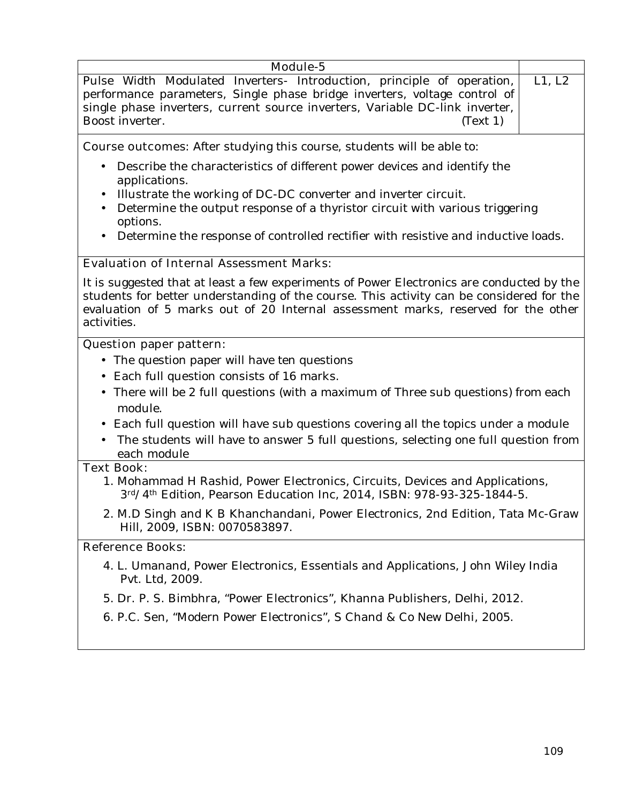| Module-5<br>L1, L2<br>Pulse Width Modulated Inverters- Introduction, principle of operation,<br>performance parameters, Single phase bridge inverters, voltage control of<br>single phase inverters, current source inverters, Variable DC-link inverter,<br>Boost inverter.<br>(Text 1)                                                                    |  |
|-------------------------------------------------------------------------------------------------------------------------------------------------------------------------------------------------------------------------------------------------------------------------------------------------------------------------------------------------------------|--|
| <b>Course outcomes:</b> After studying this course, students will be able to:                                                                                                                                                                                                                                                                               |  |
| Describe the characteristics of different power devices and identify the<br>$\bullet$<br>applications.<br>Illustrate the working of DC-DC converter and inverter circuit.<br>Determine the output response of a thyristor circuit with various triggering<br>options.<br>Determine the response of controlled rectifier with resistive and inductive loads. |  |
| <b>Evaluation of Internal Assessment Marks:</b>                                                                                                                                                                                                                                                                                                             |  |
| It is suggested that at least a few experiments of Power Electronics are conducted by the<br>students for better understanding of the course. This activity can be considered for the<br>evaluation of 5 marks out of 20 Internal assessment marks, reserved for the other<br>activities.                                                                   |  |
| <b>Question paper pattern:</b>                                                                                                                                                                                                                                                                                                                              |  |
| • The question paper will have ten questions                                                                                                                                                                                                                                                                                                                |  |
| Each full question consists of 16 marks.<br>$\bullet$                                                                                                                                                                                                                                                                                                       |  |
| There will be 2 full questions (with a maximum of Three sub questions) from each<br>module.                                                                                                                                                                                                                                                                 |  |
| • Each full question will have sub questions covering all the topics under a module<br>The students will have to answer 5 full questions, selecting one full question from<br>each module                                                                                                                                                                   |  |
| <b>Text Book:</b>                                                                                                                                                                                                                                                                                                                                           |  |
| 1. Mohammad H Rashid, Power Electronics, Circuits, Devices and Applications,<br>3rd/4th Edition, Pearson Education Inc, 2014, ISBN: 978-93-325-1844-5.                                                                                                                                                                                                      |  |
| 2. M.D Singh and K B Khanchandani, Power Electronics, 2nd Edition, Tata Mc-Graw<br>Hill, 2009, ISBN: 0070583897.                                                                                                                                                                                                                                            |  |
| <b>Reference Books:</b>                                                                                                                                                                                                                                                                                                                                     |  |
| 4. L. Umanand, Power Electronics, Essentials and Applications, John Wiley India<br>Pvt. Ltd, 2009.                                                                                                                                                                                                                                                          |  |

- 5. Dr. P. S. Bimbhra, "Power Electronics", Khanna Publishers, Delhi, 2012.
- 6. P.C. Sen, "Modern Power Electronics", S Chand & Co New Delhi, 2005.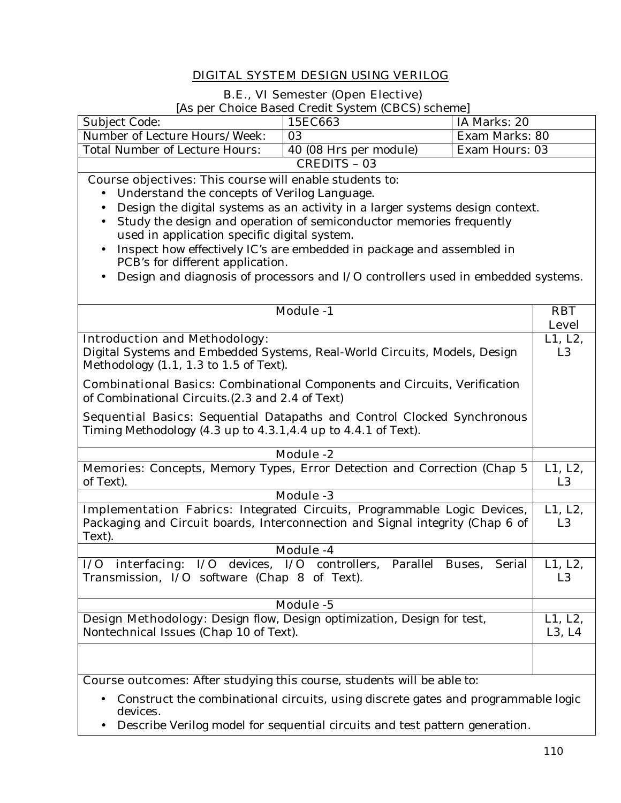## **DIGITAL SYSTEM DESIGN USING VERILOG**

#### **B.E., VI Semester (Open Elective)**

[As per Choice Based Credit System (CBCS) scheme]

|                                                                                                                                                 | As per Choice Based Credit System (CBCS) scheme                                  |              |                |
|-------------------------------------------------------------------------------------------------------------------------------------------------|----------------------------------------------------------------------------------|--------------|----------------|
| Subject Code:                                                                                                                                   | 15EC663                                                                          | IA Marks: 20 |                |
| Number of Lecture Hours/Week:<br>03<br>Exam Marks: 80                                                                                           |                                                                                  |              |                |
| <b>Total Number of Lecture Hours:</b><br>Exam Hours: 03<br>40 (08 Hrs per module)                                                               |                                                                                  |              |                |
|                                                                                                                                                 | <b>CREDITS - 03</b>                                                              |              |                |
| <b>Course objectives:</b> This course will enable students to:                                                                                  |                                                                                  |              |                |
| Understand the concepts of Verilog Language.                                                                                                    |                                                                                  |              |                |
| $\bullet$                                                                                                                                       | Design the digital systems as an activity in a larger systems design context.    |              |                |
|                                                                                                                                                 | Study the design and operation of semiconductor memories frequently              |              |                |
| used in application specific digital system.                                                                                                    |                                                                                  |              |                |
|                                                                                                                                                 | Inspect how effectively IC's are embedded in package and assembled in            |              |                |
| PCB's for different application.                                                                                                                |                                                                                  |              |                |
|                                                                                                                                                 | Design and diagnosis of processors and I/O controllers used in embedded systems. |              |                |
|                                                                                                                                                 |                                                                                  |              |                |
|                                                                                                                                                 |                                                                                  |              |                |
|                                                                                                                                                 | <b>Module -1</b>                                                                 |              | <b>RBT</b>     |
|                                                                                                                                                 |                                                                                  |              | <b>Level</b>   |
| <b>Introduction and Methodology:</b>                                                                                                            |                                                                                  |              | L1, L2,        |
| Digital Systems and Embedded Systems, Real-World Circuits, Models, Design                                                                       |                                                                                  |              | L <sub>3</sub> |
| Methodology $(1.1, 1.3$ to $1.5$ of Text).                                                                                                      |                                                                                  |              |                |
| <b>Combinational Basics:</b> Combinational Components and Circuits, Verification                                                                |                                                                                  |              |                |
| of Combinational Circuits. (2.3 and 2.4 of Text)                                                                                                |                                                                                  |              |                |
|                                                                                                                                                 |                                                                                  |              |                |
| <b>Sequential Basics:</b> Sequential Datapaths and Control Clocked Synchronous<br>Timing Methodology (4.3 up to 4.3.1,4.4 up to 4.4.1 of Text). |                                                                                  |              |                |
|                                                                                                                                                 |                                                                                  |              |                |
| <b>Module -2</b>                                                                                                                                |                                                                                  |              |                |
| Memories: Concepts, Memory Types, Error Detection and Correction (Chap 5                                                                        |                                                                                  |              | L1, L2,        |
| of Text).                                                                                                                                       |                                                                                  |              | L <sub>3</sub> |
|                                                                                                                                                 | <b>Module -3</b>                                                                 |              |                |
| Implementation Fabrics: Integrated Circuits, Programmable Logic Devices,                                                                        |                                                                                  |              | L1, L2,        |
| Packaging and Circuit boards, Interconnection and Signal integrity (Chap 6 of                                                                   |                                                                                  |              | L <sub>3</sub> |
| Text).                                                                                                                                          |                                                                                  |              |                |
|                                                                                                                                                 | Module -4                                                                        |              |                |
| I/O interfacing: I/O devices, I/O controllers, Parallel Buses, Serial                                                                           |                                                                                  |              | L1, L2,        |
| Transmission, I/O software (Chap 8 of Text).                                                                                                    |                                                                                  |              | L <sub>3</sub> |
|                                                                                                                                                 |                                                                                  |              |                |
|                                                                                                                                                 | Module -5                                                                        |              |                |
| Design Methodology: Design flow, Design optimization, Design for test,                                                                          |                                                                                  |              | L1, L2,        |
| Nontechnical Issues (Chap 10 of Text).                                                                                                          |                                                                                  |              | L3, L4         |
|                                                                                                                                                 |                                                                                  |              |                |
|                                                                                                                                                 |                                                                                  |              |                |
| <b>Course outcomes:</b> After studying this course, students will be able to:                                                                   |                                                                                  |              |                |
|                                                                                                                                                 |                                                                                  |              |                |

- Construct the combinational circuits, using discrete gates and programmable logic devices.
- Describe Verilog model for sequential circuits and test pattern generation.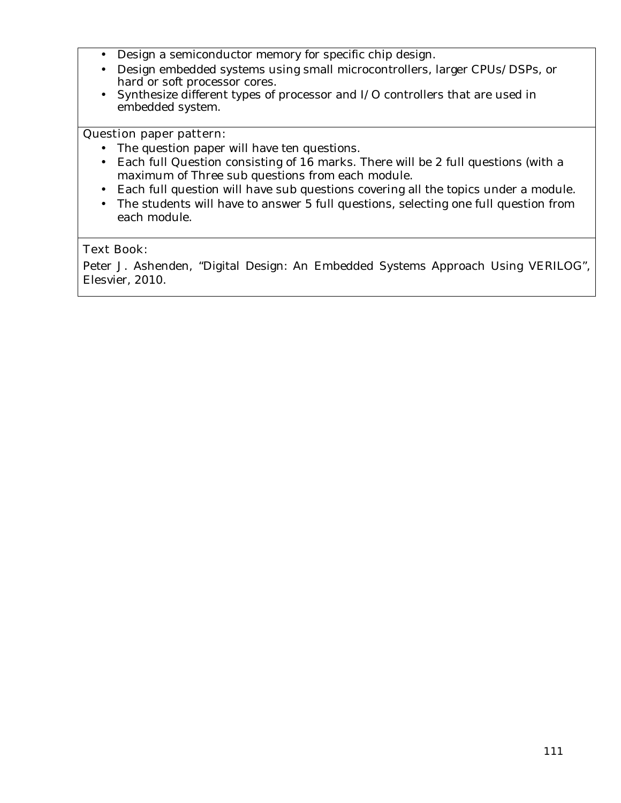- Design a semiconductor memory for specific chip design.
- Design embedded systems using small microcontrollers, larger CPUs/DSPs, or hard or soft processor cores.
- Synthesize different types of processor and I/O controllers that are used in embedded system.

#### **Question paper pattern:**

- The question paper will have ten questions.
- Each full Question consisting of 16 marks. There will be 2 full questions (with a maximum of Three sub questions from each module.
- Each full question will have sub questions covering all the topics under a module.
- The students will have to answer 5 full questions, selecting one full question from each module.

#### **Text Book:**

Peter J. Ashenden, "Digital Design: An Embedded Systems Approach Using VERILOG", Elesvier, 2010.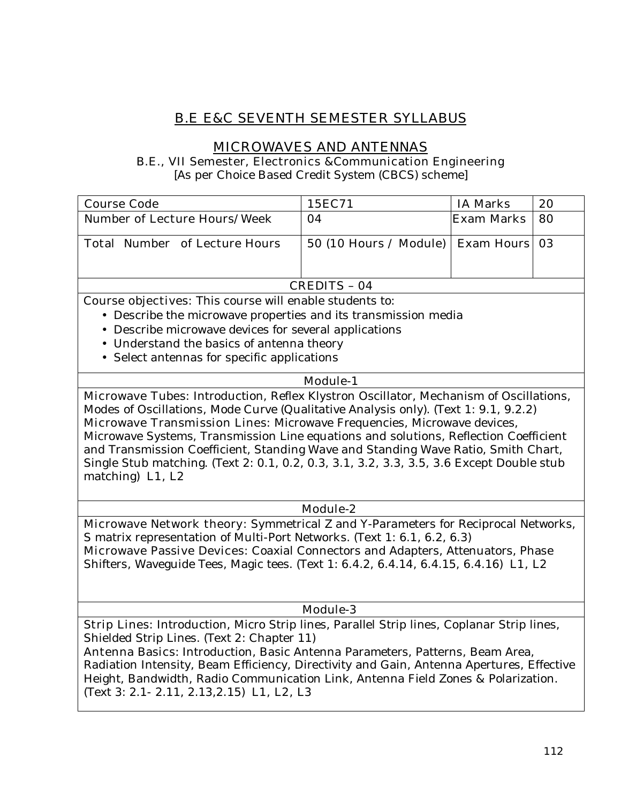# **B.E E&C SEVENTH SEMESTER SYLLABUS**

## **MICROWAVES AND ANTENNAS**

**B.E., VII Semester, Electronics &Communication Engineering** 

[As per Choice Based Credit System (CBCS) scheme]

| <b>Course Code</b>                   | 15EC71                                   | <b>IA Marks</b>   | 20 |
|--------------------------------------|------------------------------------------|-------------------|----|
| <b>Number of Lecture Hours/Week</b>  | -04                                      | <b>Exam Marks</b> | 80 |
| <b>Total Number of Lecture Hours</b> | 50 (10 Hours / Module)   Exam Hours   03 |                   |    |
| <b>CREDITS - 04</b>                  |                                          |                   |    |

**Course objectives:** This course will enable students to:

- Describe the microwave properties and its transmission media
- Describe microwave devices for several applications
- Understand the basics of antenna theory
- Select antennas for specific applications

#### **Module-1**

**Microwave Tubes:** Introduction, Reflex Klystron Oscillator, Mechanism of Oscillations, Modes of Oscillations, Mode Curve (Qualitative Analysis only). (Text 1: 9.1, 9.2.2) **Microwave Transmission Lines:** Microwave Frequencies, Microwave devices, Microwave Systems, Transmission Line equations and solutions, Reflection Coefficient and Transmission Coefficient, Standing Wave and Standing Wave Ratio, Smith Chart, Single Stub matching. (Text 2: 0.1, 0.2, 0.3, 3.1, 3.2, 3.3, 3.5, 3.6 Except Double stub matching) **L1, L2** 

#### **Module-2**

**Microwave Network theory:** Symmetrical Z and Y-Parameters for Reciprocal Networks, S matrix representation of Multi-Port Networks. (Text 1: 6.1, 6.2, 6.3) **Microwave Passive Devices:** Coaxial Connectors and Adapters, Attenuators, Phase Shifters, Waveguide Tees, Magic tees. (Text 1: 6.4.2, 6.4.14, 6.4.15, 6.4.16) **L1, L2** 

#### **Module-3**

**Strip Lines:** Introduction, Micro Strip lines, Parallel Strip lines, Coplanar Strip lines, Shielded Strip Lines. (Text 2: Chapter 11)

**Antenna Basics**: Introduction, Basic Antenna Parameters, Patterns, Beam Area, Radiation Intensity, Beam Efficiency, Directivity and Gain, Antenna Apertures, Effective Height, Bandwidth, Radio Communication Link, Antenna Field Zones & Polarization. (Text 3: 2.1- 2.11, 2.13,2.15) **L1, L2, L3**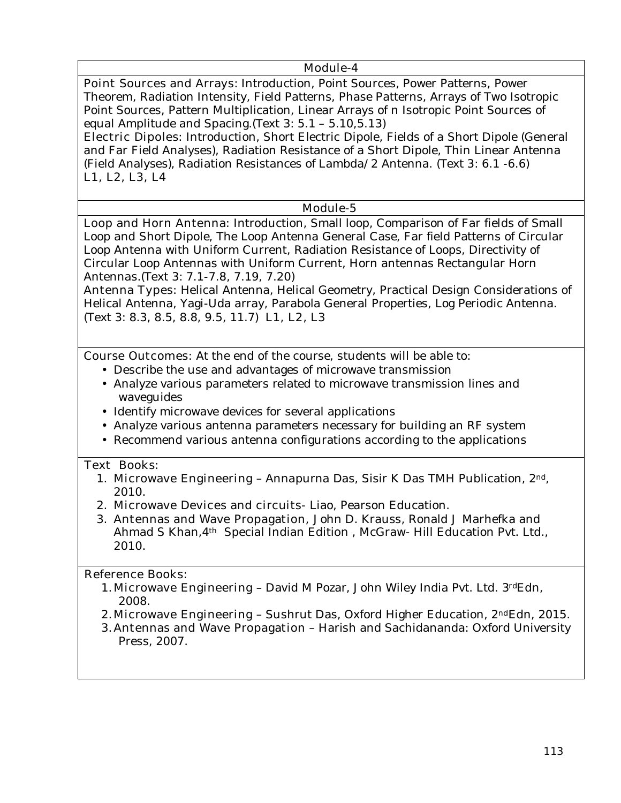#### **Module-4**

**Point Sources and Arrays**: Introduction, Point Sources, Power Patterns, Power Theorem, Radiation Intensity, Field Patterns, Phase Patterns, Arrays of Two Isotropic Point Sources, Pattern Multiplication, Linear Arrays of n Isotropic Point Sources of equal Amplitude and Spacing.(Text 3: 5.1 – 5.10,5.13)

**Electric Dipoles:** Introduction, Short Electric Dipole, Fields of a Short Dipole (General and Far Field Analyses), Radiation Resistance of a Short Dipole, Thin Linear Antenna (Field Analyses), Radiation Resistances of Lambda/2 Antenna. (Text 3: 6.1 -6.6) **L1, L2, L3, L4** 

#### **Module-5**

**Loop and Horn Antenna:** Introduction, Small loop, Comparison of Far fields of Small Loop and Short Dipole, The Loop Antenna General Case, Far field Patterns of Circular Loop Antenna with Uniform Current, Radiation Resistance of Loops, Directivity of Circular Loop Antennas with Uniform Current, Horn antennas Rectangular Horn Antennas.(Text 3: 7.1-7.8, 7.19, 7.20)

**Antenna Types:** Helical Antenna, Helical Geometry, Practical Design Considerations of Helical Antenna, Yagi-Uda array, Parabola General Properties, Log Periodic Antenna. (Text 3: 8.3, 8.5, 8.8, 9.5, 11.7) **L1, L2, L3** 

**Course Outcomes:** At the end of the course, students will be able to:

- Describe the use and advantages of microwave transmission
- Analyze various parameters related to microwave transmission lines and waveguides
- Identify microwave devices for several applications
- Analyze various antenna parameters necessary for building an RF system
- Recommend various antenna configurations according to the applications

#### **Text Books:**

- 1. **Microwave Engineering**  Annapurna Das, Sisir K Das TMH Publication, 2nd, 2010.
- 2. **Microwave Devices and circuits** Liao, Pearson Education.
- 3. **Antennas and Wave Propagation,** John D. Krauss, Ronald J Marhefka and Ahmad S Khan, 4<sup>th</sup> Special Indian Edition, McGraw- Hill Education Pvt. Ltd., 2010.

#### **Reference Books:**

- 1.**Microwave Engineering**  David M Pozar, John Wiley India Pvt. Ltd. 3rdEdn, 2008.
- 2.**Microwave Engineering**  Sushrut Das, Oxford Higher Education, 2ndEdn, 2015.
- 3.**Antennas and Wave Propagation** Harish and Sachidananda: Oxford University Press, 2007.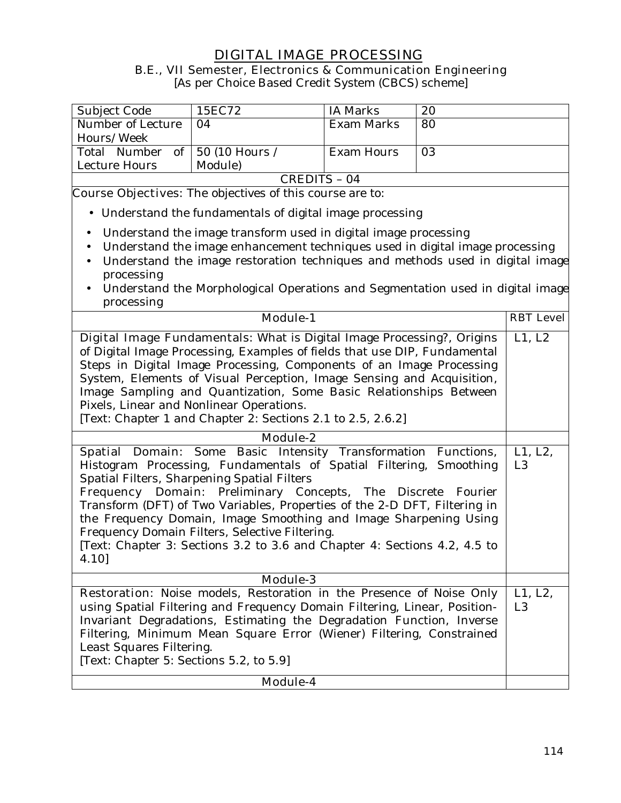## **DIGITAL IMAGE PROCESSING B.E., VII Semester, Electronics & Communication Engineering**

[As per Choice Based Credit System (CBCS) scheme]

| Subject Code                   | 15EC72  | IA Marks          | 20 |
|--------------------------------|---------|-------------------|----|
| Number of Lecture              | 04      | Exam Marks        | 80 |
| Hours/Week                     |         |                   |    |
| Total Number of 50 (10 Hours / |         | <b>Exam Hours</b> | 03 |
| Lecture Hours                  | Module) |                   |    |
| CREDITS - 04                   |         |                   |    |

**Course Objectives:** The objectives of this course are to:

- Understand the fundamentals of digital image processing
- Understand the image transform used in digital image processing
- Understand the image enhancement techniques used in digital image processing
- Understand the image restoration techniques and methods used in digital image processing
- Understand the Morphological Operations and Segmentation used in digital image processing

| <b>Module-1</b>                                                                                                                                                                                                                                                                                                                                                                                                                                                                                                                                 | <b>RBT</b> Level          |
|-------------------------------------------------------------------------------------------------------------------------------------------------------------------------------------------------------------------------------------------------------------------------------------------------------------------------------------------------------------------------------------------------------------------------------------------------------------------------------------------------------------------------------------------------|---------------------------|
| <b>Digital Image Fundamentals:</b> What is Digital Image Processing?, Origins<br>of Digital Image Processing, Examples of fields that use DIP, Fundamental<br>Steps in Digital Image Processing, Components of an Image Processing<br>System, Elements of Visual Perception, Image Sensing and Acquisition,<br>Image Sampling and Quantization, Some Basic Relationships Between<br>Pixels, Linear and Nonlinear Operations.<br>[Text: Chapter 1 and Chapter 2: Sections 2.1 to 2.5, 2.6.2]                                                     | L1, L2                    |
| Module-2                                                                                                                                                                                                                                                                                                                                                                                                                                                                                                                                        |                           |
| Spatial Domain: Some Basic Intensity Transformation Functions,<br>Histogram Processing, Fundamentals of Spatial Filtering, Smoothing<br>Spatial Filters, Sharpening Spatial Filters<br>Frequency Domain: Preliminary Concepts, The Discrete<br>Fourier<br>Transform (DFT) of Two Variables, Properties of the 2-D DFT, Filtering in<br>the Frequency Domain, Image Smoothing and Image Sharpening Using<br>Frequency Domain Filters, Selective Filtering.<br>[Text: Chapter 3: Sections 3.2 to 3.6 and Chapter 4: Sections 4.2, 4.5 to<br>4.10] | L1, L2,<br>L <sub>3</sub> |
| <b>Module-3</b>                                                                                                                                                                                                                                                                                                                                                                                                                                                                                                                                 |                           |
| <b>Restoration:</b> Noise models, Restoration in the Presence of Noise Only<br>using Spatial Filtering and Frequency Domain Filtering, Linear, Position-<br>Invariant Degradations, Estimating the Degradation Function, Inverse<br>Filtering, Minimum Mean Square Error (Wiener) Filtering, Constrained<br>Least Squares Filtering.<br>[Text: Chapter 5: Sections 5.2, to 5.9]                                                                                                                                                                 | L1, L2,<br>L <sub>3</sub> |
| <b>Module-4</b>                                                                                                                                                                                                                                                                                                                                                                                                                                                                                                                                 |                           |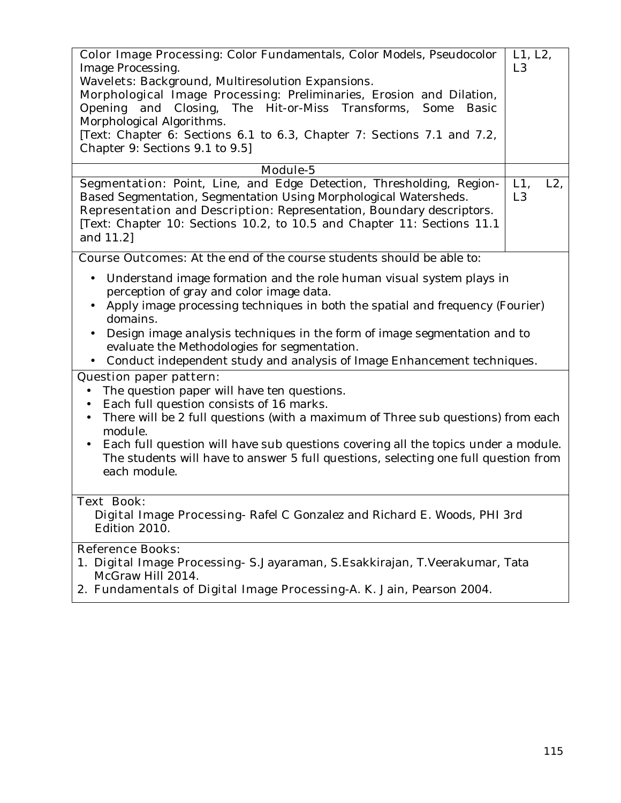| <b>Color Image Processing:</b> Color Fundamentals, Color Models, Pseudocolor<br>Image Processing. | L1, L2,<br>L <sub>3</sub> |  |  |
|---------------------------------------------------------------------------------------------------|---------------------------|--|--|
| Wavelets: Background, Multiresolution Expansions.                                                 |                           |  |  |
| Morphological Image Processing: Preliminaries, Erosion and Dilation,                              |                           |  |  |
| Opening and Closing, The Hit-or-Miss Transforms, Some Basic                                       |                           |  |  |
| Morphological Algorithms.                                                                         |                           |  |  |
| [Text: Chapter 6: Sections 6.1 to 6.3, Chapter 7: Sections 7.1 and 7.2,                           |                           |  |  |
| Chapter 9: Sections 9.1 to 9.5]                                                                   |                           |  |  |
| Module-5                                                                                          |                           |  |  |
| Segmentation: Point, Line, and Edge Detection, Thresholding, Region-                              | L1,<br>$L2$ ,             |  |  |
| Based Segmentation, Segmentation Using Morphological Watersheds.                                  | L <sub>3</sub>            |  |  |
| Representation and Description: Representation, Boundary descriptors.                             |                           |  |  |
| [Text: Chapter 10: Sections 10.2, to 10.5 and Chapter 11: Sections 11.1                           |                           |  |  |
| and 11.2]                                                                                         |                           |  |  |
|                                                                                                   |                           |  |  |
| <b>Course Outcomes:</b> At the end of the course students should be able to:                      |                           |  |  |
| Understand image formation and the role human visual system plays in<br>$\bullet$                 |                           |  |  |
| perception of gray and color image data.                                                          |                           |  |  |
| Apply image processing techniques in both the spatial and frequency (Fourier)                     |                           |  |  |
| domains.                                                                                          |                           |  |  |
| Design image analysis techniques in the form of image segmentation and to                         |                           |  |  |
| evaluate the Methodologies for segmentation.                                                      |                           |  |  |
| Conduct independent study and analysis of Image Enhancement techniques.<br>$\bullet$              |                           |  |  |
| <b>Question paper pattern:</b>                                                                    |                           |  |  |
| The question paper will have ten questions.<br>$\bullet$                                          |                           |  |  |
| Each full question consists of 16 marks.<br>$\bullet$                                             |                           |  |  |
| There will be 2 full questions (with a maximum of Three sub questions) from each<br>$\bullet$     |                           |  |  |
| module.                                                                                           |                           |  |  |
| Each full question will have sub questions covering all the topics under a module.<br>$\bullet$   |                           |  |  |
| The students will have to answer 5 full questions, selecting one full question from               |                           |  |  |
| each module.                                                                                      |                           |  |  |
|                                                                                                   |                           |  |  |
| <b>Text Book:</b>                                                                                 |                           |  |  |
| Digital Image Processing-Rafel C Gonzalez and Richard E. Woods, PHI 3rd                           |                           |  |  |
| Edition 2010.                                                                                     |                           |  |  |
| <b>Reference Books:</b>                                                                           |                           |  |  |
| Digital Image Processing- S. Jayaraman, S. Esakkirajan, T. Veerakumar, Tata<br>1.                 |                           |  |  |
| McGraw Hill 2014.                                                                                 |                           |  |  |
| 2. Fundamentals of Digital Image Processing-A. K. Jain, Pearson 2004.                             |                           |  |  |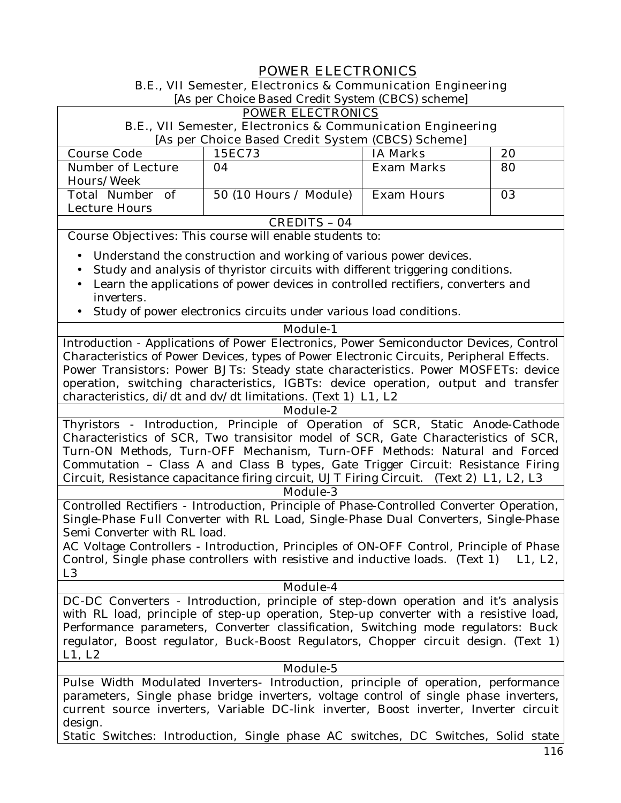# **POWER ELECTRONICS**

**B.E., VII Semester, Electronics & Communication Engineering** 

[As per Choice Based Credit System (CBCS) scheme]

|                              | [As per Choice Based Credit System (CBCS) scheme]                                         |                   |         |
|------------------------------|-------------------------------------------------------------------------------------------|-------------------|---------|
|                              | <b>POWER ELECTRONICS</b>                                                                  |                   |         |
|                              | <b>B.E., VII Semester, Electronics &amp; Communication Engineering</b>                    |                   |         |
|                              | [As per Choice Based Credit System (CBCS) Scheme]                                         |                   |         |
| <b>Course Code</b>           | 15EC73                                                                                    | <b>IA Marks</b>   | 20      |
| <b>Number of Lecture</b>     | 04                                                                                        | <b>Exam Marks</b> | 80      |
| <b>Hours/Week</b>            |                                                                                           |                   |         |
| <b>Total Number</b><br>of    | 50 (10 Hours / Module)                                                                    | <b>Exam Hours</b> | 03      |
| <b>Lecture Hours</b>         |                                                                                           |                   |         |
|                              | <b>CREDITS - 04</b>                                                                       |                   |         |
|                              | <b>Course Objectives:</b> This course will enable students to:                            |                   |         |
|                              |                                                                                           |                   |         |
|                              | Understand the construction and working of various power devices.                         |                   |         |
| $\bullet$                    | Study and analysis of thyristor circuits with different triggering conditions.            |                   |         |
| $\bullet$                    | Learn the applications of power devices in controlled rectifiers, converters and          |                   |         |
| inverters.                   |                                                                                           |                   |         |
| $\bullet$                    | Study of power electronics circuits under various load conditions.                        |                   |         |
|                              | <b>Module-1</b>                                                                           |                   |         |
|                              | Introduction - Applications of Power Electronics, Power Semiconductor Devices, Control    |                   |         |
|                              | Characteristics of Power Devices, types of Power Electronic Circuits, Peripheral Effects. |                   |         |
|                              | Power Transistors: Power BJTs: Steady state characteristics. Power MOSFETs: device        |                   |         |
|                              | operation, switching characteristics, IGBTs: device operation, output and transfer        |                   |         |
|                              | characteristics, $di/dt$ and $dv/dt$ limitations. (Text 1) L1, L2                         |                   |         |
|                              | <b>Module-2</b>                                                                           |                   |         |
|                              | Thyristors - Introduction, Principle of Operation of SCR, Static Anode-Cathode            |                   |         |
|                              |                                                                                           |                   |         |
|                              | Characteristics of SCR, Two transisitor model of SCR, Gate Characteristics of SCR,        |                   |         |
|                              | Turn-ON Methods, Turn-OFF Mechanism, Turn-OFF Methods: Natural and Forced                 |                   |         |
|                              | Commutation - Class A and Class B types, Gate Trigger Circuit: Resistance Firing          |                   |         |
|                              | Circuit, Resistance capacitance firing circuit, UJT Firing Circuit. (Text 2) L1, L2, L3   |                   |         |
|                              | <b>Module-3</b>                                                                           |                   |         |
|                              | Controlled Rectifiers - Introduction, Principle of Phase-Controlled Converter Operation,  |                   |         |
|                              | Single-Phase Full Converter with RL Load, Single-Phase Dual Converters, Single-Phase      |                   |         |
| Semi Converter with RL load. |                                                                                           |                   |         |
|                              | AC Voltage Controllers - Introduction, Principles of ON-OFF Control, Principle of Phase   |                   |         |
|                              | Control, Single phase controllers with resistive and inductive loads. (Text 1)            |                   | L1, L2, |
| L <sub>3</sub>               |                                                                                           |                   |         |
|                              | <b>Module-4</b>                                                                           |                   |         |
|                              | DC-DC Converters - Introduction, principle of step-down operation and it's analysis       |                   |         |
|                              | with RL load, principle of step-up operation, Step-up converter with a resistive load,    |                   |         |
|                              | Performance parameters, Converter classification, Switching mode regulators: Buck         |                   |         |
|                              | regulator, Boost regulator, Buck-Boost Regulators, Chopper circuit design. (Text 1)       |                   |         |
| L1, L2                       |                                                                                           |                   |         |
|                              | Module-5                                                                                  |                   |         |
|                              | Pulse Width Modulated Inverters- Introduction, principle of operation, performance        |                   |         |
|                              | parameters, Single phase bridge inverters, voltage control of single phase inverters,     |                   |         |
|                              |                                                                                           |                   |         |

current source inverters, Variable DC-link inverter, Boost inverter, Inverter circuit design.

Static Switches: Introduction, Single phase AC switches, DC Switches, Solid state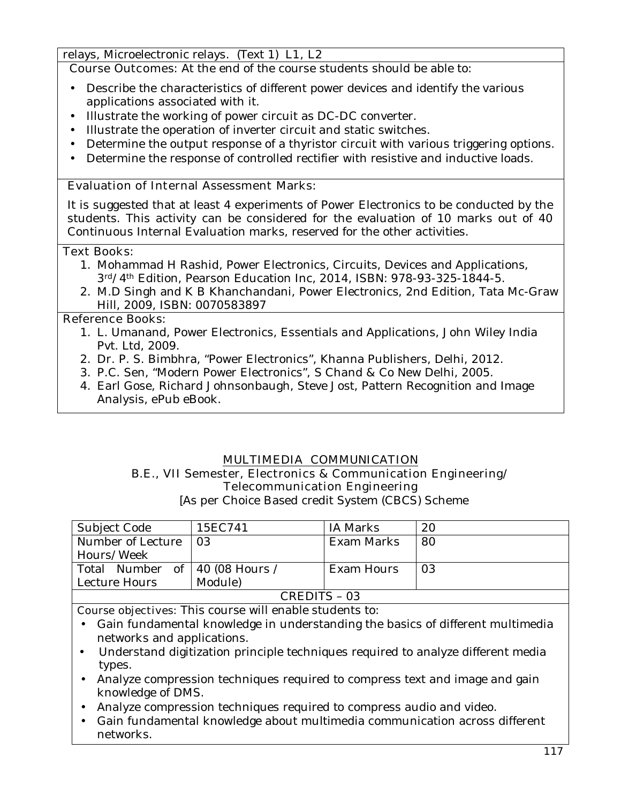relays, Microelectronic relays. (Text 1) **L1, L2**

**Course Outcomes:** At the end of the course students should be able to:

- Describe the characteristics of different power devices and identify the various applications associated with it.
- Illustrate the working of power circuit as DC-DC converter.
- Illustrate the operation of inverter circuit and static switches.
- Determine the output response of a thyristor circuit with various triggering options.
- Determine the response of controlled rectifier with resistive and inductive loads.

#### **Evaluation of Internal Assessment Marks:**

It is suggested that at least 4 experiments of Power Electronics to be conducted by the students. This activity can be considered for the evaluation of 10 marks out of 40 Continuous Internal Evaluation marks, reserved for the other activities.

#### **Text Books:**

- 1. Mohammad H Rashid, Power Electronics, Circuits, Devices and Applications, 3rd/4th Edition, Pearson Education Inc, 2014, ISBN: 978-93-325-1844-5.
- 2. M.D Singh and K B Khanchandani, Power Electronics, 2nd Edition, Tata Mc-Graw Hill, 2009, ISBN: 0070583897

#### **Reference Books:**

- 1. L. Umanand, Power Electronics, Essentials and Applications, John Wiley India Pvt. Ltd, 2009.
- 2. Dr. P. S. Bimbhra, "Power Electronics", Khanna Publishers, Delhi, 2012.
- 3. P.C. Sen, "Modern Power Electronics", S Chand & Co New Delhi, 2005.
- 4. Earl Gose, Richard Johnsonbaugh, Steve Jost, Pattern Recognition and Image Analysis, ePub eBook.

#### **MULTIMEDIA COMMUNICATION**

## **B.E., VII Semester, Electronics & Communication Engineering/ Telecommunication Engineering**

[As per Choice Based credit System (CBCS) Scheme

| Subject Code                     | 15EC741 | IA Marks   | 20 |
|----------------------------------|---------|------------|----|
| Number of Lecture                | 03      | Exam Marks | 80 |
| Hours/Week                       |         |            |    |
| Total Number of   40 (08 Hours / |         | Exam Hours | 03 |
| Lecture Hours                    | Module) |            |    |
| CREDITS - 03                     |         |            |    |

**Course objectives:** This course will enable students to:

- Gain fundamental knowledge in understanding the basics of different multimedia networks and applications.
- Understand digitization principle techniques required to analyze different media types.
- Analyze compression techniques required to compress text and image and gain knowledge of DMS.
- Analyze compression techniques required to compress audio and video.
- Gain fundamental knowledge about multimedia communication across different networks.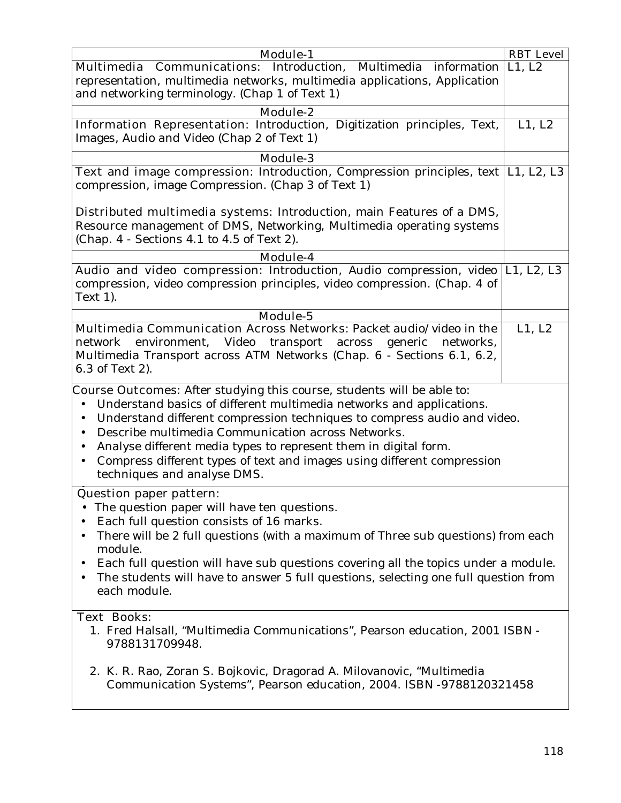| <b>Module-1</b>                                                                                                                                                                                                                                                                                                                                                                                                                                                                                                                        | <b>RBT</b> Level |  |
|----------------------------------------------------------------------------------------------------------------------------------------------------------------------------------------------------------------------------------------------------------------------------------------------------------------------------------------------------------------------------------------------------------------------------------------------------------------------------------------------------------------------------------------|------------------|--|
| <b>Multimedia Communications:</b> Introduction, Multimedia information L1, L2                                                                                                                                                                                                                                                                                                                                                                                                                                                          |                  |  |
| representation, multimedia networks, multimedia applications, Application                                                                                                                                                                                                                                                                                                                                                                                                                                                              |                  |  |
| and networking terminology. (Chap 1 of Text 1)                                                                                                                                                                                                                                                                                                                                                                                                                                                                                         |                  |  |
| <b>Module-2</b>                                                                                                                                                                                                                                                                                                                                                                                                                                                                                                                        |                  |  |
| Information Representation: Introduction, Digitization principles, Text,                                                                                                                                                                                                                                                                                                                                                                                                                                                               | L1, L2           |  |
| Images, Audio and Video (Chap 2 of Text 1)                                                                                                                                                                                                                                                                                                                                                                                                                                                                                             |                  |  |
| <b>Module-3</b>                                                                                                                                                                                                                                                                                                                                                                                                                                                                                                                        |                  |  |
| <b>Text and image compression:</b> Introduction, Compression principles, text   L1, L2, L3<br>compression, image Compression. (Chap 3 of Text 1)                                                                                                                                                                                                                                                                                                                                                                                       |                  |  |
| <b>Distributed multimedia systems:</b> Introduction, main Features of a DMS,<br>Resource management of DMS, Networking, Multimedia operating systems<br>(Chap. 4 - Sections 4.1 to 4.5 of Text 2).                                                                                                                                                                                                                                                                                                                                     |                  |  |
| <b>Module-4</b>                                                                                                                                                                                                                                                                                                                                                                                                                                                                                                                        |                  |  |
| Audio and video compression: Introduction, Audio compression, video  L1, L2, L3<br>compression, video compression principles, video compression. (Chap. 4 of<br>Text 1).                                                                                                                                                                                                                                                                                                                                                               |                  |  |
| Module-5                                                                                                                                                                                                                                                                                                                                                                                                                                                                                                                               |                  |  |
| Multimedia Communication Across Networks: Packet audio/video in the<br>environment, Video<br>transport<br>across generic<br>networks,<br>network<br>Multimedia Transport across ATM Networks (Chap. 6 - Sections 6.1, 6.2,<br>6.3 of Text 2).                                                                                                                                                                                                                                                                                          | L1, L2           |  |
| <b>Course Outcomes:</b> After studying this course, students will be able to:<br>Understand basics of different multimedia networks and applications.<br>$\bullet$<br>Understand different compression techniques to compress audio and video.<br>$\bullet$<br>Describe multimedia Communication across Networks.<br>$\bullet$<br>Analyse different media types to represent them in digital form.<br>$\bullet$<br>Compress different types of text and images using different compression<br>$\bullet$<br>techniques and analyse DMS. |                  |  |
| <b>Question paper pattern:</b><br>The question paper will have ten questions.<br>Each full question consists of 16 marks.<br>There will be 2 full questions (with a maximum of Three sub questions) from each<br>module.<br>Each full question will have sub questions covering all the topics under a module.<br>$\bullet$<br>The students will have to answer 5 full questions, selecting one full question from<br>each module.                                                                                                     |                  |  |
| <b>Text Books:</b><br>1. Fred Halsall, "Multimedia Communications", Pearson education, 2001 ISBN -<br>9788131709948.<br>2. K. R. Rao, Zoran S. Bojkovic, Dragorad A. Milovanovic, "Multimedia<br>Communication Systems", Pearson education, 2004. ISBN -9788120321458                                                                                                                                                                                                                                                                  |                  |  |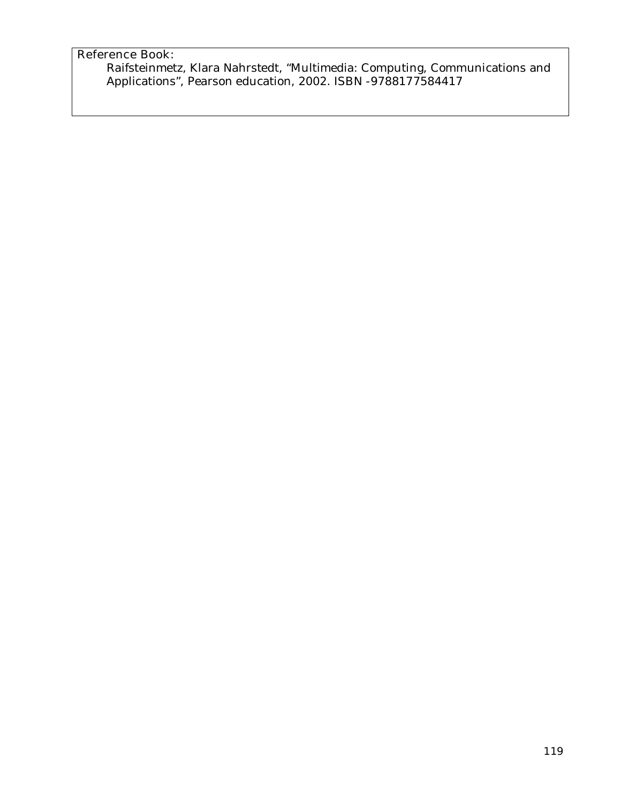## **Reference Book:**

Raifsteinmetz, Klara Nahrstedt, "Multimedia: Computing, Communications and Applications", Pearson education, 2002. ISBN -9788177584417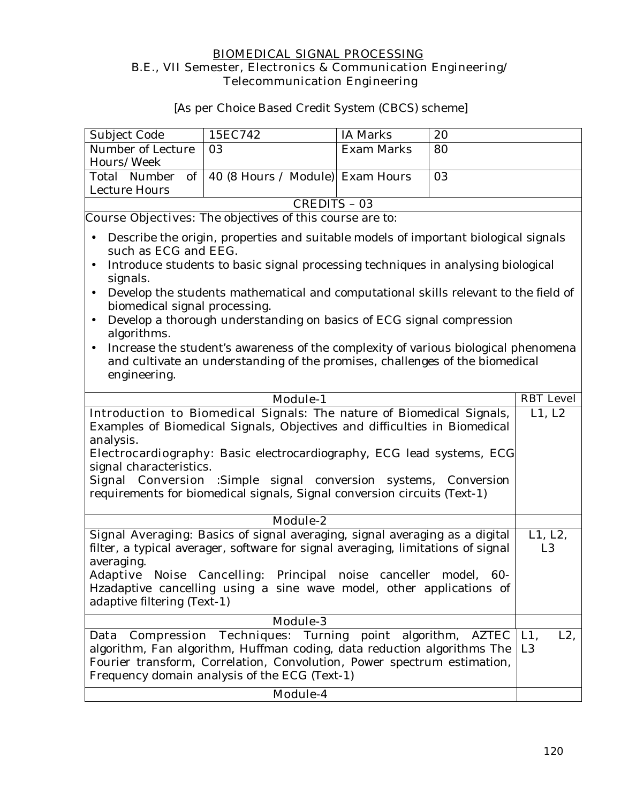#### **BIOMEDICAL SIGNAL PROCESSING B.E., VII Semester, Electronics & Communication Engineering/ Telecommunication Engineering**

[As per Choice Based Credit System (CBCS) scheme]

| <b>Subject Code</b> | 15EC742                                          | IA Marks   | 20 |
|---------------------|--------------------------------------------------|------------|----|
| Number of Lecture   | -03                                              | Exam Marks | 80 |
| Hours/Week          |                                                  |            |    |
|                     | Total Number of 40 (8 Hours / Module) Exam Hours |            | 03 |
| Lecture Hours       |                                                  |            |    |
| CREDITS - 03        |                                                  |            |    |

**Course Objectives:** The objectives of this course are to:

- Describe the origin, properties and suitable models of important biological signals such as ECG and EEG.
- Introduce students to basic signal processing techniques in analysing biological signals.
- Develop the students mathematical and computational skills relevant to the field of biomedical signal processing.
- Develop a thorough understanding on basics of ECG signal compression algorithms.
- Increase the student's awareness of the complexity of various biological phenomena and cultivate an understanding of the promises, challenges of the biomedical engineering.

| <b>Module-1</b>                                                                                                                                                                                                                                                    | <b>RBT</b> Level                   |
|--------------------------------------------------------------------------------------------------------------------------------------------------------------------------------------------------------------------------------------------------------------------|------------------------------------|
| <b>Introduction to Biomedical Signals:</b> The nature of Biomedical Signals,                                                                                                                                                                                       | L1, L2                             |
| Examples of Biomedical Signals, Objectives and difficulties in Biomedical<br>analysis.                                                                                                                                                                             |                                    |
| <b>Electrocardiography:</b> Basic electrocardiography, ECG lead systems, ECG<br>signal characteristics.                                                                                                                                                            |                                    |
| Signal Conversion :Simple signal conversion systems, Conversion                                                                                                                                                                                                    |                                    |
| requirements for biomedical signals, Signal conversion circuits (Text-1)                                                                                                                                                                                           |                                    |
| <b>Module-2</b>                                                                                                                                                                                                                                                    |                                    |
| Signal Averaging: Basics of signal averaging, signal averaging as a digital<br>filter, a typical averager, software for signal averaging, limitations of signal<br>averaging.                                                                                      | L1, L2,<br>L <sub>3</sub>          |
| <b>Adaptive Noise Cancelling:</b> Principal noise canceller model, 60-<br>Hzadaptive cancelling using a sine wave model, other applications of<br>adaptive filtering (Text-1)                                                                                      |                                    |
| <b>Module-3</b>                                                                                                                                                                                                                                                    |                                    |
| Data Compression Techniques: Turning point algorithm, AZTEC<br>algorithm, Fan algorithm, Huffman coding, data reduction algorithms The<br>Fourier transform, Correlation, Convolution, Power spectrum estimation,<br>Frequency domain analysis of the ECG (Text-1) | $L2$ ,<br>$L1$ .<br>L <sub>3</sub> |
| Module-4                                                                                                                                                                                                                                                           |                                    |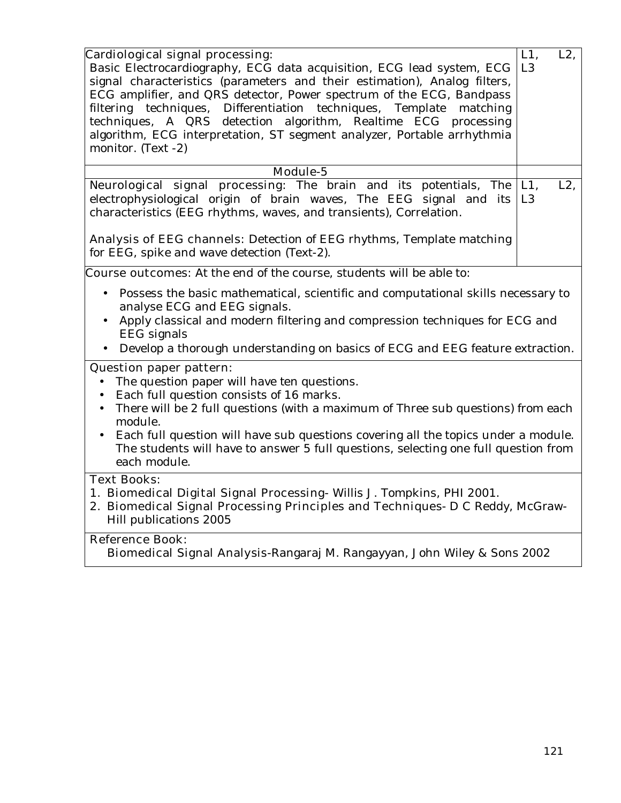| Cardiological signal processing:<br>Basic Electrocardiography, ECG data acquisition, ECG lead system, ECG<br>signal characteristics (parameters and their estimation), Analog filters,<br>ECG amplifier, and QRS detector, Power spectrum of the ECG, Bandpass<br>filtering techniques, Differentiation techniques, Template<br>matching<br>techniques, A QRS detection algorithm, Realtime ECG processing<br>algorithm, ECG interpretation, ST segment analyzer, Portable arrhythmia<br>monitor. (Text -2) | $L1$ ,<br>L <sub>3</sub> | $L2$ . |
|-------------------------------------------------------------------------------------------------------------------------------------------------------------------------------------------------------------------------------------------------------------------------------------------------------------------------------------------------------------------------------------------------------------------------------------------------------------------------------------------------------------|--------------------------|--------|
| Module-5                                                                                                                                                                                                                                                                                                                                                                                                                                                                                                    |                          |        |
| Neurological signal processing: The brain and its potentials, The<br>electrophysiological origin of brain waves, The EEG signal and its<br>characteristics (EEG rhythms, waves, and transients), Correlation.<br>Analysis of EEG channels: Detection of EEG rhythms, Template matching<br>for EEG, spike and wave detection (Text-2).                                                                                                                                                                       | $L1$ ,<br>L <sub>3</sub> | $L2$ , |
| <b>Course outcomes:</b> At the end of the course, students will be able to:                                                                                                                                                                                                                                                                                                                                                                                                                                 |                          |        |
| Possess the basic mathematical, scientific and computational skills necessary to<br>$\bullet$<br>analyse ECG and EEG signals.<br>Apply classical and modern filtering and compression techniques for ECG and<br>$\bullet$<br>EEG signals<br>Develop a thorough understanding on basics of ECG and EEG feature extraction.<br>$\bullet$                                                                                                                                                                      |                          |        |
| <b>Question paper pattern:</b>                                                                                                                                                                                                                                                                                                                                                                                                                                                                              |                          |        |
| The question paper will have ten questions.<br>$\bullet$<br>Each full question consists of 16 marks.<br>There will be 2 full questions (with a maximum of Three sub questions) from each<br>module.<br>Each full question will have sub questions covering all the topics under a module.<br>$\bullet$<br>The students will have to answer 5 full questions, selecting one full question from<br>each module.                                                                                               |                          |        |
| <b>Text Books:</b>                                                                                                                                                                                                                                                                                                                                                                                                                                                                                          |                          |        |
| 1. Biomedical Digital Signal Processing- Willis J. Tompkins, PHI 2001.<br>2. Biomedical Signal Processing Principles and Techniques- D C Reddy, McGraw-<br>Hill publications 2005                                                                                                                                                                                                                                                                                                                           |                          |        |
| ne ni                                                                                                                                                                                                                                                                                                                                                                                                                                                                                                       |                          |        |

# **Reference Book:**

**Biomedical Signal Analysis-**Rangaraj M. Rangayyan, John Wiley & Sons 2002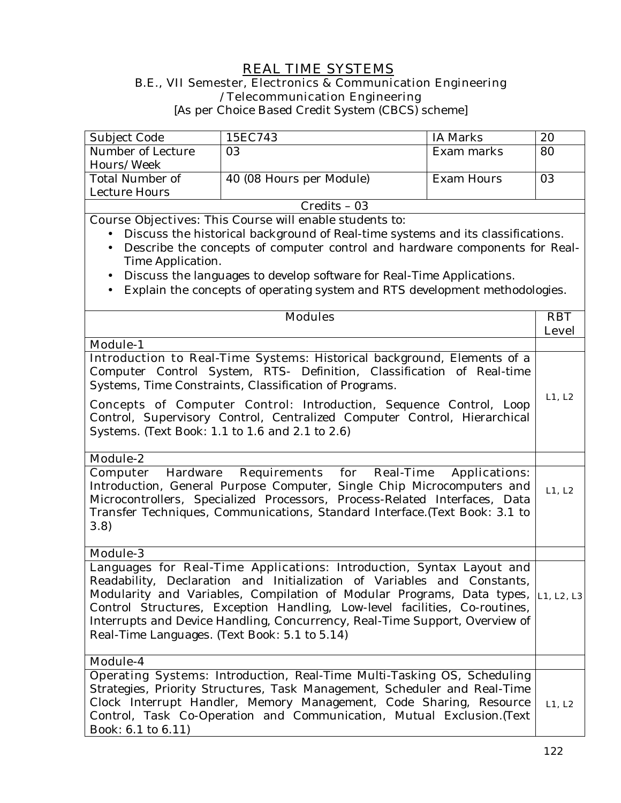## **REAL TIME SYSTEMS B.E., VII Semester, Electronics & Communication Engineering**

**/Telecommunication Engineering** 

[As per Choice Based Credit System (CBCS) scheme]

| Subject Code      | 15EC743                  | IA Marks   | 20 |
|-------------------|--------------------------|------------|----|
| Number of Lecture | 03                       | Exam marks | 80 |
| Hours/Week        |                          |            |    |
| Total Number of   | 40 (08 Hours per Module) | Exam Hours | 03 |
| Lecture Hours     |                          |            |    |
| $C$ redits – 03   |                          |            |    |

**Course Objectives:** This Course will enable students to:

- Discuss the historical background of Real-time systems and its classifications.
- Describe the concepts of computer control and hardware components for Real-Time Application.
- Discuss the languages to develop software for Real-Time Applications.
- Explain the concepts of operating system and RTS development methodologies.

| <b>Modules</b>                                                                                                                                                                                                                                                                                                                                                                                                                           | <b>RBT</b><br><b>Level</b> |
|------------------------------------------------------------------------------------------------------------------------------------------------------------------------------------------------------------------------------------------------------------------------------------------------------------------------------------------------------------------------------------------------------------------------------------------|----------------------------|
| <b>Module-1</b>                                                                                                                                                                                                                                                                                                                                                                                                                          |                            |
| Introduction to Real-Time Systems: Historical background, Elements of a<br>Computer Control System, RTS- Definition, Classification of Real-time<br>Systems, Time Constraints, Classification of Programs.                                                                                                                                                                                                                               | L1, L2                     |
| <b>Concepts of Computer Control:</b> Introduction, Sequence Control, Loop<br>Control, Supervisory Control, Centralized Computer Control, Hierarchical<br>Systems. (Text Book: 1.1 to 1.6 and 2.1 to 2.6)                                                                                                                                                                                                                                 |                            |
| Module-2                                                                                                                                                                                                                                                                                                                                                                                                                                 |                            |
| Computer Hardware Requirements for Real-Time<br><b>Applications:</b><br>Introduction, General Purpose Computer, Single Chip Microcomputers and<br>Microcontrollers, Specialized Processors, Process-Related Interfaces, Data                                                                                                                                                                                                             | L1, L2                     |
| Transfer Techniques, Communications, Standard Interface.(Text Book: 3.1 to<br>3.8                                                                                                                                                                                                                                                                                                                                                        |                            |
| <b>Module-3</b>                                                                                                                                                                                                                                                                                                                                                                                                                          |                            |
| Languages for Real-Time Applications: Introduction, Syntax Layout and<br>Readability, Declaration and Initialization of Variables and Constants,<br>Modularity and Variables, Compilation of Modular Programs, Data types,<br>Control Structures, Exception Handling, Low-level facilities, Co-routines,<br>Interrupts and Device Handling, Concurrency, Real-Time Support, Overview of<br>Real-Time Languages. (Text Book: 5.1 to 5.14) | L1, L2, L3                 |
| Module-4                                                                                                                                                                                                                                                                                                                                                                                                                                 |                            |
| Operating Systems: Introduction, Real-Time Multi-Tasking OS, Scheduling<br>Strategies, Priority Structures, Task Management, Scheduler and Real-Time<br>Clock Interrupt Handler, Memory Management, Code Sharing, Resource<br>Control, Task Co-Operation and Communication, Mutual Exclusion. (Text<br>Book: 6.1 to 6.11)                                                                                                                | L1, L2                     |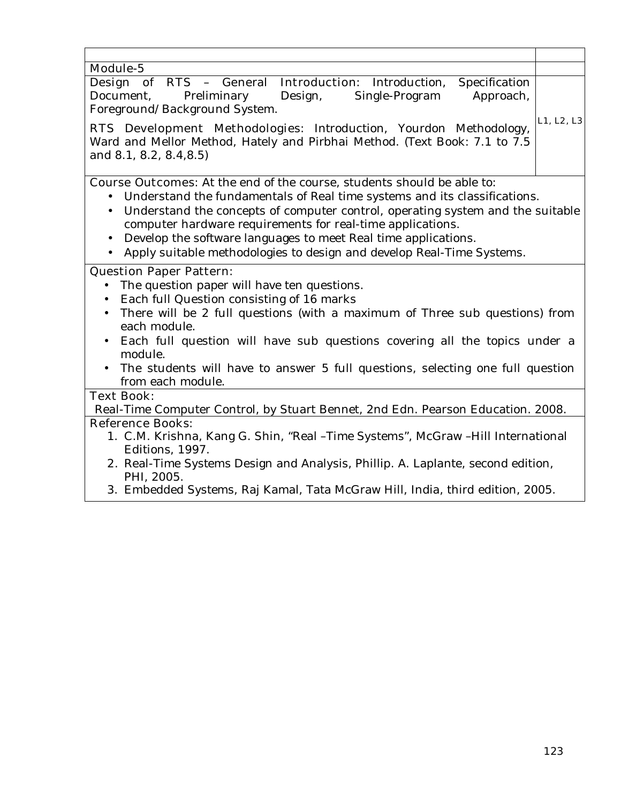| Module-5<br>Design of RTS - General Introduction: Introduction, Specification<br>Document,<br>Preliminary<br>Design,<br>Single-Program<br>Approach,<br>Foreground/Background System.<br>L1, L2, L3<br>RTS Development Methodologies: Introduction, Yourdon Methodology,<br>Ward and Mellor Method, Hately and Pirbhai Method. (Text Book: 7.1 to 7.5                                                                                                                                                      |
|-----------------------------------------------------------------------------------------------------------------------------------------------------------------------------------------------------------------------------------------------------------------------------------------------------------------------------------------------------------------------------------------------------------------------------------------------------------------------------------------------------------|
|                                                                                                                                                                                                                                                                                                                                                                                                                                                                                                           |
|                                                                                                                                                                                                                                                                                                                                                                                                                                                                                                           |
| and 8.1, 8.2, 8.4, 8.5)                                                                                                                                                                                                                                                                                                                                                                                                                                                                                   |
| <b>Course Outcomes:</b> At the end of the course, students should be able to:<br>Understand the fundamentals of Real time systems and its classifications.<br>$\bullet$<br>Understand the concepts of computer control, operating system and the suitable<br>$\bullet$<br>computer hardware requirements for real-time applications.<br>Develop the software languages to meet Real time applications.<br>$\bullet$<br>Apply suitable methodologies to design and develop Real-Time Systems.<br>$\bullet$ |
| <b>Question Paper Pattern:</b><br>The question paper will have ten questions.<br>Each full Question consisting of 16 marks<br>$\bullet$<br>There will be 2 full questions (with a maximum of Three sub questions) from<br>$\bullet$<br>each module.<br>Each full question will have sub questions covering all the topics under a<br>$\bullet$<br>module.<br>The students will have to answer 5 full questions, selecting one full question<br>from each module.                                          |
| <b>Text Book:</b>                                                                                                                                                                                                                                                                                                                                                                                                                                                                                         |
| Real-Time Computer Control, by Stuart Bennet, 2nd Edn. Pearson Education. 2008.                                                                                                                                                                                                                                                                                                                                                                                                                           |
| <b>Reference Books:</b><br>1. C.M. Krishna, Kang G. Shin, "Real -Time Systems", McGraw -Hill International<br>Editions, 1997.<br>2. Real-Time Systems Design and Analysis, Phillip. A. Laplante, second edition,<br>PHI, 2005.<br>3. Embedded Systems, Raj Kamal, Tata McGraw Hill, India, third edition, 2005.                                                                                                                                                                                           |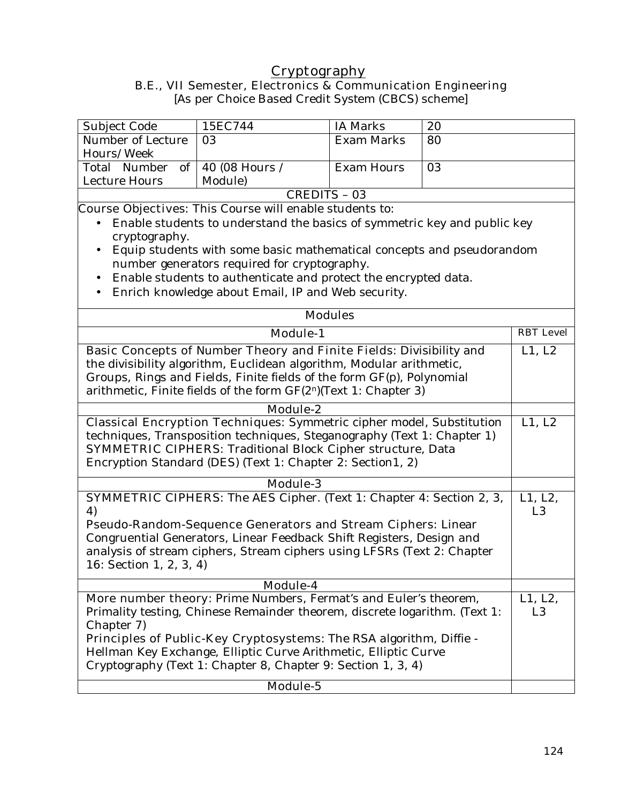## **Cryptography**

**B.E., VII Semester, Electronics & Communication Engineering** 

[As per Choice Based Credit System (CBCS) scheme]

| Subject Code                                                               | 15EC744                                                                                                                                                           | <b>IA Marks</b>   | 20               |                           |
|----------------------------------------------------------------------------|-------------------------------------------------------------------------------------------------------------------------------------------------------------------|-------------------|------------------|---------------------------|
|                                                                            |                                                                                                                                                                   |                   |                  |                           |
| Number of Lecture                                                          | 03                                                                                                                                                                | <b>Exam Marks</b> | 80               |                           |
| Hours/Week                                                                 |                                                                                                                                                                   |                   |                  |                           |
| Total Number<br>of                                                         | 40 (08 Hours /                                                                                                                                                    | <b>Exam Hours</b> | 03               |                           |
| <b>Lecture Hours</b>                                                       | Module)                                                                                                                                                           |                   |                  |                           |
|                                                                            | <b>CREDITS - 03</b>                                                                                                                                               |                   |                  |                           |
|                                                                            | <b>Course Objectives:</b> This Course will enable students to:                                                                                                    |                   |                  |                           |
| cryptography.                                                              | Enable students to understand the basics of symmetric key and public key                                                                                          |                   |                  |                           |
|                                                                            |                                                                                                                                                                   |                   |                  |                           |
| $\bullet$                                                                  | Equip students with some basic mathematical concepts and pseudorandom                                                                                             |                   |                  |                           |
|                                                                            | number generators required for cryptography.                                                                                                                      |                   |                  |                           |
| $\bullet$                                                                  | Enable students to authenticate and protect the encrypted data.                                                                                                   |                   |                  |                           |
|                                                                            | Enrich knowledge about Email, IP and Web security.                                                                                                                |                   |                  |                           |
|                                                                            |                                                                                                                                                                   | <b>Modules</b>    |                  |                           |
| <b>Module-1</b>                                                            |                                                                                                                                                                   |                   | <b>RBT</b> Level |                           |
|                                                                            | Basic Concepts of Number Theory and Finite Fields: Divisibility and                                                                                               |                   |                  | L1, L2                    |
|                                                                            | the divisibility algorithm, Euclidean algorithm, Modular arithmetic,                                                                                              |                   |                  |                           |
| Groups, Rings and Fields, Finite fields of the form GF(p), Polynomial      |                                                                                                                                                                   |                   |                  |                           |
| arithmetic, Finite fields of the form $GF(2^n)(Text 1: Chapter 3)$         |                                                                                                                                                                   |                   |                  |                           |
|                                                                            |                                                                                                                                                                   |                   |                  |                           |
| Module-2                                                                   |                                                                                                                                                                   |                   |                  |                           |
|                                                                            | <b>Classical Encryption Techniques:</b> Symmetric cipher model, Substitution<br>L1, L2<br>techniques, Transposition techniques, Steganography (Text 1: Chapter 1) |                   |                  |                           |
|                                                                            |                                                                                                                                                                   |                   |                  |                           |
|                                                                            | <b>SYMMETRIC CIPHERS:</b> Traditional Block Cipher structure, Data                                                                                                |                   |                  |                           |
|                                                                            | Encryption Standard (DES) (Text 1: Chapter 2: Section1, 2)                                                                                                        |                   |                  |                           |
|                                                                            | <b>Module-3</b>                                                                                                                                                   |                   |                  |                           |
| 4)                                                                         | <b>SYMMETRIC CIPHERS:</b> The AES Cipher. (Text 1: Chapter 4: Section 2, 3,                                                                                       |                   |                  | L1, L2,<br>L <sub>3</sub> |
|                                                                            | Pseudo-Random-Sequence Generators and Stream Ciphers: Linear                                                                                                      |                   |                  |                           |
|                                                                            | Congruential Generators, Linear Feedback Shift Registers, Design and                                                                                              |                   |                  |                           |
|                                                                            |                                                                                                                                                                   |                   |                  |                           |
| 16: Section 1, 2, 3, 4)                                                    | analysis of stream ciphers, Stream ciphers using LFSRs (Text 2: Chapter                                                                                           |                   |                  |                           |
|                                                                            |                                                                                                                                                                   |                   |                  |                           |
| Module-4                                                                   |                                                                                                                                                                   |                   |                  |                           |
| More number theory: Prime Numbers, Fermat's and Euler's theorem,           |                                                                                                                                                                   |                   | L1, L2,          |                           |
| Primality testing, Chinese Remainder theorem, discrete logarithm. (Text 1: |                                                                                                                                                                   |                   | L <sub>3</sub>   |                           |
| Chapter 7)                                                                 |                                                                                                                                                                   |                   |                  |                           |
| Principles of Public-Key Cryptosystems: The RSA algorithm, Diffie -        |                                                                                                                                                                   |                   |                  |                           |
| Hellman Key Exchange, Elliptic Curve Arithmetic, Elliptic Curve            |                                                                                                                                                                   |                   |                  |                           |
|                                                                            | Cryptography (Text 1: Chapter 8, Chapter 9: Section 1, 3, 4)                                                                                                      |                   |                  |                           |
|                                                                            | Module-5                                                                                                                                                          |                   |                  |                           |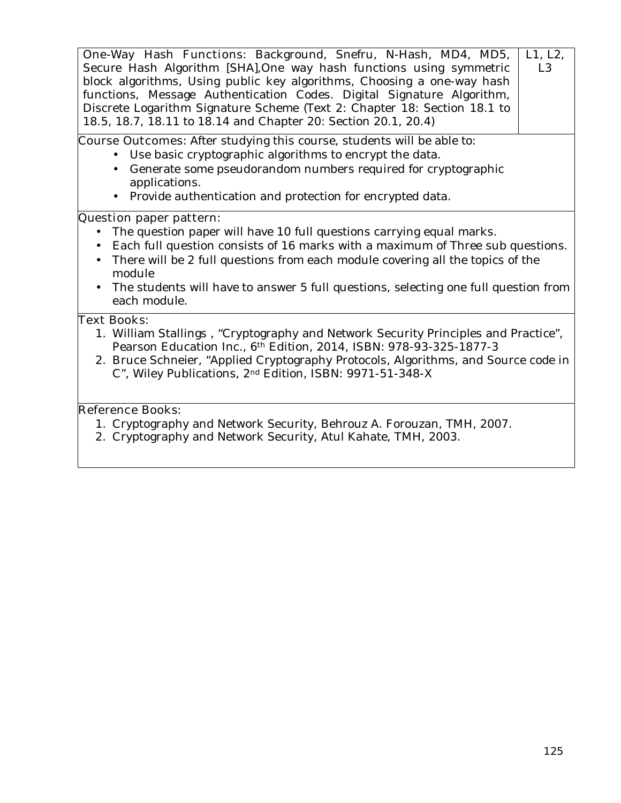| One-Way Hash Functions: Background, Snefru, N-Hash, MD4, MD5,<br>L1, L2,<br>Secure Hash Algorithm [SHA], One way hash functions using symmetric<br>L <sub>3</sub><br>block algorithms, Using public key algorithms, Choosing a one-way hash<br>functions, Message Authentication Codes. Digital Signature Algorithm,<br>Discrete Logarithm Signature Scheme (Text 2: Chapter 18: Section 18.1 to<br>18.5, 18.7, 18.11 to 18.14 and Chapter 20: Section 20.1, 20.4) |  |
|--------------------------------------------------------------------------------------------------------------------------------------------------------------------------------------------------------------------------------------------------------------------------------------------------------------------------------------------------------------------------------------------------------------------------------------------------------------------|--|
| <b>Course Outcomes:</b> After studying this course, students will be able to:<br>• Use basic cryptographic algorithms to encrypt the data.<br>Generate some pseudorandom numbers required for cryptographic<br>$\bullet$<br>applications.<br>• Provide authentication and protection for encrypted data.                                                                                                                                                           |  |
| <b>Question paper pattern:</b><br>The question paper will have 10 full questions carrying equal marks.<br>• Each full question consists of 16 marks with a maximum of Three sub questions.<br>There will be 2 full questions from each module covering all the topics of the<br>$\bullet$<br>module<br>The students will have to answer 5 full questions, selecting one full question from<br>each module.                                                         |  |
| <b>Text Books:</b><br>1. William Stallings, "Cryptography and Network Security Principles and Practice",<br>Pearson Education Inc., 6th Edition, 2014, ISBN: 978-93-325-1877-3<br>2. Bruce Schneier, "Applied Cryptography Protocols, Algorithms, and Source code in<br>C", Wiley Publications, 2 <sup>nd</sup> Edition, ISBN: 9971-51-348-X<br><b>Reference Books:</b><br>1. Cryptography and Network Security, Behrouz A. Forouzan, TMH, 2007.                   |  |
| 2. Cryptography and Network Security, Atul Kahate, TMH, 2003.                                                                                                                                                                                                                                                                                                                                                                                                      |  |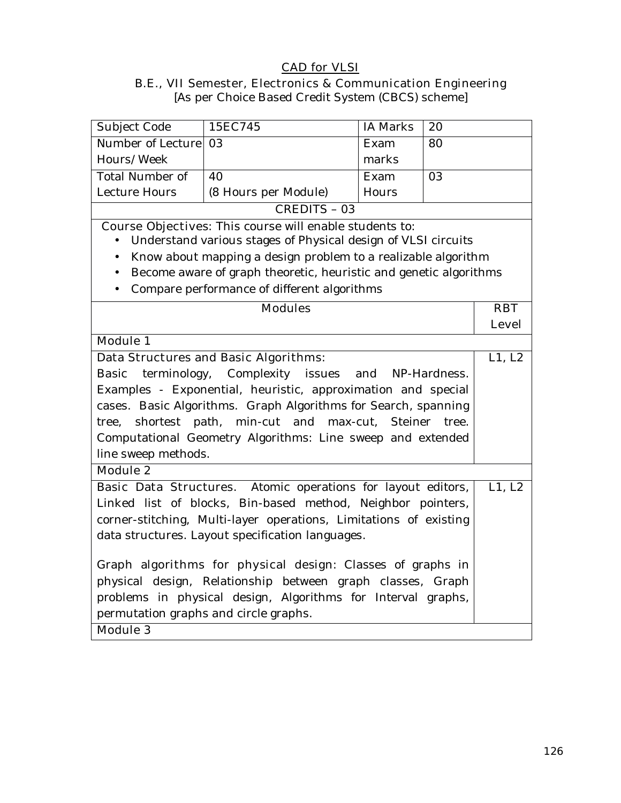## **CAD for VLSI**

# **B.E., VII Semester, Electronics & Communication Engineering**

| D.E., TH SCHICSICI, ERECTORIES & COMMUNICATION ENGINEERING |
|------------------------------------------------------------|
| [As per Choice Based Credit System (CBCS) scheme]          |
|                                                            |

| Subject Code                                                      | 15EC745                                                           | <b>IA Marks</b> | 20    |                      |  |
|-------------------------------------------------------------------|-------------------------------------------------------------------|-----------------|-------|----------------------|--|
| Number of Lecture                                                 | 03                                                                | Exam            | 80    |                      |  |
| Hours/Week                                                        |                                                                   | marks           |       |                      |  |
| <b>Total Number of</b>                                            | 40                                                                | Exam            | 03    |                      |  |
| <b>Lecture Hours</b>                                              | (8 Hours per Module)                                              | Hours           |       |                      |  |
|                                                                   | <b>CREDITS - 03</b>                                               |                 |       |                      |  |
|                                                                   | <b>Course Objectives:</b> This course will enable students to:    |                 |       |                      |  |
|                                                                   | Understand various stages of Physical design of VLSI circuits     |                 |       |                      |  |
| $\bullet$                                                         | Know about mapping a design problem to a realizable algorithm     |                 |       |                      |  |
| $\bullet$                                                         | Become aware of graph theoretic, heuristic and genetic algorithms |                 |       |                      |  |
| $\bullet$                                                         | Compare performance of different algorithms                       |                 |       |                      |  |
|                                                                   | <b>Modules</b>                                                    |                 |       | <b>RBT</b>           |  |
|                                                                   |                                                                   |                 |       | <b>Level</b>         |  |
| <b>Module 1</b>                                                   |                                                                   |                 |       |                      |  |
|                                                                   | <b>Data Structures and Basic Algorithms:</b>                      |                 |       | $\overline{L1}$ , L2 |  |
| Complexity issues and<br>terminology,<br>Basic<br>NP-Hardness.    |                                                                   |                 |       |                      |  |
| Examples - Exponential, heuristic, approximation and special      |                                                                   |                 |       |                      |  |
| cases. Basic Algorithms. Graph Algorithms for Search, spanning    |                                                                   |                 |       |                      |  |
|                                                                   | tree, shortest path, min-cut and max-cut,                         | Steiner         | tree. |                      |  |
|                                                                   | Computational Geometry Algorithms: Line sweep and extended        |                 |       |                      |  |
| line sweep methods.                                               |                                                                   |                 |       |                      |  |
| <b>Module 2</b>                                                   |                                                                   |                 |       |                      |  |
|                                                                   | Basic Data Structures. Atomic operations for layout editors,      |                 |       | L1, L2               |  |
|                                                                   | Linked list of blocks, Bin-based method, Neighbor pointers,       |                 |       |                      |  |
| corner-stitching, Multi-layer operations, Limitations of existing |                                                                   |                 |       |                      |  |
|                                                                   | data structures. Layout specification languages.                  |                 |       |                      |  |
|                                                                   |                                                                   |                 |       |                      |  |
|                                                                   | Graph algorithms for physical design: Classes of graphs in        |                 |       |                      |  |
| physical design, Relationship between graph classes, Graph        |                                                                   |                 |       |                      |  |
| problems in physical design, Algorithms for Interval graphs,      |                                                                   |                 |       |                      |  |
| permutation graphs and circle graphs.                             |                                                                   |                 |       |                      |  |
| <b>Module 3</b>                                                   |                                                                   |                 |       |                      |  |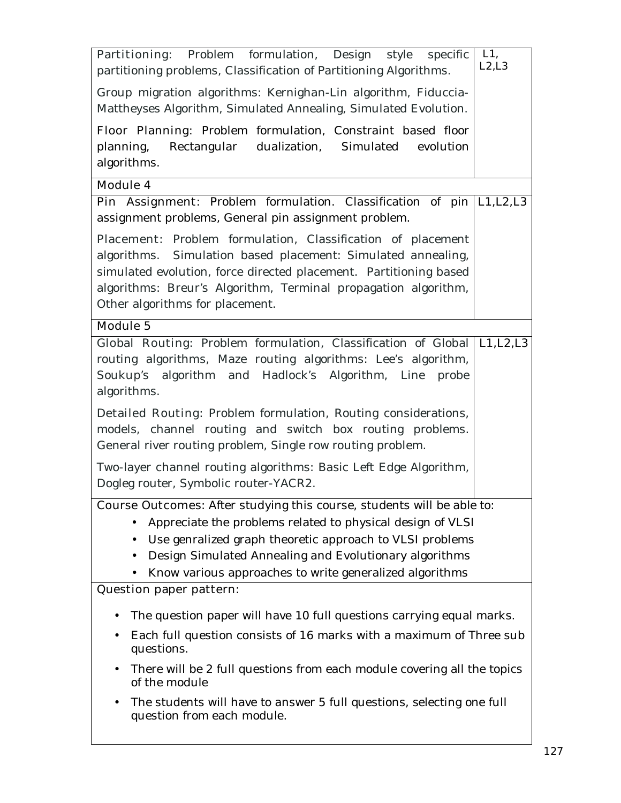| <b>Partitioning:</b> Problem formulation, Design style<br>specific<br>partitioning problems, Classification of Partitioning Algorithms.                                                                                                                                                                                                                        | L1,<br>L2, L3 |
|----------------------------------------------------------------------------------------------------------------------------------------------------------------------------------------------------------------------------------------------------------------------------------------------------------------------------------------------------------------|---------------|
| Group migration algorithms: Kernighan-Lin algorithm, Fiduccia-<br>Mattheyses Algorithm, Simulated Annealing, Simulated Evolution.                                                                                                                                                                                                                              |               |
| Floor Planning: Problem formulation, Constraint based floor<br>planning, Rectangular dualization, Simulated evolution<br>algorithms.                                                                                                                                                                                                                           |               |
| <b>Module 4</b>                                                                                                                                                                                                                                                                                                                                                |               |
| Pin Assignment: Problem formulation. Classification of pin   L1, L2, L3<br>assignment problems, General pin assignment problem.                                                                                                                                                                                                                                |               |
| Placement: Problem formulation, Classification of placement<br>algorithms. Simulation based placement: Simulated annealing,<br>simulated evolution, force directed placement. Partitioning based<br>algorithms: Breur's Algorithm, Terminal propagation algorithm,<br>Other algorithms for placement.                                                          |               |
| <b>Module 5</b>                                                                                                                                                                                                                                                                                                                                                |               |
| Global Routing: Problem formulation, Classification of Global   L1, L2, L3<br>routing algorithms, Maze routing algorithms: Lee's algorithm,<br>Soukup's algorithm and Hadlock's Algorithm, Line<br>probe<br>algorithms.<br><b>Detailed Routing:</b> Problem formulation, Routing considerations,                                                               |               |
| models, channel routing and switch box routing problems.<br>General river routing problem, Single row routing problem.                                                                                                                                                                                                                                         |               |
| Two-layer channel routing algorithms: Basic Left Edge Algorithm,<br>Dogleg router, Symbolic router-YACR2.                                                                                                                                                                                                                                                      |               |
| <b>Course Outcomes:</b> After studying this course, students will be able to:<br>Appreciate the problems related to physical design of VLSI<br>Use genralized graph theoretic approach to VLSI problems<br>Design Simulated Annealing and Evolutionary algorithms<br>Know various approaches to write generalized algorithms<br><b>Question paper pattern:</b> |               |
| The question paper will have 10 full questions carrying equal marks.<br>٠                                                                                                                                                                                                                                                                                      |               |
| Each full question consists of 16 marks with a maximum of Three sub<br>$\bullet$<br>questions.                                                                                                                                                                                                                                                                 |               |
| There will be 2 full questions from each module covering all the topics<br>$\bullet$<br>of the module                                                                                                                                                                                                                                                          |               |
| The students will have to answer 5 full questions, selecting one full<br>$\bullet$<br>question from each module.                                                                                                                                                                                                                                               |               |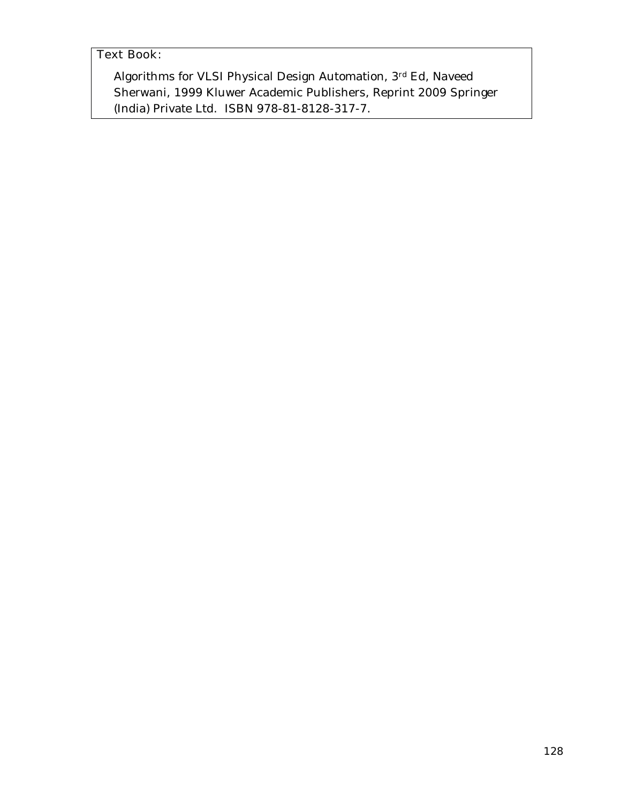## **Text Book**:

Algorithms for VLSI Physical Design Automation, 3rd Ed, Naveed Sherwani, 1999 Kluwer Academic Publishers, Reprint 2009 Springer (India) Private Ltd. ISBN 978-81-8128-317-7.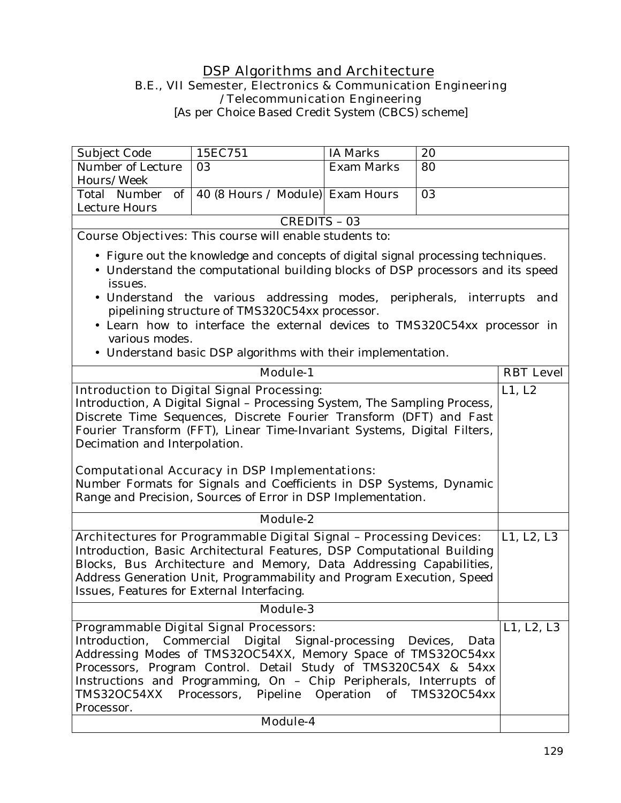#### **DSP Algorithms and Architecture B.E., VII Semester, Electronics & Communication Engineering /Telecommunication Engineering**

[As per Choice Based Credit System (CBCS) scheme]

| Subject Code                                                                                                                                                                                                                                                                                                                                                                                                                                                 | 15EC751                                                                                                                                                                                                                                               | <b>IA Marks</b>   | 20               |  |
|--------------------------------------------------------------------------------------------------------------------------------------------------------------------------------------------------------------------------------------------------------------------------------------------------------------------------------------------------------------------------------------------------------------------------------------------------------------|-------------------------------------------------------------------------------------------------------------------------------------------------------------------------------------------------------------------------------------------------------|-------------------|------------------|--|
| Number of Lecture                                                                                                                                                                                                                                                                                                                                                                                                                                            | 03                                                                                                                                                                                                                                                    | <b>Exam Marks</b> | 80               |  |
| Hours/Week                                                                                                                                                                                                                                                                                                                                                                                                                                                   |                                                                                                                                                                                                                                                       |                   |                  |  |
| Total Number<br>of                                                                                                                                                                                                                                                                                                                                                                                                                                           | 40 (8 Hours / Module) Exam Hours                                                                                                                                                                                                                      |                   | 03               |  |
| Lecture Hours                                                                                                                                                                                                                                                                                                                                                                                                                                                |                                                                                                                                                                                                                                                       |                   |                  |  |
|                                                                                                                                                                                                                                                                                                                                                                                                                                                              | <b>CREDITS - 03</b>                                                                                                                                                                                                                                   |                   |                  |  |
|                                                                                                                                                                                                                                                                                                                                                                                                                                                              | <b>Course Objectives:</b> This course will enable students to:                                                                                                                                                                                        |                   |                  |  |
| • Figure out the knowledge and concepts of digital signal processing techniques.<br>• Understand the computational building blocks of DSP processors and its speed<br>issues.<br>• Understand the various addressing modes, peripherals, interrupts<br>and<br>pipelining structure of TMS320C54xx processor.<br>• Learn how to interface the external devices to TMS320C54xx processor in<br>various modes.                                                  |                                                                                                                                                                                                                                                       |                   |                  |  |
|                                                                                                                                                                                                                                                                                                                                                                                                                                                              | • Understand basic DSP algorithms with their implementation.                                                                                                                                                                                          |                   |                  |  |
| Module-1                                                                                                                                                                                                                                                                                                                                                                                                                                                     |                                                                                                                                                                                                                                                       |                   | <b>RBT Level</b> |  |
| Introduction, A Digital Signal - Processing System, The Sampling Process,<br>Discrete Time Sequences, Discrete Fourier Transform (DFT) and Fast<br>Fourier Transform (FFT), Linear Time-Invariant Systems, Digital Filters,<br>Decimation and Interpolation.<br><b>Computational Accuracy in DSP Implementations:</b><br>Number Formats for Signals and Coefficients in DSP Systems, Dynamic<br>Range and Precision, Sources of Error in DSP Implementation. |                                                                                                                                                                                                                                                       |                   |                  |  |
| Module-2                                                                                                                                                                                                                                                                                                                                                                                                                                                     |                                                                                                                                                                                                                                                       |                   |                  |  |
| <b>Architectures for Programmable Digital Signal - Processing Devices:</b><br>Introduction, Basic Architectural Features, DSP Computational Building<br>Blocks, Bus Architecture and Memory, Data Addressing Capabilities,<br>Address Generation Unit, Programmability and Program Execution, Speed<br>Issues, Features for External Interfacing.                                                                                                            |                                                                                                                                                                                                                                                       |                   | L1, L2, L3       |  |
| Module-3                                                                                                                                                                                                                                                                                                                                                                                                                                                     |                                                                                                                                                                                                                                                       |                   |                  |  |
| Programmable Digital Signal Processors:<br>Commercial Digital Signal-processing Devices,<br>Introduction,<br>Data                                                                                                                                                                                                                                                                                                                                            |                                                                                                                                                                                                                                                       |                   | L1, L2, L3       |  |
| Processor.                                                                                                                                                                                                                                                                                                                                                                                                                                                   | Addressing Modes of TMS32OC54XX, Memory Space of TMS32OC54xx<br>Processors, Program Control. Detail Study of TMS320C54X & 54xx<br>Instructions and Programming, On - Chip Peripherals, Interrupts of<br>TMS32OC54XX Processors, Pipeline Operation of |                   | TMS32OC54xx      |  |
|                                                                                                                                                                                                                                                                                                                                                                                                                                                              | Module-4                                                                                                                                                                                                                                              |                   |                  |  |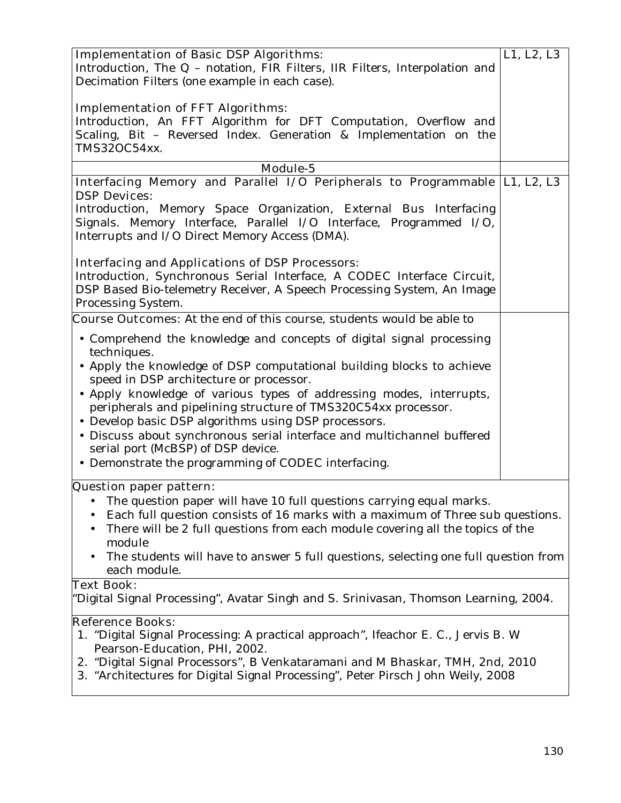| <b>Implementation of Basic DSP Algorithms:</b>                                       | L1, L2, L3 |
|--------------------------------------------------------------------------------------|------------|
|                                                                                      |            |
| Introduction, The Q - notation, FIR Filters, IIR Filters, Interpolation and          |            |
| Decimation Filters (one example in each case).                                       |            |
|                                                                                      |            |
| <b>Implementation of FFT Algorithms:</b>                                             |            |
| Introduction, An FFT Algorithm for DFT Computation, Overflow and                     |            |
| Scaling, Bit - Reversed Index. Generation & Implementation on the                    |            |
| TMS32OC54xx.                                                                         |            |
| <b>Module-5</b>                                                                      |            |
| Interfacing Memory and Parallel I/O Peripherals to Programmable  L1, L2, L3          |            |
| <b>DSP Devices:</b>                                                                  |            |
| Introduction, Memory Space Organization, External Bus Interfacing                    |            |
| Signals. Memory Interface, Parallel I/O Interface, Programmed I/O,                   |            |
| Interrupts and I/O Direct Memory Access (DMA).                                       |            |
|                                                                                      |            |
| <b>Interfacing and Applications of DSP Processors:</b>                               |            |
| Introduction, Synchronous Serial Interface, A CODEC Interface Circuit,               |            |
|                                                                                      |            |
| DSP Based Bio-telemetry Receiver, A Speech Processing System, An Image               |            |
| Processing System.                                                                   |            |
| <b>Course Outcomes:</b> At the end of this course, students would be able to         |            |
| • Comprehend the knowledge and concepts of digital signal processing                 |            |
| techniques.                                                                          |            |
| • Apply the knowledge of DSP computational building blocks to achieve                |            |
| speed in DSP architecture or processor.                                              |            |
| · Apply knowledge of various types of addressing modes, interrupts,                  |            |
| peripherals and pipelining structure of TMS320C54xx processor.                       |            |
|                                                                                      |            |
| • Develop basic DSP algorithms using DSP processors.                                 |            |
| · Discuss about synchronous serial interface and multichannel buffered               |            |
| serial port (McBSP) of DSP device.                                                   |            |
| • Demonstrate the programming of CODEC interfacing.                                  |            |
|                                                                                      |            |
| Question paper pattern:                                                              |            |
| The question paper will have 10 full questions carrying equal marks.                 |            |
| Each full question consists of 16 marks with a maximum of Three sub questions.       |            |
| There will be 2 full questions from each module covering all the topics of the<br>٠  |            |
| module                                                                               |            |
| The students will have to answer 5 full questions, selecting one full question from  |            |
| each module.                                                                         |            |
| <b>Text Book:</b>                                                                    |            |
| "Digital Signal Processing", Avatar Singh and S. Srinivasan, Thomson Learning, 2004. |            |
| <b>Reference Books:</b>                                                              |            |
| 1. "Digital Signal Processing: A practical approach", Ifeachor E. C., Jervis B. W    |            |
| Pearson-Education, PHI, 2002.                                                        |            |
| 2. "Digital Signal Processors", B Venkataramani and M Bhaskar, TMH, 2nd, 2010        |            |
| 3. "Architectures for Digital Signal Processing", Peter Pirsch John Weily, 2008      |            |
|                                                                                      |            |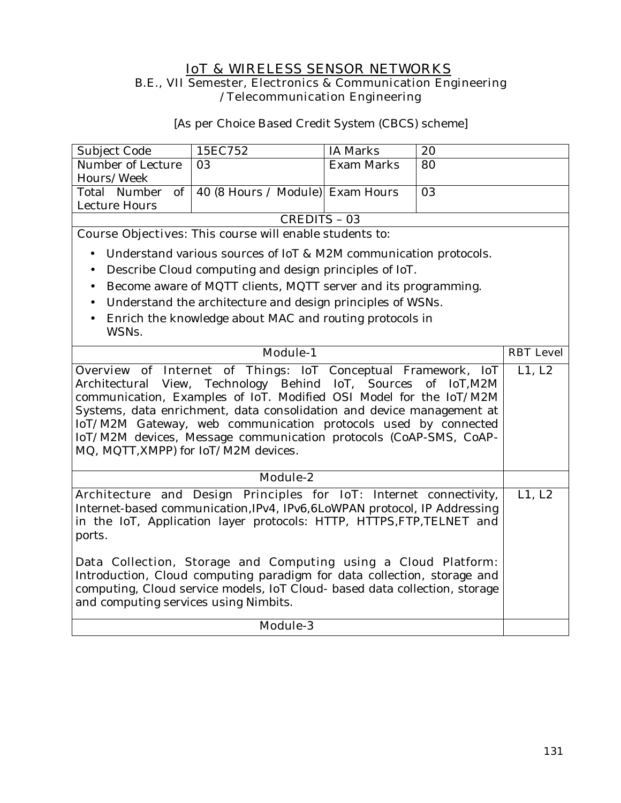#### **IoT & WIRELESS SENSOR NETWORKS B.E., VII Semester, Electronics & Communication Engineering /Telecommunication Engineering**

[As per Choice Based Credit System (CBCS) scheme]

| Subject Code      | 15EC752                                            | IA Marks   | 20 |
|-------------------|----------------------------------------------------|------------|----|
| Number of Lecture | -03                                                | Exam Marks | 80 |
| Hours/Week        |                                                    |            |    |
|                   | Total Number of   40 (8 Hours / Module) Exam Hours |            | 03 |
| Lecture Hours     |                                                    |            |    |
| CREDITS – 03      |                                                    |            |    |

**Course Objectives:** This course will enable students to:

- Understand various sources of IoT & M2M communication protocols.
- Describe Cloud computing and design principles of IoT.
- Become aware of MQTT clients, MQTT server and its programming.
- Understand the architecture and design principles of WSNs.
- Enrich the knowledge about MAC and routing protocols in WSNs.

| <b>Module-1</b>                                                                                                                                                                                                                                                                                                                                                                                                                                                                                        | <b>RBT</b> Level |
|--------------------------------------------------------------------------------------------------------------------------------------------------------------------------------------------------------------------------------------------------------------------------------------------------------------------------------------------------------------------------------------------------------------------------------------------------------------------------------------------------------|------------------|
| <b>Overview of Internet of Things:</b> IoT Conceptual Framework, IoT L1, L2<br>Architectural View, Technology Behind IoT, Sources of IoT, M2M<br>communication, Examples of IoT. Modified OSI Model for the IoT/M2M<br>Systems, data enrichment, data consolidation and device management at<br>IoT/M2M Gateway, web communication protocols used by connected<br>IoT/M2M devices, Message communication protocols (CoAP-SMS, CoAP-<br>MQ, MQTT, XMPP) for IoT/M2M devices.                            |                  |
| <b>Module-2</b>                                                                                                                                                                                                                                                                                                                                                                                                                                                                                        |                  |
| Architecture and Design Principles for IoT: Internet connectivity,<br>Internet-based communication, IPv4, IPv6, 6LoWPAN protocol, IP Addressing<br>in the IoT, Application layer protocols: HTTP, HTTPS, FTP, TELNET and<br>ports.<br>Data Collection, Storage and Computing using a Cloud Platform:<br>Introduction, Cloud computing paradigm for data collection, storage and<br>computing, Cloud service models, IoT Cloud- based data collection, storage<br>and computing services using Nimbits. |                  |
| <b>Module-3</b>                                                                                                                                                                                                                                                                                                                                                                                                                                                                                        |                  |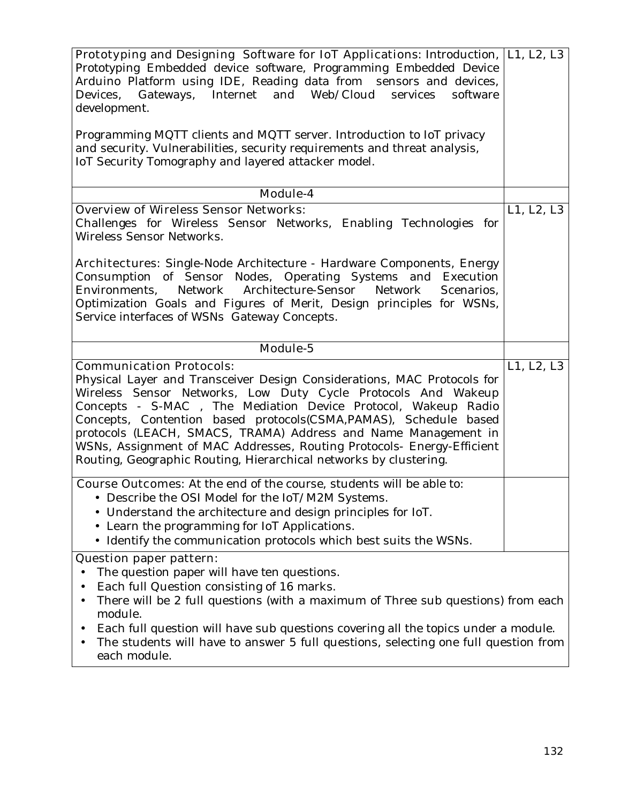| Prototyping and Designing Software for IoT Applications: Introduction,  L1, L2, L3<br>Prototyping Embedded device software, Programming Embedded Device<br>Arduino Platform using IDE, Reading data from sensors and devices,<br>Gateways, Internet and Web/Cloud<br>Devices,<br>services<br>software<br>development.<br>Programming MQTT clients and MQTT server. Introduction to IoT privacy<br>and security. Vulnerabilities, security requirements and threat analysis,                                                       |            |
|-----------------------------------------------------------------------------------------------------------------------------------------------------------------------------------------------------------------------------------------------------------------------------------------------------------------------------------------------------------------------------------------------------------------------------------------------------------------------------------------------------------------------------------|------------|
| IoT Security Tomography and layered attacker model.                                                                                                                                                                                                                                                                                                                                                                                                                                                                               |            |
| Module-4                                                                                                                                                                                                                                                                                                                                                                                                                                                                                                                          |            |
| <b>Overview of Wireless Sensor Networks:</b><br>Challenges for Wireless Sensor Networks, Enabling Technologies for<br>Wireless Sensor Networks.<br><b>Architectures</b> : Single-Node Architecture - Hardware Components, Energy                                                                                                                                                                                                                                                                                                  | L1, L2, L3 |
| Consumption of Sensor Nodes, Operating Systems and Execution<br>Network Architecture-Sensor Network<br>Environments,<br>Scenarios,<br>Optimization Goals and Figures of Merit, Design principles for WSNs,<br>Service interfaces of WSNs Gateway Concepts.                                                                                                                                                                                                                                                                        |            |
| Module-5                                                                                                                                                                                                                                                                                                                                                                                                                                                                                                                          |            |
| <b>Communication Protocols:</b><br>Physical Layer and Transceiver Design Considerations, MAC Protocols for<br>Wireless Sensor Networks, Low Duty Cycle Protocols And Wakeup<br>Concepts - S-MAC, The Mediation Device Protocol, Wakeup Radio<br>Concepts, Contention based protocols(CSMA,PAMAS), Schedule based<br>protocols (LEACH, SMACS, TRAMA) Address and Name Management in<br>WSNs, Assignment of MAC Addresses, Routing Protocols- Energy-Efficient<br>Routing, Geographic Routing, Hierarchical networks by clustering. | L1, L2, L3 |
| <b>Course Outcomes:</b> At the end of the course, students will be able to:<br>Describe the OSI Model for the IoT/M2M Systems.<br>• Understand the architecture and design principles for IoT.<br>• Learn the programming for IoT Applications.<br>• Identify the communication protocols which best suits the WSNs.                                                                                                                                                                                                              |            |
| <b>Question paper pattern:</b>                                                                                                                                                                                                                                                                                                                                                                                                                                                                                                    |            |
| The question paper will have ten questions.<br>Each full Question consisting of 16 marks.<br>There will be 2 full questions (with a maximum of Three sub questions) from each<br>٠<br>module.<br>Each full question will have sub questions covering all the topics under a module.<br>The students will have to answer 5 full questions, selecting one full question from<br>each module.                                                                                                                                        |            |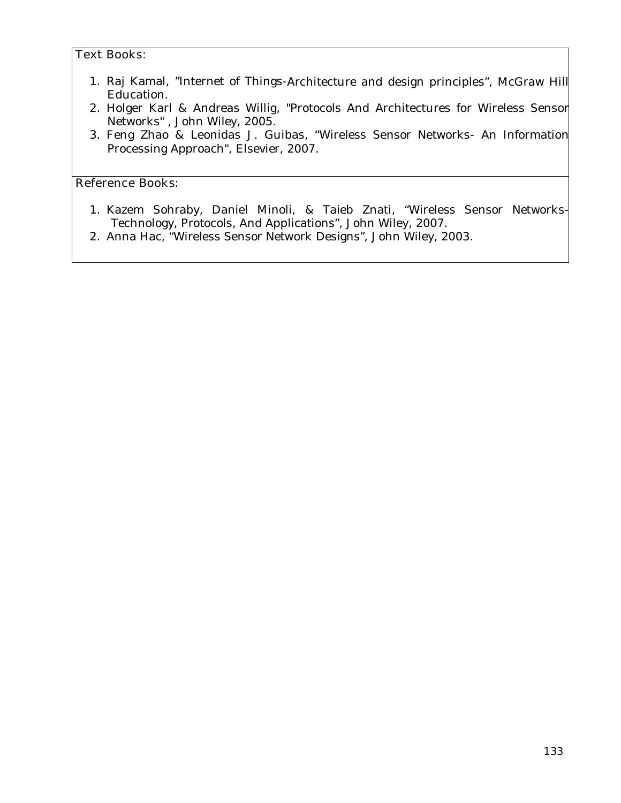#### **Text Books:**

- 1. Raj Kamal, "Internet of Things-Architecture and design principles", McGraw Hill Education.
- 2. Holger Karl & Andreas Willig, "Protocols And Architectures for Wireless Sensor Networks" , John Wiley, 2005.
- 3. Feng Zhao & Leonidas J. Guibas, "Wireless Sensor Networks- An Information Processing Approach", Elsevier, 2007.

#### **Reference Books:**

- 1. Kazem Sohraby, Daniel Minoli, & Taieb Znati, "Wireless Sensor Networks-Technology, Protocols, And Applications", John Wiley, 2007.
- 2. Anna Hac, "Wireless Sensor Network Designs", John Wiley, 2003.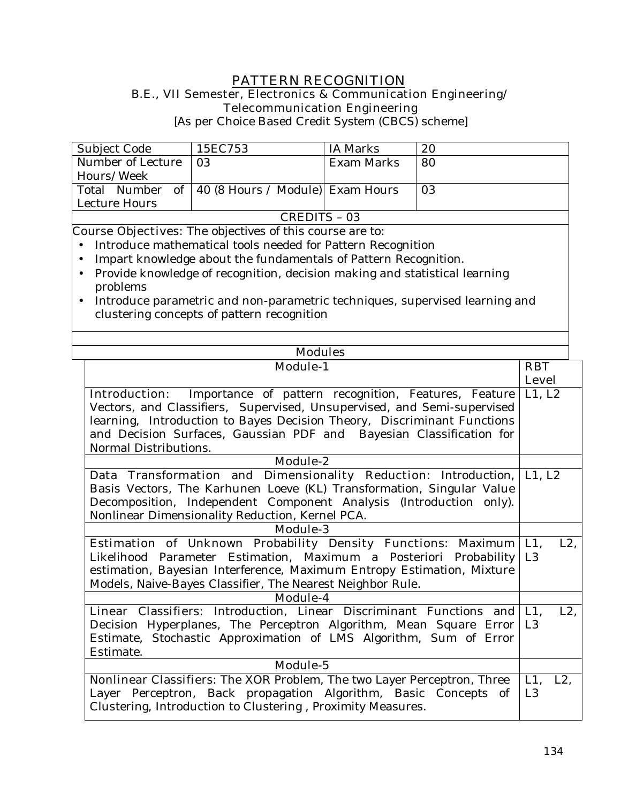## **PATTERN RECOGNITION**

#### **B.E., VII Semester, Electronics & Communication Engineering/ Telecommunication Engineering**

[As per Choice Based Credit System (CBCS) scheme]

| Subject Code        | 15EC753                                             | IA Marks   | 20 |
|---------------------|-----------------------------------------------------|------------|----|
| Number of Lecture   | 03                                                  | Exam Marks | 80 |
| Hours/Week          |                                                     |            |    |
|                     | Total Number of   40 (8 Hours / Module)  Exam Hours |            | 03 |
| Lecture Hours       |                                                     |            |    |
| <b>CREDITS - 03</b> |                                                     |            |    |

**Course Objectives:** The objectives of this course are to:

- Introduce mathematical tools needed for Pattern Recognition
- Impart knowledge about the fundamentals of Pattern Recognition.
- Provide knowledge of recognition, decision making and statistical learning problems
- Introduce parametric and non-parametric techniques, supervised learning and clustering concepts of pattern recognition

| <b>Modules</b>                                                               |                  |
|------------------------------------------------------------------------------|------------------|
| <b>Module-1</b>                                                              |                  |
|                                                                              | <b>Level</b>     |
| <b>Introduction:</b><br>Importance of pattern recognition, Features, Feature | L1, L2           |
| Vectors, and Classifiers, Supervised, Unsupervised, and Semi-supervised      |                  |
| learning, Introduction to Bayes Decision Theory, Discriminant Functions      |                  |
| and Decision Surfaces, Gaussian PDF and Bayesian Classification for          |                  |
| Normal Distributions.                                                        |                  |
| <b>Module-2</b>                                                              |                  |
| Data Transformation and Dimensionality Reduction: Introduction,              | L1, L2           |
| Basis Vectors, The Karhunen Loeve (KL) Transformation, Singular Value        |                  |
| Decomposition, Independent Component Analysis (Introduction only).           |                  |
| Nonlinear Dimensionality Reduction, Kernel PCA.                              |                  |
| <b>Module-3</b>                                                              |                  |
| Estimation of Unknown Probability Density Functions: Maximum                 | $L1$ ,<br>$L2$ , |
| Likelihood Parameter Estimation, Maximum a Posteriori Probability            | L <sub>3</sub>   |
| estimation, Bayesian Interference, Maximum Entropy Estimation, Mixture       |                  |
| Models, Naive-Bayes Classifier, The Nearest Neighbor Rule.                   |                  |
| Module-4                                                                     |                  |
| Linear Classifiers: Introduction, Linear Discriminant Functions and          | $L1$ ,<br>$L2$ , |
| Decision Hyperplanes, The Perceptron Algorithm, Mean Square Error            | L <sub>3</sub>   |
| Estimate, Stochastic Approximation of LMS Algorithm, Sum of Error            |                  |
| Estimate.                                                                    |                  |
| Module-5                                                                     |                  |
| Nonlinear Classifiers: The XOR Problem, The two Layer Perceptron, Three      | L1, L2,          |
| Layer Perceptron, Back propagation Algorithm, Basic Concepts of              | L <sub>3</sub>   |
| Clustering, Introduction to Clustering, Proximity Measures.                  |                  |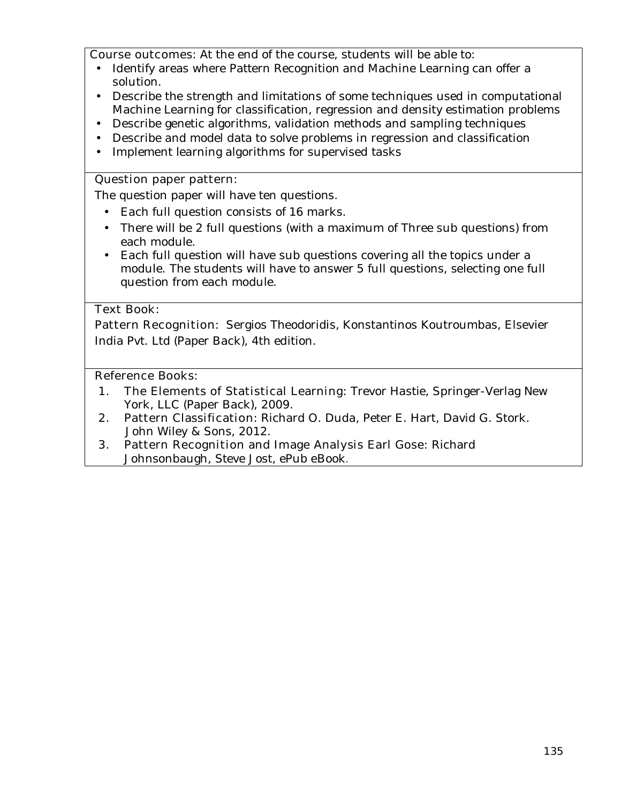**Course outcomes:** At the end of the course, students will be able to:

- Identify areas where Pattern Recognition and Machine Learning can offer a solution.
- Describe the strength and limitations of some techniques used in computational Machine Learning for classification, regression and density estimation problems
- Describe genetic algorithms, validation methods and sampling techniques
- Describe and model data to solve problems in regression and classification
- Implement learning algorithms for supervised tasks

#### **Question paper pattern:**

The question paper will have ten questions.

- Each full question consists of 16 marks.
- There will be 2 full questions (with a maximum of Three sub questions) from each module.
- Each full question will have sub questions covering all the topics under a module. The students will have to answer 5 full questions, selecting one full question from each module.

#### **Text Book:**

**Pattern Recognition**: Sergios Theodoridis, Konstantinos Koutroumbas, Elsevier India Pvt. Ltd (Paper Back), 4th edition.

#### **Reference Books:**

- **1. The Elements of Statistical Learning:** Trevor Hastie, Springer-Verlag New York, LLC (Paper Back), 2009.
- **2. Pattern Classification:** Richard O. Duda, Peter E. Hart, David G. Stork. John Wiley & Sons, 2012.
- **3. Pattern Recognition and Image Analysis Earl Gose:** Richard Johnsonbaugh, Steve Jost, ePub eBook.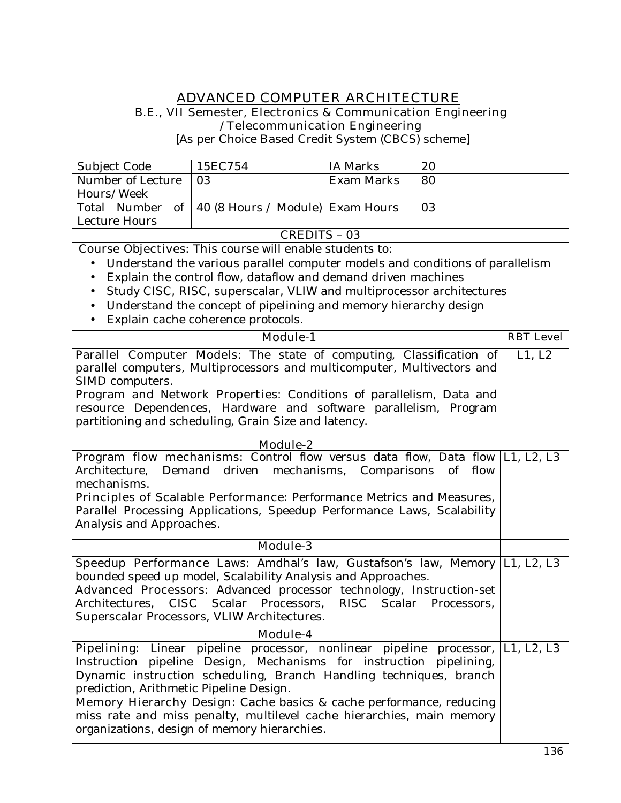#### **ADVANCED COMPUTER ARCHITECTURE B.E., VII Semester, Electronics & Communication Engineering /Telecommunication Engineering**

[As per Choice Based Credit System (CBCS) scheme]

|                                                                         | 15EC754                                                                       | <b>IA Marks</b>   | 20   |                  |
|-------------------------------------------------------------------------|-------------------------------------------------------------------------------|-------------------|------|------------------|
| Subject Code<br>Number of Lecture                                       | 03                                                                            | <b>Exam Marks</b> |      |                  |
| Hours/Week                                                              |                                                                               |                   | 80   |                  |
| of<br>Total Number                                                      | 40 (8 Hours / Module) Exam Hours                                              |                   | 03   |                  |
| Lecture Hours                                                           |                                                                               |                   |      |                  |
|                                                                         | <b>CREDITS - 03</b>                                                           |                   |      |                  |
|                                                                         | <b>Course Objectives:</b> This course will enable students to:                |                   |      |                  |
|                                                                         | Understand the various parallel computer models and conditions of parallelism |                   |      |                  |
| $\bullet$                                                               | Explain the control flow, dataflow and demand driven machines                 |                   |      |                  |
|                                                                         | Study CISC, RISC, superscalar, VLIW and multiprocessor architectures          |                   |      |                  |
| $\bullet$                                                               | Understand the concept of pipelining and memory hierarchy design              |                   |      |                  |
| $\bullet$                                                               | Explain cache coherence protocols.                                            |                   |      |                  |
|                                                                         | <b>Module-1</b>                                                               |                   |      | <b>RBT</b> Level |
|                                                                         |                                                                               |                   |      |                  |
|                                                                         | Parallel Computer Models: The state of computing, Classification of           |                   |      | L1, L2           |
|                                                                         | parallel computers, Multiprocessors and multicomputer, Multivectors and       |                   |      |                  |
| SIMD computers.                                                         |                                                                               |                   |      |                  |
|                                                                         | Program and Network Properties: Conditions of parallelism, Data and           |                   |      |                  |
|                                                                         | resource Dependences, Hardware and software parallelism, Program              |                   |      |                  |
|                                                                         | partitioning and scheduling, Grain Size and latency.                          |                   |      |                  |
| Module- $2$                                                             |                                                                               |                   |      |                  |
|                                                                         | Program flow mechanisms: Control flow versus data flow, Data flow L1, L2, L3  |                   |      |                  |
| Demand<br>Architecture,                                                 | driven mechanisms, Comparisons of                                             |                   | flow |                  |
| mechanisms.                                                             |                                                                               |                   |      |                  |
| Principles of Scalable Performance: Performance Metrics and Measures,   |                                                                               |                   |      |                  |
| Parallel Processing Applications, Speedup Performance Laws, Scalability |                                                                               |                   |      |                  |
| Analysis and Approaches.                                                |                                                                               |                   |      |                  |
|                                                                         | Module-3                                                                      |                   |      |                  |
|                                                                         | Speedup Performance Laws: Amdhal's law, Gustafson's law, Memory   L1, L2, L3  |                   |      |                  |
|                                                                         | bounded speed up model, Scalability Analysis and Approaches.                  |                   |      |                  |
|                                                                         | Advanced Processors: Advanced processor technology, Instruction-set           |                   |      |                  |
| Architectures,                                                          | CISC Scalar Processors, RISC Scalar Processors,                               |                   |      |                  |
|                                                                         | Superscalar Processors, VLIW Architectures.                                   |                   |      |                  |
|                                                                         | Module-4                                                                      |                   |      |                  |
|                                                                         | Pipelining: Linear pipeline processor, nonlinear pipeline processor,          |                   |      | L1, L2, L3       |
|                                                                         | Instruction pipeline Design, Mechanisms for instruction pipelining,           |                   |      |                  |
|                                                                         | Dynamic instruction scheduling, Branch Handling techniques, branch            |                   |      |                  |
| prediction, Arithmetic Pipeline Design.                                 |                                                                               |                   |      |                  |
|                                                                         | Memory Hierarchy Design: Cache basics & cache performance, reducing           |                   |      |                  |
|                                                                         | miss rate and miss penalty, multilevel cache hierarchies, main memory         |                   |      |                  |
|                                                                         | organizations, design of memory hierarchies.                                  |                   |      |                  |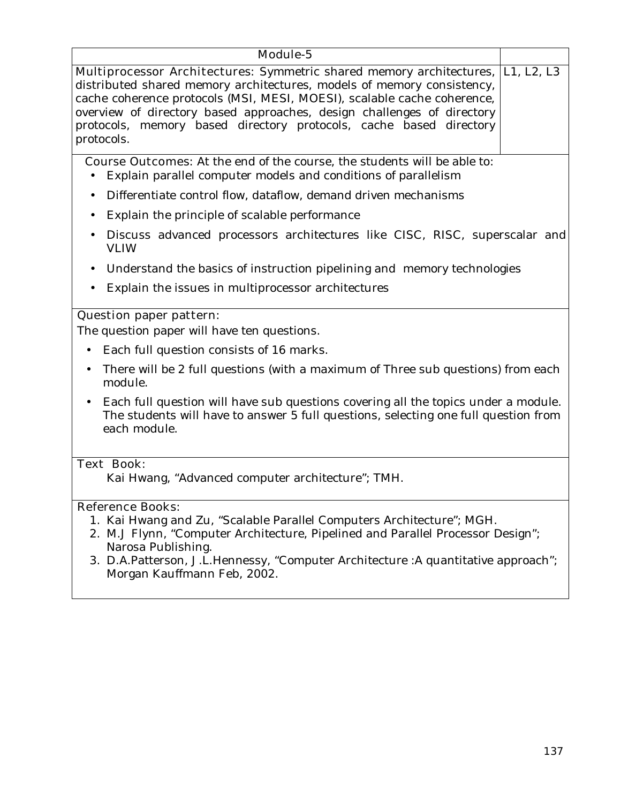| Module-5                                                                                                                                                                                                                                                                                                                                                                                                   |  |  |
|------------------------------------------------------------------------------------------------------------------------------------------------------------------------------------------------------------------------------------------------------------------------------------------------------------------------------------------------------------------------------------------------------------|--|--|
| <b>Multiprocessor Architectures:</b> Symmetric shared memory architectures, [L1, L2, L3<br>distributed shared memory architectures, models of memory consistency,<br>cache coherence protocols (MSI, MESI, MOESI), scalable cache coherence,<br>overview of directory based approaches, design challenges of directory<br>protocols, memory based directory protocols, cache based directory<br>protocols. |  |  |
| <b>Course Outcomes:</b> At the end of the course, the students will be able to:<br>Explain parallel computer models and conditions of parallelism                                                                                                                                                                                                                                                          |  |  |
| Differentiate control flow, dataflow, demand driven mechanisms<br>$\bullet$                                                                                                                                                                                                                                                                                                                                |  |  |
| Explain the principle of scalable performance<br>$\bullet$                                                                                                                                                                                                                                                                                                                                                 |  |  |
| Discuss advanced processors architectures like CISC, RISC, superscalar and<br><b>VLIW</b>                                                                                                                                                                                                                                                                                                                  |  |  |
| Understand the basics of instruction pipelining and memory technologies<br>$\bullet$                                                                                                                                                                                                                                                                                                                       |  |  |
| Explain the issues in multiprocessor architectures<br>$\bullet$                                                                                                                                                                                                                                                                                                                                            |  |  |
| <b>Question paper pattern:</b>                                                                                                                                                                                                                                                                                                                                                                             |  |  |
| The question paper will have ten questions.                                                                                                                                                                                                                                                                                                                                                                |  |  |
| Each full question consists of 16 marks.                                                                                                                                                                                                                                                                                                                                                                   |  |  |
| There will be 2 full questions (with a maximum of Three sub questions) from each<br>$\bullet$<br>module.                                                                                                                                                                                                                                                                                                   |  |  |
| Each full question will have sub questions covering all the topics under a module.<br>$\bullet$<br>The students will have to answer 5 full questions, selecting one full question from<br>each module.                                                                                                                                                                                                     |  |  |
| <b>Text Book:</b>                                                                                                                                                                                                                                                                                                                                                                                          |  |  |
| Kai Hwang, "Advanced computer architecture"; TMH.                                                                                                                                                                                                                                                                                                                                                          |  |  |
| <b>Reference Books:</b><br>1. Kai Hwang and Zu, "Scalable Parallel Computers Architecture"; MGH.<br>2. M.J Flynn, "Computer Architecture, Pipelined and Parallel Processor Design";<br>Narosa Publishing.<br>3. D.A.Patterson, J.L.Hennessy, "Computer Architecture :A quantitative approach";<br>Morgan Kauffmann Feb, 2002.                                                                              |  |  |
|                                                                                                                                                                                                                                                                                                                                                                                                            |  |  |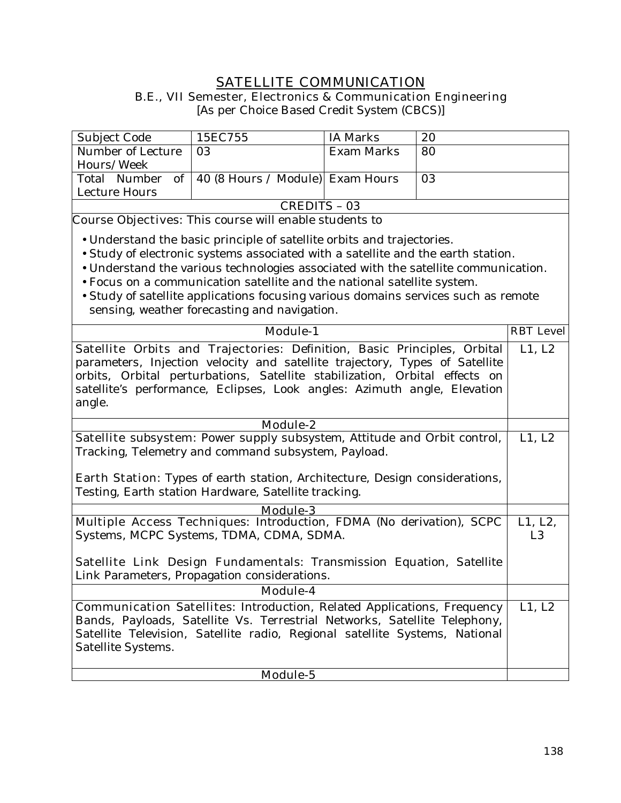# **SATELLITE COMMUNICATION**

**B.E., VII Semester, Electronics & Communication Engineering** 

[As per Choice Based Credit System (CBCS)]

| Subject Code      | 15EC755                                             | IA Marks   | 20 |
|-------------------|-----------------------------------------------------|------------|----|
| Number of Lecture | 03                                                  | Exam Marks | 80 |
| Hours/Week        |                                                     |            |    |
|                   | Total Number of   40 (8 Hours / Module)  Exam Hours |            | 03 |
| Lecture Hours     |                                                     |            |    |
| CREDITS - 03      |                                                     |            |    |

**Course Objectives:** This course will enable students to

- Understand the basic principle of satellite orbits and trajectories.
- Study of electronic systems associated with a satellite and the earth station.
- Understand the various technologies associated with the satellite communication.
- Focus on a communication satellite and the national satellite system.
- Study of satellite applications focusing various domains services such as remote sensing, weather forecasting and navigation.

| <b>Module-1</b>                                                                    | <b>RBT</b> Level |  |
|------------------------------------------------------------------------------------|------------------|--|
| Satellite Orbits and Trajectories: Definition, Basic Principles, Orbital           | L1, L2           |  |
| parameters, Injection velocity and satellite trajectory, Types of Satellite        |                  |  |
| orbits, Orbital perturbations, Satellite stabilization, Orbital effects on         |                  |  |
| satellite's performance, Eclipses, Look angles: Azimuth angle, Elevation           |                  |  |
| angle.                                                                             |                  |  |
| Module-2                                                                           |                  |  |
| Satellite subsystem: Power supply subsystem, Attitude and Orbit control,           | L1, L2           |  |
| Tracking, Telemetry and command subsystem, Payload.                                |                  |  |
|                                                                                    |                  |  |
| <b>Earth Station:</b> Types of earth station, Architecture, Design considerations, |                  |  |
| Testing, Earth station Hardware, Satellite tracking.                               |                  |  |
|                                                                                    |                  |  |
| <b>Module-3</b>                                                                    |                  |  |
| Multiple Access Techniques: Introduction, FDMA (No derivation), SCPC               | L1, L2,          |  |
| Systems, MCPC Systems, TDMA, CDMA, SDMA.                                           | L3               |  |
| Satellite Link Design Fundamentals: Transmission Equation, Satellite               |                  |  |
| Link Parameters, Propagation considerations.                                       |                  |  |
|                                                                                    |                  |  |
| Module-4                                                                           |                  |  |
| <b>Communication Satellites:</b> Introduction, Related Applications, Frequency     | L1, L2           |  |
| Bands, Payloads, Satellite Vs. Terrestrial Networks, Satellite Telephony,          |                  |  |
| Satellite Television, Satellite radio, Regional satellite Systems, National        |                  |  |
| Satellite Systems.                                                                 |                  |  |
|                                                                                    |                  |  |
| Module-5                                                                           |                  |  |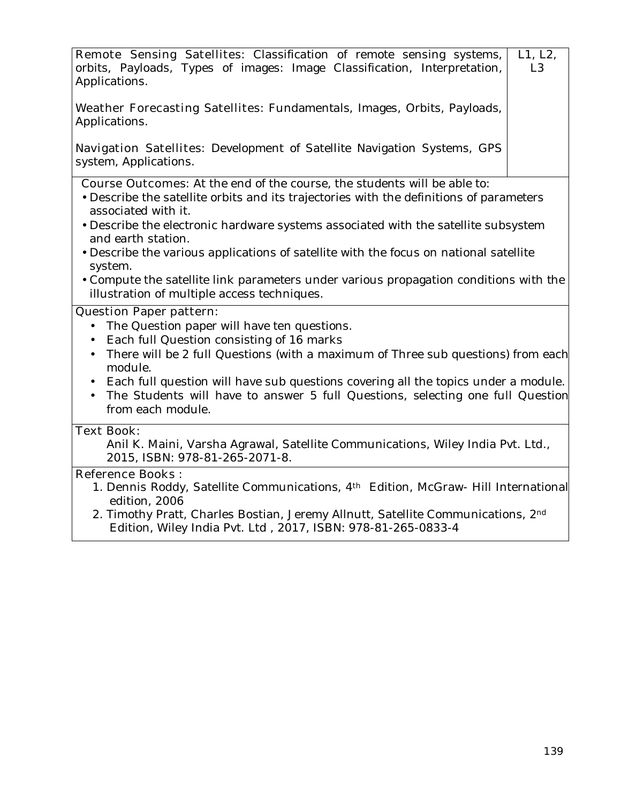| <b>Remote Sensing Satellites:</b> Classification of remote sensing systems,  <br>orbits, Payloads, Types of images: Image Classification, Interpretation, | L1, L2,<br>L <sub>3</sub> |
|-----------------------------------------------------------------------------------------------------------------------------------------------------------|---------------------------|
| Applications.<br>Weather Forecasting Satellites: Fundamentals, Images, Orbits, Payloads,                                                                  |                           |
| Applications.                                                                                                                                             |                           |
| <b>Navigation Satellites:</b> Development of Satellite Navigation Systems, GPS<br>system, Applications.                                                   |                           |

- **Course Outcomes:** At the end of the course, the students will be able to:
- Describe the satellite orbits and its trajectories with the definitions of parameters associated with it.
- Describe the electronic hardware systems associated with the satellite subsystem and earth station.
- Describe the various applications of satellite with the focus on national satellite system.
- Compute the satellite link parameters under various propagation conditions with the illustration of multiple access techniques.

#### **Question Paper pattern:**

- The Question paper will have ten questions.
- Each full Question consisting of 16 marks
- There will be 2 full Questions (with a maximum of Three sub questions) from each module.
- Each full question will have sub questions covering all the topics under a module.
- The Students will have to answer 5 full Questions, selecting one full Question from each module.

#### **Text Book:**

Anil K. Maini, Varsha Agrawal, Satellite Communications, Wiley India Pvt. Ltd., 2015, ISBN: 978-81-265-2071-8.

#### **Reference Books :**

- 1. Dennis Roddy, Satellite Communications, 4th Edition, McGraw- Hill International edition, 2006
- 2. Timothy Pratt, Charles Bostian, Jeremy Allnutt, Satellite Communications, 2nd Edition, Wiley India Pvt. Ltd , 2017, ISBN: 978-81-265-0833-4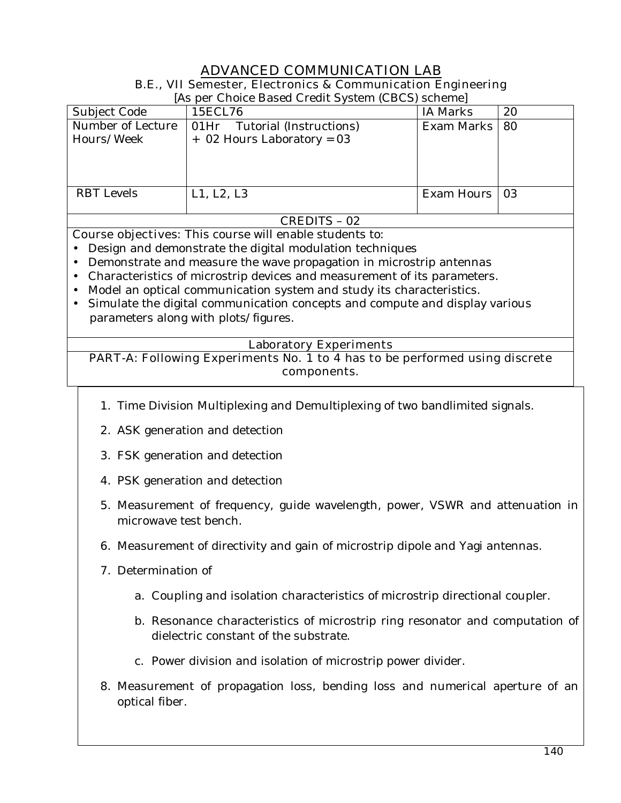#### **ADVANCED COMMUNICATION LAB B.E., VII Semester, Electronics & Communication Engineering**

[As per Choice Based Credit System (CBCS) scheme]

|                                                                             | $\mu$ to per encree based encant specific (ebecs) sensitive |                 |    |
|-----------------------------------------------------------------------------|-------------------------------------------------------------|-----------------|----|
| Subject Code                                                                | 15ECL76                                                     | <b>IA Marks</b> | 20 |
| Number of Lecture                                                           | 01Hr Tutorial (Instructions)                                | Exam Marks   80 |    |
| Hours/Week                                                                  | $+$ 02 Hours Laboratory = 03                                |                 |    |
|                                                                             |                                                             |                 |    |
|                                                                             |                                                             |                 |    |
|                                                                             |                                                             |                 |    |
| <b>RBT</b> Levels                                                           | L1, L2, L3                                                  | Exam Hours   03 |    |
|                                                                             |                                                             |                 |    |
| $\alpha$ $\beta$ $\beta$ $\gamma$ $\beta$ $\gamma$ $\beta$<br>$\sim$ $\sim$ |                                                             |                 |    |

#### CREDITS – 02

**Course objectives:** This course will enable students to:

- Design and demonstrate the digital modulation techniques
- Demonstrate and measure the wave propagation in microstrip antennas
- Characteristics of microstrip devices and measurement of its parameters.
- Model an optical communication system and study its characteristics.
- Simulate the digital communication concepts and compute and display various parameters along with plots/figures.

#### **Laboratory Experiments**

**PART-A: Following Experiments No. 1 to 4 has to be performed using discrete components.** 

- 1. Time Division Multiplexing and Demultiplexing of two bandlimited signals.
- 2. ASK generation and detection
- 3. FSK generation and detection
- 4. PSK generation and detection
- 5. Measurement of frequency, guide wavelength, power, VSWR and attenuation in microwave test bench.
- 6. Measurement of directivity and gain of microstrip dipole and Yagi antennas.
- 7. Determination of
	- a. Coupling and isolation characteristics of microstrip directional coupler.
	- b. Resonance characteristics of microstrip ring resonator and computation of dielectric constant of the substrate.
	- c. Power division and isolation of microstrip power divider.
- 8. Measurement of propagation loss, bending loss and numerical aperture of an optical fiber.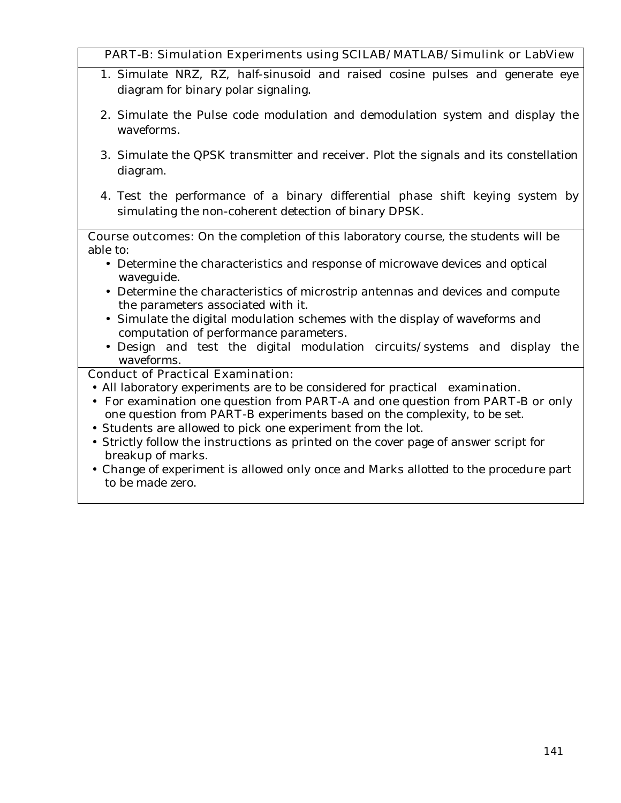#### **PART-B: Simulation Experiments using SCILAB/MATLAB/Simulink or LabView**

- 1. Simulate NRZ, RZ, half-sinusoid and raised cosine pulses and generate eye diagram for binary polar signaling.
- 2. Simulate the Pulse code modulation and demodulation system and display the waveforms.
- 3. Simulate the QPSK transmitter and receiver. Plot the signals and its constellation diagram.
- **4.** Test the performance of a binary differential phase shift keying system by simulating the non-coherent detection of binary DPSK.

**Course outcomes:** On the completion of this laboratory course, the students will be able to:

- Determine the characteristics and response of microwave devices and optical waveguide.
- Determine the characteristics of microstrip antennas and devices and compute the parameters associated with it.
- Simulate the digital modulation schemes with the display of waveforms and computation of performance parameters.
- Design and test the digital modulation circuits/systems and display the waveforms.

#### **Conduct of Practical Examination:**

- All laboratory experiments are to be considered for practical examination.
- For examination one question from **PART-A** and one question from **PART-B or** only one question from **PART-B** experiments based on the complexity, to be set.
- Students are allowed to pick one experiment from the lot.
- Strictly follow the instructions as printed on the cover page of answer script for breakup of marks.
- Change of experiment is allowed only once and Marks allotted to the procedure part to be made zero.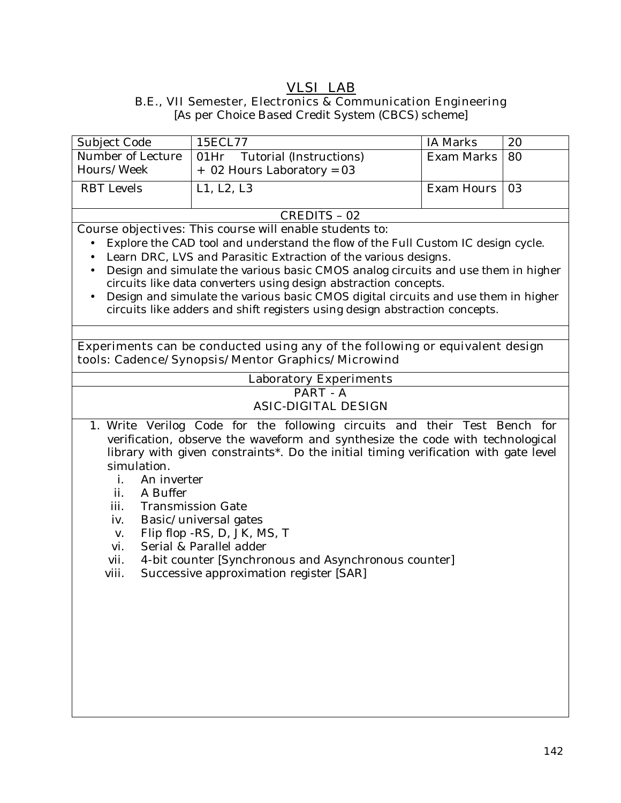#### **VLSI LAB B.E., VII Semester, Electronics & Communication Engineering**

[As per Choice Based Credit System (CBCS) scheme]

| Subject Code      | 15ECL77                                          | IA Marks        | 20 |
|-------------------|--------------------------------------------------|-----------------|----|
|                   | Number of Lecture   01Hr Tutorial (Instructions) | Exam Marks   80 |    |
| Hours/Week        | + 02 Hours Laboratory = 03                       |                 |    |
| <b>RBT</b> Levels | L1, L2, L3                                       | Exam Hours   03 |    |
|                   |                                                  |                 |    |
| CREDITS – 02      |                                                  |                 |    |

**Course objectives:** This course will enable students to:

- Explore the CAD tool and understand the flow of the Full Custom IC design cycle.
- Learn DRC, LVS and Parasitic Extraction of the various designs.
- Design and simulate the various basic CMOS analog circuits and use them in higher circuits like data converters using design abstraction concepts.
- Design and simulate the various basic CMOS digital circuits and use them in higher circuits like adders and shift registers using design abstraction concepts.

#### **Experiments can be conducted using any of the following or equivalent design tools: Cadence/Synopsis/Mentor Graphics/Microwind**

## **Laboratory Experiments**

#### **PART - A ASIC-DIGITAL DESIGN**

- 1. Write Verilog Code for the following circuits and their Test Bench for verification, observe the waveform and synthesize the code with technological library with given constraints\*. Do the initial timing verification with gate level simulation.
	- i. An inverter
	- ii. A Buffer
	- iii. Transmission Gate
	- iv. Basic/universal gates
	- v. Flip flop -RS, D, JK, MS, T
	- vi. Serial & Parallel adder
	- vii. 4-bit counter [Synchronous and Asynchronous counter]
	- viii. Successive approximation register [SAR]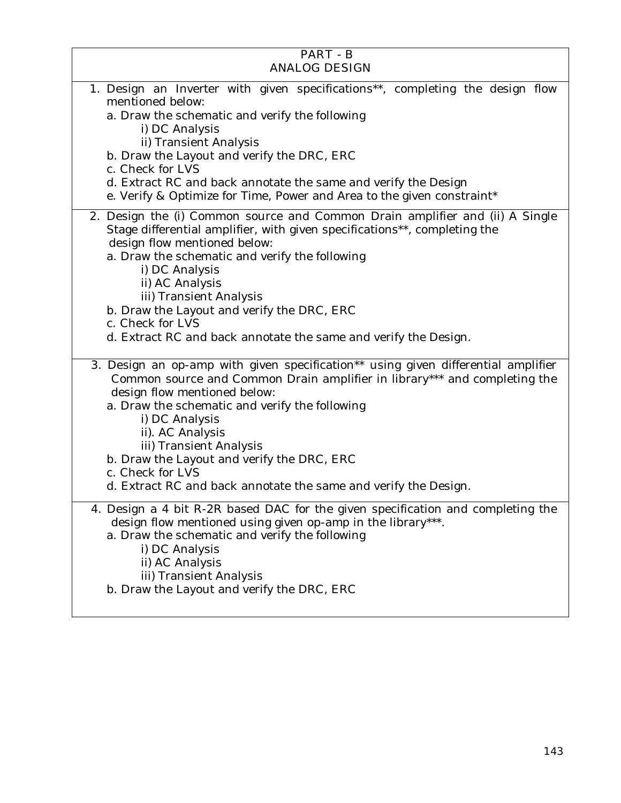| <b>PART - B</b><br><b>ANALOG DESIGN</b>                                                                                                                                                                                                                                                                                                                                                                                                                |
|--------------------------------------------------------------------------------------------------------------------------------------------------------------------------------------------------------------------------------------------------------------------------------------------------------------------------------------------------------------------------------------------------------------------------------------------------------|
|                                                                                                                                                                                                                                                                                                                                                                                                                                                        |
| 1. Design an Inverter with given specifications**, completing the design flow<br>mentioned below:<br>a. Draw the schematic and verify the following<br>i) DC Analysis<br>ii) Transient Analysis<br>b. Draw the Layout and verify the DRC, ERC<br>c. Check for LVS<br>d. Extract RC and back annotate the same and verify the Design<br>e. Verify & Optimize for Time, Power and Area to the given constraint*                                          |
| 2. Design the (i) Common source and Common Drain amplifier and (ii) A Single<br>Stage differential amplifier, with given specifications**, completing the<br>design flow mentioned below:<br>a. Draw the schematic and verify the following<br>i) DC Analysis<br>ii) AC Analysis<br>iii) Transient Analysis<br>b. Draw the Layout and verify the DRC, ERC<br>c. Check for LVS<br>d. Extract RC and back annotate the same and verify the Design.       |
| 3. Design an op-amp with given specification** using given differential amplifier<br>Common source and Common Drain amplifier in library*** and completing the<br>design flow mentioned below:<br>a. Draw the schematic and verify the following<br>i) DC Analysis<br>ii). AC Analysis<br>iii) Transient Analysis<br>b. Draw the Layout and verify the DRC, ERC<br>c. Check for LVS<br>d. Extract RC and back annotate the same and verify the Design. |
| 4. Design a 4 bit R-2R based DAC for the given specification and completing the<br>design flow mentioned using given op-amp in the library***.<br>a. Draw the schematic and verify the following<br>i) DC Analysis<br>ii) AC Analysis<br>iii) Transient Analysis<br>b. Draw the Layout and verify the DRC, ERC                                                                                                                                         |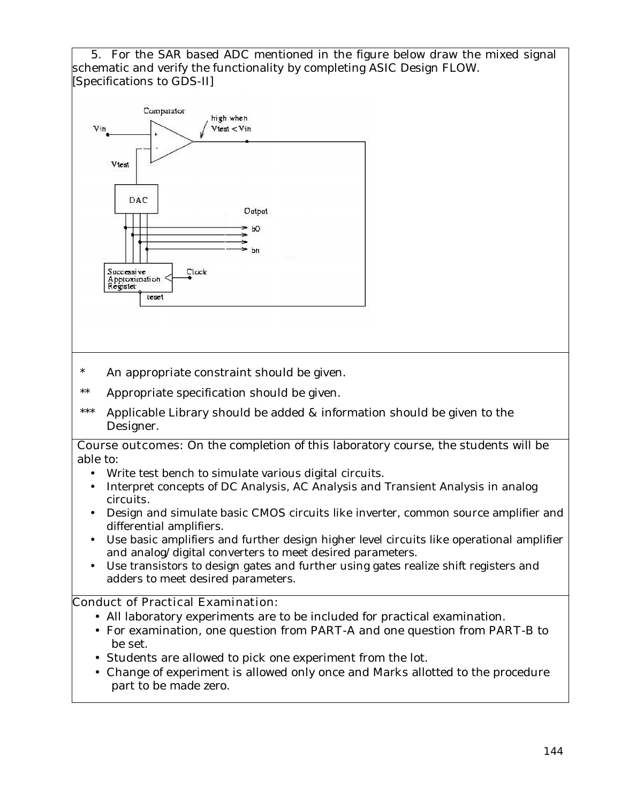5. For the SAR based ADC mentioned in the figure below draw the mixed signal schematic and verify the functionality by completing ASIC Design FLOW. [Specifications to GDS-II]



- \* An appropriate constraint should be given.
- \*\* Appropriate specification should be given.
- \*\*\* Applicable Library should be added & information should be given to the Designer.

#### **Course outcomes:** On the completion of this laboratory course, the students will be able to:

- Write test bench to simulate various digital circuits.
- Interpret concepts of DC Analysis, AC Analysis and Transient Analysis in analog circuits.
- Design and simulate basic CMOS circuits like inverter, common source amplifier and differential amplifiers.
- Use basic amplifiers and further design higher level circuits like operational amplifier and analog/digital converters to meet desired parameters.
- Use transistors to design gates and further using gates realize shift registers and adders to meet desired parameters.

#### **Conduct of Practical Examination:**

- All laboratory experiments are to be included for practical examination.
- For examination, one question from **PART-A** and one question from **PART-B** to be set.
- Students are allowed to pick one experiment from the lot.
- Change of experiment is allowed only once and Marks allotted to the procedure part to be made zero.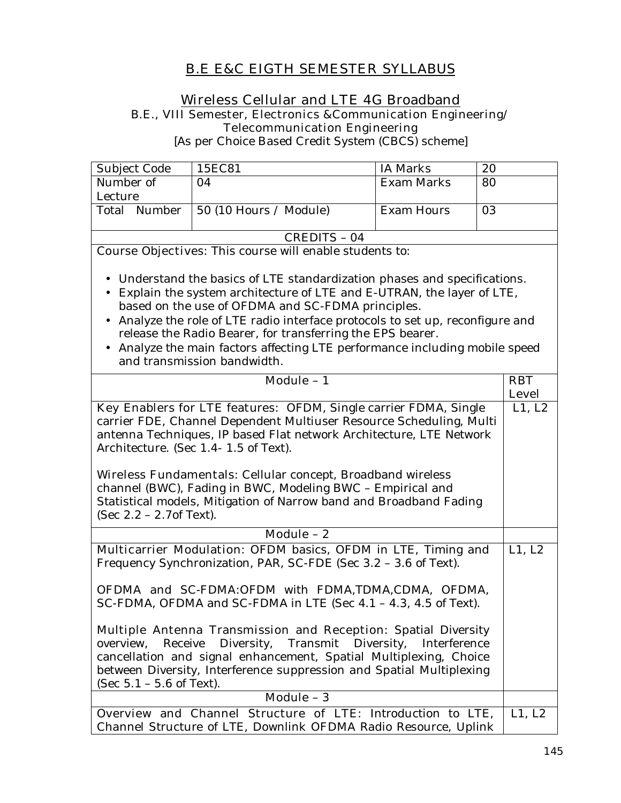# **B.E E&C EIGTH SEMESTER SYLLABUS**

#### **Wireless Cellular and LTE 4G Broadband B.E., VIII Semester, Electronics &Communication Engineering/ Telecommunication Engineering**

[As per Choice Based Credit System (CBCS) scheme]

| Subject Code | 15EC81                         | IA Marks   | 20 |
|--------------|--------------------------------|------------|----|
| Number of    | 04                             | Exam Marks | 80 |
| Lecture      |                                |            |    |
| Total Number | $\vert$ 50 (10 Hours / Module) | Exam Hours | 03 |
|              |                                |            |    |
| CREDITS - 04 |                                |            |    |

**Course Objectives:** This course will enable students to:

- Understand the basics of LTE standardization phases and specifications.
- Explain the system architecture of LTE and E-UTRAN, the layer of LTE, based on the use of OFDMA and SC-FDMA principles.
- Analyze the role of LTE radio interface protocols to set up, reconfigure and release the Radio Bearer, for transferring the EPS bearer.
- Analyze the main factors affecting LTE performance including mobile speed and transmission bandwidth.

| Module - 1                                                                                                                                                                                                                                                                                                                                                                                                                                                                                                                                                                           | <b>RBT</b>   |
|--------------------------------------------------------------------------------------------------------------------------------------------------------------------------------------------------------------------------------------------------------------------------------------------------------------------------------------------------------------------------------------------------------------------------------------------------------------------------------------------------------------------------------------------------------------------------------------|--------------|
|                                                                                                                                                                                                                                                                                                                                                                                                                                                                                                                                                                                      | <b>Level</b> |
| <b>Key Enablers for LTE features:</b> OFDM, Single carrier FDMA, Single<br>carrier FDE, Channel Dependent Multiuser Resource Scheduling, Multi<br>antenna Techniques, IP based Flat network Architecture, LTE Network<br>Architecture. (Sec 1.4-1.5 of Text).                                                                                                                                                                                                                                                                                                                        | L1, L2       |
| <b>Wireless Fundamentals:</b> Cellular concept, Broadband wireless<br>channel (BWC), Fading in BWC, Modeling BWC - Empirical and<br>Statistical models, Mitigation of Narrow band and Broadband Fading<br>(Sec $2.2 - 2.7$ of Text).                                                                                                                                                                                                                                                                                                                                                 |              |
| Module $-2$                                                                                                                                                                                                                                                                                                                                                                                                                                                                                                                                                                          |              |
| Multicarrier Modulation: OFDM basics, OFDM in LTE, Timing and<br>Frequency Synchronization, PAR, SC-FDE (Sec 3.2 - 3.6 of Text).<br><b>OFDMA and SC-FDMA:</b> OFDM with FDMA,TDMA,CDMA, OFDMA,<br>SC-FDMA, OFDMA and SC-FDMA in LTE (Sec 4.1 - 4.3, 4.5 of Text).<br><b>Multiple Antenna Transmission and Reception:</b> Spatial Diversity<br>overview, Receive Diversity, Transmit Diversity, Interference<br>cancellation and signal enhancement, Spatial Multiplexing, Choice<br>between Diversity, Interference suppression and Spatial Multiplexing<br>(Sec 5.1 - 5.6 of Text). | L1, L2       |
| Module - 3                                                                                                                                                                                                                                                                                                                                                                                                                                                                                                                                                                           |              |
| Overview and Channel Structure of LTE: Introduction to LTE,<br>Channel Structure of LTE, Downlink OFDMA Radio Resource, Uplink                                                                                                                                                                                                                                                                                                                                                                                                                                                       | L1, L2       |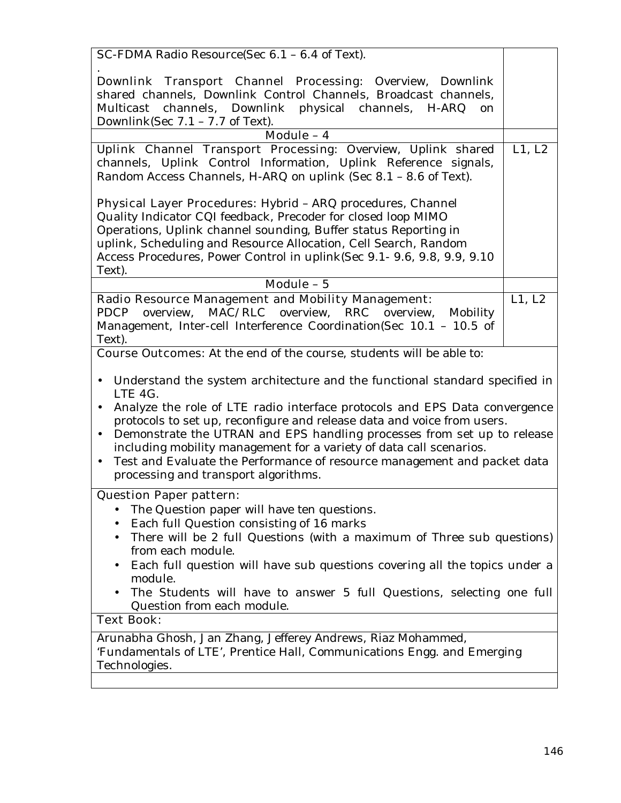| SC-FDMA Radio Resource(Sec 6.1 - 6.4 of Text).                                                                                                                                                                                                                                                                                                                                                                                                                                                                                                                            |        |  |
|---------------------------------------------------------------------------------------------------------------------------------------------------------------------------------------------------------------------------------------------------------------------------------------------------------------------------------------------------------------------------------------------------------------------------------------------------------------------------------------------------------------------------------------------------------------------------|--------|--|
| <b>Downlink Transport Channel Processing:</b> Overview, Downlink<br>shared channels, Downlink Control Channels, Broadcast channels,<br>Multicast channels, Downlink physical channels, H-ARQ<br>on<br>Downlink(Sec $7.1 - 7.7$ of Text).                                                                                                                                                                                                                                                                                                                                  |        |  |
| Module - 4                                                                                                                                                                                                                                                                                                                                                                                                                                                                                                                                                                |        |  |
| Uplink Channel Transport Processing: Overview, Uplink shared<br>channels, Uplink Control Information, Uplink Reference signals,<br>Random Access Channels, H-ARQ on uplink (Sec 8.1 - 8.6 of Text).                                                                                                                                                                                                                                                                                                                                                                       | L1, L2 |  |
| Physical Layer Procedures: Hybrid - ARQ procedures, Channel                                                                                                                                                                                                                                                                                                                                                                                                                                                                                                               |        |  |
| Quality Indicator CQI feedback, Precoder for closed loop MIMO                                                                                                                                                                                                                                                                                                                                                                                                                                                                                                             |        |  |
| Operations, Uplink channel sounding, Buffer status Reporting in                                                                                                                                                                                                                                                                                                                                                                                                                                                                                                           |        |  |
| uplink, Scheduling and Resource Allocation, Cell Search, Random                                                                                                                                                                                                                                                                                                                                                                                                                                                                                                           |        |  |
| Access Procedures, Power Control in uplink(Sec 9.1- 9.6, 9.8, 9.9, 9.10                                                                                                                                                                                                                                                                                                                                                                                                                                                                                                   |        |  |
| Text).                                                                                                                                                                                                                                                                                                                                                                                                                                                                                                                                                                    |        |  |
| $\overline{\text{Module}} - 5$                                                                                                                                                                                                                                                                                                                                                                                                                                                                                                                                            |        |  |
|                                                                                                                                                                                                                                                                                                                                                                                                                                                                                                                                                                           |        |  |
| <b>Radio Resource Management and Mobility Management:</b>                                                                                                                                                                                                                                                                                                                                                                                                                                                                                                                 | L1, L2 |  |
| MAC/RLC overview, RRC<br>overview,<br>PDCP<br>overview,<br>Mobility                                                                                                                                                                                                                                                                                                                                                                                                                                                                                                       |        |  |
| Management, Inter-cell Interference Coordination(Sec 10.1 - 10.5 of                                                                                                                                                                                                                                                                                                                                                                                                                                                                                                       |        |  |
| Text).                                                                                                                                                                                                                                                                                                                                                                                                                                                                                                                                                                    |        |  |
| Course Outcomes: At the end of the course, students will be able to:                                                                                                                                                                                                                                                                                                                                                                                                                                                                                                      |        |  |
| Understand the system architecture and the functional standard specified in<br>$\bullet$<br>LTE 4G.<br>Analyze the role of LTE radio interface protocols and EPS Data convergence<br>$\bullet$<br>protocols to set up, reconfigure and release data and voice from users.<br>Demonstrate the UTRAN and EPS handling processes from set up to release<br>$\bullet$<br>including mobility management for a variety of data call scenarios.<br>Test and Evaluate the Performance of resource management and packet data<br>$\bullet$<br>processing and transport algorithms. |        |  |
| <b>Question Paper pattern:</b>                                                                                                                                                                                                                                                                                                                                                                                                                                                                                                                                            |        |  |
| The Question paper will have ten questions.                                                                                                                                                                                                                                                                                                                                                                                                                                                                                                                               |        |  |
| Each full Question consisting of 16 marks                                                                                                                                                                                                                                                                                                                                                                                                                                                                                                                                 |        |  |
| There will be 2 full Questions (with a maximum of Three sub questions)                                                                                                                                                                                                                                                                                                                                                                                                                                                                                                    |        |  |
| from each module.                                                                                                                                                                                                                                                                                                                                                                                                                                                                                                                                                         |        |  |
| Each full question will have sub questions covering all the topics under a                                                                                                                                                                                                                                                                                                                                                                                                                                                                                                |        |  |
| module.                                                                                                                                                                                                                                                                                                                                                                                                                                                                                                                                                                   |        |  |
| The Students will have to answer 5 full Questions, selecting one full                                                                                                                                                                                                                                                                                                                                                                                                                                                                                                     |        |  |
| Question from each module.                                                                                                                                                                                                                                                                                                                                                                                                                                                                                                                                                |        |  |
| <b>Text Book:</b>                                                                                                                                                                                                                                                                                                                                                                                                                                                                                                                                                         |        |  |
| Arunabha Ghosh, Jan Zhang, Jefferey Andrews, Riaz Mohammed,                                                                                                                                                                                                                                                                                                                                                                                                                                                                                                               |        |  |
| 'Fundamentals of LTE', Prentice Hall, Communications Engg. and Emerging                                                                                                                                                                                                                                                                                                                                                                                                                                                                                                   |        |  |
| Technologies.                                                                                                                                                                                                                                                                                                                                                                                                                                                                                                                                                             |        |  |
|                                                                                                                                                                                                                                                                                                                                                                                                                                                                                                                                                                           |        |  |
|                                                                                                                                                                                                                                                                                                                                                                                                                                                                                                                                                                           |        |  |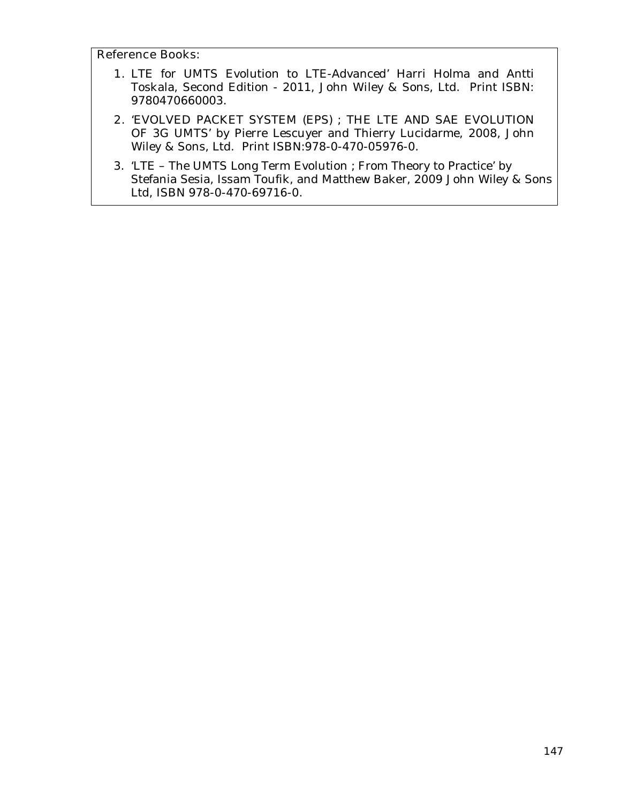#### **Reference Books:**

- **1.** LTE for UMTS Evolution to LTE-Advanced' Harri Holma and Antti Toskala, Second Edition - 2011, John Wiley & Sons, Ltd. Print ISBN: 9780470660003.
- **2.** 'EVOLVED PACKET SYSTEM (EPS) ; THE LTE AND SAE EVOLUTION OF 3G UMTS' by Pierre Lescuyer and Thierry Lucidarme, 2008, John Wiley & Sons, Ltd. Print ISBN:978-0-470-05976-0.
- 3. 'LTE The UMTS Long Term Evolution ; From Theory to Practice' by Stefania Sesia, Issam Toufik, and Matthew Baker, 2009 John Wiley & Sons Ltd, ISBN 978-0-470-69716-0.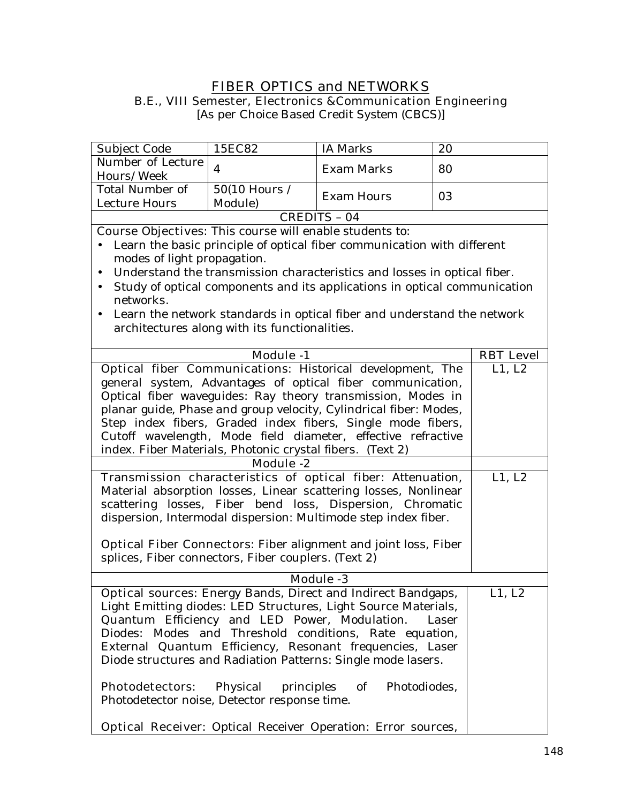# **FIBER OPTICS and NETWORKS**

**B.E., VIII Semester, Electronics &Communication Engineering** 

[As per Choice Based Credit System (CBCS)]

| Subject Code                                                               | 15EC82                                        | <b>IA</b> Marks                                                           | 20 |                  |
|----------------------------------------------------------------------------|-----------------------------------------------|---------------------------------------------------------------------------|----|------------------|
| Number of Lecture<br>Hours/Week                                            | $\overline{4}$                                | <b>Exam Marks</b>                                                         | 80 |                  |
| <b>Total Number of</b><br><b>Lecture Hours</b>                             | 50(10 Hours /<br>Module)                      | <b>Exam Hours</b>                                                         | 03 |                  |
|                                                                            |                                               | <b>CREDITS - 04</b>                                                       |    |                  |
| <b>Course Objectives:</b> This course will enable students to:             |                                               |                                                                           |    |                  |
|                                                                            |                                               | Learn the basic principle of optical fiber communication with different   |    |                  |
| modes of light propagation.                                                |                                               |                                                                           |    |                  |
| $\bullet$                                                                  |                                               | Understand the transmission characteristics and losses in optical fiber.  |    |                  |
| $\bullet$                                                                  |                                               | Study of optical components and its applications in optical communication |    |                  |
| networks.                                                                  |                                               |                                                                           |    |                  |
|                                                                            |                                               | Learn the network standards in optical fiber and understand the network   |    |                  |
|                                                                            | architectures along with its functionalities. |                                                                           |    |                  |
|                                                                            | <b>Module -1</b>                              |                                                                           |    | <b>RBT Level</b> |
|                                                                            |                                               | Optical fiber Communications: Historical development, The                 |    | L1, L2           |
|                                                                            |                                               | general system, Advantages of optical fiber communication,                |    |                  |
|                                                                            |                                               | Optical fiber waveguides: Ray theory transmission, Modes in               |    |                  |
|                                                                            |                                               | planar guide, Phase and group velocity, Cylindrical fiber: Modes,         |    |                  |
|                                                                            |                                               | Step index fibers, Graded index fibers, Single mode fibers,               |    |                  |
| Cutoff wavelength, Mode field diameter, effective refractive               |                                               |                                                                           |    |                  |
| index. Fiber Materials, Photonic crystal fibers. (Text 2)                  |                                               |                                                                           |    |                  |
|                                                                            | <b>Module -2</b>                              |                                                                           |    |                  |
|                                                                            |                                               | Transmission characteristics of optical fiber: Attenuation,               |    | L1, L2           |
|                                                                            |                                               | Material absorption losses, Linear scattering losses, Nonlinear           |    |                  |
|                                                                            |                                               | scattering losses, Fiber bend loss, Dispersion, Chromatic                 |    |                  |
|                                                                            |                                               | dispersion, Intermodal dispersion: Multimode step index fiber.            |    |                  |
|                                                                            |                                               | <b>Optical Fiber Connectors:</b> Fiber alignment and joint loss, Fiber    |    |                  |
| splices, Fiber connectors, Fiber couplers. (Text 2)                        |                                               |                                                                           |    |                  |
|                                                                            |                                               | <b>Module -3</b>                                                          |    |                  |
|                                                                            |                                               | Optical sources: Energy Bands, Direct and Indirect Bandgaps,              |    | L1, L2           |
|                                                                            |                                               | Light Emitting diodes: LED Structures, Light Source Materials,            |    |                  |
| Quantum Efficiency and LED Power, Modulation.<br>Laser                     |                                               |                                                                           |    |                  |
| Diodes: Modes and Threshold conditions, Rate equation,                     |                                               |                                                                           |    |                  |
| External Quantum Efficiency, Resonant frequencies, Laser                   |                                               |                                                                           |    |                  |
|                                                                            |                                               | Diode structures and Radiation Patterns: Single mode lasers.              |    |                  |
| <b>Photodetectors:</b>                                                     | Physical                                      | of                                                                        |    |                  |
| principles<br>Photodiodes,<br>Photodetector noise, Detector response time. |                                               |                                                                           |    |                  |
|                                                                            |                                               |                                                                           |    |                  |
|                                                                            |                                               | <b>Optical Receiver:</b> Optical Receiver Operation: Error sources,       |    |                  |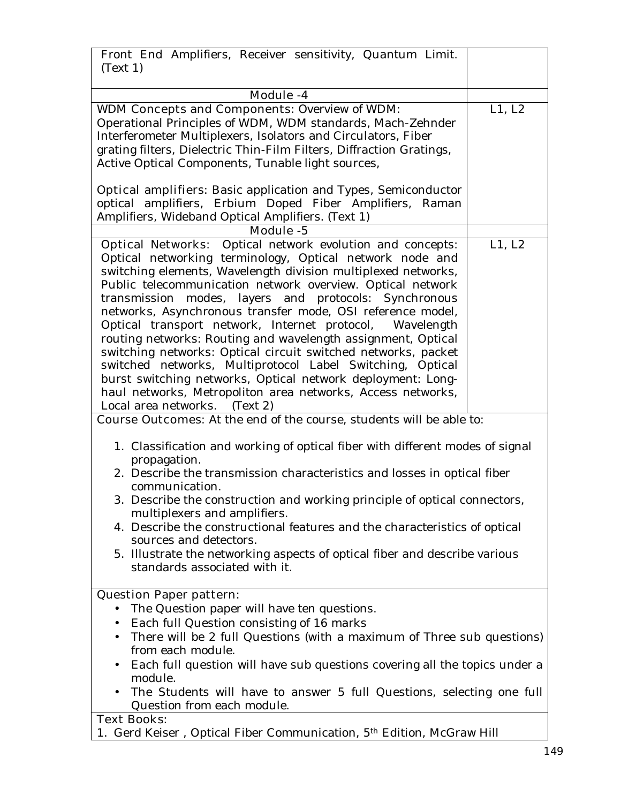| Front End Amplifiers, Receiver sensitivity, Quantum Limit.<br>(Text 1)                                                                                                                                                                                                                                                                                                                                                                                                                                                                                                                                                                                                                                                                                                                                      |        |
|-------------------------------------------------------------------------------------------------------------------------------------------------------------------------------------------------------------------------------------------------------------------------------------------------------------------------------------------------------------------------------------------------------------------------------------------------------------------------------------------------------------------------------------------------------------------------------------------------------------------------------------------------------------------------------------------------------------------------------------------------------------------------------------------------------------|--------|
|                                                                                                                                                                                                                                                                                                                                                                                                                                                                                                                                                                                                                                                                                                                                                                                                             |        |
| Module -4                                                                                                                                                                                                                                                                                                                                                                                                                                                                                                                                                                                                                                                                                                                                                                                                   |        |
| <b>WDM Concepts and Components: Overview of WDM:</b><br>Operational Principles of WDM, WDM standards, Mach-Zehnder<br>Interferometer Multiplexers, Isolators and Circulators, Fiber<br>grating filters, Dielectric Thin-Film Filters, Diffraction Gratings,<br>Active Optical Components, Tunable light sources,                                                                                                                                                                                                                                                                                                                                                                                                                                                                                            | L1, L2 |
| <b>Optical amplifiers:</b> Basic application and Types, Semiconductor<br>optical amplifiers, Erbium Doped Fiber Amplifiers, Raman<br>Amplifiers, Wideband Optical Amplifiers. (Text 1)<br><b>Module -5</b>                                                                                                                                                                                                                                                                                                                                                                                                                                                                                                                                                                                                  |        |
|                                                                                                                                                                                                                                                                                                                                                                                                                                                                                                                                                                                                                                                                                                                                                                                                             |        |
| <b>Optical Networks:</b> Optical network evolution and concepts:<br>Optical networking terminology, Optical network node and<br>switching elements, Wavelength division multiplexed networks,<br>Public telecommunication network overview. Optical network<br>transmission modes, layers and protocols: Synchronous<br>networks, Asynchronous transfer mode, OSI reference model,<br>Optical transport network, Internet protocol, Wavelength<br>routing networks: Routing and wavelength assignment, Optical<br>switching networks: Optical circuit switched networks, packet<br>switched networks, Multiprotocol Label Switching, Optical<br>burst switching networks, Optical network deployment: Long-<br>haul networks, Metropoliton area networks, Access networks,<br>Local area networks. (Text 2) | L1, L2 |
| <b>Course Outcomes:</b> At the end of the course, students will be able to:                                                                                                                                                                                                                                                                                                                                                                                                                                                                                                                                                                                                                                                                                                                                 |        |
| 1. Classification and working of optical fiber with different modes of signal<br>propagation.<br>2. Describe the transmission characteristics and losses in optical fiber<br>communication.<br>3. Describe the construction and working principle of optical connectors,<br>multiplexers and amplifiers.<br>4. Describe the constructional features and the characteristics of optical<br>sources and detectors.<br>5. Illustrate the networking aspects of optical fiber and describe various<br>standards associated with it.                                                                                                                                                                                                                                                                             |        |
| <b>Question Paper pattern:</b>                                                                                                                                                                                                                                                                                                                                                                                                                                                                                                                                                                                                                                                                                                                                                                              |        |
| The Question paper will have ten questions.<br>Each full Question consisting of 16 marks<br>There will be 2 full Questions (with a maximum of Three sub questions)<br>from each module.<br>Each full question will have sub questions covering all the topics under a<br>module.<br>The Students will have to answer 5 full Questions, selecting one full<br>Question from each module.<br><b>Text Books:</b>                                                                                                                                                                                                                                                                                                                                                                                               |        |
| 1. Gerd Keiser, Optical Fiber Communication, 5 <sup>th</sup> Edition, McGraw Hill                                                                                                                                                                                                                                                                                                                                                                                                                                                                                                                                                                                                                                                                                                                           |        |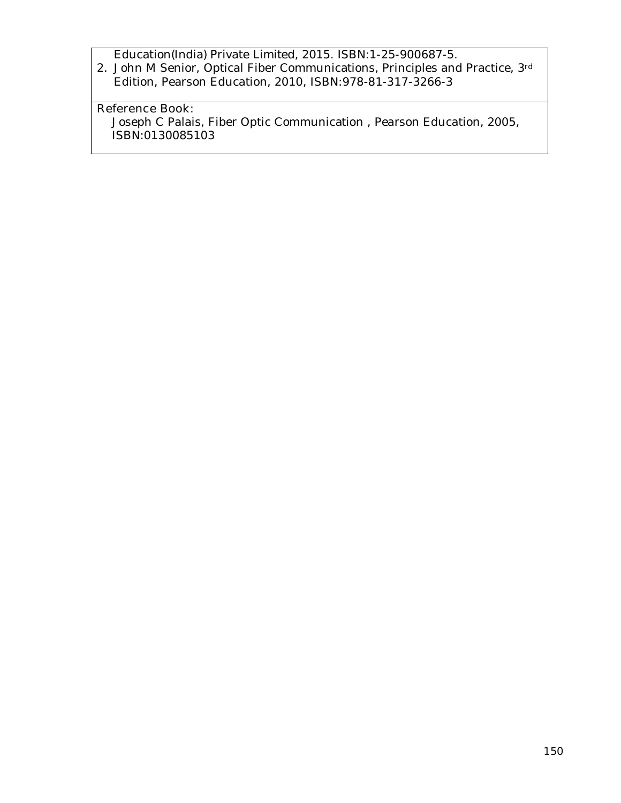Education(India) Private Limited, 2015. ISBN:1-25-900687-5.

2. John M Senior, Optical Fiber Communications, Principles and Practice, 3rd Edition, Pearson Education, 2010, ISBN:978-81-317-3266-3

# **Reference Book:**

Joseph C Palais, Fiber Optic Communication , Pearson Education, 2005, ISBN:0130085103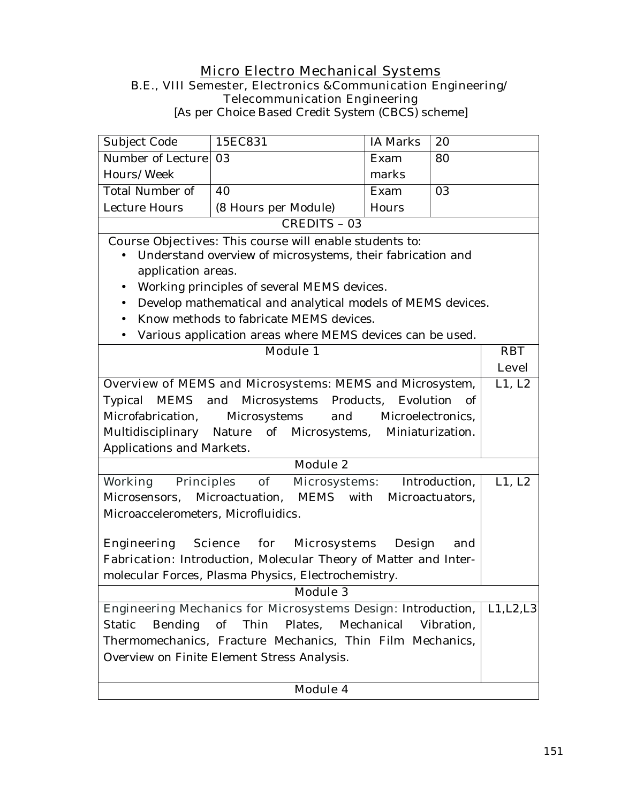## **Micro Electro Mechanical Systems B.E., VIII Semester, Electronics &Communication Engineering/ Telecommunication Engineering**

[As per Choice Based Credit System (CBCS) scheme]

| Subject Code                                                        | 15EC831                                                                   | <b>IA Marks</b> | 20              |            |
|---------------------------------------------------------------------|---------------------------------------------------------------------------|-----------------|-----------------|------------|
| Number of Lecture                                                   | 03                                                                        | Exam            | 80              |            |
| Hours/Week                                                          |                                                                           | marks           |                 |            |
| <b>Total Number of</b>                                              | 40                                                                        | Exam            | 03              |            |
| <b>Lecture Hours</b>                                                | (8 Hours per Module)                                                      | Hours           |                 |            |
|                                                                     | <b>CREDITS - 03</b>                                                       |                 |                 |            |
|                                                                     | <b>Course Objectives:</b> This course will enable students to:            |                 |                 |            |
|                                                                     | Understand overview of microsystems, their fabrication and                |                 |                 |            |
| application areas.                                                  |                                                                           |                 |                 |            |
| $\bullet$                                                           | Working principles of several MEMS devices.                               |                 |                 |            |
| $\bullet$                                                           | Develop mathematical and analytical models of MEMS devices.               |                 |                 |            |
| $\bullet$                                                           | Know methods to fabricate MEMS devices.                                   |                 |                 |            |
| $\bullet$                                                           | Various application areas where MEMS devices can be used.                 |                 |                 |            |
|                                                                     | <b>Module 1</b>                                                           |                 |                 | <b>RBT</b> |
|                                                                     |                                                                           | <b>Level</b>    |                 |            |
|                                                                     | Overview of MEMS and Microsystems: MEMS and Microsystem,                  |                 |                 | L1, L2     |
| Typical                                                             | MEMS and Microsystems Products,                                           | Evolution       | of              |            |
| Microsystems<br>Microfabrication,<br>and<br>Microelectronics,       |                                                                           |                 |                 |            |
|                                                                     | Multidisciplinary Nature of Microsystems, Miniaturization.                |                 |                 |            |
| Applications and Markets.                                           |                                                                           |                 |                 |            |
|                                                                     | <b>Module 2</b>                                                           |                 |                 |            |
| <b>Working Principles</b>                                           | of<br><b>Microsystems:</b>                                                |                 | Introduction,   | L1, L2     |
| Microsensors,                                                       | Microactuation,<br>MEMS                                                   | with            | Microactuators, |            |
| Microaccelerometers, Microfluidics.                                 |                                                                           |                 |                 |            |
|                                                                     |                                                                           |                 |                 |            |
| Engineering                                                         | for<br><b>Science</b><br><b>Microsystems</b>                              | Design          | and             |            |
|                                                                     | Fabrication: Introduction, Molecular Theory of Matter and Inter-          |                 |                 |            |
|                                                                     | molecular Forces, Plasma Physics, Electrochemistry.                       |                 |                 |            |
|                                                                     | <b>Module 3</b>                                                           |                 |                 |            |
|                                                                     | Engineering Mechanics for Microsystems Design: Introduction,   L1, L2, L3 |                 |                 |            |
| Thin<br>Bending<br>of<br>Plates, Mechanical<br>Vibration,<br>Static |                                                                           |                 |                 |            |
| Thermomechanics, Fracture Mechanics, Thin Film Mechanics,           |                                                                           |                 |                 |            |
| Overview on Finite Element Stress Analysis.                         |                                                                           |                 |                 |            |
|                                                                     |                                                                           |                 |                 |            |
|                                                                     | <b>Module 4</b>                                                           |                 |                 |            |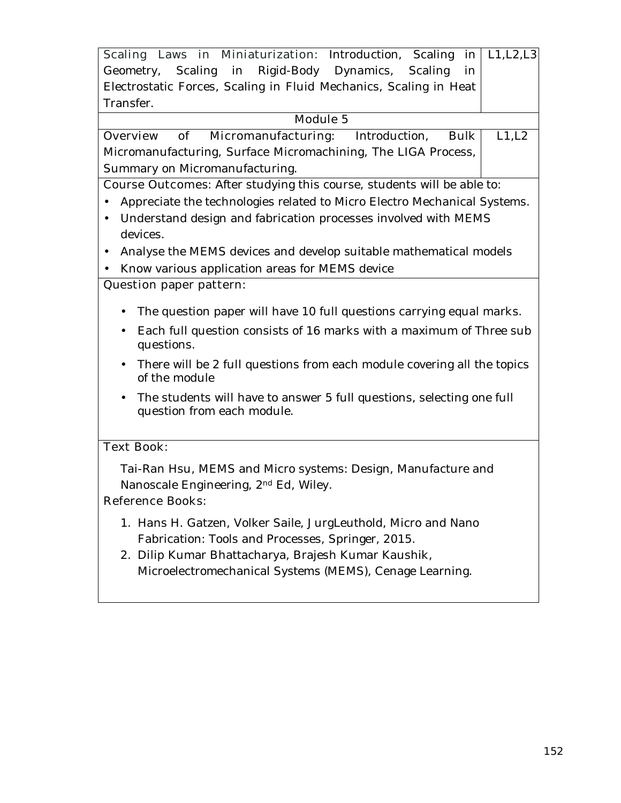| Scaling Laws in Miniaturization: Introduction, Scaling                                                           |      | L1, L2, L3<br>in |
|------------------------------------------------------------------------------------------------------------------|------|------------------|
| Scaling in Rigid-Body Dynamics, Scaling<br>Geometry,                                                             |      | in               |
| Electrostatic Forces, Scaling in Fluid Mechanics, Scaling in Heat                                                |      |                  |
| Transfer.                                                                                                        |      |                  |
| <b>Module 5</b>                                                                                                  |      |                  |
| Micromanufacturing: Introduction,<br>of<br><b>Overview</b>                                                       | Bulk | L1,L2            |
| Micromanufacturing, Surface Micromachining, The LIGA Process,                                                    |      |                  |
| Summary on Micromanufacturing.                                                                                   |      |                  |
| <b>Course Outcomes:</b> After studying this course, students will be able to:                                    |      |                  |
| Appreciate the technologies related to Micro Electro Mechanical Systems.<br>$\bullet$                            |      |                  |
| Understand design and fabrication processes involved with MEMS<br>$\bullet$                                      |      |                  |
| devices.                                                                                                         |      |                  |
| Analyse the MEMS devices and develop suitable mathematical models<br>$\bullet$                                   |      |                  |
| Know various application areas for MEMS device                                                                   |      |                  |
| <b>Question paper pattern:</b>                                                                                   |      |                  |
| The question paper will have 10 full questions carrying equal marks.<br>$\bullet$                                |      |                  |
|                                                                                                                  |      |                  |
| Each full question consists of 16 marks with a maximum of Three sub<br>$\bullet$<br>questions.                   |      |                  |
| There will be 2 full questions from each module covering all the topics<br>$\bullet$<br>of the module            |      |                  |
| The students will have to answer 5 full questions, selecting one full<br>$\bullet$<br>question from each module. |      |                  |
| <b>Text Book:</b>                                                                                                |      |                  |
| Tai-Ran Hsu, MEMS and Micro systems: Design, Manufacture and                                                     |      |                  |
| Nanoscale Engineering, 2 <sup>nd</sup> Ed, Wiley.                                                                |      |                  |
| <b>Reference Books:</b>                                                                                          |      |                  |
| 1. Hans H. Gatzen, Volker Saile, JurgLeuthold, Micro and Nano                                                    |      |                  |
| Fabrication: Tools and Processes, Springer, 2015.                                                                |      |                  |
| 2. Dilip Kumar Bhattacharya, Brajesh Kumar Kaushik,                                                              |      |                  |
| Microelectromechanical Systems (MEMS), Cenage Learning.                                                          |      |                  |
|                                                                                                                  |      |                  |
|                                                                                                                  |      |                  |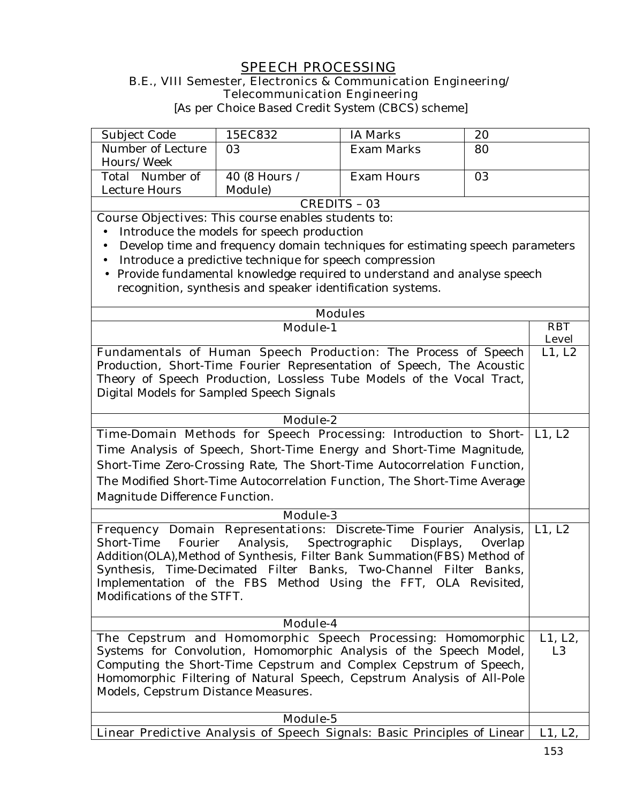# **SPEECH PROCESSING**

#### **B.E., VIII Semester, Electronics & Communication Engineering/ Telecommunication Engineering**

[As per Choice Based Credit System (CBCS) scheme]

| Subject Code                                                                                                                                  | 15EC832                                                                                                                                  | <b>IA Marks</b>          | 20      |                |
|-----------------------------------------------------------------------------------------------------------------------------------------------|------------------------------------------------------------------------------------------------------------------------------------------|--------------------------|---------|----------------|
| Number of Lecture                                                                                                                             | 03                                                                                                                                       | Exam Marks               | 80      |                |
| Hours/Week                                                                                                                                    |                                                                                                                                          |                          |         |                |
| Total Number of                                                                                                                               | 40 (8 Hours /                                                                                                                            | <b>Exam Hours</b>        | 03      |                |
| Lecture Hours                                                                                                                                 | Module)                                                                                                                                  |                          |         |                |
|                                                                                                                                               |                                                                                                                                          | <b>CREDITS - 03</b>      |         |                |
|                                                                                                                                               | <b>Course Objectives:</b> This course enables students to:                                                                               |                          |         |                |
| $\bullet$                                                                                                                                     | Introduce the models for speech production                                                                                               |                          |         |                |
| $\bullet$                                                                                                                                     | Develop time and frequency domain techniques for estimating speech parameters<br>Introduce a predictive technique for speech compression |                          |         |                |
| $\bullet$                                                                                                                                     | Provide fundamental knowledge required to understand and analyse speech                                                                  |                          |         |                |
|                                                                                                                                               | recognition, synthesis and speaker identification systems.                                                                               |                          |         |                |
|                                                                                                                                               |                                                                                                                                          |                          |         |                |
|                                                                                                                                               |                                                                                                                                          | <b>Modules</b>           |         |                |
|                                                                                                                                               | <b>Module-1</b>                                                                                                                          |                          |         | <b>RBT</b>     |
|                                                                                                                                               |                                                                                                                                          |                          |         | <b>Level</b>   |
| Fundamentals of Human Speech Production: The Process of Speech                                                                                | Production, Short-Time Fourier Representation of Speech, The Acoustic                                                                    |                          |         | L1, L2         |
|                                                                                                                                               | Theory of Speech Production, Lossless Tube Models of the Vocal Tract,                                                                    |                          |         |                |
| Digital Models for Sampled Speech Signals                                                                                                     |                                                                                                                                          |                          |         |                |
|                                                                                                                                               |                                                                                                                                          |                          |         |                |
| <b>Module-2</b>                                                                                                                               |                                                                                                                                          |                          |         |                |
| Time-Domain Methods for Speech Processing: Introduction to Short-                                                                             |                                                                                                                                          |                          |         | L1, L2         |
| Time Analysis of Speech, Short-Time Energy and Short-Time Magnitude,                                                                          |                                                                                                                                          |                          |         |                |
|                                                                                                                                               | Short-Time Zero-Crossing Rate, The Short-Time Autocorrelation Function,                                                                  |                          |         |                |
| The Modified Short-Time Autocorrelation Function, The Short-Time Average                                                                      |                                                                                                                                          |                          |         |                |
| Magnitude Difference Function.                                                                                                                |                                                                                                                                          |                          |         |                |
| <b>Module-3</b>                                                                                                                               |                                                                                                                                          |                          |         |                |
| Frequency Domain Representations: Discrete-Time Fourier Analysis,                                                                             |                                                                                                                                          |                          |         | L1, L2         |
| Fourier<br>Short-Time                                                                                                                         | Analysis,                                                                                                                                | Spectrographic Displays, | Overlap |                |
| Addition(OLA), Method of Synthesis, Filter Bank Summation(FBS) Method of<br>Synthesis, Time-Decimated Filter Banks, Two-Channel Filter Banks, |                                                                                                                                          |                          |         |                |
|                                                                                                                                               |                                                                                                                                          |                          |         |                |
| Implementation of the FBS Method Using the FFT, OLA Revisited<br>Modifications of the STFT.                                                   |                                                                                                                                          |                          |         |                |
|                                                                                                                                               |                                                                                                                                          |                          |         |                |
| Module-4                                                                                                                                      |                                                                                                                                          |                          |         |                |
| The Cepstrum and Homomorphic Speech Processing: Homomorphic                                                                                   |                                                                                                                                          |                          |         | L1, L2,        |
| Systems for Convolution, Homomorphic Analysis of the Speech Model,                                                                            |                                                                                                                                          |                          |         | L <sub>3</sub> |
|                                                                                                                                               | Computing the Short-Time Cepstrum and Complex Cepstrum of Speech,                                                                        |                          |         |                |
| Homomorphic Filtering of Natural Speech, Cepstrum Analysis of All-Pole                                                                        |                                                                                                                                          |                          |         |                |
| Models, Cepstrum Distance Measures.                                                                                                           |                                                                                                                                          |                          |         |                |
| Module-5                                                                                                                                      |                                                                                                                                          |                          |         |                |
| Linear Predictive Analysis of Speech Signals: Basic Principles of Linear                                                                      |                                                                                                                                          |                          | L1, L2, |                |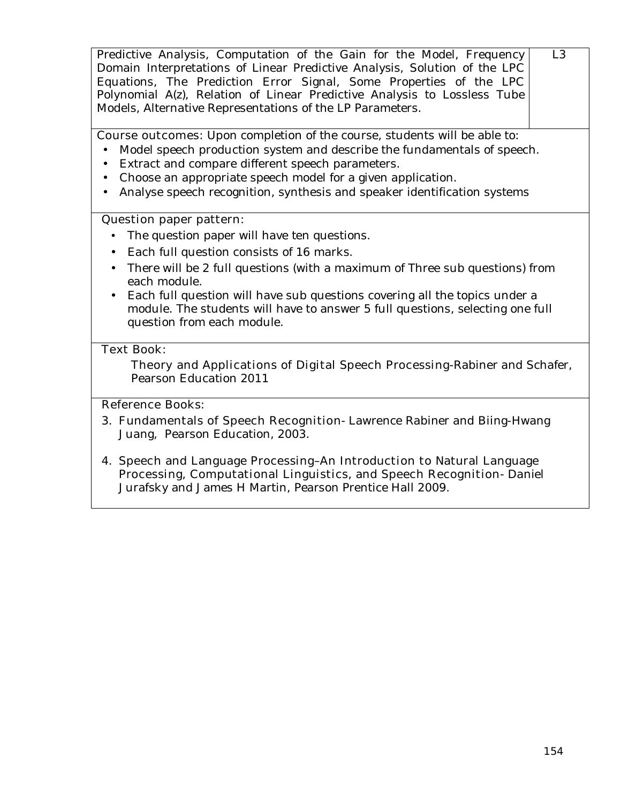| Predictive Analysis, Computation of the Gain for the Model, Frequency<br>Domain Interpretations of Linear Predictive Analysis, Solution of the LPC<br>Equations, The Prediction Error Signal, Some Properties of the LPC<br>Polynomial A(z), Relation of Linear Predictive Analysis to Lossless Tube<br>Models, Alternative Representations of the LP Parameters. | L3 |
|-------------------------------------------------------------------------------------------------------------------------------------------------------------------------------------------------------------------------------------------------------------------------------------------------------------------------------------------------------------------|----|
| <b>Course outcomes:</b> Upon completion of the course, students will be able to:<br>Model speech production system and describe the fundamentals of speech.                                                                                                                                                                                                       |    |
| Extract and compare different speech parameters.                                                                                                                                                                                                                                                                                                                  |    |
| Choose an appropriate speech model for a given application.<br>$\bullet$                                                                                                                                                                                                                                                                                          |    |
| Analyse speech recognition, synthesis and speaker identification systems<br>$\bullet$                                                                                                                                                                                                                                                                             |    |
| <b>Question paper pattern:</b>                                                                                                                                                                                                                                                                                                                                    |    |
| The question paper will have ten questions.                                                                                                                                                                                                                                                                                                                       |    |
| Each full question consists of 16 marks.<br>$\bullet$                                                                                                                                                                                                                                                                                                             |    |
| There will be 2 full questions (with a maximum of Three sub questions) from<br>each module.                                                                                                                                                                                                                                                                       |    |
| Each full question will have sub questions covering all the topics under a<br>module. The students will have to answer 5 full questions, selecting one full<br>question from each module.                                                                                                                                                                         |    |
| <b>Text Book:</b>                                                                                                                                                                                                                                                                                                                                                 |    |
| Theory and Applications of Digital Speech Processing-Rabiner and Schafer,<br>Pearson Education 2011                                                                                                                                                                                                                                                               |    |
| <b>Reference Books:</b>                                                                                                                                                                                                                                                                                                                                           |    |
| 3. Fundamentals of Speech Recognition-Lawrence Rabiner and Biing-Hwang<br>Juang, Pearson Education, 2003.                                                                                                                                                                                                                                                         |    |
| 4. Speech and Language Processing-An Introduction to Natural Language<br>Processing, Computational Linguistics, and Speech Recognition-Daniel<br>Jurafsky and James H Martin, Pearson Prentice Hall 2009.                                                                                                                                                         |    |
|                                                                                                                                                                                                                                                                                                                                                                   |    |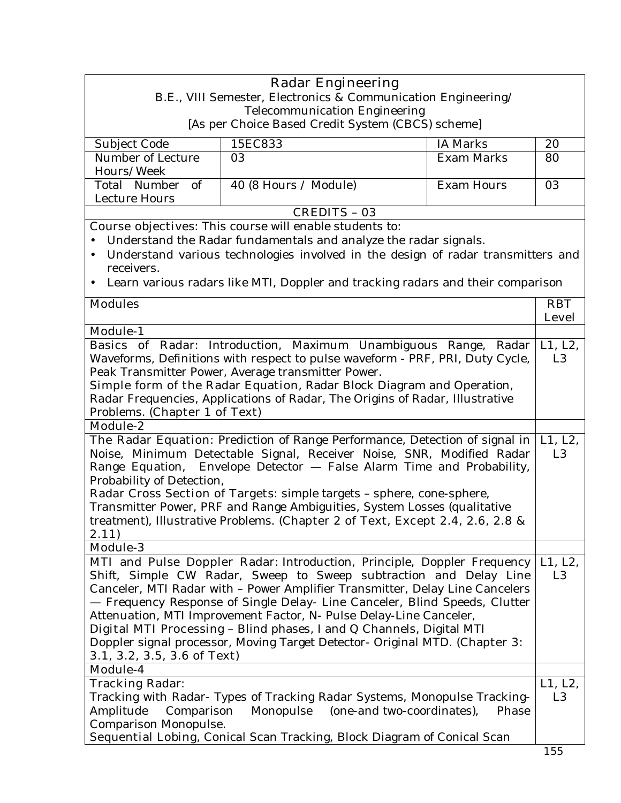|                                                                                                                                                           | <b>Radar Engineering</b><br>B.E., VIII Semester, Electronics & Communication Engineering/ |                   |                |
|-----------------------------------------------------------------------------------------------------------------------------------------------------------|-------------------------------------------------------------------------------------------|-------------------|----------------|
|                                                                                                                                                           | <b>Telecommunication Engineering</b>                                                      |                   |                |
|                                                                                                                                                           | [As per Choice Based Credit System (CBCS) scheme]                                         |                   |                |
| Subject Code                                                                                                                                              | 15EC833                                                                                   | <b>IA Marks</b>   | 20             |
| Number of Lecture                                                                                                                                         | 03                                                                                        | <b>Exam Marks</b> | 80             |
| Hours/Week                                                                                                                                                |                                                                                           |                   |                |
| Total Number of                                                                                                                                           | 40 (8 Hours / Module)                                                                     | <b>Exam Hours</b> | 03             |
| Lecture Hours                                                                                                                                             |                                                                                           |                   |                |
|                                                                                                                                                           | <b>CREDITS - 03</b>                                                                       |                   |                |
|                                                                                                                                                           | <b>Course objectives:</b> This course will enable students to:                            |                   |                |
|                                                                                                                                                           | Understand the Radar fundamentals and analyze the radar signals.                          |                   |                |
|                                                                                                                                                           | Understand various technologies involved in the design of radar transmitters and          |                   |                |
| receivers.                                                                                                                                                |                                                                                           |                   |                |
|                                                                                                                                                           | Learn various radars like MTI, Doppler and tracking radars and their comparison           |                   |                |
| <b>Modules</b>                                                                                                                                            |                                                                                           |                   | <b>RBT</b>     |
|                                                                                                                                                           |                                                                                           |                   | <b>Level</b>   |
| <b>Module-1</b>                                                                                                                                           |                                                                                           |                   |                |
|                                                                                                                                                           | Basics of Radar: Introduction, Maximum Unambiguous Range, Radar                           |                   | L1, L2,        |
|                                                                                                                                                           | Waveforms, Definitions with respect to pulse waveform - PRF, PRI, Duty Cycle,             |                   | L <sub>3</sub> |
|                                                                                                                                                           | Peak Transmitter Power, Average transmitter Power.                                        |                   |                |
|                                                                                                                                                           | <b>Simple form of the Radar Equation</b> , Radar Block Diagram and Operation,             |                   |                |
|                                                                                                                                                           | Radar Frequencies, Applications of Radar, The Origins of Radar, Illustrative              |                   |                |
| Problems. (Chapter 1 of Text)                                                                                                                             |                                                                                           |                   |                |
| <b>Module-2</b>                                                                                                                                           |                                                                                           |                   |                |
|                                                                                                                                                           | The Radar Equation: Prediction of Range Performance, Detection of signal in               |                   | L1, L2,        |
|                                                                                                                                                           | Noise, Minimum Detectable Signal, Receiver Noise, SNR, Modified Radar                     |                   | L <sub>3</sub> |
|                                                                                                                                                           | Range Equation, Envelope Detector - False Alarm Time and Probability,                     |                   |                |
| Probability of Detection,                                                                                                                                 |                                                                                           |                   |                |
|                                                                                                                                                           | Radar Cross Section of Targets: simple targets - sphere, cone-sphere,                     |                   |                |
| Transmitter Power, PRF and Range Ambiguities, System Losses (qualitative<br>treatment), Illustrative Problems. (Chapter 2 of Text, Except 2.4, 2.6, 2.8 & |                                                                                           |                   |                |
|                                                                                                                                                           |                                                                                           |                   |                |
| 2.11)<br>Module-3                                                                                                                                         |                                                                                           |                   |                |
|                                                                                                                                                           | MTI and Pulse Doppler Radar: Introduction, Principle, Doppler Frequency                   |                   | L1, L2,        |
|                                                                                                                                                           | Shift, Simple CW Radar, Sweep to Sweep subtraction and Delay Line                         |                   | L <sub>3</sub> |
|                                                                                                                                                           | Canceler, MTI Radar with - Power Amplifier Transmitter, Delay Line Cancelers              |                   |                |
|                                                                                                                                                           | - Frequency Response of Single Delay- Line Canceler, Blind Speeds, Clutter                |                   |                |
|                                                                                                                                                           | Attenuation, MTI Improvement Factor, N- Pulse Delay-Line Canceler,                        |                   |                |
|                                                                                                                                                           | Digital MTI Processing - Blind phases, I and Q Channels, Digital MTI                      |                   |                |
|                                                                                                                                                           | Doppler signal processor, Moving Target Detector- Original MTD. (Chapter 3:               |                   |                |
| 3.1, 3.2, 3.5, 3.6 of Text)                                                                                                                               |                                                                                           |                   |                |
| Module-4                                                                                                                                                  |                                                                                           |                   |                |
| <b>Tracking Radar:</b>                                                                                                                                    |                                                                                           |                   | L1, L2,        |
| Tracking with Radar- Types of Tracking Radar Systems, Monopulse Tracking-                                                                                 |                                                                                           |                   | L <sub>3</sub> |
| Amplitude<br>Comparison<br>Monopulse<br>(one-and two-coordinates),<br>Phase                                                                               |                                                                                           |                   |                |
| Comparison Monopulse.                                                                                                                                     |                                                                                           |                   |                |
|                                                                                                                                                           | Sequential Lobing, Conical Scan Tracking, Block Diagram of Conical Scan                   |                   |                |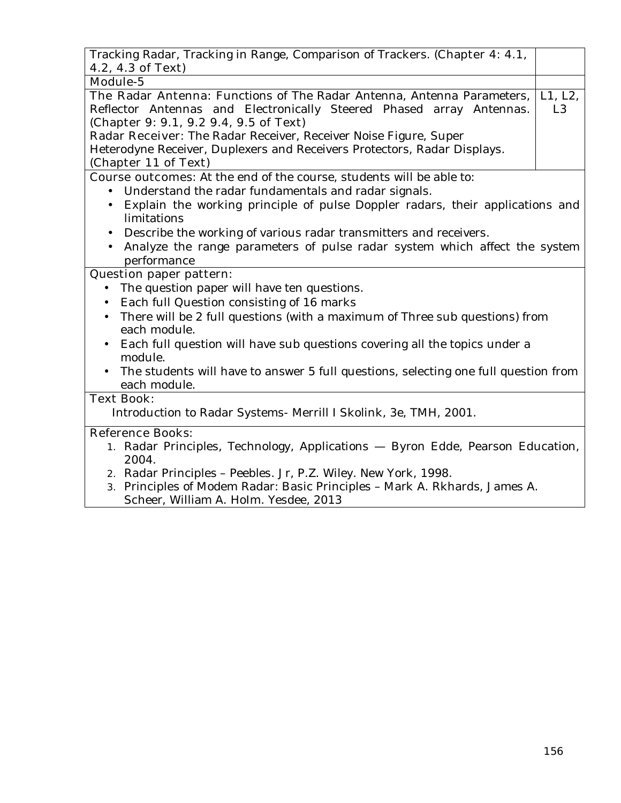| Tracking Radar, Tracking in Range, Comparison of Trackers. (Chapter 4: 4.1,                                      |                |
|------------------------------------------------------------------------------------------------------------------|----------------|
| 4.2, 4.3 of Text)                                                                                                |                |
| <b>Module-5</b>                                                                                                  |                |
| The Radar Antenna: Functions of The Radar Antenna, Antenna Parameters,                                           | L1, L2,        |
| Reflector Antennas and Electronically Steered Phased array Antennas.                                             | L <sub>3</sub> |
| (Chapter 9: 9.1, 9.2 9.4, 9.5 of Text)                                                                           |                |
| Radar Receiver: The Radar Receiver, Receiver Noise Figure, Super                                                 |                |
| Heterodyne Receiver, Duplexers and Receivers Protectors, Radar Displays.                                         |                |
| (Chapter 11 of Text)                                                                                             |                |
| <b>Course outcomes:</b> At the end of the course, students will be able to:                                      |                |
| Understand the radar fundamentals and radar signals.                                                             |                |
| Explain the working principle of pulse Doppler radars, their applications and<br>$\bullet$<br>limitations        |                |
| Describe the working of various radar transmitters and receivers.                                                |                |
| Analyze the range parameters of pulse radar system which affect the system                                       |                |
| performance                                                                                                      |                |
| <b>Question paper pattern:</b>                                                                                   |                |
| The question paper will have ten questions.<br>$\bullet$                                                         |                |
| Each full Question consisting of 16 marks<br>$\bullet$                                                           |                |
| There will be 2 full questions (with a maximum of Three sub questions) from<br>$\bullet$                         |                |
| each module.                                                                                                     |                |
| Each full question will have sub questions covering all the topics under a<br>$\bullet$<br>module.               |                |
| The students will have to answer 5 full questions, selecting one full question from<br>$\bullet$<br>each module. |                |
| <b>Text Book:</b>                                                                                                |                |
| Introduction to Radar Systems- Merrill I Skolink, 3e, TMH, 2001.                                                 |                |
| <b>Reference Books:</b>                                                                                          |                |
| 1. Radar Principles, Technology, Applications - Byron Edde, Pearson Education,                                   |                |
| 2004.                                                                                                            |                |
| 2. Radar Principles - Peebles. Jr, P.Z. Wiley. New York, 1998.                                                   |                |
| 3. Principles of Modem Radar: Basic Principles - Mark A. Rkhards, James A.                                       |                |
| Scheer, William A. HoIm. Yesdee, 2013                                                                            |                |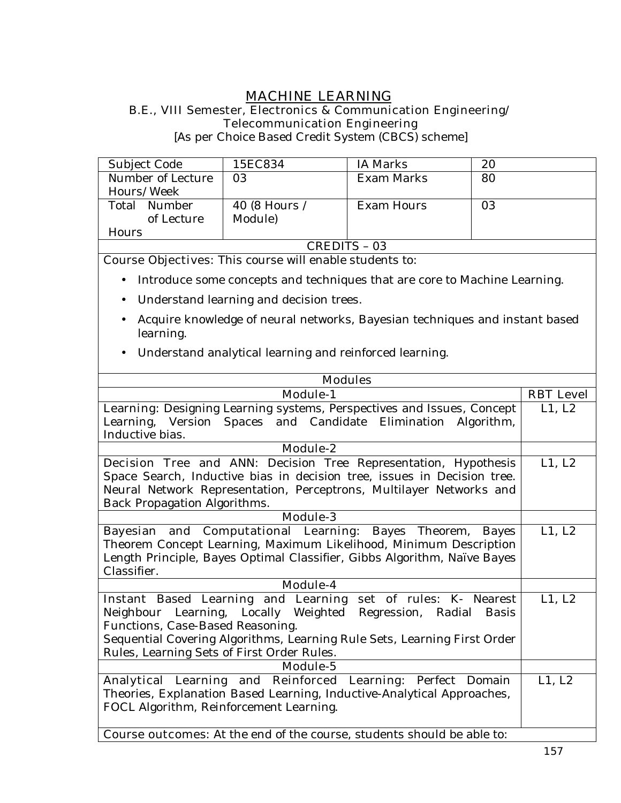# **MACHINE LEARNING**

#### **B.E., VIII Semester, Electronics & Communication Engineering/ Telecommunication Engineering**

[As per Choice Based Credit System (CBCS) scheme]

| Subject Code      | 15EC834       | <b>IA Marks</b> | 20 |
|-------------------|---------------|-----------------|----|
| Number of Lecture | 03            | Exam Marks      | 80 |
| Hours/Week        |               |                 |    |
| Number<br>Total   | 40 (8 Hours / | Exam Hours      | 03 |
| of Lecture        | Module)       |                 |    |
| <b>Hours</b>      |               |                 |    |
| CREDITS - 03      |               |                 |    |

**Course Objectives:** This course will enable students to:

- Introduce some concepts and techniques that are core to Machine Learning.
- Understand learning and decision trees.
- Acquire knowledge of neural networks, Bayesian techniques and instant based learning.
- Understand analytical learning and reinforced learning.

| <b>Modules</b>                                                                |                  |
|-------------------------------------------------------------------------------|------------------|
| <b>Module-1</b>                                                               | <b>RBT</b> Level |
| <b>Learning:</b> Designing Learning systems, Perspectives and Issues, Concept | L1, L2           |
| Learning, Version Spaces and Candidate Elimination<br>Algorithm,              |                  |
| Inductive bias.                                                               |                  |
| Module-2                                                                      |                  |
| <b>Decision Tree and ANN:</b> Decision Tree Representation, Hypothesis        | L1, L2           |
| Space Search, Inductive bias in decision tree, issues in Decision tree.       |                  |
| Neural Network Representation, Perceptrons, Multilayer Networks and           |                  |
| Back Propagation Algorithms.                                                  |                  |
| <b>Module-3</b>                                                               |                  |
| Bayesian and Computational Learning: Bayes Theorem,<br>Bayes                  | L1, L2           |
| Theorem Concept Learning, Maximum Likelihood, Minimum Description             |                  |
| Length Principle, Bayes Optimal Classifier, Gibbs Algorithm, Naïve Bayes      |                  |
| Classifier.                                                                   |                  |
| <b>Module-4</b>                                                               |                  |
| Instant Based Learning and Learning set of rules: K- Nearest                  | L1, L2           |
| Neighbour Learning, Locally Weighted Regression, Radial<br><b>Basis</b>       |                  |
| Functions, Case-Based Reasoning.                                              |                  |
| Sequential Covering Algorithms, Learning Rule Sets, Learning First Order      |                  |
| Rules, Learning Sets of First Order Rules.                                    |                  |
| Module-5                                                                      |                  |
| Analytical Learning and Reinforced Learning: Perfect Domain                   | L1, L2           |
| Theories, Explanation Based Learning, Inductive-Analytical Approaches,        |                  |
| FOCL Algorithm, Reinforcement Learning.                                       |                  |
|                                                                               |                  |
| <b>Course outcomes:</b> At the end of the course, students should be able to: |                  |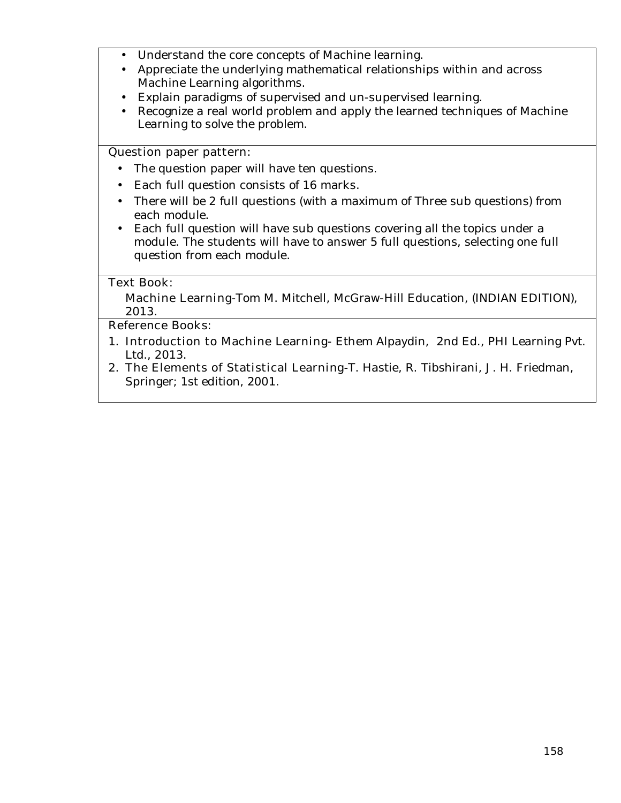- Understand the core concepts of Machine learning.
- Appreciate the underlying mathematical relationships within and across Machine Learning algorithms.
- Explain paradigms of supervised and un-supervised learning.
- Recognize a real world problem and apply the learned techniques of Machine Learning to solve the problem.

### **Question paper pattern:**

- The question paper will have ten questions.
- Each full question consists of 16 marks.
- There will be 2 full questions (with a maximum of Three sub questions) from each module.
- Each full question will have sub questions covering all the topics under a module. The students will have to answer 5 full questions, selecting one full question from each module.

## **Text Book:**

**Machine Learning-**Tom M. Mitchell, McGraw-Hill Education, (INDIAN EDITION), 2013.

### **Reference Books:**

- 1. **Introduction to Machine Learning-** Ethem Alpaydin, 2nd Ed., PHI Learning Pvt. Ltd., 2013.
- 2. **The Elements of Statistical Learning-**T. Hastie, R. Tibshirani, J. H. Friedman, Springer; 1st edition, 2001.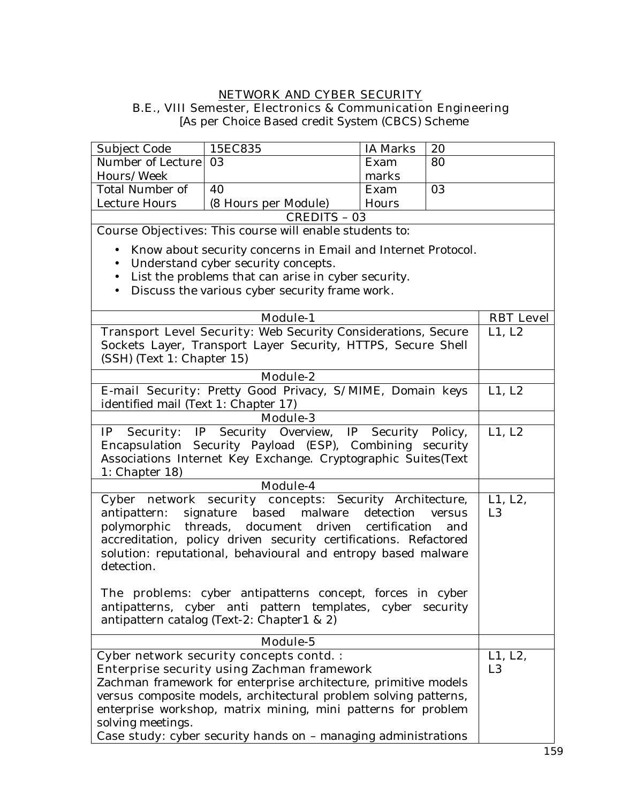### **NETWORK AND CYBER SECURITY B.E., VIII Semester, Electronics & Communication Engineering**

[As per Choice Based credit System (CBCS) Scheme

| Subject Code                                                                                                                                                                                                          | 15EC835                                                                                                                                                                                                                                                                                                      | <b>IA Marks</b> | 20            |                           |
|-----------------------------------------------------------------------------------------------------------------------------------------------------------------------------------------------------------------------|--------------------------------------------------------------------------------------------------------------------------------------------------------------------------------------------------------------------------------------------------------------------------------------------------------------|-----------------|---------------|---------------------------|
| Number of Lecture                                                                                                                                                                                                     | 03                                                                                                                                                                                                                                                                                                           | Exam            | 80            |                           |
| Hours/Week                                                                                                                                                                                                            |                                                                                                                                                                                                                                                                                                              | marks           |               |                           |
| <b>Total Number of</b>                                                                                                                                                                                                | 40                                                                                                                                                                                                                                                                                                           | Exam            | 03            |                           |
| Lecture Hours                                                                                                                                                                                                         | (8 Hours per Module)                                                                                                                                                                                                                                                                                         | Hours           |               |                           |
|                                                                                                                                                                                                                       | <b>CREDITS - 03</b>                                                                                                                                                                                                                                                                                          |                 |               |                           |
|                                                                                                                                                                                                                       | Course Objectives: This course will enable students to:                                                                                                                                                                                                                                                      |                 |               |                           |
| $\bullet$                                                                                                                                                                                                             | Know about security concerns in Email and Internet Protocol.                                                                                                                                                                                                                                                 |                 |               |                           |
| $\bullet$                                                                                                                                                                                                             | Understand cyber security concepts.                                                                                                                                                                                                                                                                          |                 |               |                           |
| $\bullet$                                                                                                                                                                                                             | List the problems that can arise in cyber security.                                                                                                                                                                                                                                                          |                 |               |                           |
| $\bullet$                                                                                                                                                                                                             | Discuss the various cyber security frame work.                                                                                                                                                                                                                                                               |                 |               |                           |
|                                                                                                                                                                                                                       |                                                                                                                                                                                                                                                                                                              |                 |               |                           |
|                                                                                                                                                                                                                       | <b>Module-1</b>                                                                                                                                                                                                                                                                                              |                 |               | <b>RBT</b> Level          |
|                                                                                                                                                                                                                       | Transport Level Security: Web Security Considerations, Secure                                                                                                                                                                                                                                                |                 |               | L1, L2                    |
|                                                                                                                                                                                                                       | Sockets Layer, Transport Layer Security, HTTPS, Secure Shell                                                                                                                                                                                                                                                 |                 |               |                           |
| (SSH) (Text 1: Chapter 15)                                                                                                                                                                                            |                                                                                                                                                                                                                                                                                                              |                 |               |                           |
|                                                                                                                                                                                                                       | <b>Module-2</b>                                                                                                                                                                                                                                                                                              |                 |               |                           |
|                                                                                                                                                                                                                       | E-mail Security: Pretty Good Privacy, S/MIME, Domain keys                                                                                                                                                                                                                                                    |                 |               | L1, L2                    |
| identified mail (Text 1: Chapter 17)                                                                                                                                                                                  |                                                                                                                                                                                                                                                                                                              |                 |               |                           |
|                                                                                                                                                                                                                       | <b>Module-3</b>                                                                                                                                                                                                                                                                                              |                 |               |                           |
| Security Overview, IP Security Policy,<br><b>Security:</b> IP<br>IP<br>Encapsulation Security Payload (ESP), Combining security<br>Associations Internet Key Exchange. Cryptographic Suites(Text<br>1: Chapter $18$ ) |                                                                                                                                                                                                                                                                                                              |                 |               | L1, L2                    |
|                                                                                                                                                                                                                       | Module-4                                                                                                                                                                                                                                                                                                     |                 |               |                           |
| antipattern:<br>detection.                                                                                                                                                                                            | Cyber network security concepts: Security Architecture,<br>based malware<br>signature<br>polymorphic threads, document driven certification<br>accreditation, policy driven security certifications. Refactored<br>solution: reputational, behavioural and entropy based malware                             | detection       | versus<br>and | L1, L2,<br>L <sub>3</sub> |
|                                                                                                                                                                                                                       | The problems: cyber antipatterns concept, forces in cyber<br>antipatterns, cyber anti pattern templates, cyber security<br>antipattern catalog (Text-2: Chapter1 & 2)                                                                                                                                        |                 |               |                           |
|                                                                                                                                                                                                                       | Module-5                                                                                                                                                                                                                                                                                                     |                 |               |                           |
|                                                                                                                                                                                                                       | <b>Cyber network security concepts contd.:</b><br><b>Enterprise security using Zachman framework</b><br>Zachman framework for enterprise architecture, primitive models<br>versus composite models, architectural problem solving patterns,<br>enterprise workshop, matrix mining, mini patterns for problem |                 |               | L1, L2,<br>L <sub>3</sub> |
| solving meetings.                                                                                                                                                                                                     | Case study: cyber security hands on - managing administrations                                                                                                                                                                                                                                               |                 |               |                           |